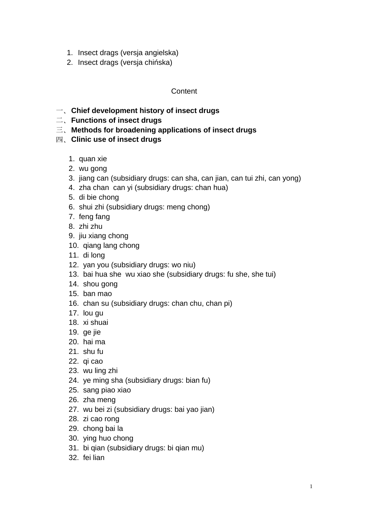- 1. Insect drags (versja angielska)
- 2. Insect drags (versja chińska)

# **Content**

- 一、**Chief development history of insect drugs**
- 二、**Functions of insect drugs**
- 三、**Methods for broadening applications of insect drugs**
- 四、**Clinic use of insect drugs**
	- 1. quan xie
	- 2. wu gong
	- 3. jiang can (subsidiary drugs: can sha, can jian, can tui zhi, can yong)
	- 4. zha chan can yi (subsidiary drugs: chan hua)
	- 5. di bie chong
	- 6. shui zhi (subsidiary drugs: meng chong)
	- 7. feng fang
	- 8. zhi zhu
	- 9. jiu xiang chong
	- 10. qiang lang chong
	- 11. di long
	- 12. yan you (subsidiary drugs: wo niu)
	- 13. bai hua she wu xiao she (subsidiary drugs: fu she, she tui)
	- 14. shou gong
	- 15. ban mao
	- 16. chan su (subsidiary drugs: chan chu, chan pi)
	- 17. lou gu
	- 18. xi shuai
	- 19. ge jie
	- 20. hai ma
	- 21. shu fu
	- 22. qi cao
	- 23. wu ling zhi
	- 24. ye ming sha (subsidiary drugs: bian fu)
	- 25. sang piao xiao
	- 26. zha meng
	- 27. wu bei zi (subsidiary drugs: bai yao jian)
	- 28. zi cao rong
	- 29. chong bai la
	- 30. ying huo chong
	- 31. bi qian (subsidiary drugs: bi qian mu)
	- 32. fei lian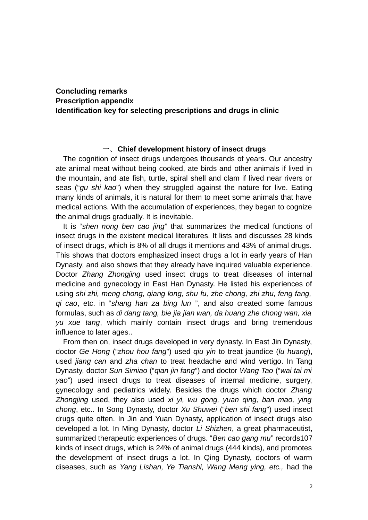# **Concluding remarks Prescription appendix Identification key for selecting prescriptions and drugs in clinic**

### 一、**Chief development history of insect drugs**

The cognition of insect drugs undergoes thousands of years. Our ancestry ate animal meat without being cooked, ate birds and other animals if lived in the mountain, and ate fish, turtle, spiral shell and clam if lived near rivers or seas ("*gu shi kao*") when they struggled against the nature for live. Eating many kinds of animals, it is natural for them to meet some animals that have medical actions. With the accumulation of experiences, they began to cognize the animal drugs gradually. It is inevitable.

It is "*shen nong ben cao jing*" that summarizes the medical functions of insect drugs in the existent medical literatures. It lists and discusses 28 kinds of insect drugs, which is 8% of all drugs it mentions and 43% of animal drugs. This shows that doctors emphasized insect drugs a lot in early years of Han Dynasty, and also shows that they already have inquired valuable experience. Doctor *Zhang Zhongjing* used insect drugs to treat diseases of internal medicine and gynecology in East Han Dynasty. He listed his experiences of using *shi zhi, meng chong, qiang long, shu fu, zhe chong, zhi zhu, feng fang, qi cao*, etc. in "*shang han za bing lun* ", and also created some famous formulas, such as *di dang tang, bie jia jian wan, da huang zhe chong wan, xia yu xue tang*, which mainly contain insect drugs and bring tremendous influence to later ages..

From then on, insect drugs developed in very dynasty. In East Jin Dynasty, doctor *Ge Hong* ("*zhou hou fang*") used *qiu yin* to treat jaundice (*lu huang*), used *jiang can* and *zha chan* to treat headache and wind vertigo. In Tang Dynasty, doctor *Sun Simiao* ("*qian jin fang*") and doctor *Wang Tao* ("*wai tai mi yao*") used insect drugs to treat diseases of internal medicine, surgery, gynecology and pediatrics widely. Besides the drugs which doctor *Zhang Zhongjing* used, they also used *xi yi, wu gong, yuan qing, ban mao, ying chong*, etc.. In Song Dynasty, doctor *Xu Shuwei* ("*ben shi fang*") used insect drugs quite often. In Jin and Yuan Dynasty, application of insect drugs also developed a lot. In Ming Dynasty, doctor *Li Shizhen*, a great pharmaceutist, summarized therapeutic experiences of drugs. "*Ben cao gang mu*" records107 kinds of insect drugs, which is 24% of animal drugs (444 kinds), and promotes the development of insect drugs a lot. In Qing Dynasty, doctors of warm diseases, such as *Yang Lishan, Ye Tianshi, Wang Meng ying, etc.,* had the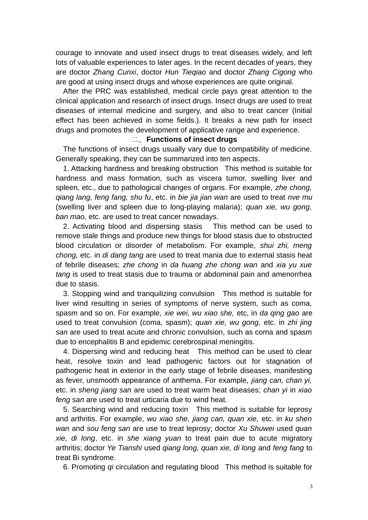courage to innovate and used insect drugs to treat diseases widely, and left lots of valuable experiences to later ages. In the recent decades of years, they are doctor *Zhang Cunxi*, doctor *Hun Tieqiao* and doctor *Zhang Cigong* who are good at using insect drugs and whose experiences are quite original.

After the PRC was established, medical circle pays great attention to the clinical application and research of insect drugs. Insect drugs are used to treat diseases of internal medicine and surgery, and also to treat cancer (Initial effect has been achieved in some fields.). It breaks a new path for insect drugs and promotes the development of applicative range and experience.

## 二、**Functions of insect drugs**

The functions of insect drugs usually vary due to compatibility of medicine. Generally speaking, they can be summarized into ten aspects.

1. Attacking hardness and breaking obstruction This method is suitable for hardness and mass formation, such as viscera tumor, swelling liver and spleen, etc., due to pathological changes of organs. For example, *zhe chong, qiang lang, feng fang, shu fu*, etc. in *bie jia jian wan* are used to treat *nve mu* (swelling liver and spleen due to long-playing malaria); *quan xie, wu gong, ban mao,* etc. are used to treat cancer nowadays.

2. Activating blood and dispersing stasis This method can be used to remove stale things and produce new things for blood stasis due to obstructed blood circulation or disorder of metabolism. For example, *shui zhi, meng chong,* etc. in *di dang tang* are used to treat mania due to external stasis heat of febrile diseases; *zhe chong* in *da huang zhe chong wan* and *xia yu xue tang* is used to treat stasis due to trauma or abdominal pain and amenorrhea due to stasis.

3. Stopping wind and tranquilizing convulsion This method is suitable for liver wind resulting in series of symptoms of nerve system, such as coma, spasm and so on. For example, *xie wei, wu xiao she,* etc, in *da qing gao* are used to treat convulsion (coma, spasm); *quan xie, wu gong,* etc. in *zhi jing san* are used to treat acute and chronic convulsion, such as coma and spasm due to encephalitis B and epidemic cerebrospinal meningitis.

4. Dispersing wind and reducing heat This method can be used to clear heat, resolve toxin and lead pathogenic factors out for stagnation of pathogenic heat in exterior in the early stage of febrile diseases, manifesting as fever, unsmooth appearance of anthema. For example, *jiang can, chan yi,* etc. in *sheng jiang san* are used to treat warm heat diseases; *chan yi* in *xiao feng san* are used to treat urticaria due to wind heat.

5. Searching wind and reducing toxin This method is suitable for leprosy and arthritis. For example, *wu xiao she, jiang can, quan xie,* etc. in *ku shen wan* and *sou feng san* are use to treat leprosy; doctor *Xu Shuwei* used *quan xie, di long*, etc. in *she xiang yuan* to treat pain due to acute migratory arthritis; doctor *Ye Tianshi* used *qiang long, quan xie, di long* and *feng fang* to treat Bi syndrome.

6. Promoting *qi* circulation and regulating blood This method is suitable for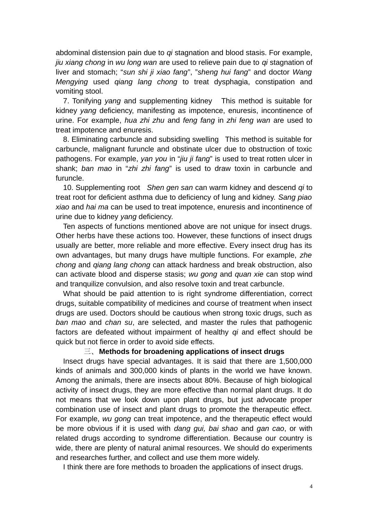abdominal distension pain due to *qi* stagnation and blood stasis. For example, *jiu xiang chong* in *wu long wan* are used to relieve pain due to *qi* stagnation of liver and stomach; "*sun shi ji xiao fang*", "*sheng hui fang*" and doctor *Wang Mengying* used *qiang lang chong* to treat dysphagia, constipation and vomiting stool.

7. Tonifying *yang* and supplementing kidney This method is suitable for kidney *yang* deficiency, manifesting as impotence, enuresis, incontinence of urine. For example, *hua zhi zhu* and *feng fang* in *zhi feng wan* are used to treat impotence and enuresis.

8. Eliminating carbuncle and subsiding swelling This method is suitable for carbuncle, malignant furuncle and obstinate ulcer due to obstruction of toxic pathogens. For example, *yan you* in "*jiu ji fang*" is used to treat rotten ulcer in shank; *ban mao* in "*zhi zhi fang*" is used to draw toxin in carbuncle and furuncle.

10. Supplementing root *Shen gen san* can warm kidney and descend *qi* to treat root for deficient asthma due to deficiency of lung and kidney. *Sang piao xiao* and *hai ma* can be used to treat impotence, enuresis and incontinence of urine due to kidney *yang* deficiency.

Ten aspects of functions mentioned above are not unique for insect drugs. Other herbs have these actions too. However, these functions of insect drugs usually are better, more reliable and more effective. Every insect drug has its own advantages, but many drugs have multiple functions. For example, *zhe chong* and *qiang lang chong* can attack hardness and break obstruction, also can activate blood and disperse stasis; *wu gong* and *quan xie* can stop wind and tranquilize convulsion, and also resolve toxin and treat carbuncle.

What should be paid attention to is right syndrome differentiation, correct drugs, suitable compatibility of medicines and course of treatment when insect drugs are used. Doctors should be cautious when strong toxic drugs, such as *ban mao* and *chan su*, are selected, and master the rules that pathogenic factors are defeated without impairment of healthy *qi* and effect should be quick but not fierce in order to avoid side effects.

## 三、**Methods for broadening applications of insect drugs**

Insect drugs have special advantages. It is said that there are 1,500,000 kinds of animals and 300,000 kinds of plants in the world we have known. Among the animals, there are insects about 80%. Because of high biological activity of insect drugs, they are more effective than normal plant drugs. It do not means that we look down upon plant drugs, but just advocate proper combination use of insect and plant drugs to promote the therapeutic effect. For example, *wu gong* can treat impotence, and the therapeutic effect would be more obvious if it is used with *dang gui, bai shao* and *gan cao*, or with related drugs according to syndrome differentiation. Because our country is wide, there are plenty of natural animal resources. We should do experiments and researches further, and collect and use them more widely.

I think there are fore methods to broaden the applications of insect drugs.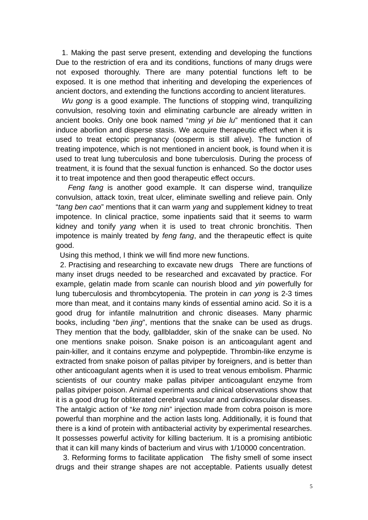1. Making the past serve present, extending and developing the functions Due to the restriction of era and its conditions, functions of many drugs were not exposed thoroughly. There are many potential functions left to be exposed. It is one method that inheriting and developing the experiences of ancient doctors, and extending the functions according to ancient literatures.

 *Wu gong* is a good example. The functions of stopping wind, tranquilizing convulsion, resolving toxin and eliminating carbuncle are already written in ancient books. Only one book named "*ming yi bie lu*" mentioned that it can induce aborlion and disperse stasis. We acquire therapeutic effect when it is used to treat ectopic pregnancy (oosperm is still alive). The function of treating impotence, which is not mentioned in ancient book, is found when it is used to treat lung tuberculosis and bone tuberculosis. During the process of treatment, it is found that the sexual function is enhanced. So the doctor uses it to treat impotence and then good therapeutic effect occurs.

 *Feng fang* is another good example. It can disperse wind, tranquilize convulsion, attack toxin, treat ulcer, eliminate swelling and relieve pain. Only "*tang ben cao*" mentions that it can warm *yang* and supplement kidney to treat impotence. In clinical practice, some inpatients said that it seems to warm kidney and tonify *yang* when it is used to treat chronic bronchitis. Then impotence is mainly treated by *feng fang*, and the therapeutic effect is quite good.

Using this method, I think we will find more new functions.

 2. Practising and researching to excavate new drugs There are functions of many inset drugs needed to be researched and excavated by practice. For example, gelatin made from scanle can nourish blood and *yin* powerfully for lung tuberculosis and thrombcytopenia. The protein in *can yong* is 2-3 times more than meat, and it contains many kinds of essential amino acid. So it is a good drug for infantile malnutrition and chronic diseases. Many pharmic books, including "*ben jing*", mentions that the snake can be used as drugs. They mention that the body, gallbladder, skin of the snake can be used. No one mentions snake poison. Snake poison is an anticoagulant agent and pain-killer, and it contains enzyme and polypeptide. Thrombin-like enzyme is extracted from snake poison of pallas pitviper by foreigners, and is better than other anticoagulant agents when it is used to treat venous embolism. Pharmic scientists of our country make pallas pitviper anticoagulant enzyme from pallas pitviper poison. Animal experiments and clinical observations show that it is a good drug for obliterated cerebral vascular and cardiovascular diseases. The antalgic action of "*ke tong nin*" injection made from cobra poison is more powerful than morphine and the action lasts long. Additionally, it is found that there is a kind of protein with antibacterial activity by experimental researches. It possesses powerful activity for killing bacterium. It is a promising antibiotic that it can kill many kinds of bacterium and virus with 1/10000 concentration.

3. Reforming forms to facilitate application The fishy smell of some insect drugs and their strange shapes are not acceptable. Patients usually detest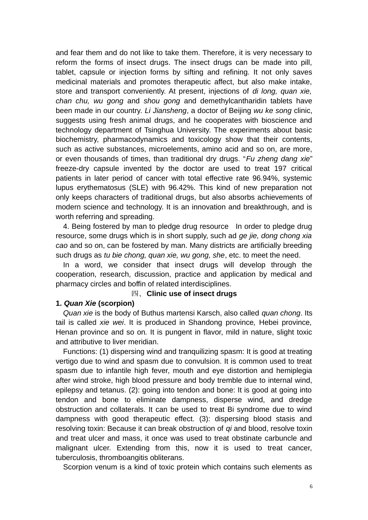and fear them and do not like to take them. Therefore, it is very necessary to reform the forms of insect drugs. The insect drugs can be made into pill, tablet, capsule or injection forms by sifting and refining. It not only saves medicinal materials and promotes therapeutic affect, but also make intake, store and transport conveniently. At present, injections of *di long, quan xie, chan chu, wu gong* and *shou gong* and demethylcantharidin tablets have been made in our country. *Li Jiansheng*, a doctor of Beijing *wu ke song* clinic, suggests using fresh animal drugs, and he cooperates with bioscience and technology department of Tsinghua University. The experiments about basic biochemistry, pharmacodynamics and toxicology show that their contents, such as active substances, microelements, amino acid and so on, are more, or even thousands of times, than traditional dry drugs. "*Fu zheng dang xie*" freeze-dry capsule invented by the doctor are used to treat 197 critical patients in later period of cancer with total effective rate 96.94%, systemic lupus erythematosus (SLE) with 96.42%. This kind of new preparation not only keeps characters of traditional drugs, but also absorbs achievements of modern science and technology. It is an innovation and breakthrough, and is worth referring and spreading.

4. Being fostered by man to pledge drug resource In order to pledge drug resource, some drugs which is in short supply, such ad *ge jie, dong chong xia cao* and so on, can be fostered by man. Many districts are artificially breeding such drugs as *tu bie chong, quan xie, wu gong, she*, etc. to meet the need.

In a word, we consider that insect drugs will develop through the cooperation, research, discussion, practice and application by medical and pharmacy circles and boffin of related interdisciplines.

#### 四、**Clinic use of insect drugs**

## **1.** *Quan Xie* **(scorpion)**

*Quan xie* is the body of Buthus martensi Karsch, also called *quan chong*. Its tail is called *xie wei*. It is produced in Shandong province*,* Hebei province*,* Henan province and so on*.* It is pungent in flavor, mild in nature, slight toxic and attributive to liver meridian.

Functions: (1) dispersing wind and tranquilizing spasm: It is good at treating vertigo due to wind and spasm due to convulsion. It is common used to treat spasm due to infantile high fever, mouth and eye distortion and hemiplegia after wind stroke, high blood pressure and body tremble due to internal wind, epilepsy and tetanus. (2): going into tendon and bone: It is good at going into tendon and bone to eliminate dampness, disperse wind, and dredge obstruction and collaterals. It can be used to treat Bi syndrome due to wind dampness with good therapeutic effect. (3): dispersing blood stasis and resolving toxin: Because it can break obstruction of *qi* and blood, resolve toxin and treat ulcer and mass, it once was used to treat obstinate carbuncle and malignant ulcer. Extending from this, now it is used to treat cancer, tuberculosis, thromboangitis obliterans.

Scorpion venum is a kind of toxic protein which contains such elements as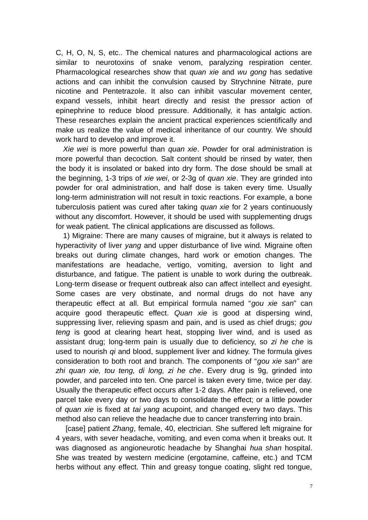C, H, O, N, S, etc.. The chemical natures and pharmacological actions are similar to neurotoxins of snake venom, paralyzing respiration center. Pharmacological researches show that *quan xie* and *wu gong* has sedative actions and can inhibit the convulsion caused by Strychnine Nitrate, pure nicotine and Pentetrazole. It also can inhibit vascular movement center, expand vessels, inhibit heart directly and resist the pressor action of epinephrine to reduce blood pressure. Additionally, it has antalgic action. These researches explain the ancient practical experiences scientifically and make us realize the value of medical inheritance of our country. We should work hard to develop and improve it.

*Xie wei* is more powerful than *quan xie*. Powder for oral administration is more powerful than decoction. Salt content should be rinsed by water, then the body it is insolated or baked into dry form. The dose should be small at the beginning, 1-3 trips of *xie wei*, or 2-3g of *quan xie*. They are grinded into powder for oral administration, and half dose is taken every time. Usually long-term administration will not result in toxic reactions. For example, a bone tuberculosis patient was cured after taking *quan xie* for 2 years continuously without any discomfort. However, it should be used with supplementing drugs for weak patient. The clinical applications are discussed as follows.

1) Migraine: There are many causes of migraine, but it always is related to hyperactivity of liver *yang* and upper disturbance of live wind. Migraine often breaks out during climate changes, hard work or emotion changes. The manifestations are headache, vertigo, vomiting, aversion to light and disturbance, and fatigue. The patient is unable to work during the outbreak. Long-term disease or frequent outbreak also can affect intellect and eyesight. Some cases are very obstinate, and normal drugs do not have any therapeutic effect at all. But empirical formula named "*gou xie san*" can acquire good therapeutic effect. *Quan xie* is good at dispersing wind, suppressing liver, relieving spasm and pain, and is used as chief drugs; *gou teng* is good at clearing heart heat, stopping liver wind, and is used as assistant drug; long-term pain is usually due to deficiency, so *zi he che* is used to nourish *qi* and blood, supplement liver and kidney. The formula gives consideration to both root and branch. The components of "*gou xie san"* are *zhi quan xie, tou teng, di long, zi he che*. Every drug is 9g, grinded into powder, and parceled into ten. One parcel is taken every time, twice per day. Usually the therapeutic effect occurs after 1-2 days. After pain is relieved, one parcel take every day or two days to consolidate the effect; or a little powder of *quan xie* is fixed at *tai yang* acupoint, and changed every two days. This method also can relieve the headache due to cancer transferring into brain.

[case] patient *Zhang*, female, 40, electrician. She suffered left migraine for 4 years, with sever headache, vomiting, and even coma when it breaks out. It was diagnosed as angioneurotic headache by Shanghai *hua shan* hospital. She was treated by western medicine (ergotamine, caffeine, etc.) and TCM herbs without any effect. Thin and greasy tongue coating, slight red tongue,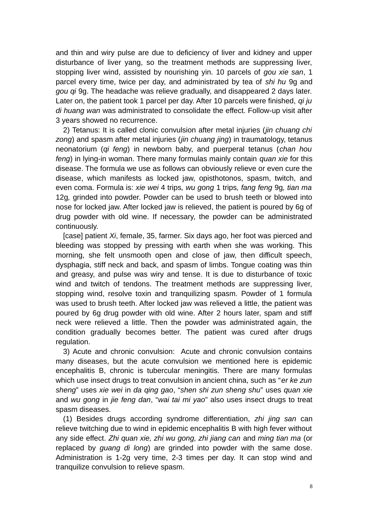and thin and wiry pulse are due to deficiency of liver and kidney and upper disturbance of liver yang, so the treatment methods are suppressing liver, stopping liver wind, assisted by nourishing yin. 10 parcels of *gou xie san*, 1 parcel every time, twice per day, and administrated by tea of *shi hu* 9g and *gou qi* 9g. The headache was relieve gradually, and disappeared 2 days later. Later on, the patient took 1 parcel per day. After 10 parcels were finished, *qi ju di huang wan* was administrated to consolidate the effect. Follow-up visit after 3 years showed no recurrence.

2) Tetanus: It is called clonic convulsion after metal injuries (*jin chuang chi zong*) and spasm after metal injuries (*jin chuang jing*) in traumatology, tetanus neonatorium (*qi feng*) in newborn baby, and puerperal tetanus (*chan hou feng*) in lying-in woman. There many formulas mainly contain *quan xie* for this disease. The formula we use as follows can obviously relieve or even cure the disease, which manifests as locked jaw, opisthotonos, spasm, twitch, and even coma. Formula is: *xie wei* 4 trips*, wu gong* 1 trips*, fang feng* 9g*, tian ma* 12g*,* grinded into powder. Powder can be used to brush teeth or blowed into nose for locked jaw. After locked jaw is relieved, the patient is poured by 6g of drug powder with old wine. If necessary, the powder can be administrated continuously.

[case] patient *Xi*, female, 35, farmer. Six days ago, her foot was pierced and bleeding was stopped by pressing with earth when she was working. This morning, she felt unsmooth open and close of jaw, then difficult speech, dysphagia, stiff neck and back, and spasm of limbs. Tongue coating was thin and greasy, and pulse was wiry and tense. It is due to disturbance of toxic wind and twitch of tendons. The treatment methods are suppressing liver, stopping wind, resolve toxin and tranquilizing spasm. Powder of 1 formula was used to brush teeth. After locked jaw was relieved a little, the patient was poured by 6g drug powder with old wine. After 2 hours later, spam and stiff neck were relieved a little. Then the powder was administrated again, the condition gradually becomes better. The patient was cured after drugs regulation.

3) Acute and chronic convulsion: Acute and chronic convulsion contains many diseases, but the acute convulsion we mentioned here is epidemic encephalitis B, chronic is tubercular meningitis. There are many formulas which use insect drugs to treat convulsion in ancient china, such as "*er ke zun sheng*" uses *xie wei* in *da qing gao*, "*shen shi zun sheng shu*" uses *quan xie* and *wu gong* in *jie feng dan*, "*wai tai mi yao*" also uses insect drugs to treat spasm diseases.

(1) Besides drugs according syndrome differentiation, *zhi jing san* can relieve twitching due to wind in epidemic encephalitis B with high fever without any side effect. *Zhi quan xie, zhi wu gong, zhi jiang can* and *ming tian ma* (or replaced by *guang di long*) are grinded into powder with the same dose. Administration is 1-2g very time, 2-3 times per day. It can stop wind and tranquilize convulsion to relieve spasm.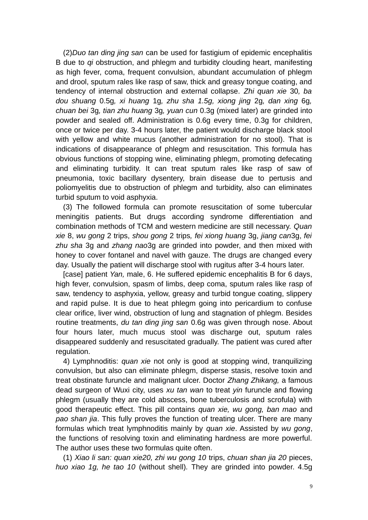(2)*Duo tan ding jing san* can be used for fastigium of epidemic encephalitis B due to *qi* obstruction, and phlegm and turbidity clouding heart, manifesting as high fever, coma, frequent convulsion, abundant accumulation of phlegm and drool, sputum rales like rasp of saw, thick and greasy tongue coating, and tendency of internal obstruction and external collapse. *Zhi quan xie* 30*, ba dou shuang* 0.5g*, xi huang* 1g*, zhu sha 1.5g, xiong jing* 2g*, dan xing* 6g*, chuan bei* 3g*, tian zhu huang* 3g*, yuan cun* 0.3g (mixed later) are grinded into powder and sealed off. Administration is 0.6g every time, 0.3g for children, once or twice per day. 3-4 hours later, the patient would discharge black stool with yellow and white mucus (another administration for no stool). That is indications of disappearance of phlegm and resuscitation. This formula has obvious functions of stopping wine, eliminating phlegm, promoting defecating and eliminating turbidity. It can treat sputum rales like rasp of saw of pneumonia, toxic bacillary dysentery, brain disease due to pertusis and poliomyelitis due to obstruction of phlegm and turbidity, also can eliminates turbid sputum to void asphyxia.

(3) The followed formula can promote resuscitation of some tubercular meningitis patients. But drugs according syndrome differentiation and combination methods of TCM and western medicine are still necessary. *Quan xie* 8, *wu gong* 2 trips, *shou gong* 2 trips*, fei xiong huang* 3g, *jiang can*3g, *fei zhu sha* 3g and *zhang nao*3g are grinded into powder, and then mixed with honey to cover fontanel and navel with gauze. The drugs are changed every day. Usually the patient will discharge stool with rugitus after 3-4 hours later.

[case] patient *Yan,* male, 6. He suffered epidemic encephalitis B for 6 days, high fever, convulsion, spasm of limbs, deep coma, sputum rales like rasp of saw, tendency to asphyxia, yellow, greasy and turbid tongue coating, slippery and rapid pulse. It is due to heat phlegm going into pericardium to confuse clear orifice, liver wind, obstruction of lung and stagnation of phlegm. Besides routine treatments, *du tan ding jing san* 0.6g was given through nose. About four hours later, much mucus stool was discharge out, sputum rales disappeared suddenly and resuscitated gradually. The patient was cured after regulation.

4) Lymphnoditis: *quan xie* not only is good at stopping wind, tranquilizing convulsion, but also can eliminate phlegm, disperse stasis, resolve toxin and treat obstinate furuncle and malignant ulcer. Doctor *Zhang Zhikang,* a famous dead surgeon of Wuxi city, uses *xu tan wan* to treat *yin* furuncle and flowing phlegm (usually they are cold abscess, bone tuberculosis and scrofula) with good therapeutic effect. This pill contains *quan xie, wu gong, ban mao* and *pao shan jia*. This fully proves the function of treating ulcer. There are many formulas which treat lymphnoditis mainly by *quan xie*. Assisted by *wu gong*, the functions of resolving toxin and eliminating hardness are more powerful. The author uses these two formulas quite often.

(1) *Xiao li san: quan xie20, zhi wu gong 10* trips, *chuan shan jia 20* pieces, *huo xiao 1g, he tao 10* (without shell)*.* They are grinded into powder. 4.5g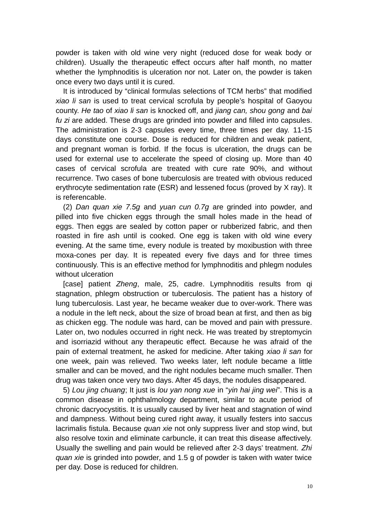powder is taken with old wine very night (reduced dose for weak body or children). Usually the therapeutic effect occurs after half month, no matter whether the lymphnoditis is ulceration nor not. Later on, the powder is taken once every two days until it is cured.

It is introduced by "clinical formulas selections of TCM herbs" that modified *xiao li san* is used to treat cervical scrofula by people's hospital of Gaoyou county. *He tao* of *xiao li san* is knocked off, and *jiang can, shou gong* and *bai fu zi* are added. These drugs are grinded into powder and filled into capsules. The administration is 2-3 capsules every time, three times per day. 11-15 days constitute one course. Dose is reduced for children and weak patient, and pregnant woman is forbid. If the focus is ulceration, the drugs can be used for external use to accelerate the speed of closing up. More than 40 cases of cervical scrofula are treated with cure rate 90%, and without recurrence. Two cases of bone tuberculosis are treated with obvious reduced erythrocyte sedimentation rate (ESR) and lessened focus (proved by X ray). It is referencable.

(2) *Dan quan xie 7.5g* and *yuan cun 0.7g* are grinded into powder, and pilled into five chicken eggs through the small holes made in the head of eggs. Then eggs are sealed by cotton paper or rubberized fabric, and then roasted in fire ash until is cooked. One egg is taken with old wine every evening. At the same time, every nodule is treated by moxibustion with three moxa-cones per day. It is repeated every five days and for three times continuously. This is an effective method for lymphnoditis and phlegm nodules without ulceration

[case] patient *Zheng*, male, 25, cadre. Lymphnoditis results from qi stagnation, phlegm obstruction or tuberculosis. The patient has a history of lung tuberculosis. Last year, he became weaker due to over-work. There was a nodule in the left neck, about the size of broad bean at first, and then as big as chicken egg. The nodule was hard, can be moved and pain with pressure. Later on, two nodules occurred in right neck. He was treated by streptomycin and isorriazid without any therapeutic effect. Because he was afraid of the pain of external treatment, he asked for medicine. After taking *xiao li san* for one week, pain was relieved. Two weeks later, left nodule became a little smaller and can be moved, and the right nodules became much smaller. Then drug was taken once very two days. After 45 days, the nodules disappeared.

5) *Lou jing chuang*; It just is *lou yan nong xue* in "*yin hai jing wei*". This is a common disease in ophthalmology department, similar to acute period of chronic dacryocystitis. It is usually caused by liver heat and stagnation of wind and dampness. Without being cured right away, it usually festers into saccus lacrimalis fistula. Because *quan xie* not only suppress liver and stop wind, but also resolve toxin and eliminate carbuncle, it can treat this disease affectively. Usually the swelling and pain would be relieved after 2-3 days' treatment. *Zhi quan xie* is grinded into powder, and 1.5 g of powder is taken with water twice per day. Dose is reduced for children.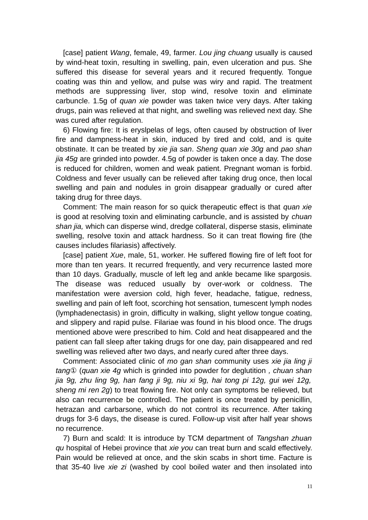[case] patient *Wang*, female, 49, farmer. *Lou jing chuang* usually is caused by wind-heat toxin, resulting in swelling, pain, even ulceration and pus. She suffered this disease for several years and it recured frequently. Tongue coating was thin and yellow, and pulse was wiry and rapid. The treatment methods are suppressing liver, stop wind, resolve toxin and eliminate carbuncle. 1.5g of *quan xie* powder was taken twice very days. After taking drugs, pain was relieved at that night, and swelling was relieved next day. She was cured after regulation.

6) Flowing fire: It is eryslpelas of legs, often caused by obstruction of liver fire and dampness-heat in skin, induced by tired and cold, and is quite obstinate. It can be treated by *xie jia san*. *Sheng quan xie 30g* and *pao shan jia 45g* are grinded into powder. 4.5g of powder is taken once a day. The dose is reduced for children, women and weak patient. Pregnant woman is forbid. Coldness and fever usually can be relieved after taking drug once, then local swelling and pain and nodules in groin disappear gradually or cured after taking drug for three days.

Comment: The main reason for so quick therapeutic effect is that *quan xie* is good at resolving toxin and eliminating carbuncle, and is assisted by *chuan shan jia,* which can disperse wind, dredge collateral, disperse stasis, eliminate swelling, resolve toxin and attack hardness. So it can treat flowing fire (the causes includes filariasis) affectively.

[case] patient *Xue*, male, 51, worker. He suffered flowing fire of left foot for more than ten years. It recurred frequently, and very recurrence lasted more than 10 days. Gradually, muscle of left leg and ankle became like spargosis. The disease was reduced usually by over-work or coldness. The manifestation were aversion cold, high fever, headache, fatigue, redness, swelling and pain of left foot, scorching hot sensation, tumescent lymph nodes (lymphadenectasis) in groin, difficulty in walking, slight yellow tongue coating, and slippery and rapid pulse. Filariae was found in his blood once. The drugs mentioned above were prescribed to him. Cold and heat disappeared and the patient can fall sleep after taking drugs for one day, pain disappeared and red swelling was relieved after two days, and nearly cured after three days.

Comment: Associated clinic of *mo gan shan* community uses *xie jia ling ji tang*① (*quan xie 4g* which is grinded into powder for deglutition *, chuan shan jia 9g, zhu ling 9g, han fang ji 9g, niu xi 9g, hai tong pi 12g, gui wei 12g, sheng mi ren 2g*) to treat flowing fire. Not only can symptoms be relieved, but also can recurrence be controlled. The patient is once treated by penicillin, hetrazan and carbarsone, which do not control its recurrence. After taking drugs for 3-6 days, the disease is cured. Follow-up visit after half year shows no recurrence.

7) Burn and scald: It is introduce by TCM department of *Tangshan zhuan qu* hospital of Hebei province that *xie you* can treat burn and scald effectively. Pain would be relieved at once, and the skin scabs in short time. Facture is that 35-40 live *xie zi* (washed by cool boiled water and then insolated into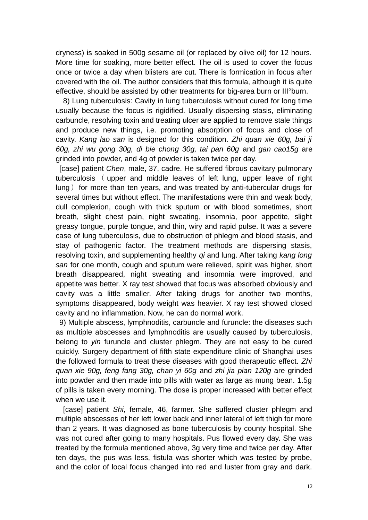dryness) is soaked in 500g sesame oil (or replaced by olive oil) for 12 hours. More time for soaking, more better effect. The oil is used to cover the focus once or twice a day when blisters are cut. There is formication in focus after covered with the oil. The author considers that this formula, although it is quite effective, should be assisted by other treatments for big-area burn or III°burn.

8) Lung tuberculosis: Cavity in lung tuberculosis without cured for long time usually because the focus is rigidified. Usually dispersing stasis, eliminating carbuncle, resolving toxin and treating ulcer are applied to remove stale things and produce new things, i.e. promoting absorption of focus and close of cavity. *Kang lao san* is designed for this condition. *Zhi quan xie 60g, bai ji 60g, zhi wu gong 30g, di bie chong 30g, tai pan 60g* and *gan cao15g* are grinded into powder, and 4g of powder is taken twice per day.

[case] patient *Chen*, male, 37, cadre. He suffered fibrous cavitary pulmonary tuberculosis ( upper and middle leaves of left lung, upper leave of right  $l$ ung) for more than ten years, and was treated by anti-tubercular drugs for several times but without effect. The manifestations were thin and weak body, dull complexion, cough with thick sputum or with blood sometimes, short breath, slight chest pain, night sweating, insomnia, poor appetite, slight greasy tongue, purple tongue, and thin, wiry and rapid pulse. It was a severe case of lung tuberculosis, due to obstruction of phlegm and blood stasis, and stay of pathogenic factor. The treatment methods are dispersing stasis, resolving toxin, and supplementing healthy *qi* and lung. After taking *kang long san* for one month, cough and sputum were relieved, spirit was higher, short breath disappeared, night sweating and insomnia were improved, and appetite was better. X ray test showed that focus was absorbed obviously and cavity was a little smaller. After taking drugs for another two months, symptoms disappeared, body weight was heavier. X ray test showed closed cavity and no inflammation. Now, he can do normal work.

9) Multiple abscess, lymphnoditis, carbuncle and furuncle: the diseases such as multiple abscesses and lymphnoditis are usually caused by tuberculosis, belong to *yin* furuncle and cluster phlegm. They are not easy to be cured quickly. Surgery department of fifth state expenditure clinic of Shanghai uses the followed formula to treat these diseases with good therapeutic effect. *Zhi quan xie 90g, feng fang 30g, chan yi 60g* and *zhi jia pian 120g* are grinded into powder and then made into pills with water as large as mung bean. 1.5g of pills is taken every morning. The dose is proper increased with better effect when we use it.

[case] patient *Shi*, female, 46, farmer. She suffered cluster phlegm and multiple abscesses of her left lower back and inner lateral of left thigh for more than 2 years. It was diagnosed as bone tuberculosis by county hospital. She was not cured after going to many hospitals. Pus flowed every day. She was treated by the formula mentioned above, 3g very time and twice per day. After ten days, the pus was less, fistula was shorter which was tested by probe, and the color of local focus changed into red and luster from gray and dark.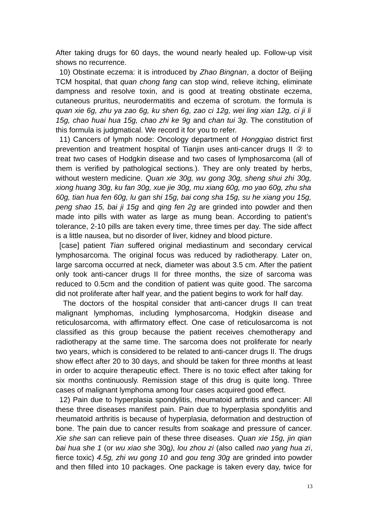After taking drugs for 60 days, the wound nearly healed up. Follow-up visit shows no recurrence.

10) Obstinate eczema: it is introduced by *Zhao Bingnan*, a doctor of Beijing TCM hospital, that *quan chong fang* can stop wind, relieve itching, eliminate dampness and resolve toxin, and is good at treating obstinate eczema, cutaneous pruritus, neurodermatitis and eczema of scrotum. the formula is *quan xie 6g, zhu ya zao 6g, ku shen 6g, zao ci 12g, wei ling xian 12g, ci ji li 15g, chao huai hua 15g, chao zhi ke 9g* and *chan tui 3g*. The constitution of this formula is judgmatical. We record it for you to refer.

11) Cancers of lymph node: Oncology department of *Hongqiao* district first prevention and treatment hospital of Tianjin uses anti-cancer drugs II ② to treat two cases of Hodgkin disease and two cases of lymphosarcoma (all of them is verified by pathological sections.). They are only treated by herbs, without western medicine. *Quan xie 30g, wu gong 30g, sheng shui zhi 30g, xiong huang 30g, ku fan 30g, xue jie 30g, mu xiang 60g, mo yao 60g, zhu sha 60g, tian hua fen 60g, lu gan shi 15g, bai cong sha 15g, su he xiang you 15g, peng shao 15, bai ji 15g* and *qing fen 2g* are grinded into powder and then made into pills with water as large as mung bean. According to patient's tolerance, 2-10 pills are taken every time, three times per day. The side affect is a little nausea, but no disorder of liver, kidney and blood picture.

[case] patient *Tian* suffered original mediastinum and secondary cervical lymphosarcoma. The original focus was reduced by radiotherapy. Later on, large sarcoma occurred at neck, diameter was about 3.5 cm. After the patient only took anti-cancer drugs II for three months, the size of sarcoma was reduced to 0.5cm and the condition of patient was quite good. The sarcoma did not proliferate after half year, and the patient begins to work for half day.

The doctors of the hospital consider that anti-cancer drugs II can treat malignant lymphomas, including lymphosarcoma, Hodgkin disease and reticulosarcoma, with affirmatory effect. One case of reticulosarcoma is not classified as this group because the patient receives chemotherapy and radiotherapy at the same time. The sarcoma does not proliferate for nearly two years, which is considered to be related to anti-cancer drugs II. The drugs show effect after 20 to 30 days, and should be taken for three months at least in order to acquire therapeutic effect. There is no toxic effect after taking for six months continuously. Remission stage of this drug is quite long. Three cases of malignant lymphoma among four cases acquired good effect.

12) Pain due to hyperplasia spondylitis, rheumatoid arthritis and cancer: All these three diseases manifest pain. Pain due to hyperplasia spondylitis and rheumatoid arthritis is because of hyperplasia, deformation and destruction of bone. The pain due to cancer results from soakage and pressure of cancer. *Xie she san* can relieve pain of these three diseases. *Quan xie 15g, jin qian bai hua she 1* (or *wu xiao she* 30g*), lou zhou zi* (also called *nao yang hua zi*, fierce toxic) *4.5g, zhi wu gong 10* and *gou teng 30g* are grinded into powder and then filled into 10 packages. One package is taken every day, twice for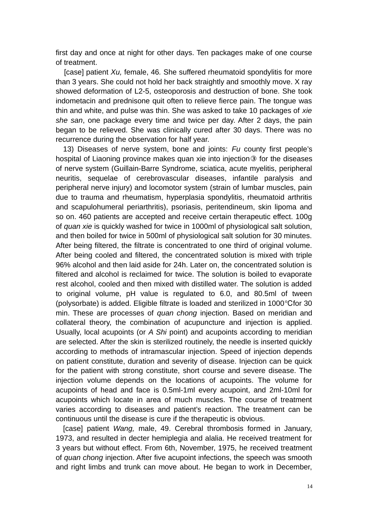first day and once at night for other days. Ten packages make of one course of treatment.

 [case] patient *Xu,* female, 46*.* She suffered rheumatoid spondylitis for more than 3 years. She could not hold her back straightly and smoothly move. X ray showed deformation of L2-5, osteoporosis and destruction of bone. She took indometacin and prednisone quit often to relieve fierce pain. The tongue was thin and white, and pulse was thin. She was asked to take 10 packages of *xie she san*, one package every time and twice per day. After 2 days, the pain began to be relieved. She was clinically cured after 30 days. There was no recurrence during the observation for half year.

13) Diseases of nerve system, bone and joints: *Fu* county first people's hospital of Liaoning province makes quan xie into injection③ for the diseases of nerve system (Guillain-Barre Syndrome, sciatica, acute myelitis, peripheral neuritis, sequelae of cerebrovascular diseases, infantile paralysis and peripheral nerve injury) and locomotor system (strain of lumbar muscles, pain due to trauma and rheumatism, hyperplasia spondylitis, rheumatoid arthritis and scapulohumeral periarthritis), psoriasis, peritendineum, skin lipoma and so on. 460 patients are accepted and receive certain therapeutic effect. 100g of *quan xie* is quickly washed for twice in 1000ml of physiological salt solution, and then boiled for twice in 500ml of physiological salt solution for 30 minutes. After being filtered, the filtrate is concentrated to one third of original volume. After being cooled and filtered, the concentrated solution is mixed with triple 96% alcohol and then laid aside for 24h. Later on, the concentrated solution is filtered and alcohol is reclaimed for twice. The solution is boiled to evaporate rest alcohol, cooled and then mixed with distilled water. The solution is added to original volume, pH value is regulated to 6.0, and 80.5ml of tween (polysorbate) is added. Eligible filtrate is loaded and sterilized in  $1000^{\circ}$ Cfor 30 min. These are processes of *quan chong* injection. Based on meridian and collateral theory, the combination of acupuncture and injection is applied. Usually, local acupoints (or *A Shi* point) and acupoints according to meridian are selected. After the skin is sterilized routinely, the needle is inserted quickly according to methods of intramascular injection. Speed of injection depends on patient constitute, duration and severity of disease. Injection can be quick for the patient with strong constitute, short course and severe disease. The injection volume depends on the locations of acupoints. The volume for acupoints of head and face is 0.5ml-1ml every acupoint, and 2ml-10ml for acupoints which locate in area of much muscles. The course of treatment varies according to diseases and patient's reaction. The treatment can be continuous until the disease is cure if the therapeutic is obvious.

[case] patient *Wang,* male, 49. Cerebral thrombosis formed in January, 1973, and resulted in decter hemiplegia and alalia. He received treatment for 3 years but without effect. From 6th, November, 1975, he received treatment of *quan chong* injection. After five acupoint infections, the speech was smooth and right limbs and trunk can move about. He began to work in December,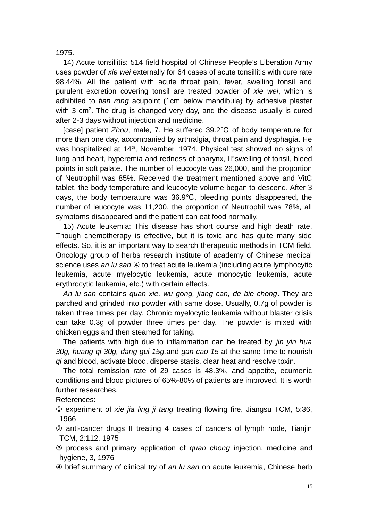1975.

14) Acute tonsillitis: 514 field hospital of Chinese People's Liberation Army uses powder of *xie wei* externally for 64 cases of acute tonsillitis with cure rate 98.44%. All the patient with acute throat pain, fever, swelling tonsil and purulent excretion covering tonsil are treated powder of *xie wei*, which is adhibited to *tian rong* acupoint (1cm below mandibula) by adhesive plaster with 3  $cm<sup>2</sup>$ . The drug is changed very day, and the disease usually is cured after 2-3 days without injection and medicine.

[case] patient *Zhou*, male, 7. He suffered 39.2 °C of body temperature for more than one day, accompanied by arthralgia, throat pain and dysphagia. He was hospitalized at 14<sup>th</sup>, November, 1974. Physical test showed no signs of lung and heart, hyperemia and redness of pharynx, II°swelling of tonsil, bleed points in soft palate. The number of leucocyte was 26,000, and the proportion of Neutrophil was 85%. Received the treatment mentioned above and VitC tablet, the body temperature and leucocyte volume began to descend. After 3 days, the body temperature was  $36.9^{\circ}$ C, bleeding points disappeared, the number of leucocyte was 11,200, the proportion of Neutrophil was 78%, all symptoms disappeared and the patient can eat food normally.

15) Acute leukemia: This disease has short course and high death rate. Though chemotherapy is effective, but it is toxic and has quite many side effects. So, it is an important way to search therapeutic methods in TCM field. Oncology group of herbs research institute of academy of Chinese medical science uses *an lu san* ④ to treat acute leukemia (including acute lymphocytic leukemia, acute myelocytic leukemia, acute monocytic leukemia, acute erythrocytic leukemia, etc.) with certain effects.

*An lu san* contains *quan xie, wu gong, jiang can, de bie chong*. They are parched and grinded into powder with same dose. Usually, 0.7g of powder is taken three times per day. Chronic myelocytic leukemia without blaster crisis can take 0.3g of powder three times per day. The powder is mixed with chicken eggs and then steamed for taking.

The patients with high due to inflammation can be treated by *jin yin hua 30g, huang qi 30g, dang gui 15g,*and *gan cao 15* at the same time to nourish *qi* and blood, activate blood, disperse stasis, clear heat and resolve toxin.

The total remission rate of 29 cases is 48.3%, and appetite, ecumenic conditions and blood pictures of 65%-80% of patients are improved. It is worth further researches.

References:

① experiment of *xie jia ling ji tang* treating flowing fire, Jiangsu TCM, 5:36, 1966

- ② anti-cancer drugs II treating 4 cases of cancers of lymph node, Tianjin TCM, 2:112, 1975
- ③ process and primary application of *quan chong* injection, medicine and hygiene, 3, 1976
- ④ brief summary of clinical try of *an lu san* on acute leukemia, Chinese herb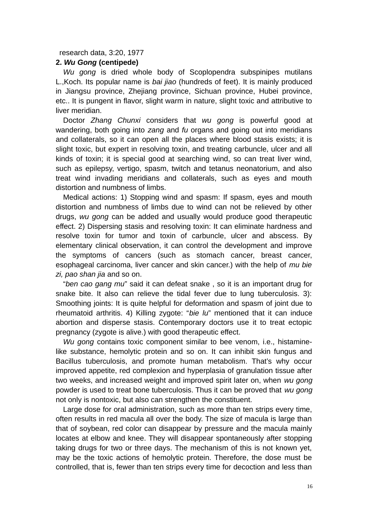## research data, 3:20, 1977

#### **2.** *Wu Gong* **(centipede)**

*Wu gong* is dried whole body of Scoplopendra subspinipes mutilans L.,Koch. Its popular name is *bai jiao* (hundreds of feet). It is mainly produced in Jiangsu province, Zhejiang province, Sichuan province, Hubei province, etc.. It is pungent in flavor, slight warm in nature, slight toxic and attributive to liver meridian.

Doctor *Zhang Chunxi* considers that *wu gong* is powerful good at wandering, both going into *zang* and *fu* organs and going out into meridians and collaterals, so it can open all the places where blood stasis exists; it is slight toxic, but expert in resolving toxin, and treating carbuncle, ulcer and all kinds of toxin; it is special good at searching wind, so can treat liver wind, such as epilepsy, vertigo, spasm, twitch and tetanus neonatorium, and also treat wind invading meridians and collaterals, such as eyes and mouth distortion and numbness of limbs.

Medical actions: 1) Stopping wind and spasm: If spasm, eyes and mouth distortion and numbness of limbs due to wind can not be relieved by other drugs, *wu gong* can be added and usually would produce good therapeutic effect. 2) Dispersing stasis and resolving toxin: It can eliminate hardness and resolve toxin for tumor and toxin of carbuncle, ulcer and abscess. By elementary clinical observation, it can control the development and improve the symptoms of cancers (such as stomach cancer, breast cancer, esophageal carcinoma, liver cancer and skin cancer.) with the help of *mu bie zi, pao shan jia* and so on.

"*ben cao gang mu*" said it can defeat snake , so it is an important drug for snake bite. It also can relieve the tidal fever due to lung tuberculosis. 3): Smoothing joints: It is quite helpful for deformation and spasm of joint due to rheumatoid arthritis. 4) Killing zygote: "*bie lu*" mentioned that it can induce abortion and disperse stasis. Contemporary doctors use it to treat ectopic pregnancy (zygote is alive.) with good therapeutic effect.

*Wu gong* contains toxic component similar to bee venom, i.e., histaminelike substance, hemolytic protein and so on. It can inhibit skin fungus and Bacillus tuberculosis, and promote human metabolism. That's why occur improved appetite, red complexion and hyperplasia of granulation tissue after two weeks, and increased weight and improved spirit later on, when *wu gong* powder is used to treat bone tuberculosis. Thus it can be proved that *wu gong* not only is nontoxic, but also can strengthen the constituent.

Large dose for oral administration, such as more than ten strips every time, often results in red macula all over the body. The size of macula is large than that of soybean, red color can disappear by pressure and the macula mainly locates at elbow and knee. They will disappear spontaneously after stopping taking drugs for two or three days. The mechanism of this is not known yet, may be the toxic actions of hemolytic protein. Therefore, the dose must be controlled, that is, fewer than ten strips every time for decoction and less than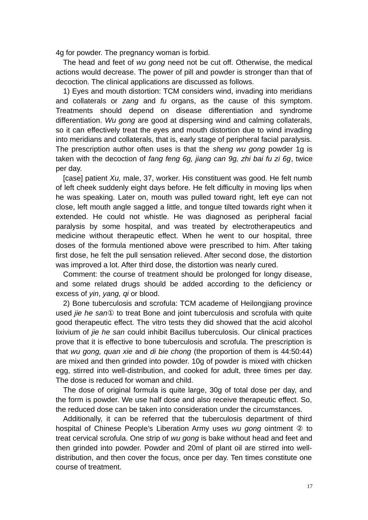4g for powder. The pregnancy woman is forbid.

The head and feet of *wu gong* need not be cut off. Otherwise, the medical actions would decrease. The power of pill and powder is stronger than that of decoction. The clinical applications are discussed as follows.

1) Eyes and mouth distortion: TCM considers wind, invading into meridians and collaterals or *zang* and *fu* organs, as the cause of this symptom. Treatments should depend on disease differentiation and syndrome differentiation. *Wu gong* are good at dispersing wind and calming collaterals, so it can effectively treat the eyes and mouth distortion due to wind invading into meridians and collaterals, that is, early stage of peripheral facial paralysis. The prescription author often uses is that the *sheng wu gong* powder 1g is taken with the decoction of *fang feng 6g, jiang can 9g, zhi bai fu zi 6g*, twice per day.

[case] patient *Xu,* male, 37, worker. His constituent was good. He felt numb of left cheek suddenly eight days before. He felt difficulty in moving lips when he was speaking. Later on, mouth was pulled toward right, left eye can not close, left mouth angle sagged a little, and tongue tilted towards right when it extended. He could not whistle. He was diagnosed as peripheral facial paralysis by some hospital, and was treated by electrotherapeutics and medicine without therapeutic effect. When he went to our hospital, three doses of the formula mentioned above were prescribed to him. After taking first dose, he felt the pull sensation relieved. After second dose, the distortion was improved a lot. After third dose, the distortion was nearly cured.

Comment: the course of treatment should be prolonged for longy disease, and some related drugs should be added according to the deficiency or excess of *yin*, *yang, qi* or blood.

2) Bone tuberculosis and scrofula: TCM academe of Heilongjiang province used *jie he san*① to treat Bone and joint tuberculosis and scrofula with quite good therapeutic effect. The vitro tests they did showed that the acid alcohol lixivium of *jie he san* could inhibit Bacillus tuberculosis. Our clinical practices prove that it is effective to bone tuberculosis and scrofula. The prescription is that *wu gong, quan xie* and *di bie chong* (the proportion of them is 44:50:44) are mixed and then grinded into powder. 10g of powder is mixed with chicken egg, stirred into well-distribution, and cooked for adult, three times per day. The dose is reduced for woman and child.

The dose of original formula is quite large, 30g of total dose per day, and the form is powder. We use half dose and also receive therapeutic effect. So, the reduced dose can be taken into consideration under the circumstances.

Additionally, it can be referred that the tuberculosis department of third hospital of Chinese People's Liberation Army uses *wu gong* ointment ② to treat cervical scrofula. One strip of *wu gong* is bake without head and feet and then grinded into powder. Powder and 20ml of plant oil are stirred into welldistribution, and then cover the focus, once per day. Ten times constitute one course of treatment.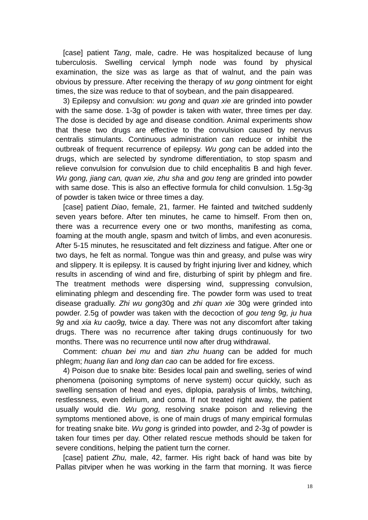[case] patient *Tang*, male, cadre. He was hospitalized because of lung tuberculosis. Swelling cervical lymph node was found by physical examination, the size was as large as that of walnut, and the pain was obvious by pressure. After receiving the therapy of *wu gong* ointment for eight times, the size was reduce to that of soybean, and the pain disappeared.

3) Epilepsy and convulsion: *wu gong* and *quan xie* are grinded into powder with the same dose. 1-3g of powder is taken with water, three times per day. The dose is decided by age and disease condition. Animal experiments show that these two drugs are effective to the convulsion caused by nervus centralis stimulants. Continuous administration can reduce or inhibit the outbreak of frequent recurrence of epilepsy. *Wu gong* can be added into the drugs, which are selected by syndrome differentiation, to stop spasm and relieve convulsion for convulsion due to child encephalitis B and high fever. *Wu gong, jiang can, quan xie, zhu sha* and *gou teng* are grinded into powder with same dose. This is also an effective formula for child convulsion. 1.5g-3g of powder is taken twice or three times a day.

[case] patient *Diao*, female, 21, farmer. He fainted and twitched suddenly seven years before. After ten minutes, he came to himself. From then on, there was a recurrence every one or two months, manifesting as coma, foaming at the mouth angle, spasm and twitch of limbs, and even aconuresis. After 5-15 minutes, he resuscitated and felt dizziness and fatigue. After one or two days, he felt as normal. Tongue was thin and greasy, and pulse was wiry and slippery. It is epilepsy. It is caused by fright injuring liver and kidney, which results in ascending of wind and fire, disturbing of spirit by phlegm and fire. The treatment methods were dispersing wind, suppressing convulsion, eliminating phlegm and descending fire. The powder form was used to treat disease gradually. *Zhi wu gong*30g and *zhi quan xie* 30g were grinded into powder. 2.5g of powder was taken with the decoction of *gou teng 9g, ju hua 9g* and *xia ku cao9g,* twice a day. There was not any discomfort after taking drugs. There was no recurrence after taking drugs continuously for two months. There was no recurrence until now after drug withdrawal.

Comment: *chuan bei mu* and *tian zhu huang* can be added for much phlegm; *huang lian* and *long dan cao* can be added for fire excess.

4) Poison due to snake bite: Besides local pain and swelling, series of wind phenomena (poisoning symptoms of nerve system) occur quickly, such as swelling sensation of head and eyes, diplopia, paralysis of limbs, twitching, restlessness, even delirium, and coma. If not treated right away, the patient usually would die. *Wu gong,* resolving snake poison and relieving the symptoms mentioned above, is one of main drugs of many empirical formulas for treating snake bite. *Wu gong* is grinded into powder, and 2-3g of powder is taken four times per day. Other related rescue methods should be taken for severe conditions, helping the patient turn the corner.

[case] patient *Zhu,* male, 42, farmer. His right back of hand was bite by Pallas pitviper when he was working in the farm that morning. It was fierce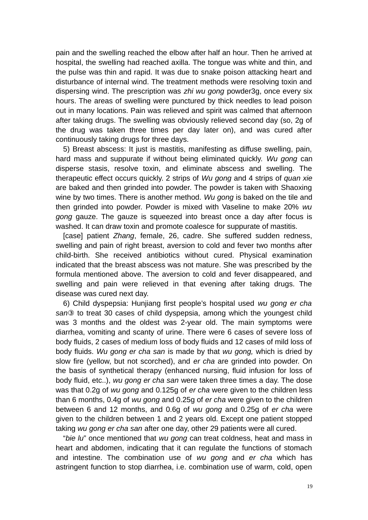pain and the swelling reached the elbow after half an hour. Then he arrived at hospital, the swelling had reached axilla. The tongue was white and thin, and the pulse was thin and rapid. It was due to snake poison attacking heart and disturbance of internal wind. The treatment methods were resolving toxin and dispersing wind. The prescription was *zhi wu gong* powder3g, once every six hours. The areas of swelling were punctured by thick needles to lead poison out in many locations. Pain was relieved and spirit was calmed that afternoon after taking drugs. The swelling was obviously relieved second day (so, 2g of the drug was taken three times per day later on), and was cured after continuously taking drugs for three days.

5) Breast abscess: It just is mastitis, manifesting as diffuse swelling, pain, hard mass and suppurate if without being eliminated quickly. *Wu gong* can disperse stasis, resolve toxin, and eliminate abscess and swelling. The therapeutic effect occurs quickly. 2 strips of *Wu gong* and 4 strips of *quan xie* are baked and then grinded into powder. The powder is taken with Shaoxing wine by two times. There is another method. *Wu gong* is baked on the tile and then grinded into powder. Powder is mixed with Vaseline to make 20% *wu gong* gauze. The gauze is squeezed into breast once a day after focus is washed. It can draw toxin and promote coalesce for suppurate of mastitis.

[case] patient *Zhang*, female, 26, cadre. She suffered sudden redness, swelling and pain of right breast, aversion to cold and fever two months after child-birth. She received antibiotics without cured. Physical examination indicated that the breast abscess was not mature. She was prescribed by the formula mentioned above. The aversion to cold and fever disappeared, and swelling and pain were relieved in that evening after taking drugs. The disease was cured next day.

6) Child dyspepsia: Hunjiang first people's hospital used *wu gong er cha san*③ to treat 30 cases of child dyspepsia, among which the youngest child was 3 months and the oldest was 2-year old. The main symptoms were diarrhea, vomiting and scanty of urine. There were 6 cases of severe loss of body fluids, 2 cases of medium loss of body fluids and 12 cases of mild loss of body fluids. *Wu gong er cha san* is made by that *wu gong,* which is dried by slow fire (yellow, but not scorched), and *er cha* are grinded into powder. On the basis of synthetical therapy (enhanced nursing, fluid infusion for loss of body fluid, etc..), *wu gong er cha san* were taken three times a day. The dose was that 0.2g of *wu gong* and 0.125g of *er cha* were given to the children less than 6 months, 0.4g of *wu gong* and 0.25g of *er cha* were given to the children between 6 and 12 months, and 0.6g of *wu gong* and 0.25g of *er cha* were given to the children between 1 and 2 years old. Except one patient stopped taking *wu gong er cha san* after one day, other 29 patients were all cured.

"*bie lu*" once mentioned that *wu gong* can treat coldness, heat and mass in heart and abdomen, indicating that it can regulate the functions of stomach and intestine. The combination use of *wu gong* and *er cha* which has astringent function to stop diarrhea, i.e. combination use of warm, cold, open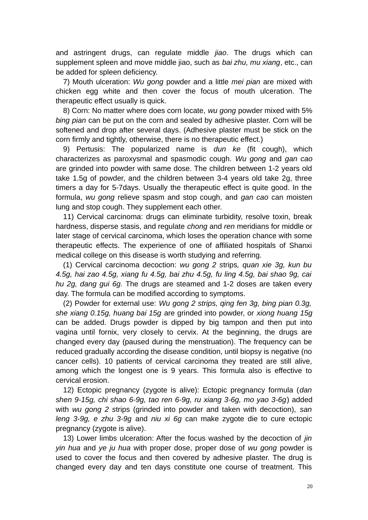and astringent drugs, can regulate middle *jiao*. The drugs which can supplement spleen and move middle jiao, such as *bai zhu, mu xiang*, etc., can be added for spleen deficiency.

7) Mouth ulceration: *Wu gong* powder and a little *mei pian* are mixed with chicken egg white and then cover the focus of mouth ulceration. The therapeutic effect usually is quick.

8) Corn: No matter where does corn locate, *wu gong* powder mixed with 5% *bing pian* can be put on the corn and sealed by adhesive plaster. Corn will be softened and drop after several days. (Adhesive plaster must be stick on the corn firmly and tightly, otherwise, there is no therapeutic effect.)

9) Pertusis: The popularized name is *dun ke* (fit cough), which characterizes as paroxysmal and spasmodic cough. *Wu gong* and *gan cao* are grinded into powder with same dose. The children between 1-2 years old take 1.5g of powder, and the children between 3-4 years old take 2g, three timers a day for 5-7days. Usually the therapeutic effect is quite good. In the formula, *wu gong* relieve spasm and stop cough, and *gan cao* can moisten lung and stop cough. They supplement each other.

11) Cervical carcinoma: drugs can eliminate turbidity, resolve toxin, break hardness, disperse stasis, and regulate *chong* and *ren* meridians for middle or later stage of cervical carcinoma, which loses the operation chance with some therapeutic effects. The experience of one of affiliated hospitals of Shanxi medical college on this disease is worth studying and referring.

(1) Cervical carcinoma decoction: *wu gong 2 s*trips*, quan xie 3g, kun bu 4.5g, hai zao 4.5g, xiang fu 4.5g, bai zhu 4.5g, fu ling 4.5g, bai shao 9g, cai hu 2g, dang gui 6g.* The drugs are steamed and 1-2 doses are taken every day. The formula can be modified according to symptoms.

(2) Powder for external use: *Wu gong 2 strips, qing fen 3g, bing pian 0.3g, she xiang 0.15g, huang bai 15g* are grinded into powder, or *xiong huang 15g* can be added. Drugs powder is dipped by big tampon and then put into vagina until fornix, very closely to cervix. At the beginning, the drugs are changed every day (paused during the menstruation). The frequency can be reduced gradually according the disease condition, until biopsy is negative (no cancer cells). 10 patients of cervical carcinoma they treated are still alive, among which the longest one is 9 years. This formula also is effective to cervical erosion.

12) Ectopic pregnancy (zygote is alive): Ectopic pregnancy formula (*dan shen 9-15g, chi shao 6-9g, tao ren 6-9g, ru xiang 3-6g, mo yao 3-6g*) added with *wu gong 2 s*trips (grinded into powder and taken with decoction), *san leng 3-9g, e zhu 3-9g* and *niu xi 6g* can make zygote die to cure ectopic pregnancy (zygote is alive).

13) Lower limbs ulceration: After the focus washed by the decoction of *jin yin hua* and *ye ju hua* with proper dose, proper dose of *wu gong* powder is used to cover the focus and then covered by adhesive plaster. The drug is changed every day and ten days constitute one course of treatment. This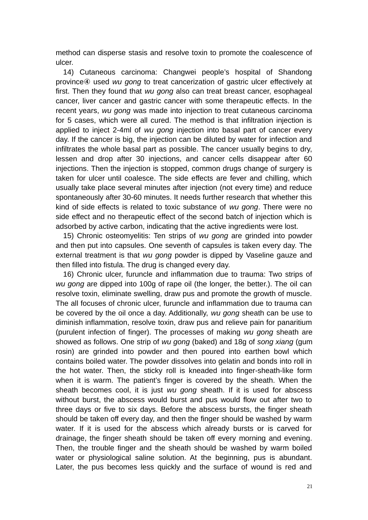method can disperse stasis and resolve toxin to promote the coalescence of ulcer.

14) Cutaneous carcinoma: Changwei people's hospital of Shandong province④ used *wu gong* to treat cancerization of gastric ulcer effectively at first. Then they found that *wu gong* also can treat breast cancer, esophageal cancer, liver cancer and gastric cancer with some therapeutic effects. In the recent years, *wu gong* was made into injection to treat cutaneous carcinoma for 5 cases, which were all cured. The method is that infiltration injection is applied to inject 2-4ml of *wu gong* injection into basal part of cancer every day. If the cancer is big, the injection can be diluted by water for infection and infiltrates the whole basal part as possible. The cancer usually begins to dry, lessen and drop after 30 injections, and cancer cells disappear after 60 injections. Then the injection is stopped, common drugs change of surgery is taken for ulcer until coalesce. The side effects are fever and chilling, which usually take place several minutes after injection (not every time) and reduce spontaneously after 30-60 minutes. It needs further research that whether this kind of side effects is related to toxic substance of *wu gong*. There were no side effect and no therapeutic effect of the second batch of injection which is adsorbed by active carbon, indicating that the active ingredients were lost.

15) Chronic osteomyelitis: Ten strips of *wu gong* are grinded into powder and then put into capsules. One seventh of capsules is taken every day. The external treatment is that *wu gong* powder is dipped by Vaseline gauze and then filled into fistula. The drug is changed every day.

16) Chronic ulcer, furuncle and inflammation due to trauma: Two strips of *wu gong* are dipped into 100g of rape oil (the longer, the better.). The oil can resolve toxin, eliminate swelling, draw pus and promote the growth of muscle. The all focuses of chronic ulcer, furuncle and inflammation due to trauma can be covered by the oil once a day. Additionally, *wu gong* sheath can be use to diminish inflammation, resolve toxin, draw pus and relieve pain for panaritium (purulent infection of finger). The processes of making *wu gong* sheath are showed as follows. One strip of *wu gong* (baked) and 18g of *song xiang* (gum rosin) are grinded into powder and then poured into earthen bowl which contains boiled water. The powder dissolves into gelatin and bonds into roll in the hot water. Then, the sticky roll is kneaded into finger-sheath-like form when it is warm. The patient's finger is covered by the sheath. When the sheath becomes cool, it is just *wu gong* sheath. If it is used for abscess without burst, the abscess would burst and pus would flow out after two to three days or five to six days. Before the abscess bursts, the finger sheath should be taken off every day, and then the finger should be washed by warm water. If it is used for the abscess which already bursts or is carved for drainage, the finger sheath should be taken off every morning and evening. Then, the trouble finger and the sheath should be washed by warm boiled water or physiological saline solution. At the beginning, pus is abundant. Later, the pus becomes less quickly and the surface of wound is red and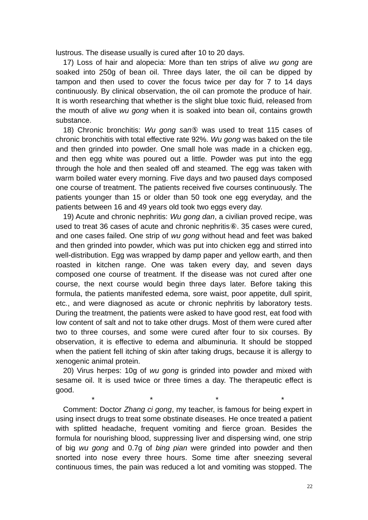lustrous. The disease usually is cured after 10 to 20 days.

17) Loss of hair and alopecia: More than ten strips of alive *wu gong* are soaked into 250g of bean oil. Three days later, the oil can be dipped by tampon and then used to cover the focus twice per day for 7 to 14 days continuously. By clinical observation, the oil can promote the produce of hair. It is worth researching that whether is the slight blue toxic fluid, released from the mouth of alive *wu gong* when it is soaked into bean oil, contains growth substance.

18) Chronic bronchitis: *Wu gong san*⑤ was used to treat 115 cases of chronic bronchitis with total effective rate 92%. *Wu gong* was baked on the tile and then grinded into powder. One small hole was made in a chicken egg, and then egg white was poured out a little. Powder was put into the egg through the hole and then sealed off and steamed. The egg was taken with warm boiled water every morning. Five days and two paused days composed one course of treatment. The patients received five courses continuously. The patients younger than 15 or older than 50 took one egg everyday, and the patients between 16 and 49 years old took two eggs every day.

19) Acute and chronic nephritis: *Wu gong dan*, a civilian proved recipe, was used to treat 36 cases of acute and chronic nephritis⑥. 35 cases were cured, and one cases failed. One strip of *wu gong* without head and feet was baked and then grinded into powder, which was put into chicken egg and stirred into well-distribution. Egg was wrapped by damp paper and yellow earth, and then roasted in kitchen range. One was taken every day, and seven days composed one course of treatment. If the disease was not cured after one course, the next course would begin three days later. Before taking this formula, the patients manifested edema, sore waist, poor appetite, dull spirit, etc., and were diagnosed as acute or chronic nephritis by laboratory tests. During the treatment, the patients were asked to have good rest, eat food with low content of salt and not to take other drugs. Most of them were cured after two to three courses, and some were cured after four to six courses. By observation, it is effective to edema and albuminuria. It should be stopped when the patient fell itching of skin after taking drugs, because it is allergy to xenogenic animal protein.

20) Virus herpes: 10g of *wu gong* is grinded into powder and mixed with sesame oil. It is used twice or three times a day. The therapeutic effect is good.

\* \* \* \*

Comment: Doctor *Zhang ci gong*, my teacher, is famous for being expert in using insect drugs to treat some obstinate diseases. He once treated a patient with splitted headache, frequent vomiting and fierce groan. Besides the formula for nourishing blood, suppressing liver and dispersing wind, one strip of big *wu gong* and 0.7g of *bing pian* were grinded into powder and then snorted into nose every three hours. Some time after sneezing several continuous times, the pain was reduced a lot and vomiting was stopped. The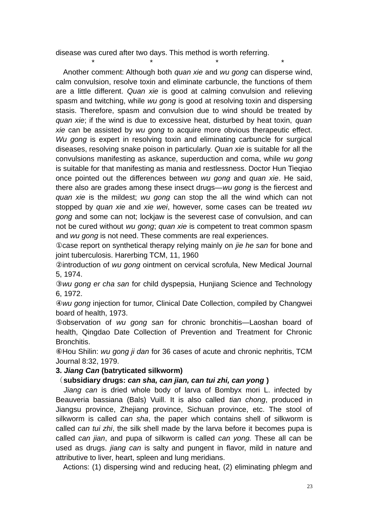disease was cured after two days. This method is worth referring.

\* \* \* \* Another comment: Although both *quan xie* and *wu gong* can disperse wind, calm convulsion, resolve toxin and eliminate carbuncle, the functions of them are a little different. *Quan xie* is good at calming convulsion and relieving spasm and twitching, while *wu gong* is good at resolving toxin and dispersing stasis. Therefore, spasm and convulsion due to wind should be treated by *quan xie*; if the wind is due to excessive heat, disturbed by heat toxin, *quan xie* can be assisted by *wu gong* to acquire more obvious therapeutic effect. *Wu gong* is expert in resolving toxin and eliminating carbuncle for surgical diseases, resolving snake poison in particularly. *Quan xie* is suitable for all the convulsions manifesting as askance, superduction and coma, while *wu gong* is suitable for that manifesting as mania and restlessness. Doctor Hun Tieqiao once pointed out the differences between *wu gong* and *quan xie*. He said, there also are grades among these insect drugs—*wu gong* is the fiercest and *quan xie* is the mildest; *wu gong* can stop the all the wind which can not stopped by *quan xie* and *xie wei*, however, some cases can be treated *wu gong* and some can not; lockjaw is the severest case of convulsion, and can not be cured without *wu gong*; *quan xie* is competent to treat common spasm and *wu gong* is not need. These comments are real experiences.

①case report on synthetical therapy relying mainly on *jie he san* for bone and joint tuberculosis. Harerbing TCM, 11, 1960

②introduction of *wu gong* ointment on cervical scrofula, New Medical Journal 5, 1974.

③*wu gong er cha san* for child dyspepsia, Hunjiang Science and Technology 6, 1972.

④*wu gong* injection for tumor, Clinical Date Collection, compiled by Changwei board of health, 1973.

⑤observation of *wu gong san* for chronic bronchitis—Laoshan board of health, Qingdao Date Collection of Prevention and Treatment for Chronic Bronchitis.

⑥Hou Shilin: *wu gong ji dan* for 36 cases of acute and chronic nephritis, TCM Journal 8:32, 1979.

## **3.** *Jiang Can* **(batryticated silkworm)**

## (**subsidiary drugs:** *can sha, can jian, can tui zhi, can yong* **)**

*Jiang can* is dried whole body of larva of Bombyx mori L. infected by Beauveria bassiana (Bals) Vuill. It is also called *tian chong*, produced in Jiangsu province, Zhejiang province, Sichuan province, etc. The stool of silkworm is called *can sha*, the paper which contains shell of silkworm is called *can tui zhi*, the silk shell made by the larva before it becomes pupa is called *can jian*, and pupa of silkworm is called *can yong.* These all can be used as drugs. *jiang can* is salty and pungent in flavor, mild in nature and attributive to liver, heart, spleen and lung meridians.

Actions: (1) dispersing wind and reducing heat, (2) eliminating phlegm and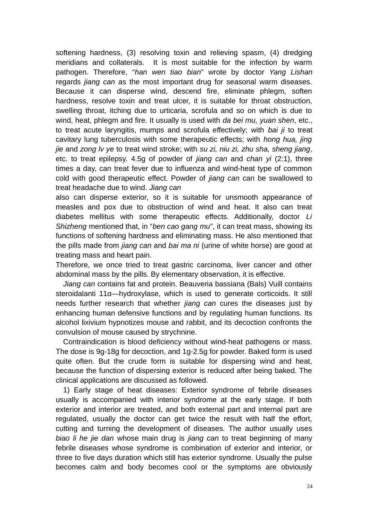softening hardness, (3) resolving toxin and relieving spasm, (4) dredging meridians and collaterals. It is most suitable for the infection by warm pathogen. Therefore, "*han wen tiao bian*" wrote by doctor *Yang Lishan* regards *jiang can* as the most important drug for seasonal warm diseases. Because it can disperse wind, descend fire, eliminate phlegm, soften hardness, resolve toxin and treat ulcer, it is suitable for throat obstruction, swelling throat, itching due to urticaria, scrofula and so on which is due to wind, heat, phlegm and fire. It usually is used with *da bei mu, yuan shen*, etc., to treat acute laryngitis, mumps and scrofula effectively; with *bai ji* to treat cavitary lung tuberculosis with some therapeutic effects; with *hong hua, jing jie* and *zong lv ye* to treat wind stroke; with *su zi, niu zi, zhu sha, sheng jiang*, etc. to treat epilepsy. 4.5g of powder of *jiang can* and *chan yi* (2:1), three times a day, can treat fever due to influenza and wind-heat type of common cold with good therapeutic effect. Powder of *jiang can* can be swallowed to treat headache due to wind. *Jiang can*

also can disperse exterior, so it is suitable for unsmooth appearance of measles and pox due to obstruction of wind and heat. It also can treat diabetes mellitus with some therapeutic effects. Additionally, doctor *Li Shizheng* mentioned that, in "*ben cao gang mu*", it can treat mass, showing its functions of softening hardness and eliminating mass. He also mentioned that the pills made from *jiang can* and *bai ma ni* (urine of white horse) are good at treating mass and heart pain.

Therefore, we once tried to treat gastric carcinoma, liver cancer and other abdominal mass by the pills. By elementary observation, it is effective.

*Jiang can* contains fat and protein. Beauveria bassiana (Bals) Vuill contains steroidalanti 11α—hydroxylase, which is used to generate corticoids. It still needs further research that whether *jiang can* cures the diseases just by enhancing human defensive functions and by regulating human functions. Its alcohol lixivium hypnotizes mouse and rabbit, and its decoction confronts the convulsion of mouse caused by strychnine.

Contraindication is blood deficiency without wind-heat pathogens or mass. The dose is 9g-18g for decoction, and 1g-2.5g for powder. Baked form is used quite often. But the crude form is suitable for dispersing wind and heat, because the function of dispersing exterior is reduced after being baked. The clinical applications are discussed as followed.

1) Early stage of heat diseases: Exterior syndrome of febrile diseases usually is accompanied with interior syndrome at the early stage. If both exterior and interior are treated, and both external part and internal part are regulated, usually the doctor can get twice the result with half the effort, cutting and turning the development of diseases. The author usually uses *biao li he jie dan* whose main drug is *jiang can* to treat beginning of many febrile diseases whose syndrome is combination of exterior and interior, or three to five days duration which still has exterior syndrome. Usually the pulse becomes calm and body becomes cool or the symptoms are obviously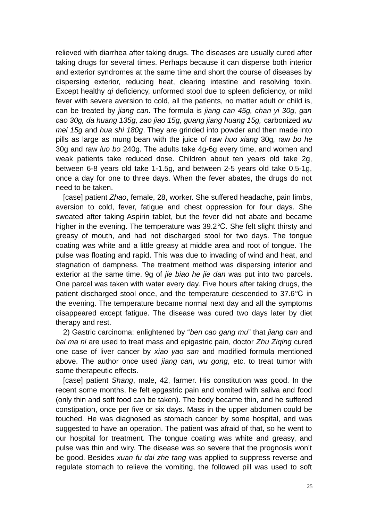relieved with diarrhea after taking drugs. The diseases are usually cured after taking drugs for several times. Perhaps because it can disperse both interior and exterior syndromes at the same time and short the course of diseases by dispersing exterior, reducing heat, clearing intestine and resolving toxin. Except healthy *qi* deficiency, unformed stool due to spleen deficiency, or mild fever with severe aversion to cold, all the patients, no matter adult or child is, can be treated by *jiang can*. The formula is *jiang can 45g, chan yi 30g, gan cao 30g, da huang 135g, zao jiao 15g, guang jiang huang 15g,* carbonized *wu mei 15g* and *hua shi 180g*. They are grinded into powder and then made into pills as large as mung bean with the juice of raw *huo xiang* 30g*,* raw *bo he* 30g and raw *luo bo* 240g. The adults take 4g-6g every time, and women and weak patients take reduced dose. Children about ten years old take 2g, between 6-8 years old take 1-1.5g, and between 2-5 years old take 0.5-1g, once a day for one to three days. When the fever abates, the drugs do not need to be taken.

[case] patient *Zhao*, female, 28, worker. She suffered headache, pain limbs, aversion to cold, fever, fatigue and chest oppression for four days. She sweated after taking Aspirin tablet, but the fever did not abate and became higher in the evening. The temperature was 39.2 °C. She felt slight thirsty and greasy of mouth, and had not discharged stool for two days. The tongue coating was white and a little greasy at middle area and root of tongue. The pulse was floating and rapid. This was due to invading of wind and heat, and stagnation of dampness. The treatment method was dispersing interior and exterior at the same time. 9g of *jie biao he jie dan* was put into two parcels. One parcel was taken with water every day. Five hours after taking drugs, the patient discharged stool once, and the temperature descended to  $37.6^{\circ}$ C in the evening. The temperature became normal next day and all the symptoms disappeared except fatigue. The disease was cured two days later by diet therapy and rest.

2) Gastric carcinoma: enlightened by "*ben cao gang mu*" that *jiang can* and *bai ma ni* are used to treat mass and epigastric pain, doctor *Zhu Ziqing* cured one case of liver cancer by *xiao yao san* and modified formula mentioned above. The author once used *jiang can*, *wu gong*, etc. to treat tumor with some therapeutic effects.

[case] patient *Shang*, male, 42, farmer. His constitution was good. In the recent some months, he felt epgastric pain and vomited with saliva and food (only thin and soft food can be taken). The body became thin, and he suffered constipation, once per five or six days. Mass in the upper abdomen could be touched. He was diagnosed as stomach cancer by some hospital, and was suggested to have an operation. The patient was afraid of that, so he went to our hospital for treatment. The tongue coating was white and greasy, and pulse was thin and wiry. The disease was so severe that the prognosis won't be good. Besides *xuan fu dai zhe tang* was applied to suppress reverse and regulate stomach to relieve the vomiting, the followed pill was used to soft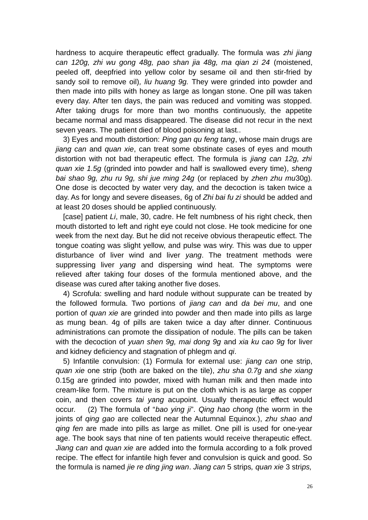hardness to acquire therapeutic effect gradually. The formula was *zhi jiang can 120g, zhi wu gong 48g, pao shan jia 48g, ma qian zi 24* (moistened, peeled off, deepfried into yellow color by sesame oil and then stir-fried by sandy soil to remove oil)*, liu huang 9g.* They were grinded into powder and then made into pills with honey as large as longan stone. One pill was taken every day. After ten days, the pain was reduced and vomiting was stopped. After taking drugs for more than two months continuously, the appetite became normal and mass disappeared. The disease did not recur in the next seven years. The patient died of blood poisoning at last..

3) Eyes and mouth distortion: *Ping gan qu feng tang*, whose main drugs are *jiang can* and *quan xie*, can treat some obstinate cases of eyes and mouth distortion with not bad therapeutic effect. The formula is *jiang can 12g, zhi quan xie 1.5g* (grinded into powder and half is swallowed every time)*, sheng bai shao 9g, zhu ru 9g, shi jue ming 24g* (or replaced by *zhen zhu mu*30g)*.* One dose is decocted by water very day, and the decoction is taken twice a day. As for longy and severe diseases, 6g of *Zhi bai fu zi* should be added and at least 20 doses should be applied continuously.

[case] patient *Li*, male, 30, cadre. He felt numbness of his right check, then mouth distorted to left and right eye could not close. He took medicine for one week from the next day. But he did not receive obvious therapeutic effect. The tongue coating was slight yellow, and pulse was wiry. This was due to upper disturbance of liver wind and liver *yang*. The treatment methods were suppressing liver *yang* and dispersing wind heat. The symptoms were relieved after taking four doses of the formula mentioned above, and the disease was cured after taking another five doses.

4) Scrofula: swelling and hard nodule without suppurate can be treated by the followed formula. Two portions of *jiang can* and *da bei mu*, and one portion of *quan xie* are grinded into powder and then made into pills as large as mung bean. 4g of pills are taken twice a day after dinner. Continuous administrations can promote the dissipation of nodule. The pills can be taken with the decoction of *yuan shen 9g, mai dong 9g* and *xia ku cao 9g* for liver and kidney deficiency and stagnation of phlegm and *qi*.

5) Infantile convulsion: (1) Formula for external use: *jiang can* one strip, *quan xie* one strip (both are baked on the tile), *zhu sha 0.7g* and *she xiang* 0.15g are grinded into powder, mixed with human milk and then made into cream-like form. The mixture is put on the cloth which is as large as copper coin, and then covers *tai yang* acupoint. Usually therapeutic effect would occur. (2) The formula of "*bao ying ji*". *Qing hao chong* (the worm in the joints of *qing gao* are collected near the Autumnal Equinox.), *zhu shao and qing fen* are made into pills as large as millet. One pill is used for one-year age. The book says that nine of ten patients would receive therapeutic effect. *Jiang can* and *quan xie* are added into the formula according to a folk proved recipe. The effect for infantile high fever and convulsion is quick and good. So the formula is named *jie re ding jing wan*. *Jiang can* 5 strips*, quan xie* 3 stri*ps,*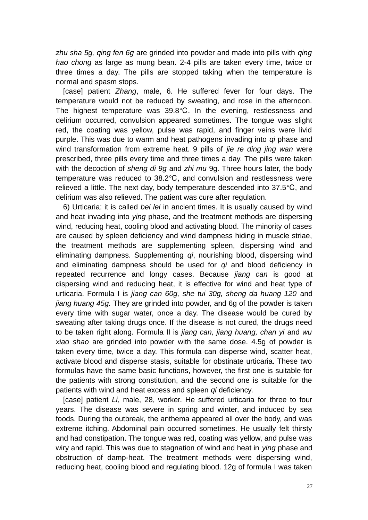*zhu sha 5g, qing fen 6g* are grinded into powder and made into pills with *qing hao chong* as large as mung bean*.* 2-4 pills are taken every time, twice or three times a day. The pills are stopped taking when the temperature is normal and spasm stops.

[case] patient *Zhang*, male, 6. He suffered fever for four days. The temperature would not be reduced by sweating, and rose in the afternoon. The highest temperature was  $39.8^{\circ}$ C. In the evening, restlessness and delirium occurred, convulsion appeared sometimes. The tongue was slight red, the coating was yellow, pulse was rapid, and finger veins were livid purple. This was due to warm and heat pathogens invading into *qi* phase and wind transformation from extreme heat. 9 pills of *jie re ding jing wan* were prescribed, three pills every time and three times a day. The pills were taken with the decoction of *sheng di 9g* and *zhi mu* 9g. Three hours later, the body temperature was reduced to 38.2°C, and convulsion and restlessness were relieved a little. The next day, body temperature descended into  $37.5^{\circ}$ C, and delirium was also relieved. The patient was cure after regulation.

6) Urticaria: it is called *bei lei* in ancient times. It is usually caused by wind and heat invading into *ying* phase, and the treatment methods are dispersing wind, reducing heat, cooling blood and activating blood. The minority of cases are caused by spleen deficiency and wind dampness hiding in muscle striae, the treatment methods are supplementing spleen, dispersing wind and eliminating dampness. Supplementing *qi*, nourishing blood, dispersing wind and eliminating dampness should be used for *qi* and blood deficiency in repeated recurrence and longy cases. Because *jiang can* is good at dispersing wind and reducing heat, it is effective for wind and heat type of urticaria. Formula I is *jiang can 60g, she tui 30g, sheng da huang 120* and *jiang huang 45g.* They are grinded into powder, and 6g of the powder is taken every time with sugar water, once a day. The disease would be cured by sweating after taking drugs once. If the disease is not cured, the drugs need to be taken right along. Formula II is *jiang can, jiang huang, chan yi* and *wu xiao shao* are grinded into powder with the same dose. 4.5g of powder is taken every time, twice a day. This formula can disperse wind, scatter heat, activate blood and disperse stasis, suitable for obstinate urticaria. These two formulas have the same basic functions, however, the first one is suitable for the patients with strong constitution, and the second one is suitable for the patients with wind and heat excess and spleen *qi* deficiency.

[case] patient *Li*, male, 28, worker. He suffered urticaria for three to four years. The disease was severe in spring and winter, and induced by sea foods. During the outbreak, the anthema appeared all over the body, and was extreme itching. Abdominal pain occurred sometimes. He usually felt thirsty and had constipation. The tongue was red, coating was yellow, and pulse was wiry and rapid. This was due to stagnation of wind and heat in *ying* phase and obstruction of damp-heat. The treatment methods were dispersing wind, reducing heat, cooling blood and regulating blood. 12g of formula I was taken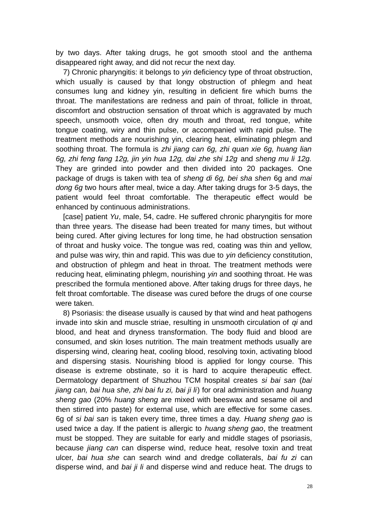by two days. After taking drugs, he got smooth stool and the anthema disappeared right away, and did not recur the next day.

7) Chronic pharyngitis: it belongs to *yin* deficiency type of throat obstruction, which usually is caused by that longy obstruction of phlegm and heat consumes lung and kidney yin, resulting in deficient fire which burns the throat. The manifestations are redness and pain of throat, follicle in throat, discomfort and obstruction sensation of throat which is aggravated by much speech, unsmooth voice, often dry mouth and throat, red tongue, white tongue coating, wiry and thin pulse, or accompanied with rapid pulse. The treatment methods are nourishing yin, clearing heat, eliminating phlegm and soothing throat. The formula is *zhi jiang can 6g, zhi quan xie 6g, huang lian 6g, zhi feng fang 12g, jin yin hua 12g, dai zhe shi 12g* and *sheng mu li 12g.* They are grinded into powder and then divided into 20 packages. One package of drugs is taken with tea of *sheng di 6g, bei sha shen* 6g and *mai dong 6g* two hours after meal, twice a day. After taking drugs for 3-5 days, the patient would feel throat comfortable. The therapeutic effect would be enhanced by continuous administrations.

[case] patient *Yu*, male, 54, cadre. He suffered chronic pharyngitis for more than three years. The disease had been treated for many times, but without being cured. After giving lectures for long time, he had obstruction sensation of throat and husky voice. The tongue was red, coating was thin and yellow, and pulse was wiry, thin and rapid. This was due to *yin* deficiency constitution, and obstruction of phlegm and heat in throat. The treatment methods were reducing heat, eliminating phlegm, nourishing *yin* and soothing throat. He was prescribed the formula mentioned above. After taking drugs for three days, he felt throat comfortable. The disease was cured before the drugs of one course were taken.

8) Psoriasis: the disease usually is caused by that wind and heat pathogens invade into skin and muscle striae, resulting in unsmooth circulation of *qi* and blood, and heat and dryness transformation. The body fluid and blood are consumed, and skin loses nutrition. The main treatment methods usually are dispersing wind, clearing heat, cooling blood, resolving toxin, activating blood and dispersing stasis. Nourishing blood is applied for longy course. This disease is extreme obstinate, so it is hard to acquire therapeutic effect. Dermatology department of Shuzhou TCM hospital creates *si bai san* (*bai jiang can, bai hua she, zhi bai fu zi, bai ji li*) for oral administration and *huang sheng gao* (20% *huang sheng* are mixed with beeswax and sesame oil and then stirred into paste) for external use, which are effective for some cases. 6g of *si bai san* is taken every time, three times a day. *Huang sheng gao* is used twice a day. If the patient is allergic to *huang sheng gao*, the treatment must be stopped. They are suitable for early and middle stages of psoriasis, because *jiang can* can disperse wind, reduce heat, resolve toxin and treat ulcer, *bai hua she* can search wind and dredge collaterals, *bai fu zi* can disperse wind, and *bai ji li* and disperse wind and reduce heat. The drugs to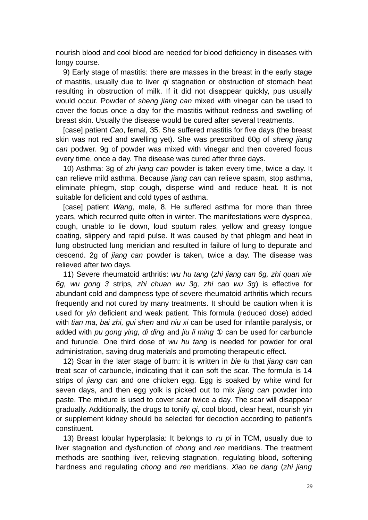nourish blood and cool blood are needed for blood deficiency in diseases with longy course.

9) Early stage of mastitis: there are masses in the breast in the early stage of mastitis, usually due to liver *qi* stagnation or obstruction of stomach heat resulting in obstruction of milk. If it did not disappear quickly, pus usually would occur. Powder of *sheng jiang can* mixed with vinegar can be used to cover the focus once a day for the mastitis without redness and swelling of breast skin. Usually the disease would be cured after several treatments.

[case] patient *Cao*, femal, 35. She suffered mastitis for five days (the breast skin was not red and swelling yet). She was prescribed 60g of *sheng jiang can* podwer. 9g of powder was mixed with vinegar and then covered focus every time, once a day. The disease was cured after three days.

10) Asthma: 3g of *zhi jiang can* powder is taken every time, twice a day. It can relieve mild asthma. Because *jiang can* can relieve spasm, stop asthma, eliminate phlegm, stop cough, disperse wind and reduce heat. It is not suitable for deficient and cold types of asthma.

[case] patient *Wang*, male, 8. He suffered asthma for more than three years, which recurred quite often in winter. The manifestations were dyspnea, cough, unable to lie down, loud sputum rales, yellow and greasy tongue coating, slippery and rapid pulse. It was caused by that phlegm and heat in lung obstructed lung meridian and resulted in failure of lung to depurate and descend. 2g of *jiang can* powder is taken, twice a day. The disease was relieved after two days.

11) Severe rheumatoid arthritis: *wu hu tang* (*zhi jiang can 6g, zhi quan xie 6g, wu gong 3* strips*, zhi chuan wu 3g, zhi cao wu 3g*) is effective for abundant cold and dampness type of severe rheumatoid arthritis which recurs frequently and not cured by many treatments. It should be caution when it is used for *yin* deficient and weak patient. This formula (reduced dose) added with *tian ma, bai zhi, gui shen* and *niu xi* can be used for infantile paralysis, or added with *pu gong ying, di ding* and *jiu li ming* ① can be used for carbuncle and furuncle. One third dose of *wu hu tang* is needed for powder for oral administration, saving drug materials and promoting therapeutic effect.

12) Scar in the later stage of burn: it is written in *bie lu* that *jiang can* can treat scar of carbuncle, indicating that it can soft the scar. The formula is 14 strips of *jiang can* and one chicken egg. Egg is soaked by white wind for seven days, and then egg yolk is picked out to mix *jiang can* powder into paste. The mixture is used to cover scar twice a day. The scar will disappear gradually. Additionally, the drugs to tonify *qi*, cool blood, clear heat, nourish yin or supplement kidney should be selected for decoction according to patient's constituent.

13) Breast lobular hyperplasia: It belongs to *ru pi* in TCM, usually due to liver stagnation and dysfunction of *chong* and *ren* meridians. The treatment methods are soothing liver, relieving stagnation, regulating blood, softening hardness and regulating *chong* and *ren* meridians. *Xiao he dang* (*zhi jiang*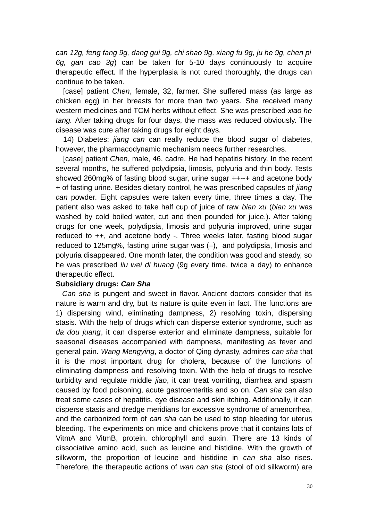*can 12g, feng fang 9g, dang gui 9g, chi shao 9g, xiang fu 9g, ju he 9g, chen pi 6g, gan cao 3g*) can be taken for 5-10 days continuously to acquire therapeutic effect. If the hyperplasia is not cured thoroughly, the drugs can continue to be taken.

[case] patient *Chen*, female, 32, farmer. She suffered mass (as large as chicken egg) in her breasts for more than two years. She received many western medicines and TCM herbs without effect. She was prescribed *xiao he tang.* After taking drugs for four days, the mass was reduced obviously. The disease was cure after taking drugs for eight days.

14) Diabetes: *jiang can* can really reduce the blood sugar of diabetes, however, the pharmacodynamic mechanism needs further researches.

[case] patient *Chen*, male, 46, cadre. He had hepatitis history. In the recent several months, he suffered polydipsia, limosis, polyuria and thin body. Tests showed 260mg% of fasting blood sugar, urine sugar ++--+ and acetone body + of fasting urine. Besides dietary control, he was prescribed capsules of *jiang can* powder. Eight capsules were taken every time, three times a day. The patient also was asked to take half cup of juice of raw *bian xu* (*bian xu* was washed by cold boiled water, cut and then pounded for juice.). After taking drugs for one week, polydipsia, limosis and polyuria improved, urine sugar reduced to ++, and acetone body -. Three weeks later, fasting blood sugar reduced to 125mg%, fasting urine sugar was (–), and polydipsia, limosis and polyuria disappeared. One month later, the condition was good and steady, so he was prescribed *liu wei di huang* (9g every time, twice a day) to enhance therapeutic effect.

#### **Subsidiary drugs:** *Can Sha*

 *Can sha* is pungent and sweet in flavor. Ancient doctors consider that its nature is warm and dry, but its nature is quite even in fact. The functions are 1) dispersing wind, eliminating dampness, 2) resolving toxin, dispersing stasis. With the help of drugs which can disperse exterior syndrome, such as *da dou juang*, it can disperse exterior and eliminate dampness, suitable for seasonal diseases accompanied with dampness, manifesting as fever and general pain. *Wang Mengying*, a doctor of Qing dynasty, admires *can sha* that it is the most important drug for cholera, because of the functions of eliminating dampness and resolving toxin. With the help of drugs to resolve turbidity and regulate middle *jiao*, it can treat vomiting, diarrhea and spasm caused by food poisoning, acute gastroenteritis and so on. *Can sha* can also treat some cases of hepatitis, eye disease and skin itching. Additionally, it can disperse stasis and dredge meridians for excessive syndrome of amenorrhea, and the carbonized form of *can sha* can be used to stop bleeding for uterus bleeding. The experiments on mice and chickens prove that it contains lots of VitmA and VitmB, protein, chlorophyll and auxin. There are 13 kinds of dissociative amino acid, such as leucine and histidine. With the growth of silkworm, the proportion of leucine and histidine in *can sha* also rises. Therefore, the therapeutic actions of *wan can sha* (stool of old silkworm) are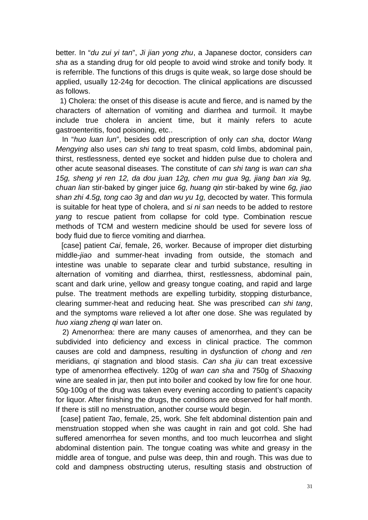better. In "*du zui yi tan*", *Ji jian yong zhu*, a Japanese doctor, considers *can sha* as a standing drug for old people to avoid wind stroke and tonify body. It is referrible. The functions of this drugs is quite weak, so large dose should be applied, usually 12-24g for decoction. The clinical applications are discussed as follows.

 1) Cholera: the onset of this disease is acute and fierce, and is named by the characters of alternation of vomiting and diarrhea and turmoil. It maybe include true cholera in ancient time, but it mainly refers to acute gastroenteritis, food poisoning, etc..

 In "*huo luan lun*", besides odd prescription of only *can sha,* doctor *Wang Mengying* also uses *can shi tang* to treat spasm, cold limbs, abdominal pain, thirst, restlessness, dented eye socket and hidden pulse due to cholera and other acute seasonal diseases. The constitute of *can shi tang* is *wan can sha 15g, sheng yi ren 12, da dou juan 12g, chen mu gua 9g, jiang ban xia 9g, chuan lian* stir-baked by ginger juice *6g, huang qin* stir-baked by wine *6g, jiao shan zhi 4.5g, tong cao 3g* and *dan wu yu 1g,* decocted by water. This formula is suitable for heat type of cholera, and *si ni san* needs to be added to restore *yang* to rescue patient from collapse for cold type. Combination rescue methods of TCM and western medicine should be used for severe loss of body fluid due to fierce vomiting and diarrhea.

 [case] patient *Cai*, female, 26, worker. Because of improper diet disturbing middle-*jiao* and summer-heat invading from outside, the stomach and intestine was unable to separate clear and turbid substance, resulting in alternation of vomiting and diarrhea, thirst, restlessness, abdominal pain, scant and dark urine, yellow and greasy tongue coating, and rapid and large pulse. The treatment methods are expelling turbidity, stopping disturbance, clearing summer-heat and reducing heat. She was prescribed *can shi tang*, and the symptoms ware relieved a lot after one dose. She was regulated by *huo xiang zheng qi wan* later on.

 2) Amenorrhea: there are many causes of amenorrhea, and they can be subdivided into deficiency and excess in clinical practice. The common causes are cold and dampness, resulting in dysfunction of *chong* and *ren* meridians, *qi* stagnation and blood stasis. *Can sha jiu* can treat excessive type of amenorrhea effectively. 120g of *wan can sha* and 750g of *Shaoxing* wine are sealed in jar, then put into boiler and cooked by low fire for one hour. 50g-100g of the drug was taken every evening according to patient's capacity for liquor. After finishing the drugs, the conditions are observed for half month. If there is still no menstruation, another course would begin.

 [case] patient *Tao*, female, 25, work. She felt abdominal distention pain and menstruation stopped when she was caught in rain and got cold. She had suffered amenorrhea for seven months, and too much leucorrhea and slight abdominal distention pain. The tongue coating was white and greasy in the middle area of tongue, and pulse was deep, thin and rough. This was due to cold and dampness obstructing uterus, resulting stasis and obstruction of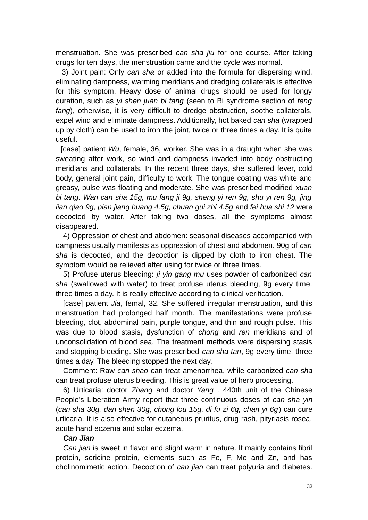menstruation. She was prescribed *can sha jiu* for one course. After taking drugs for ten days, the menstruation came and the cycle was normal.

 3) Joint pain: Only *can sha* or added into the formula for dispersing wind, eliminating dampness, warming meridians and dredging collaterals is effective for this symptom. Heavy dose of animal drugs should be used for longy duration, such as *yi shen juan bi tang* (seen to Bi syndrome section of *feng fang*), otherwise, it is very difficult to dredge obstruction, soothe collaterals, expel wind and eliminate dampness. Additionally, hot baked *can sha* (wrapped up by cloth) can be used to iron the joint, twice or three times a day. It is quite useful.

 [case] patient *Wu*, female, 36, worker. She was in a draught when she was sweating after work, so wind and dampness invaded into body obstructing meridians and collaterals. In the recent three days, she suffered fever, cold body, general joint pain, difficulty to work. The tongue coating was white and greasy, pulse was floating and moderate. She was prescribed modified *xuan bi tang*. *Wan can sha 15g, mu fang ji 9g, sheng yi ren 9g, shu yi ren 9g, jing lian qiao 9g, pian jiang huang 4.5g, chuan gui zhi 4.5g* and *fei hua shi 12* were decocted by water. After taking two doses, all the symptoms almost disappeared.

4) Oppression of chest and abdomen: seasonal diseases accompanied with dampness usually manifests as oppression of chest and abdomen. 90g of *can sha* is decocted, and the decoction is dipped by cloth to iron chest. The symptom would be relieved after using for twice or three times.

5) Profuse uterus bleeding: *ji yin gang mu* uses powder of carbonized *can sha* (swallowed with water) to treat profuse uterus bleeding, 9g every time, three times a day. It is really effective according to clinical verification.

[case] patient *Jia*, femal, 32. She suffered irregular menstruation, and this menstruation had prolonged half month. The manifestations were profuse bleeding, clot, abdominal pain, purple tongue, and thin and rough pulse. This was due to blood stasis, dysfunction of *chong* and *ren* meridians and of unconsolidation of blood sea. The treatment methods were dispersing stasis and stopping bleeding. She was prescribed *can sha tan*, 9g every time, three times a day. The bleeding stopped the next day.

Comment: Raw *can shao* can treat amenorrhea, while carbonized *can sha* can treat profuse uterus bleeding. This is great value of herb processing.

6) Urticaria: doctor *Zhang* and doctor *Yang ,* 440th unit of the Chinese People's Liberation Army report that three continuous doses of *can sha yin* (*can sha 30g, dan shen 30g, chong lou 15g, di fu zi 6g, chan yi 6g*) can cure urticaria. It is also effective for cutaneous pruritus, drug rash, pityriasis rosea, acute hand eczema and solar eczema.

#### *Can Jian*

*Can jian* is sweet in flavor and slight warm in nature. It mainly contains fibril protein, sericine protein, elements such as Fe, F, Me and Zn, and has cholinomimetic action. Decoction of *can jian* can treat polyuria and diabetes.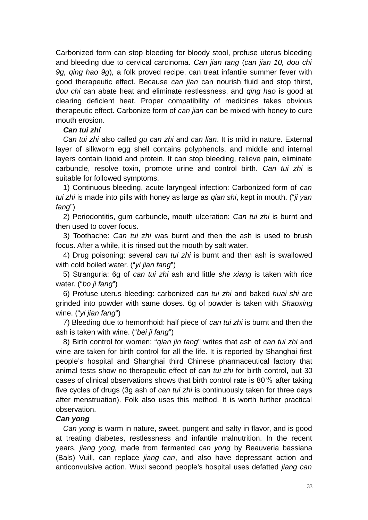Carbonized form can stop bleeding for bloody stool, profuse uterus bleeding and bleeding due to cervical carcinoma. *Can jian tang* (*can jian 10, dou chi 9g, qing hao 9g*)*,* a folk proved recipe, can treat infantile summer fever with good therapeutic effect. Because *can jian* can nourish fluid and stop thirst, *dou chi* can abate heat and eliminate restlessness, and *qing hao* is good at clearing deficient heat. Proper compatibility of medicines takes obvious therapeutic effect. Carbonize form of *can jian* can be mixed with honey to cure mouth erosion.

## *Can tui zhi*

*Can tui zhi* also called *gu can zhi* and *can lian*. It is mild in nature. External layer of silkworm egg shell contains polyphenols, and middle and internal layers contain lipoid and protein. It can stop bleeding, relieve pain, eliminate carbuncle, resolve toxin, promote urine and control birth. *Can tui zhi* is suitable for followed symptoms.

1) Continuous bleeding, acute laryngeal infection: Carbonized form of *can tui zhi* is made into pills with honey as large as *qian shi*, kept in mouth. ("*ji yan fang*")

2) Periodontitis, gum carbuncle, mouth ulceration: *Can tui zhi* is burnt and then used to cover focus.

3) Toothache: *Can tui zhi* was burnt and then the ash is used to brush focus. After a while, it is rinsed out the mouth by salt water.

4) Drug poisoning: several *can tui zhi* is burnt and then ash is swallowed with cold boiled water. ("*yi jian fang*")

5) Stranguria: 6g of *can tui zhi* ash and little *she xiang* is taken with rice water. ("*bo ji fang*")

6) Profuse uterus bleeding: carbonized *can tui zhi* and baked *huai shi* are grinded into powder with same doses. 6g of powder is taken with *Shaoxing* wine. ("*yi jian fang*")

7) Bleeding due to hemorrhoid: half piece of *can tui zhi* is burnt and then the ash is taken with wine. ("*bei ji fang*")

8) Birth control for women: "*qian jin fang*" writes that ash of *can tui zhi* and wine are taken for birth control for all the life. It is reported by Shanghai first people's hospital and Shanghai third Chinese pharmaceutical factory that animal tests show no therapeutic effect of *can tui zhi* for birth control, but 30 cases of clinical observations shows that birth control rate is 80% after taking five cycles of drugs (3g ash of *can tui zhi* is continuously taken for three days after menstruation). Folk also uses this method. It is worth further practical observation.

### *Can yong*

*Can yong* is warm in nature, sweet, pungent and salty in flavor, and is good at treating diabetes, restlessness and infantile malnutrition. In the recent years, *jiang yong,* made from fermented *can yong* by Beauveria bassiana (Bals) Vuill, can replace *jiang can*, and also have depressant action and anticonvulsive action. Wuxi second people's hospital uses defatted *jiang can*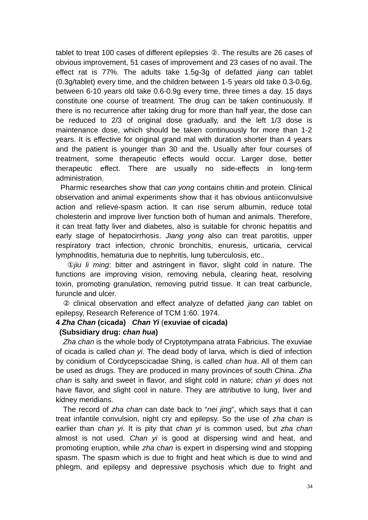tablet to treat 100 cases of different epilepsies ②. The results are 26 cases of obvious improvement, 51 cases of improvement and 23 cases of no avail. The effect rat is 77%. The adults take 1.5g-3g of defatted *jiang can* tablet (0.3g/tablet) every time, and the children between 1-5 years old take 0.3-0.6g, between 6-10 years old take 0.6-0.9g every time, three times a day. 15 days constitute one course of treatment. The drug can be taken continuously. If there is no recurrence after taking drug for more than half year, the dose can be reduced to 2/3 of original dose gradually, and the left 1/3 dose is maintenance dose, which should be taken continuously for more than 1-2 years. It is effective for original grand mal with duration shorter than 4 years and the patient is younger than 30 and the. Usually after four courses of treatment, some therapeutic effects would occur. Larger dose, better therapeutic effect. There are usually no side-effects in long-term administration.

 Pharmic researches show that *can yong* contains chitin and protein. Clinical observation and animal experiments show that it has obvious antiiconvulsive action and relieve-spasm action. It can rise serum albumin, reduce total cholesterin and improve liver function both of human and animals. Therefore, it can treat fatty liver and diabetes, also is suitable for chronic hepatitis and early stage of hepatocirrhosis. *Jiang yong* also can treat parotitis, upper respiratory tract infection, chronic bronchitis, enuresis, urticaria, cervical lymphnoditis, hematuria due to nephritis, lung tuberculosis, etc..

①*jiu li ming*: bitter and astringent in flavor, slight cold in nature. The functions are improving vision, removing nebula, clearing heat, resolving toxin, promoting granulation, removing putrid tissue. It can treat carbuncle, furuncle and ulcer.

② clinical observation and effect analyze of defatted *jiang can* tablet on epilepsy, Research Reference of TCM 1:60. 1974.

## **4** *Zha Chan* **(cicada)** *Chan Yi* (**exuviae of cicada)**

### **(Subsidiary drug:** *chan hua***)**

*Zha chan* is the whole body of Cryptotympana atrata Fabricius. The exuviae of cicada is called *chan yi*. The dead body of larva, which is died of infection by conidium of Cordycepscicadae Shing, is called *chan hua*. All of them can be used as drugs. They are produced in many provinces of south China. *Zha chan* is salty and sweet in flavor, and slight cold in nature; *chan yi* does not have flavor, and slight cool in nature. They are attributive to lung, liver and kidney meridians.

The record of *zha chan* can date back to "*nei jing*", which says that it can treat infantile convulsion, night cry and epilepsy. So the use of *zha chan* is earlier than *chan yi*. It is pity that *chan yi* is common used, but *zha chan* almost is not used. *Chan yi* is good at dispersing wind and heat, and promoting eruption, while *zha chan* is expert in dispersing wind and stopping spasm. The spasm which is due to fright and heat which is due to wind and phlegm, and epilepsy and depressive psychosis which due to fright and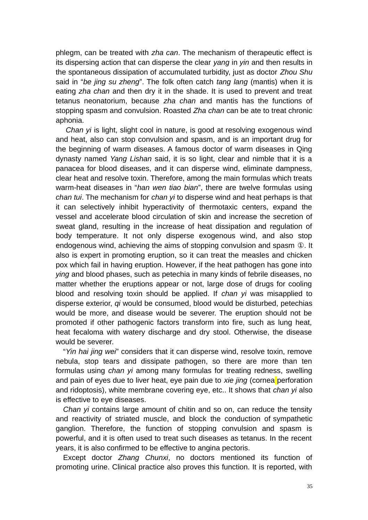phlegm, can be treated with *zha can*. The mechanism of therapeutic effect is its dispersing action that can disperse the clear *yang* in *yin* and then results in the spontaneous dissipation of accumulated turbidity, just as doctor *Zhou Shu* said in "*be jing su zheng*". The folk often catch *tang lang* (mantis) when it is eating *zha chan* and then dry it in the shade. It is used to prevent and treat tetanus neonatorium, because *zha chan* and mantis has the functions of stopping spasm and convulsion. Roasted *Zha chan* can be ate to treat chronic aphonia.

*Chan yi* is light, slight cool in nature, is good at resolving exogenous wind and heat, also can stop convulsion and spasm, and is an important drug for the beginning of warm diseases. A famous doctor of warm diseases in Qing dynasty named *Yang Lishan* said, it is so light, clear and nimble that it is a panacea for blood diseases, and it can disperse wind, eliminate dampness, clear heat and resolve toxin. Therefore, among the main formulas which treats warm-heat diseases in "*han wen tiao bian*", there are twelve formulas using *chan tui*. The mechanism for *chan yi* to disperse wind and heat perhaps is that it can selectively inhibit hyperactivity of thermotaxic centers, expand the vessel and accelerate blood circulation of skin and increase the secretion of sweat gland, resulting in the increase of heat dissipation and regulation of body temperature. It not only disperse exogenous wind, and also stop endogenous wind, achieving the aims of stopping convulsion and spasm ①. It also is expert in promoting eruption, so it can treat the measles and chicken pox which fail in having eruption. However, if the heat pathogen has gone into *ying* and blood phases, such as petechia in many kinds of febrile diseases, no matter whether the eruptions appear or not, large dose of drugs for cooling blood and resolving toxin should be applied. If *chan yi* was misapplied to disperse exterior, *qi* would be consumed, blood would be disturbed, petechias would be more, and disease would be severer. The eruption should not be promoted if other pathogenic factors transform into fire, such as lung heat, heat fecaloma with watery discharge and dry stool. Otherwise, the disease would be severer.

"*Yin hai jing wei*" considers that it can disperse wind, resolve toxin, remove nebula, stop tears and dissipate pathogen, so there are more than ten formulas using *chan yi* among many formulas for treating redness, swelling and pain of eyes due to liver heat, eye pain due to *xie jing* (cornea perforation and ridoptosis), white membrane covering eye, etc.. It shows that *chan yi* also is effective to eye diseases.

*Chan yi* contains large amount of chitin and so on, can reduce the tensity and reactivity of striated muscle, and block the conduction of sympathetic ganglion. Therefore, the function of stopping convulsion and spasm is powerful, and it is often used to treat such diseases as tetanus. In the recent years, it is also confirmed to be effective to angina pectoris.

Except doctor *Zhang Chunxi*, no doctors mentioned its function of promoting urine. Clinical practice also proves this function. It is reported, with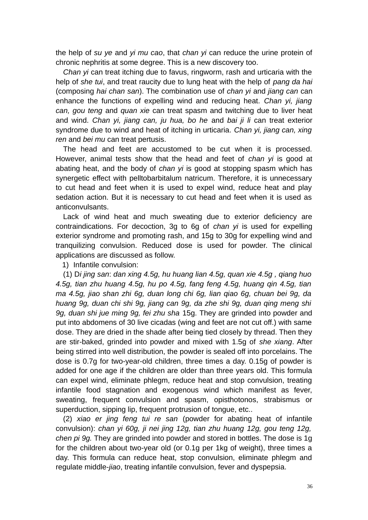the help of *su ye* and *yi mu cao*, that *chan yi* can reduce the urine protein of chronic nephritis at some degree. This is a new discovery too.

*Chan yi* can treat itching due to favus, ringworm, rash and urticaria with the help of *she tui*, and treat raucity due to lung heat with the help of *pang da hai* (composing *hai chan san*). The combination use of *chan yi* and *jiang can* can enhance the functions of expelling wind and reducing heat. *Chan yi, jiang can, gou teng* and *quan xie* can treat spasm and twitching due to liver heat and wind. *Chan yi, jiang can, ju hua, bo he* and *bai ji li* can treat exterior syndrome due to wind and heat of itching in urticaria. *Chan yi, jiang can, xing ren* and *bei mu* can treat pertusis.

The head and feet are accustomed to be cut when it is processed. However, animal tests show that the head and feet of *chan yi* is good at abating heat, and the body of *chan yi* is good at stopping spasm which has synergetic effect with pelltobarbitalum natricum. Therefore, it is unnecessary to cut head and feet when it is used to expel wind, reduce heat and play sedation action. But it is necessary to cut head and feet when it is used as anticonvulsants.

Lack of wind heat and much sweating due to exterior deficiency are contraindications. For decoction, 3g to 6g of *chan yi* is used for expelling exterior syndrome and promoting rash, and 15g to 30g for expelling wind and tranquilizing convulsion. Reduced dose is used for powder. The clinical applications are discussed as follow.

1) Infantile convulsion:

(1) D*i jing san*: *dan xing 4.5g, hu huang lian 4.5g, quan xie 4.5g , qiang huo 4.5g, tian zhu huang 4.5g, hu po 4.5g, fang feng 4.5g, huang qin 4.5g, tian ma 4.5g, jiao shan zhi 6g, duan long chi 6g, lian qiao 6g, chuan bei 9g, da huang 9g, duan chi shi 9g, jiang can 9g, da zhe shi 9g, duan qing meng shi 9g, duan shi jue ming 9g, fei zhu sha* 15g. They are grinded into powder and put into abdomens of 30 live cicadas (wing and feet are not cut off.) with same dose. They are dried in the shade after being tied closely by thread. Then they are stir-baked, grinded into powder and mixed with 1.5g of *she xiang*. After being stirred into well distribution, the powder is sealed off into porcelains. The dose is 0.7g for two-year-old children, three times a day. 0.15g of powder is added for one age if the children are older than three years old. This formula can expel wind, eliminate phlegm, reduce heat and stop convulsion, treating infantile food stagnation and exogenous wind which manifest as fever, sweating, frequent convulsion and spasm, opisthotonos, strabismus or superduction, sipping lip, frequent protrusion of tongue, etc..

(2) *xiao er jing feng tui re san* (powder for abating heat of infantile convulsion): *chan yi 60g, ji nei jing 12g, tian zhu huang 12g, gou teng 12g, chen pi 9g.* They are grinded into powder and stored in bottles. The dose is 1g for the children about two-year old (or 0.1g per 1kg of weight), three times a day. This formula can reduce heat, stop convulsion, eliminate phlegm and regulate middle-*jiao*, treating infantile convulsion, fever and dyspepsia.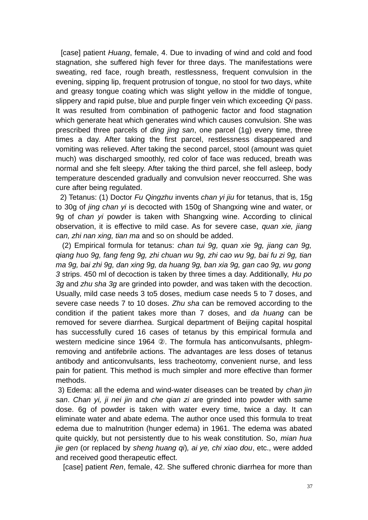[case] patient *Huang*, female, 4. Due to invading of wind and cold and food stagnation, she suffered high fever for three days. The manifestations were sweating, red face, rough breath, restlessness, frequent convulsion in the evening, sipping lip, frequent protrusion of tongue, no stool for two days, white and greasy tongue coating which was slight yellow in the middle of tongue, slippery and rapid pulse, blue and purple finger vein which exceeding *Qi* pass. It was resulted from combination of pathogenic factor and food stagnation which generate heat which generates wind which causes convulsion. She was prescribed three parcels of *ding jing san*, one parcel (1g) every time, three times a day. After taking the first parcel, restlessness disappeared and vomiting was relieved. After taking the second parcel, stool (amount was quiet much) was discharged smoothly, red color of face was reduced, breath was normal and she felt sleepy. After taking the third parcel, she fell asleep, body temperature descended gradually and convulsion never reoccurred. She was cure after being regulated.

 2) Tetanus: (1) Doctor *Fu Qingzhu* invents *chan yi jiu* for tetanus, that is, 15g to 30g of *jing chan yi* is decocted with 150g of Shangxing wine and water, or 9g of *chan yi* powder is taken with Shangxing wine. According to clinical observation, it is effective to mild case. As for severe case, *quan xie, jiang can, zhi nan xing, tian ma* and so on should be added.

 (2) Empirical formula for tetanus: *chan tui 9g, quan xie 9g, jiang can 9g, qiang huo 9g, fang feng 9g, zhi chuan wu 9g, zhi cao wu 9g, bai fu zi 9g, tian ma 9g, bai zhi 9g, dan xing 9g, da huang 9g, ban xia 9g, gan cao 9g, wu gong 3* strips. 450 ml of decoction is taken by three times a day. Additionally, *Hu po 3g* and *zhu sha 3g* are grinded into powder, and was taken with the decoction. Usually, mild case needs 3 to5 doses, medium case needs 5 to 7 doses, and severe case needs 7 to 10 doses. *Zhu sha* can be removed according to the condition if the patient takes more than 7 doses, and *da huang* can be removed for severe diarrhea. Surgical department of Beijing capital hospital has successfully cured 16 cases of tetanus by this empirical formula and western medicine since 1964 ②. The formula has anticonvulsants, phlegmremoving and antifebrile actions. The advantages are less doses of tetanus antibody and anticonvulsants, less tracheotomy, convenient nurse, and less pain for patient. This method is much simpler and more effective than former methods.

3) Edema: all the edema and wind-water diseases can be treated by *chan jin san*. *Chan yi, ji nei jin* and *che qian zi* are grinded into powder with same dose. 6g of powder is taken with water every time, twice a day. It can eliminate water and abate edema. The author once used this formula to treat edema due to malnutrition (hunger edema) in 1961. The edema was abated quite quickly, but not persistently due to his weak constitution. So, *mian hua jie gen* (or replaced by *sheng huang qi*)*, ai ye, chi xiao dou*, etc., were added and received good therapeutic effect.

[case] patient *Ren*, female, 42. She suffered chronic diarrhea for more than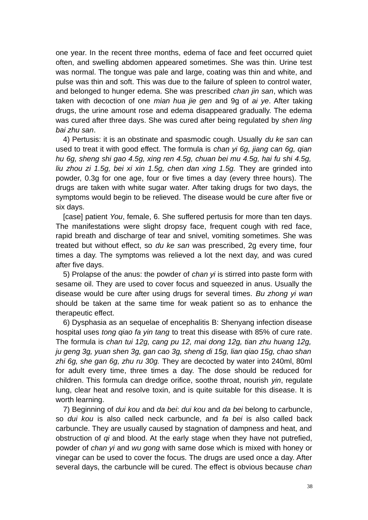one year. In the recent three months, edema of face and feet occurred quiet often, and swelling abdomen appeared sometimes. She was thin. Urine test was normal. The tongue was pale and large, coating was thin and white, and pulse was thin and soft. This was due to the failure of spleen to control water, and belonged to hunger edema. She was prescribed *chan jin san*, which was taken with decoction of one *mian hua jie gen* and 9g of *ai ye*. After taking drugs, the urine amount rose and edema disappeared gradually. The edema was cured after three days. She was cured after being regulated by *shen ling bai zhu san*.

4) Pertusis: it is an obstinate and spasmodic cough. Usually *du ke san* can used to treat it with good effect. The formula is *chan yi 6g, jiang can 6g, qian hu 6g, sheng shi gao 4.5g, xing ren 4.5g, chuan bei mu 4.5g, hai fu shi 4.5g, liu zhou zi 1.5g, bei xi xin 1.5g, chen dan xing 1.5g.* They are grinded into powder, 0.3g for one age, four or five times a day (every three hours). The drugs are taken with white sugar water. After taking drugs for two days, the symptoms would begin to be relieved. The disease would be cure after five or six days.

[case] patient *You*, female, 6. She suffered pertusis for more than ten days. The manifestations were slight dropsy face, frequent cough with red face, rapid breath and discharge of tear and snivel, vomiting sometimes. She was treated but without effect, so *du ke san* was prescribed, 2g every time, four times a day. The symptoms was relieved a lot the next day, and was cured after five days.

5) Prolapse of the anus: the powder of *chan yi* is stirred into paste form with sesame oil. They are used to cover focus and squeezed in anus. Usually the disease would be cure after using drugs for several times. *Bu zhong yi wan* should be taken at the same time for weak patient so as to enhance the therapeutic effect.

6) Dysphasia as an sequelae of encephalitis B: Shenyang infection disease hospital uses *tong qiao fa yin tang* to treat this disease with 85% of cure rate. The formula is *chan tui 12g, cang pu 12, mai dong 12g, tian zhu huang 12g, ju geng 3g, yuan shen 3g, gan cao 3g, sheng di 15g, lian qiao 15g, chao shan zhi 6g, she gan 6g, zhu ru 30g.* They are decocted by water into 240ml, 80ml for adult every time, three times a day. The dose should be reduced for children. This formula can dredge orifice, soothe throat, nourish *yin*, regulate lung, clear heat and resolve toxin, and is quite suitable for this disease. It is worth learning.

7) Beginning of *dui kou* and *da bei*: *dui kou* and *da bei* belong to carbuncle, so *dui kou* is also called neck carbuncle, and *fa bei* is also called back carbuncle. They are usually caused by stagnation of dampness and heat, and obstruction of *qi* and blood. At the early stage when they have not putrefied, powder of *chan yi* and *wu gong* with same dose which is mixed with honey or vinegar can be used to cover the focus. The drugs are used once a day. After several days, the carbuncle will be cured. The effect is obvious because *chan*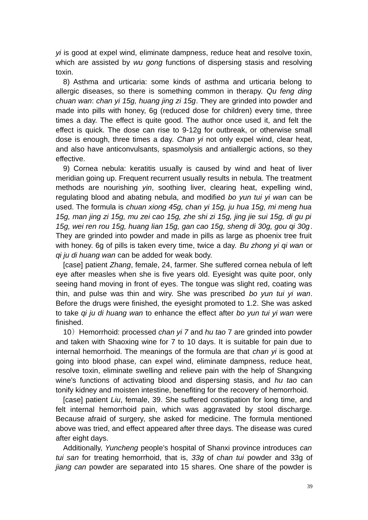*yi* is good at expel wind, eliminate dampness, reduce heat and resolve toxin, which are assisted by *wu gong* functions of dispersing stasis and resolving toxin.

8) Asthma and urticaria: some kinds of asthma and urticaria belong to allergic diseases, so there is something common in therapy. *Qu feng ding chuan wan*: *chan yi 15g, huang jing zi 15g*. They are grinded into powder and made into pills with honey, 6g (reduced dose for children) every time, three times a day. The effect is quite good. The author once used it, and felt the effect is quick. The dose can rise to 9-12g for outbreak, or otherwise small dose is enough, three times a day. *Chan yi* not only expel wind, clear heat, and also have anticonvulsants, spasmolysis and antiallergic actions, so they effective.

9) Cornea nebula: keratitis usually is caused by wind and heat of liver meridian going up. Frequent recurrent usually results in nebula. The treatment methods are nourishing *yin*, soothing liver, clearing heat, expelling wind, regulating blood and abating nebula, and modified *bo yun tui yi wan* can be used. The formula is *chuan xiong 45g, chan yi 15g, ju hua 15g, mi meng hua 15g, man jing zi 15g, mu zei cao 15g, zhe shi zi 15g, jing jie sui 15g, di gu pi 15g, wei ren rou 15g, huang lian 15g, gan cao 15g, sheng di 30g, gou qi 30g*. They are grinded into powder and made in pills as large as phoenix tree fruit with honey. 6g of pills is taken every time, twice a day. *Bu zhong yi qi wan* or *qi ju di huang wan* can be added for weak body.

[case] patient *Zhang*, female, 24, farmer. She suffered cornea nebula of left eye after measles when she is five years old. Eyesight was quite poor, only seeing hand moving in front of eyes. The tongue was slight red, coating was thin, and pulse was thin and wiry. She was prescribed *bo yun tui yi wan*. Before the drugs were finished, the eyesight promoted to 1.2. She was asked to take *qi ju di huang wan* to enhance the effect after *bo yun tui yi wan* were finished.

10) Hemorrhoid: processed *chan yi* 7 and *hu tao* 7 are grinded into powder and taken with Shaoxing wine for 7 to 10 days. It is suitable for pain due to internal hemorrhoid. The meanings of the formula are that *chan yi* is good at going into blood phase, can expel wind, eliminate dampness, reduce heat, resolve toxin, eliminate swelling and relieve pain with the help of Shangxing wine's functions of activating blood and dispersing stasis, and *hu tao* can tonify kidney and moisten intestine, benefiting for the recovery of hemorrhoid.

[case] patient *Liu*, female, 39. She suffered constipation for long time, and felt internal hemorrhoid pain, which was aggravated by stool discharge. Because afraid of surgery, she asked for medicine. The formula mentioned above was tried, and effect appeared after three days. The disease was cured after eight days.

Additionally, *Yuncheng* people's hospital of Shanxi province introduces *can tui san* for treating hemorrhoid, that is, *33g* of *chan tui* powder and 33g of *jiang can* powder are separated into 15 shares. One share of the powder is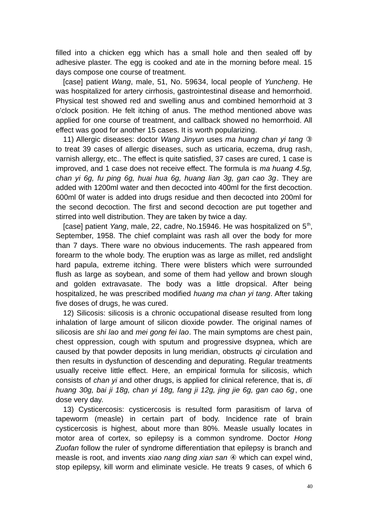filled into a chicken egg which has a small hole and then sealed off by adhesive plaster. The egg is cooked and ate in the morning before meal. 15 days compose one course of treatment.

[case] patient *Wang*, male, 51, No. 59634, local people of *Yuncheng*. He was hospitalized for artery cirrhosis, gastrointestinal disease and hemorrhoid. Physical test showed red and swelling anus and combined hemorrhoid at 3 o'clock position. He felt itching of anus. The method mentioned above was applied for one course of treatment, and callback showed no hemorrhoid. All effect was good for another 15 cases. It is worth popularizing.

11) Allergic diseases: doctor *Wang Jinyun* uses *ma huang chan yi tang* ③ to treat 39 cases of allergic diseases, such as urticaria, eczema, drug rash, varnish allergy, etc.. The effect is quite satisfied, 37 cases are cured, 1 case is improved, and 1 case does not receive effect. The formula is *ma huang 4.5g, chan yi 6g, fu ping 6g, huai hua 6g, huang lian 3g, gan cao 3g*. They are added with 1200ml water and then decocted into 400ml for the first decoction. 600ml 0f water is added into drugs residue and then decocted into 200ml for the second decoction. The first and second decoction are put together and stirred into well distribution. They are taken by twice a day.

[case] patient *Yang*, male, 22, cadre, No.15946. He was hospitalized on 5<sup>th</sup>, September, 1958. The chief complaint was rash all over the body for more than 7 days. There ware no obvious inducements. The rash appeared from forearm to the whole body. The eruption was as large as millet, red andslight hard papula, extreme itching. There were blisters which were surrounded flush as large as soybean, and some of them had yellow and brown slough and golden extravasate. The body was a little dropsical. After being hospitalized, he was prescribed modified *huang ma chan yi tang*. After taking five doses of drugs, he was cured.

12) Silicosis: silicosis is a chronic occupational disease resulted from long inhalation of large amount of silicon dioxide powder. The original names of silicosis are *shi lao* and *mei gong fei lao*. The main symptoms are chest pain, chest oppression, cough with sputum and progressive dsypnea, which are caused by that powder deposits in lung meridian, obstructs *qi* circulation and then results in dysfunction of descending and depurating. Regular treatments usually receive little effect. Here, an empirical formula for silicosis, which consists of *chan yi* and other drugs, is applied for clinical reference, that is, *di huang 30g, bai ji 18g, chan yi 18g, fang ji 12g, jing jie 6g, gan cao 6g*, one dose very day.

13) Cysticercosis: cysticercosis is resulted form parasitism of larva of tapeworm (measle) in certain part of body. Incidence rate of brain cysticercosis is highest, about more than 80%. Measle usually locates in motor area of cortex, so epilepsy is a common syndrome. Doctor *Hong Zuofan* follow the ruler of syndrome differentiation that epilepsy is branch and measle is root, and invents *xiao nang ding xian san* ④ which can expel wind, stop epilepsy, kill worm and eliminate vesicle. He treats 9 cases, of which 6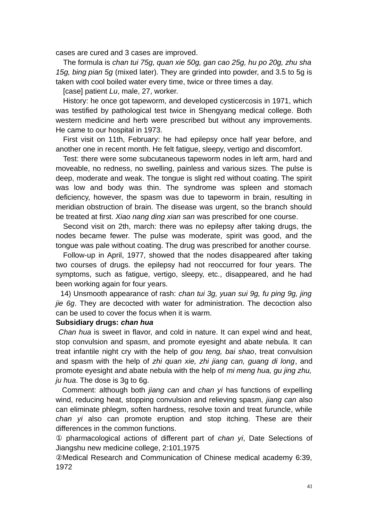cases are cured and 3 cases are improved.

The formula is *chan tui 75g, quan xie 50g, gan cao 25g, hu po 20g, zhu sha 15g, bing pian 5g* (mixed later). They are grinded into powder, and 3.5 to 5g is taken with cool boiled water every time, twice or three times a day.

[case] patient *Lu*, male, 27, worker.

History: he once got tapeworm, and developed cysticercosis in 1971, which was testified by pathological test twice in Shengyang medical college. Both western medicine and herb were prescribed but without any improvements. He came to our hospital in 1973.

First visit on 11th, February: he had epilepsy once half year before, and another one in recent month. He felt fatigue, sleepy, vertigo and discomfort.

Test: there were some subcutaneous tapeworm nodes in left arm, hard and moveable, no redness, no swelling, painless and various sizes. The pulse is deep, moderate and weak. The tongue is slight red without coating. The spirit was low and body was thin. The syndrome was spleen and stomach deficiency, however, the spasm was due to tapeworm in brain, resulting in meridian obstruction of brain. The disease was urgent, so the branch should be treated at first. *Xiao nang ding xian san* was prescribed for one course.

Second visit on 2th, march: there was no epilepsy after taking drugs, the nodes became fewer. The pulse was moderate, spirit was good, and the tongue was pale without coating. The drug was prescribed for another course.

Follow-up in April, 1977, showed that the nodes disappeared after taking two courses of drugs. the epilepsy had not reoccurred for four years. The symptoms, such as fatigue, vertigo, sleepy, etc., disappeared, and he had been working again for four years.

 14) Unsmooth appearance of rash: *chan tui 3g, yuan sui 9g, fu ping 9g, jing jie 6g*. They are decocted with water for administration. The decoction also can be used to cover the focus when it is warm.

### **Subsidiary drugs:** *chan hua*

*Chan hua* is sweet in flavor, and cold in nature. It can expel wind and heat, stop convulsion and spasm, and promote eyesight and abate nebula. It can treat infantile night cry with the help of *gou teng, bai shao*, treat convulsion and spasm with the help of *zhi quan xie, zhi jiang can, guang di long*, and promote eyesight and abate nebula with the help of *mi meng hua, gu jing zhu, ju hua*. The dose is 3g to 6g.

 Comment: although both *jiang can* and *chan yi* has functions of expelling wind, reducing heat, stopping convulsion and relieving spasm, *jiang can* also can eliminate phlegm, soften hardness, resolve toxin and treat furuncle, while *chan yi* also can promote eruption and stop itching. These are their differences in the common functions.

① pharmacological actions of different part of *chan yi*, Date Selections of Jiangshu new medicine college, 2:101,1975

②Medical Research and Communication of Chinese medical academy 6:39, 1972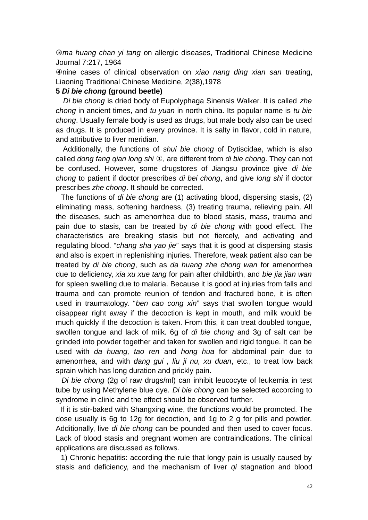③*ma huang chan yi tang* on allergic diseases, Traditional Chinese Medicine Journal 7:217, 1964

④nine cases of clinical observation on *xiao nang ding xian san* treating, Liaoning Traditional Chinese Medicine, 2(38),1978

## **5** *Di bie chong* **(ground beetle)**

*Di bie chong* is dried body of Eupolyphaga Sinensis Walker. It is called *zhe chong* in ancient times, and *tu yuan* in north china. Its popular name is *tu bie chong*. Usually female body is used as drugs, but male body also can be used as drugs. It is produced in every province. It is salty in flavor, cold in nature, and attributive to liver meridian.

 Additionally, the functions of *shui bie chong* of Dytiscidae, which is also called *dong fang qian long shi* ①, are different from *di bie chong*. They can not be confused. However, some drugstores of Jiangsu province give *di bie chong* to patient if doctor prescribes *di bei chong*, and give *long shi* if doctor prescribes *zhe chong*. It should be corrected.

 The functions of *di bie chong* are (1) activating blood, dispersing stasis, (2) eliminating mass, softening hardness, (3) treating trauma, relieving pain. All the diseases, such as amenorrhea due to blood stasis, mass, trauma and pain due to stasis, can be treated by *di bie chong* with good effect. The characteristics are breaking stasis but not fiercely, and activating and regulating blood. "*chang sha yao jie*" says that it is good at dispersing stasis and also is expert in replenishing injuries. Therefore, weak patient also can be treated by *di bie chong*, such as *da huang zhe chong wan* for amenorrhea due to deficiency, *xia xu xue tang* for pain after childbirth, and *bie jia jian wan* for spleen swelling due to malaria. Because it is good at injuries from falls and trauma and can promote reunion of tendon and fractured bone, it is often used in traumatology. "*ben cao cong xin*" says that swollen tongue would disappear right away if the decoction is kept in mouth, and milk would be much quickly if the decoction is taken. From this, it can treat doubled tongue, swollen tongue and lack of milk. 6g of *di bie chong* and 3g of salt can be grinded into powder together and taken for swollen and rigid tongue. It can be used with *da huang, tao ren* and *hong hua* for abdominal pain due to amenorrhea, and with *dang gui , liu ji nu, xu duan*, etc., to treat low back sprain which has long duration and prickly pain.

 *Di bie chong* (2g of raw drugs/ml) can inhibit leucocyte of leukemia in test tube by using Methylene blue dye. *Di bie chong* can be selected according to syndrome in clinic and the effect should be observed further.

 If it is stir-baked with Shangxing wine, the functions would be promoted. The dose usually is 6g to 12g for decoction, and 1g to 2 g for pills and powder. Additionally, live *di bie chong* can be pounded and then used to cover focus. Lack of blood stasis and pregnant women are contraindications. The clinical applications are discussed as follows.

 1) Chronic hepatitis: according the rule that longy pain is usually caused by stasis and deficiency, and the mechanism of liver *qi* stagnation and blood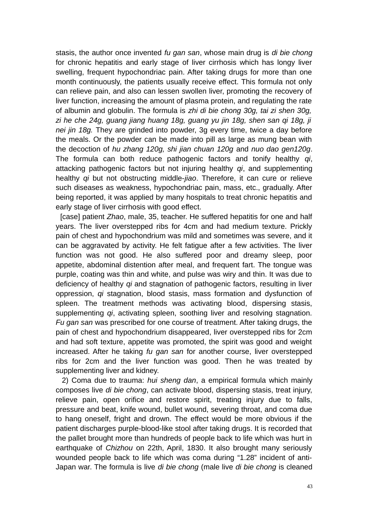stasis, the author once invented *fu gan san*, whose main drug is *di bie chong* for chronic hepatitis and early stage of liver cirrhosis which has longy liver swelling, frequent hypochondriac pain. After taking drugs for more than one month continuously, the patients usually receive effect. This formula not only can relieve pain, and also can lessen swollen liver, promoting the recovery of liver function, increasing the amount of plasma protein, and regulating the rate of albumin and globulin. The formula is *zhi di bie chong 30g, tai zi shen 30g, zi he che 24g, guang jiang huang 18g, guang yu jin 18g, shen san qi 18g, ji nei jin 18g.* They are grinded into powder, 3g every time, twice a day before the meals. Or the powder can be made into pill as large as mung bean with the decoction of *hu zhang 120g, shi jian chuan 120g* and *nuo dao gen120g*. The formula can both reduce pathogenic factors and tonify healthy *qi*, attacking pathogenic factors but not injuring healthy *qi*, and supplementing healthy *qi* but not obstructing middle-*jiao*. Therefore, it can cure or relieve such diseases as weakness, hypochondriac pain, mass, etc., gradually. After being reported, it was applied by many hospitals to treat chronic hepatitis and early stage of liver cirrhosis with good effect.

 [case] patient *Zhao*, male, 35, teacher. He suffered hepatitis for one and half years. The liver overstepped ribs for 4cm and had medium texture. Prickly pain of chest and hypochondrium was mild and sometimes was severe, and it can be aggravated by activity. He felt fatigue after a few activities. The liver function was not good. He also suffered poor and dreamy sleep, poor appetite, abdominal distention after meal, and frequent fart. The tongue was purple, coating was thin and white, and pulse was wiry and thin. It was due to deficiency of healthy *qi* and stagnation of pathogenic factors, resulting in liver oppression, *qi* stagnation, blood stasis, mass formation and dysfunction of spleen. The treatment methods was activating blood, dispersing stasis, supplementing *qi*, activating spleen, soothing liver and resolving stagnation. *Fu gan san* was prescribed for one course of treatment. After taking drugs, the pain of chest and hypochondrium disappeared, liver overstepped ribs for 2cm and had soft texture, appetite was promoted, the spirit was good and weight increased. After he taking *fu gan san* for another course, liver overstepped ribs for 2cm and the liver function was good. Then he was treated by supplementing liver and kidney.

 2) Coma due to trauma: *hui sheng dan*, a empirical formula which mainly composes live *di bie chong*, can activate blood, dispersing stasis, treat injury, relieve pain, open orifice and restore spirit, treating injury due to falls, pressure and beat, knife wound, bullet wound, severing throat, and coma due to hang oneself, fright and drown. The effect would be more obvious if the patient discharges purple-blood-like stool after taking drugs. It is recorded that the pallet brought more than hundreds of people back to life which was hurt in earthquake of *Chizhou* on 22th, April, 1830. It also brought many seriously wounded people back to life which was coma during "1.28" incident of anti-Japan war. The formula is live *di bie chong* (male live *di bie chong* is cleaned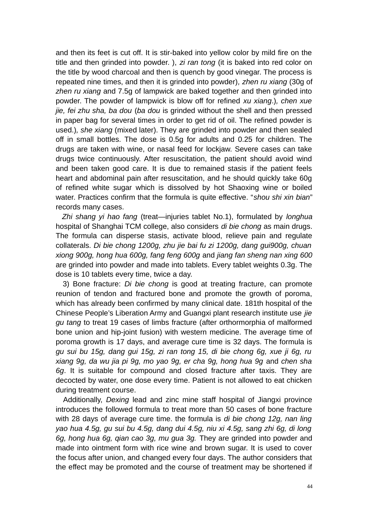and then its feet is cut off. It is stir-baked into yellow color by mild fire on the title and then grinded into powder. ), *zi ran tong* (it is baked into red color on the title by wood charcoal and then is quench by good vinegar. The process is repeated nine times, and then it is grinded into powder)*, zhen ru xiang* (30g of *zhen ru xiang* and 7.5g of lampwick are baked together and then grinded into powder. The powder of lampwick is blow off for refined *xu xiang*.)*, chen xue jie, fei zhu sha, ba dou* (*ba dou* is grinded without the shell and then pressed in paper bag for several times in order to get rid of oil. The refined powder is used.)*, she xiang* (mixed later). They are grinded into powder and then sealed off in small bottles. The dose is 0.5g for adults and 0.25 for children. The drugs are taken with wine, or nasal feed for lockjaw. Severe cases can take drugs twice continuously. After resuscitation, the patient should avoid wind and been taken good care. It is due to remained stasis if the patient feels heart and abdominal pain after resuscitation, and he should quickly take 60g of refined white sugar which is dissolved by hot Shaoxing wine or boiled water. Practices confirm that the formula is quite effective. "*shou shi xin bian*" records many cases.

 *Zhi shang yi hao fang* (treat—injuries tablet No.1), formulated by *longhua* hospital of Shanghai TCM college, also considers *di bie chong* as main drugs. The formula can disperse stasis, activate blood, relieve pain and regulate collaterals. *Di bie chong 1200g, zhu jie bai fu zi 1200g, dang gui900g, chuan xiong 900g, hong hua 600g, fang feng 600g* and *jiang fan sheng nan xing 600* are grinded into powder and made into tablets. Every tablet weights 0.3g. The dose is 10 tablets every time, twice a day.

 3) Bone fracture: *Di bie chong* is good at treating fracture, can promote reunion of tendon and fractured bone and promote the growth of poroma, which has already been confirmed by many clinical date. 181th hospital of the Chinese People's Liberation Army and Guangxi plant research institute use *jie gu tang* to treat 19 cases of limbs fracture (after orthormorphia of malformed bone union and hip-joint fusion) with western medicine. The average time of poroma growth is 17 days, and average cure time is 32 days. The formula is *gu sui bu 15g, dang gui 15g, zi ran tong 15, di bie chong 6g, xue ji 6g, ru xiang 9g, da wu jia pi 9g, mo yao 9g, er cha 9g, hong hua 9g* and *chen sha 6g*. It is suitable for compound and closed fracture after taxis. They are decocted by water, one dose every time. Patient is not allowed to eat chicken during treatment course.

Additionally, *Dexing* lead and zinc mine staff hospital of Jiangxi province introduces the followed formula to treat more than 50 cases of bone fracture with 28 days of average cure time. the formula is *di bie chong 12g, nan ling yao hua 4.5g, gu sui bu 4.5g, dang dui 4.5g, niu xi 4.5g, sang zhi 6g, di long 6g, hong hua 6g, qian cao 3g, mu gua 3g.* They are grinded into powder and made into ointment form with rice wine and brown sugar. It is used to cover the focus after union, and changed every four days. The author considers that the effect may be promoted and the course of treatment may be shortened if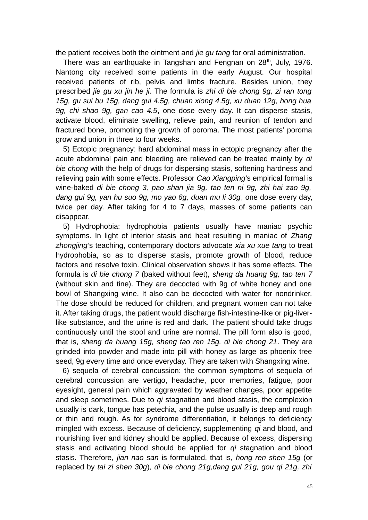the patient receives both the ointment and *jie gu tang* for oral administration.

There was an earthquake in Tangshan and Fengnan on  $28<sup>th</sup>$ , July, 1976. Nantong city received some patients in the early August. Our hospital received patients of rib, pelvis and limbs fracture. Besides union, they prescribed *jie gu xu jin he ji*. The formula is *zhi di bie chong 9g, zi ran tong 15g, gu sui bu 15g, dang gui 4.5g, chuan xiong 4.5g, xu duan 12g, hong hua 9g, chi shao 9g, gan cao 4.5*, one dose every day. It can disperse stasis, activate blood, eliminate swelling, relieve pain, and reunion of tendon and fractured bone, promoting the growth of poroma. The most patients' poroma grow and union in three to four weeks.

5) Ectopic pregnancy: hard abdominal mass in ectopic pregnancy after the acute abdominal pain and bleeding are relieved can be treated mainly by *di bie chong* with the help of drugs for dispersing stasis, softening hardness and relieving pain with some effects. Professor *Cao Xiangping*'s empirical formal is wine-baked *di bie chong 3, pao shan jia 9g, tao ten ni 9g, zhi hai zao 9g, dang gui 9g, yan hu suo 9g, mo yao 6g, duan mu li 30g*, one dose every day, twice per day. After taking for 4 to 7 days, masses of some patients can disappear.

5) Hydrophobia: hydrophobia patients usually have maniac psychic symptoms. In light of interior stasis and heat resulting in maniac of *Zhang zhongjing'*s teaching, contemporary doctors advocate *xia xu xue tang* to treat hydrophobia, so as to disperse stasis, promote growth of blood, reduce factors and resolve toxin. Clinical observation shows it has some effects. The formula is *di bie chong 7* (baked without feet)*, sheng da huang 9g, tao ten 7* (without skin and tine). They are decocted with 9g of white honey and one bowl of Shangxing wine. It also can be decocted with water for nondrinker. The dose should be reduced for children, and pregnant women can not take it. After taking drugs, the patient would discharge fish-intestine-like or pig-liverlike substance, and the urine is red and dark. The patient should take drugs continuously until the stool and urine are normal. The pill form also is good, that is, *sheng da huang 15g, sheng tao ren 15g, di bie chong 21*. They are grinded into powder and made into pill with honey as large as phoenix tree seed, 9g every time and once everyday. They are taken with Shangxing wine.

 6) sequela of cerebral concussion: the common symptoms of sequela of cerebral concussion are vertigo, headache, poor memories, fatigue, poor eyesight, general pain which aggravated by weather changes, poor appetite and sleep sometimes. Due to *qi* stagnation and blood stasis, the complexion usually is dark, tongue has petechia, and the pulse usually is deep and rough or thin and rough. As for syndrome differentiation, it belongs to deficiency mingled with excess. Because of deficiency, supplementing *qi* and blood, and nourishing liver and kidney should be applied. Because of excess, dispersing stasis and activating blood should be applied for *qi* stagnation and blood stasis. Therefore, *jian nao san* is formulated, that is, *hong ren shen 15g* (or replaced by *tai zi shen 30g*)*, di bie chong 21g,dang gui 21g, gou qi 21g, zhi*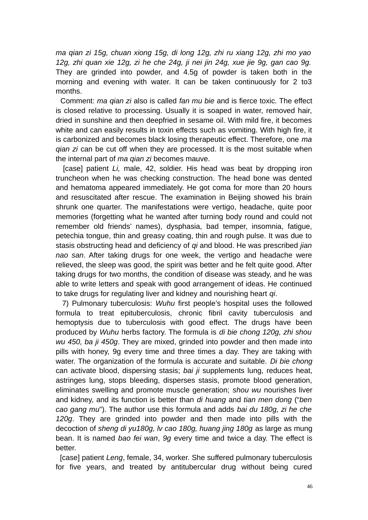*ma qian zi 15g, chuan xiong 15g, di long 12g, zhi ru xiang 12g, zhi mo yao 12g, zhi quan xie 12g, zi he che 24g, ji nei jin 24g, xue jie 9g, gan cao 9g.* They are grinded into powder, and 4.5g of powder is taken both in the morning and evening with water. It can be taken continuously for 2 to3 months.

 Comment: *ma qian zi* also is called *fan mu bie* and is fierce toxic. The effect is closed relative to processing. Usually it is soaped in water, removed hair, dried in sunshine and then deepfried in sesame oil. With mild fire, it becomes white and can easily results in toxin effects such as vomiting. With high fire, it is carbonized and becomes black losing therapeutic effect. Therefore, one *ma qian zi* can be cut off when they are processed. It is the most suitable when the internal part of *ma qian zi* becomes mauve.

 [case] patient *Li,* male, 42, soldier. His head was beat by dropping iron truncheon when he was checking construction. The head bone was dented and hematoma appeared immediately. He got coma for more than 20 hours and resuscitated after rescue. The examination in Beijing showed his brain shrunk one quarter. The manifestations were vertigo, headache, quite poor memories (forgetting what he wanted after turning body round and could not remember old friends' names), dysphasia, bad temper, insomnia, fatigue, petechia tongue, thin and greasy coating, thin and rough pulse. It was due to stasis obstructing head and deficiency of *qi* and blood. He was prescribed *jian nao san*. After taking drugs for one week, the vertigo and headache were relieved, the sleep was good, the spirit was better and he felt quite good. After taking drugs for two months, the condition of disease was steady, and he was able to write letters and speak with good arrangement of ideas. He continued to take drugs for regulating liver and kidney and nourishing heart *qi*.

 7) Pulmonary tuberculosis: *Wuhu* first people's hospital uses the followed formula to treat epituberculosis, chronic fibril cavity tuberculosis and hemoptysis due to tuberculosis with good effect. The drugs have been produced by *Wuhu* herbs factory. The formula is *di bie chong 120g, zhi shou wu 450, ba ji 450g*. They are mixed, grinded into powder and then made into pills with honey, 9g every time and three times a day. They are taking with water. The organization of the formula is accurate and suitable. *Di bie chong* can activate blood, dispersing stasis; *bai ji* supplements lung, reduces heat, astringes lung, stops bleeding, disperses stasis, promote blood generation, eliminates swelling and promote muscle generation; *shou wu* nourishes liver and kidney, and its function is better than *di huang* and *tian men dong* ("*ben cao gang mu*"). The author use this formula and adds *bai du 180g, zi he che 120g*. They are grinded into powder and then made into pills with the decoction of *sheng di yu180g, lv cao 180g, huang jing 180g* as large as mung bean. It is named *bao fei wan*, *9g* every time and twice a day. The effect is better.

 [case] patient *Leng*, female, 34, worker. She suffered pulmonary tuberculosis for five years, and treated by antitubercular drug without being cured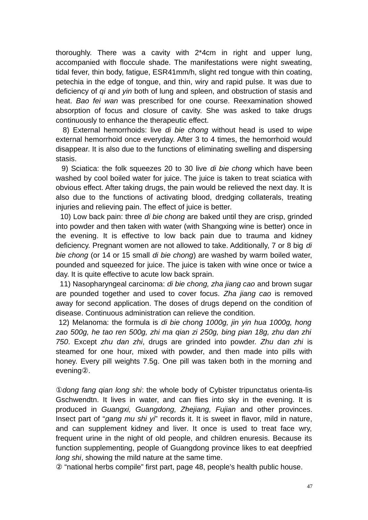thoroughly. There was a cavity with 2\*4cm in right and upper lung, accompanied with floccule shade. The manifestations were night sweating, tidal fever, thin body, fatigue, ESR41mm/h, slight red tongue with thin coating, petechia in the edge of tongue, and thin, wiry and rapid pulse. It was due to deficiency of *qi* and *yin* both of lung and spleen, and obstruction of stasis and heat. *Bao fei wan* was prescribed for one course. Reexamination showed absorption of focus and closure of cavity. She was asked to take drugs continuously to enhance the therapeutic effect.

 8) External hemorrhoids: live *di bie chong* without head is used to wipe external hemorrhoid once everyday. After 3 to 4 times, the hemorrhoid would disappear. It is also due to the functions of eliminating swelling and dispersing stasis.

 9) Sciatica: the folk squeezes 20 to 30 live *di bie chong* which have been washed by cool boiled water for juice. The juice is taken to treat sciatica with obvious effect. After taking drugs, the pain would be relieved the next day. It is also due to the functions of activating blood, dredging collaterals, treating injuries and relieving pain. The effect of juice is better.

 10) Low back pain: three *di bie chong* are baked until they are crisp, grinded into powder and then taken with water (with Shangxing wine is better) once in the evening. It is effective to low back pain due to trauma and kidney deficiency. Pregnant women are not allowed to take. Additionally, 7 or 8 big *di bie chong* (or 14 or 15 small *di bie chong*) are washed by warm boiled water, pounded and squeezed for juice. The juice is taken with wine once or twice a day. It is quite effective to acute low back sprain.

 11) Nasopharyngeal carcinoma: *di bie chong, zha jiang cao* and brown sugar are pounded together and used to cover focus. *Zha jiang cao* is removed away for second application. The doses of drugs depend on the condition of disease. Continuous administration can relieve the condition.

12) Melanoma: the formula is *di bie chong 1000g, jin yin hua 1000g, hong zao 500g, he tao ren 500g, zhi ma qian zi 250g, bing pian 18g, zhu dan zhi 750*. Except *zhu dan zhi*, drugs are grinded into powder. *Zhu dan zhi* is steamed for one hour, mixed with powder, and then made into pills with honey. Every pill weights 7.5g. One pill was taken both in the morning and evening②.

①*dong fang qian long shi*: the whole body of Cybister tripunctatus orienta-lis Gschwendtn. It lives in water, and can flies into sky in the evening. It is produced in *Guangxi, Guangdong, Zhejiang, Fujian* and other provinces. Insect part of "*gang mu shi yi*" records it. It is sweet in flavor, mild in nature, and can supplement kidney and liver. It once is used to treat face wry, frequent urine in the night of old people, and children enuresis. Because its function supplementing, people of Guangdong province likes to eat deepfried *long shi*, showing the mild nature at the same time.

② "national herbs compile" first part, page 48, people's health public house.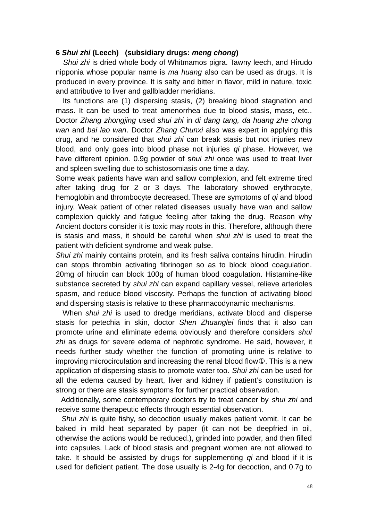## **6** *Shui zhi* **(Leech) (subsidiary drugs:** *meng chong***)**

*Shui zhi* is dried whole body of Whitmamos pigra. Tawny leech, and Hirudo nipponia whose popular name is *ma huang* also can be used as drugs. It is produced in every province. It is salty and bitter in flavor, mild in nature, toxic and attributive to liver and gallbladder meridians.

 Its functions are (1) dispersing stasis, (2) breaking blood stagnation and mass. It can be used to treat amenorrhea due to blood stasis, mass, etc.. Doctor *Zhang zhongjing* used *shui zhi* in *di dang tang, da huang zhe chong wan* and *bai lao wan*. Doctor *Zhang Chunxi* also was expert in applying this drug, and he considered that *shui zhi* can break stasis but not injuries new blood, and only goes into blood phase not injuries *qi* phase. However, we have different opinion. 0.9g powder of s*hui zhi* once was used to treat liver and spleen swelling due to schistosomiasis one time a day.

Some weak patients have wan and sallow complexion, and felt extreme tired after taking drug for 2 or 3 days. The laboratory showed erythrocyte, hemoglobin and thrombocyte decreased. These are symptoms of *qi* and blood injury. Weak patient of other related diseases usually have wan and sallow complexion quickly and fatigue feeling after taking the drug. Reason why Ancient doctors consider it is toxic may roots in this. Therefore, although there is stasis and mass, it should be careful when *shui zhi* is used to treat the patient with deficient syndrome and weak pulse.

*Shui zhi* mainly contains protein, and its fresh saliva contains hirudin. Hirudin can stops thrombin activating fibrinogen so as to block blood coagulation. 20mg of hirudin can block 100g of human blood coagulation. Histamine-like substance secreted by *shui zhi* can expand capillary vessel, relieve arterioles spasm, and reduce blood viscosity. Perhaps the function of activating blood and dispersing stasis is relative to these pharmacodynamic mechanisms.

 When *shui zhi* is used to dredge meridians, activate blood and disperse stasis for petechia in skin, doctor *Shen Zhuanglei* finds that it also can promote urine and eliminate edema obviously and therefore considers *shui zhi* as drugs for severe edema of nephrotic syndrome. He said, however, it needs further study whether the function of promoting urine is relative to improving microcirculation and increasing the renal blood flow①. This is a new application of dispersing stasis to promote water too. *Shui zhi* can be used for all the edema caused by heart, liver and kidney if patient's constitution is strong or there are stasis symptoms for further practical observation.

 Additionally, some contemporary doctors try to treat cancer by *shui zhi* and receive some therapeutic effects through essential observation.

 *Shui zhi* is quite fishy, so decoction usually makes patient vomit. It can be baked in mild heat separated by paper (it can not be deepfried in oil, otherwise the actions would be reduced.), grinded into powder, and then filled into capsules. Lack of blood stasis and pregnant women are not allowed to take. It should be assisted by drugs for supplementing *qi* and blood if it is used for deficient patient. The dose usually is 2-4g for decoction, and 0.7g to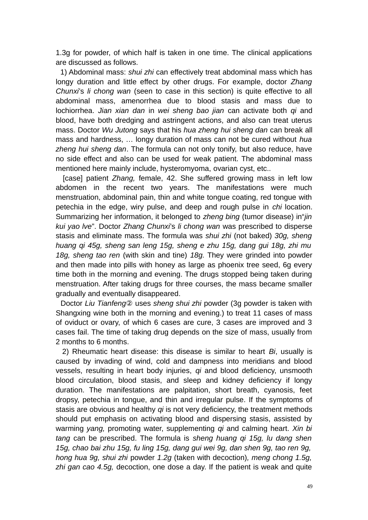1.3g for powder, of which half is taken in one time. The clinical applications are discussed as follows.

 1) Abdominal mass: *shui zhi* can effectively treat abdominal mass which has longy duration and little effect by other drugs. For example, doctor *Zhang Chunxi*'s *li chong wan* (seen to case in this section) is quite effective to all abdominal mass, amenorrhea due to blood stasis and mass due to lochiorrhea. *Jian xian dan* in *wei sheng bao jian* can activate both *qi* and blood, have both dredging and astringent actions, and also can treat uterus mass. Doctor *Wu Jutong* says that his *hua zheng hui sheng dan* can break all mass and hardness, … longy duration of mass can not be cured without *hua zheng hui sheng dan*. The formula can not only tonify, but also reduce, have no side effect and also can be used for weak patient. The abdominal mass mentioned here mainly include, hysteromyoma, ovarian cyst, etc..

 [case] patient *Zhang,* female, 42. She suffered growing mass in left low abdomen in the recent two years. The manifestations were much menstruation, abdominal pain, thin and white tongue coating, red tongue with petechia in the edge, wiry pulse, and deep and rough pulse in *chi* location. Summarizing her information, it belonged to *zheng bing* (tumor disease) in"*jin kui yao lve*". Doctor *Zhang Chunxi*'s *li chong wan* was prescribed to disperse stasis and eliminate mass. The formula was *shui zhi* (not baked) *30g, sheng huang qi 45g, sheng san leng 15g, sheng e zhu 15g, dang gui 18g, zhi mu 18g, sheng tao ren* (with skin and tine) *18g.* They were grinded into powder and then made into pills with honey as large as phoenix tree seed, 6g every time both in the morning and evening. The drugs stopped being taken during menstruation. After taking drugs for three courses, the mass became smaller gradually and eventually disappeared.

 Doctor *Liu Tianfeng*② uses *sheng shui zhi* powder (3g powder is taken with Shangxing wine both in the morning and evening.) to treat 11 cases of mass of oviduct or ovary, of which 6 cases are cure, 3 cases are improved and 3 cases fail. The time of taking drug depends on the size of mass, usually from 2 months to 6 months.

 2) Rheumatic heart disease: this disease is similar to heart *Bi*, usually is caused by invading of wind, cold and dampness into meridians and blood vessels, resulting in heart body injuries, *qi* and blood deficiency, unsmooth blood circulation, blood stasis, and sleep and kidney deficiency if longy duration. The manifestations are palpitation, short breath, cyanosis, feet dropsy, petechia in tongue, and thin and irregular pulse. If the symptoms of stasis are obvious and healthy *qi* is not very deficiency, the treatment methods should put emphasis on activating blood and dispersing stasis, assisted by warming *yang,* promoting water, supplementing *qi* and calming heart. *Xin bi tang* can be prescribed. The formula is *sheng huang qi 15g, lu dang shen 15g, chao bai zhu 15g, fu ling 15g, dang gui wei 9g, dan shen 9g, tao ren 9g, hong hua 9g, shui zhi* powder *1.2g* (taken with decoction)*, meng chong 1.5g, zhi gan cao 4.5g,* decoction, one dose a day. If the patient is weak and quite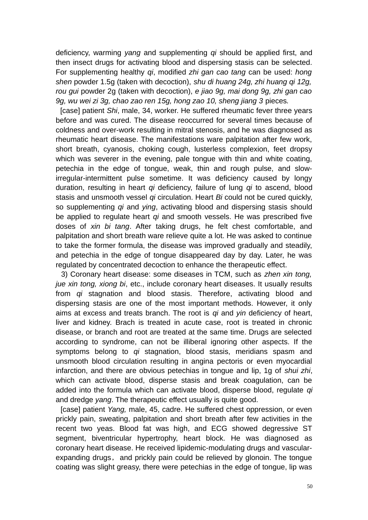deficiency, warming *yang* and supplementing *qi* should be applied first, and then insect drugs for activating blood and dispersing stasis can be selected. For supplementing healthy *qi*, modified *zhi gan cao tang* can be used: *hong shen* powder 1.5g (taken with decoction), *shu di huang 24g, zhi huang qi 12g, rou gui* powder 2g (taken with decoction), *e jiao 9g, mai dong 9g, zhi gan cao 9g, wu wei zi 3g, chao zao ren 15g, hong zao 10, sheng jiang 3* pieces*.* 

 [case] patient *Shi*, male, 34, worker. He suffered rheumatic fever three years before and was cured. The disease reoccurred for several times because of coldness and over-work resulting in mitral stenosis, and he was diagnosed as rheumatic heart disease. The manifestations ware palpitation after few work, short breath, cyanosis, choking cough, lusterless complexion, feet dropsy which was severer in the evening, pale tongue with thin and white coating, petechia in the edge of tongue, weak, thin and rough pulse, and slowirregular-intermittent pulse sometime. It was deficiency caused by longy duration, resulting in heart *qi* deficiency, failure of lung *qi* to ascend, blood stasis and unsmooth vessel *qi* circulation. Heart *Bi* could not be cured quickly, so supplementing *qi* and *ying*, activating blood and dispersing stasis should be applied to regulate heart *qi* and smooth vessels. He was prescribed five doses of *xin bi tang*. After taking drugs, he felt chest comfortable, and palpitation and short breath ware relieve quite a lot. He was asked to continue to take the former formula, the disease was improved gradually and steadily, and petechia in the edge of tongue disappeared day by day. Later, he was regulated by concentrated decoction to enhance the therapeutic effect.

 3) Coronary heart disease: some diseases in TCM, such as *zhen xin tong, jue xin tong, xiong bi*, etc., include coronary heart diseases. It usually results from *qi* stagnation and blood stasis. Therefore, activating blood and dispersing stasis are one of the most important methods. However, it only aims at excess and treats branch. The root is *qi* and *yin* deficiency of heart, liver and kidney. Brach is treated in acute case, root is treated in chronic disease, or branch and root are treated at the same time. Drugs are selected according to syndrome, can not be illiberal ignoring other aspects. If the symptoms belong to *qi* stagnation, blood stasis, meridians spasm and unsmooth blood circulation resulting in angina pectoris or even myocardial infarction, and there are obvious petechias in tongue and lip, 1g of *shui zhi*, which can activate blood, disperse stasis and break coagulation, can be added into the formula which can activate blood, disperse blood, regulate *qi* and dredge *yang*. The therapeutic effect usually is quite good.

 [case] patient *Yang,* male, 45, cadre. He suffered chest oppression, or even prickly pain, sweating, palpitation and short breath after few activities in the recent two yeas. Blood fat was high, and ECG showed degressive ST segment, biventricular hypertrophy, heart block. He was diagnosed as coronary heart disease. He received lipidemic-modulating drugs and vascularexpanding drugs, and prickly pain could be relieved by glonoin. The tongue coating was slight greasy, there were petechias in the edge of tongue, lip was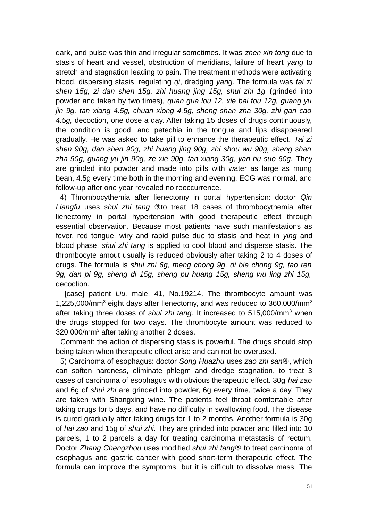dark, and pulse was thin and irregular sometimes. It was *zhen xin tong* due to stasis of heart and vessel, obstruction of meridians, failure of heart *yang* to stretch and stagnation leading to pain. The treatment methods were activating blood, dispersing stasis, regulating *qi*, dredging *yang*. The formula was *tai zi shen 15g, zi dan shen 15g, zhi huang jing 15g, shui zhi 1g* (grinded into powder and taken by two times)*, quan gua lou 12, xie bai tou 12g, guang yu jin 9g, tan xiang 4.5g, chuan xiong 4.5g, sheng shan zha 30g, zhi gan cao 4.5g,* decoction, one dose a day. After taking 15 doses of drugs continuously, the condition is good, and petechia in the tongue and lips disappeared gradually. He was asked to take pill to enhance the therapeutic effect. *Tai zi shen 90g, dan shen 90g, zhi huang jing 90g, zhi shou wu 90g, sheng shan zha 90g, guang yu jin 90g, ze xie 90g, tan xiang 30g, yan hu suo 60g.* They are grinded into powder and made into pills with water as large as mung bean, 4.5g every time both in the morning and evening. ECG was normal, and follow-up after one year revealed no reoccurrence.

4) Thrombocythemia after lienectomy in portal hypertension: doctor *Qin Liangfu* uses *shui zhi tang* ③to treat 18 cases of thrombocythemia after lienectomy in portal hypertension with good therapeutic effect through essential observation. Because most patients have such manifestations as fever, red tongue, wiry and rapid pulse due to stasis and heat in *ying* and blood phase, *shui zhi tang* is applied to cool blood and disperse stasis. The thrombocyte amout usually is reduced obviously after taking 2 to 4 doses of drugs. The formula is *shui zhi 6g, meng chong 9g, di bie chong 9g, tao ren 9g, dan pi 9g, sheng di 15g, sheng pu huang 15g, sheng wu ling zhi 15g,* decoction.

 [case] patient *Liu,* male, 41, No.19214. The thrombocyte amount was  $1,225,000/\mathrm{mm}^3$  eight days after lienectomy, and was reduced to 360,000/mm<sup>3</sup> after taking three doses of *shui zhi tang*. It increased to 515,000/mm<sup>3</sup> when the drugs stopped for two days. The thrombocyte amount was reduced to 320,000/mm<sup>3</sup> after taking another 2 doses.

 Comment: the action of dispersing stasis is powerful. The drugs should stop being taken when therapeutic effect arise and can not be overused.

 5) Carcinoma of esophagus: doctor *Song Huazhu* uses *zao zhi san*④, which can soften hardness, eliminate phlegm and dredge stagnation, to treat 3 cases of carcinoma of esophagus with obvious therapeutic effect. 30g *hai zao* and 6g of *shui zhi* are grinded into powder, 6g every time, twice a day. They are taken with Shangxing wine. The patients feel throat comfortable after taking drugs for 5 days, and have no difficulty in swallowing food. The disease is cured gradually after taking drugs for 1 to 2 months. Another formula is 30g of *hai zao* and 15g of *shui zhi*. They are grinded into powder and filled into 10 parcels, 1 to 2 parcels a day for treating carcinoma metastasis of rectum. Doctor *Zhang Chengzhou* uses modified *shui zhi tang*⑤ to treat carcinoma of esophagus and gastric cancer with good short-term therapeutic effect. The formula can improve the symptoms, but it is difficult to dissolve mass. The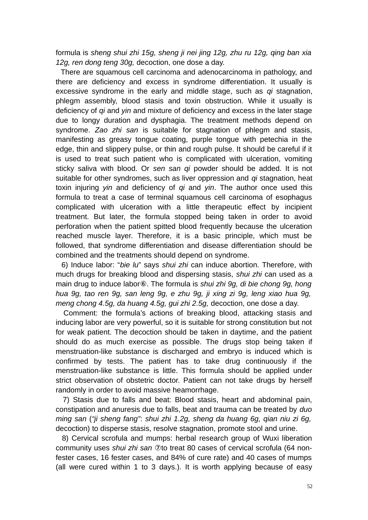formula is *sheng shui zhi 15g, sheng ji nei jing 12g, zhu ru 12g, qing ban xia 12g, ren dong teng 30g,* decoction, one dose a day.

 There are squamous cell carcinoma and adenocarcinoma in pathology, and there are deficiency and excess in syndrome differentiation. It usually is excessive syndrome in the early and middle stage, such as *qi* stagnation, phlegm assembly, blood stasis and toxin obstruction. While it usually is deficiency of *qi* and *yin* and mixture of deficiency and excess in the later stage due to longy duration and dysphagia. The treatment methods depend on syndrome. *Zao zhi san* is suitable for stagnation of phlegm and stasis, manifesting as greasy tongue coating, purple tongue with petechia in the edge, thin and slippery pulse, or thin and rough pulse. It should be careful if it is used to treat such patient who is complicated with ulceration, vomiting sticky saliva with blood. Or *sen san qi* powder should be added. It is not suitable for other syndromes, such as liver oppression and *qi* stagnation, heat toxin injuring *yin* and deficiency of *qi* and *yin*. The author once used this formula to treat a case of terminal squamous cell carcinoma of esophagus complicated with ulceration with a little therapeutic effect by incipient treatment. But later, the formula stopped being taken in order to avoid perforation when the patient spitted blood frequently because the ulceration reached muscle layer. Therefore, it is a basic principle, which must be followed, that syndrome differentiation and disease differentiation should be combined and the treatments should depend on syndrome.

 6) Induce labor: "*bie lu*" says *shui zhi* can induce abortion. Therefore, with much drugs for breaking blood and dispersing stasis, *shui zhi* can used as a main drug to induce labor⑥. The formula is *shui zhi 9g, di bie chong 9g, hong hua 9g, tao ren 9g, san leng 9g, e zhu 9g, ji xing zi 9g, leng xiao hua 9g, meng chong 4.5g, da huang 4.5g, gui zhi 2.5g,* decoction, one dose a day.

 Comment: the formula's actions of breaking blood, attacking stasis and inducing labor are very powerful, so it is suitable for strong constitution but not for weak patient. The decoction should be taken in daytime, and the patient should do as much exercise as possible. The drugs stop being taken if menstruation-like substance is discharged and embryo is induced which is confirmed by tests. The patient has to take drug continuously if the menstruation-like substance is little. This formula should be applied under strict observation of obstetric doctor. Patient can not take drugs by herself randomly in order to avoid massive heamorrhage.

 7) Stasis due to falls and beat: Blood stasis, heart and abdominal pain, constipation and anuresis due to falls, beat and trauma can be treated by *duo ming san* (*"ji sheng fang"*: *shui zhi 1.2g, sheng da huang 6g, qian niu zi 6g,* decoction) to disperse stasis, resolve stagnation, promote stool and urine.

 8) Cervical scrofula and mumps: herbal research group of Wuxi liberation community uses *shui zhi san* ⑦to treat 80 cases of cervical scrofula (64 nonfester cases, 16 fester cases, and 84% of cure rate) and 40 cases of mumps (all were cured within 1 to 3 days.). It is worth applying because of easy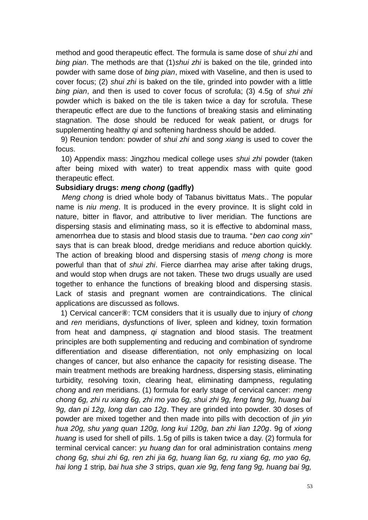method and good therapeutic effect. The formula is same dose of *shui zhi* and *bing pian*. The methods are that (1)*shui zhi* is baked on the tile, grinded into powder with same dose of *bing pian*, mixed with Vaseline, and then is used to cover focus; (2) *shui zhi* is baked on the tile, grinded into powder with a little *bing pian*, and then is used to cover focus of scrofula; (3) 4.5g of *shui zhi* powder which is baked on the tile is taken twice a day for scrofula. These therapeutic effect are due to the functions of breaking stasis and eliminating stagnation. The dose should be reduced for weak patient, or drugs for supplementing healthy *qi* and softening hardness should be added.

 9) Reunion tendon: powder of *shui zhi* and *song xiang* is used to cover the focus.

 10) Appendix mass: Jingzhou medical college uses *shui zhi* powder (taken after being mixed with water) to treat appendix mass with quite good therapeutic effect.

## **Subsidiary drugs:** *meng chong* **(gadfly)**

 *Meng chong* is dried whole body of Tabanus bivittatus Mats.. The popular name is *niu meng*. It is produced in the every province. It is slight cold in nature, bitter in flavor, and attributive to liver meridian. The functions are dispersing stasis and eliminating mass, so it is effective to abdominal mass, amenorrhea due to stasis and blood stasis due to trauma. "*ben cao cong xin*" says that is can break blood, dredge meridians and reduce abortion quickly. The action of breaking blood and dispersing stasis of *meng chong* is more powerful than that of *shui zhi*. Fierce diarrhea may arise after taking drugs, and would stop when drugs are not taken. These two drugs usually are used together to enhance the functions of breaking blood and dispersing stasis. Lack of stasis and pregnant women are contraindications. The clinical applications are discussed as follows.

 1) Cervical cancer⑧: TCM considers that it is usually due to injury of *chong* and *ren* meridians, dysfunctions of liver, spleen and kidney, toxin formation from heat and dampness, *qi* stagnation and blood stasis. The treatment principles are both supplementing and reducing and combination of syndrome differentiation and disease differentiation, not only emphasizing on local changes of cancer, but also enhance the capacity for resisting disease. The main treatment methods are breaking hardness, dispersing stasis, eliminating turbidity, resolving toxin, clearing heat, eliminating dampness, regulating *chong* and *ren* meridians. (1) formula for early stage of cervical cancer: *meng chong 6g, zhi ru xiang 6g, zhi mo yao 6g, shui zhi 9g, feng fang 9g, huang bai 9g, dan pi 12g, long dan cao 12g*. They are grinded into powder. 30 doses of powder are mixed together and then made into pills with decoction of *jin yin hua 20g, shu yang quan 120g, long kui 120g, ban zhi lian 120g*. 9g of *xiong huang* is used for shell of pills. 1.5g of pills is taken twice a day. (2) formula for terminal cervical cancer: *yu huang dan* for oral administration contains *meng chong 6g, shui zhi 6g, ren zhi jia 6g, huang lian 6g, ru xiang 6g, mo yao 6g, hai long 1* strip*, bai hua she 3* strips, *quan xie 9g, feng fang 9g, huang bai 9g,*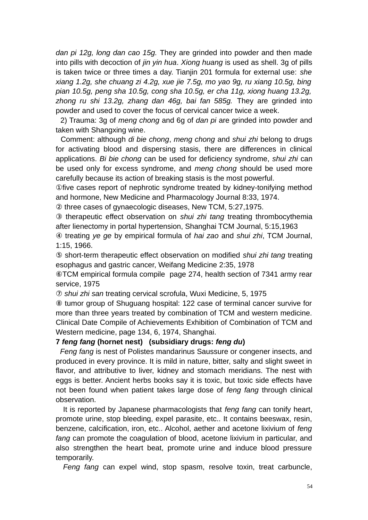*dan pi 12g, long dan cao 15g.* They are grinded into powder and then made into pills with decoction of *jin yin hua*. *Xiong huang* is used as shell. 3g of pills is taken twice or three times a day. Tianjin 201 formula for external use: *she xiang 1.2g, she chuang zi 4.2g, xue jie 7.5g, mo yao 9g, ru xiang 10.5g, bing pian 10.5g, peng sha 10.5g, cong sha 10.5g, er cha 11g, xiong huang 13.2g, zhong ru shi 13.2g, zhang dan 46g, bai fan 585g.* They are grinded into powder and used to cover the focus of cervical cancer twice a week.

 2) Trauma: 3g of *meng chong* and 6g of *dan pi* are grinded into powder and taken with Shangxing wine.

 Comment: although *di bie chong*, *meng chong* and *shui zhi* belong to drugs for activating blood and dispersing stasis, there are differences in clinical applications. *Bi bie chong* can be used for deficiency syndrome, *shui zhi* can be used only for excess syndrome, and *meng chong* should be used more carefully because its action of breaking stasis is the most powerful.

①five cases report of nephrotic syndrome treated by kidney-tonifying method and hormone, New Medicine and Pharmacology Journal 8:33, 1974.

② three cases of gynaecologic diseases, New TCM, 5:27,1975.

③ therapeutic effect observation on *shui zhi tang* treating thrombocythemia after lienectomy in portal hypertension, Shanghai TCM Journal, 5:15,1963

④ treating *ye ge* by empirical formula of *hai zao* and *shui zhi*, TCM Journal, 1:15, 1966.

⑤ short-term therapeutic effect observation on modified *shui zhi tang* treating esophagus and gastric cancer, Weifang Medicine 2:35, 1978

⑥TCM empirical formula compile page 274, health section of 7341 army rear service, 1975

⑦ *shui zhi san* treating cervical scrofula, Wuxi Medicine, 5, 1975

⑧ tumor group of Shuguang hospital: 122 case of terminal cancer survive for more than three years treated by combination of TCM and western medicine. Clinical Date Compile of Achievements Exhibition of Combination of TCM and Western medicine, page 134, 6, 1974, Shanghai.

# **7** *feng fang* **(hornet nest) (subsidiary drugs:** *feng du***)**

 *Feng fang* is nest of Polistes mandarinus Saussure or congener insects, and produced in every province. It is mild in nature, bitter, salty and slight sweet in flavor, and attributive to liver, kidney and stomach meridians. The nest with eggs is better. Ancient herbs books say it is toxic, but toxic side effects have not been found when patient takes large dose of *feng fang* through clinical observation.

It is reported by Japanese pharmacologists that *feng fang* can tonify heart, promote urine, stop bleeding, expel parasite, etc.. It contains beeswax, resin, benzene, calcification, iron, etc.. Alcohol, aether and acetone lixivium of *feng fang* can promote the coagulation of blood, acetone lixivium in particular, and also strengthen the heart beat, promote urine and induce blood pressure temporarily.

*Feng fang* can expel wind, stop spasm, resolve toxin, treat carbuncle,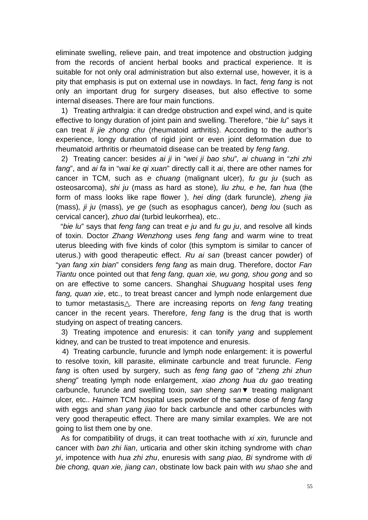eliminate swelling, relieve pain, and treat impotence and obstruction judging from the records of ancient herbal books and practical experience. It is suitable for not only oral administration but also external use, however, it is a pity that emphasis is put on external use in nowdays. In fact, *feng fang* is not only an important drug for surgery diseases, but also effective to some internal diseases. There are four main functions.

1) Treating arthralgia: it can dredge obstruction and expel wind, and is quite effective to longy duration of joint pain and swelling. Therefore, "*bie lu*" says it can treat *li jie zhong chu* (rheumatoid arthritis). According to the author's experience, longy duration of rigid joint or even joint deformation due to rheumatoid arthritis or rheumatoid disease can be treated by *feng fang*.

2) Treating cancer: besides *ai ji* in "*wei ji bao shu*"*, ai chuang* in "*zhi zhi fang*", and *ai fa* in "*wai ke qi xuan*" directly call it *ai*, there are other names for cancer in TCM, such as *e chuang* (malignant ulcer), *fu gu ju* (such as osteosarcoma), *shi ju* (mass as hard as stone)*, liu zhu, e he, fan hua* (the form of mass looks like rape flower )*, hei ding* (dark furuncle)*, zheng jia* (mass)*, ji ju* (mass)*, ye ge* (such as esophagus cancer)*, beng lou* (such as cervical cancer)*, zhuo dai* (turbid leukorrhea), etc..

 "*bie lu*" says that *feng fang* can treat *e ju* and *fu gu ju*, and resolve all kinds of toxin. Doctor *Zhang Wenzhong* uses *feng fang* and warm wine to treat uterus bleeding with five kinds of color (this symptom is similar to cancer of uterus.) with good therapeutic effect. *Ru ai san* (breast cancer powder) of "*yan fang xin bian*" considers *feng fang* as main drug. Therefore, doctor *Fan Tiantu* once pointed out that *feng fang, quan xie, wu gong, shou gong* and so on are effective to some cancers. Shanghai *Shuguang* hospital uses *feng fang, quan xie*, etc., to treat breast cancer and lymph node enlargement due to tumor metastasis . There are increasing reports on *feng fang* treating cancer in the recent years. Therefore, *feng fang* is the drug that is worth studying on aspect of treating cancers.

3) Treating impotence and enuresis: it can tonify *yang* and supplement kidney, and can be trusted to treat impotence and enuresis.

4) Treating carbuncle, furuncle and lymph node enlargement: it is powerful to resolve toxin, kill parasite, eliminate carbuncle and treat furuncle. *Feng fang* is often used by surgery*,* such as *feng fang gao* of "*zheng zhi zhun sheng*" treating lymph node enlargement, *xiao zhong hua du gao* treating carbuncle, furuncle and swelling toxin, *san sheng san*▼ treating malignant ulcer, etc.. *Haimen* TCM hospital uses powder of the same dose of *feng fang* with eggs and *shan yang jiao* for back carbuncle and other carbuncles with very good therapeutic effect. There are many similar examples. We are not going to list them one by one.

 As for compatibility of drugs, it can treat toothache with *xi xin,* furuncle and cancer with *ban zhi lian*, urticaria and other skin itching syndrome with *chan yi*, impotence with *hua zhi zhu*, enuresis with *sang piao, Bi* syndrome with *di bie chong, quan xie, jiang can*, obstinate low back pain with *wu shao she* and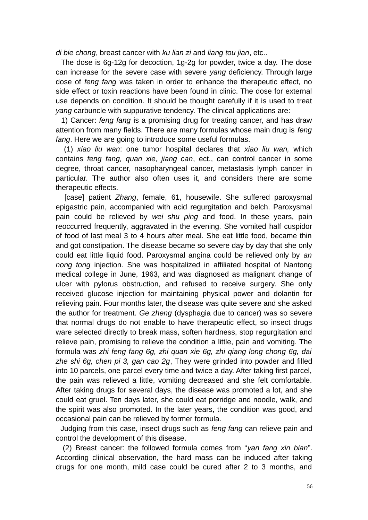*di bie chong*, breast cancer with *ku lian zi* and *liang tou jian*, etc..

 The dose is 6g-12g for decoction, 1g-2g for powder, twice a day. The dose can increase for the severe case with severe *yang* deficiency. Through large dose of *feng fang* was taken in order to enhance the therapeutic effect, no side effect or toxin reactions have been found in clinic. The dose for external use depends on condition. It should be thought carefully if it is used to treat *yang* carbuncle with suppurative tendency. The clinical applications are:

 1) Cancer: *feng fang* is a promising drug for treating cancer, and has draw attention from many fields. There are many formulas whose main drug is *feng fang*. Here we are going to introduce some useful formulas.

 (1) *xiao liu wan*: one tumor hospital declares that *xiao liu wan,* which contains *feng fang, quan xie, jiang can*, ect., can control cancer in some degree, throat cancer, nasopharyngeal cancer, metastasis lymph cancer in particular. The author also often uses it, and considers there are some therapeutic effects.

 [case] patient *Zhang*, female, 61, housewife. She suffered paroxysmal epigastric pain, accompanied with acid regurgitation and belch. Paroxysmal pain could be relieved by *wei shu ping* and food. In these years, pain reoccurred frequently, aggravated in the evening. She vomited half cuspidor of food of last meal 3 to 4 hours after meal. She eat little food, became thin and got constipation. The disease became so severe day by day that she only could eat little liquid food. Paroxysmal angina could be relieved only by *an nong tong* injection. She was hospitalized in affiliated hospital of Nantong medical college in June, 1963, and was diagnosed as malignant change of ulcer with pylorus obstruction, and refused to receive surgery. She only received glucose injection for maintaining physical power and dolantin for relieving pain. Four months later, the disease was quite severe and she asked the author for treatment. *Ge zheng* (dysphagia due to cancer) was so severe that normal drugs do not enable to have therapeutic effect, so insect drugs ware selected directly to break mass, soften hardness, stop regurgitation and relieve pain, promising to relieve the condition a little, pain and vomiting. The formula was *zhi feng fang 6g, zhi quan xie 6g, zhi qiang long chong 6g, dai zhe shi 6g, chen pi 3, gan cao 2g*, They were grinded into powder and filled into 10 parcels, one parcel every time and twice a day. After taking first parcel, the pain was relieved a little, vomiting decreased and she felt comfortable. After taking drugs for several days, the disease was promoted a lot, and she could eat gruel. Ten days later, she could eat porridge and noodle, walk, and the spirit was also promoted. In the later years, the condition was good, and occasional pain can be relieved by former formula.

 Judging from this case, insect drugs such as *feng fang* can relieve pain and control the development of this disease.

 (2) Breast cancer: the followed formula comes from "*yan fang xin bian*". According clinical observation, the hard mass can be induced after taking drugs for one month, mild case could be cured after 2 to 3 months, and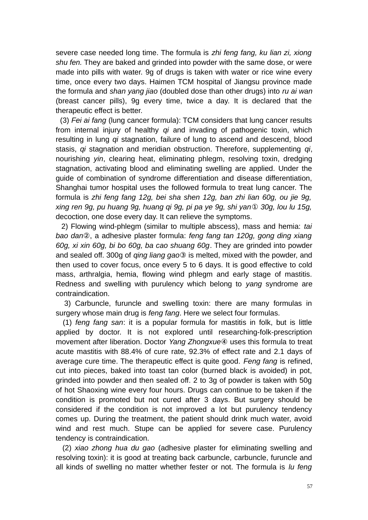severe case needed long time. The formula is *zhi feng fang, ku lian zi, xiong shu fen.* They are baked and grinded into powder with the same dose, or were made into pills with water. 9g of drugs is taken with water or rice wine every time, once every two days. Haimen TCM hospital of Jiangsu province made the formula and *shan yang jiao* (doubled dose than other drugs) into *ru ai wan* (breast cancer pills), 9g every time, twice a day. It is declared that the therapeutic effect is better.

 (3) *Fei ai fang* (lung cancer formula): TCM considers that lung cancer results from internal injury of healthy *qi* and invading of pathogenic toxin, which resulting in lung *qi* stagnation, failure of lung to ascend and descend, blood stasis, *qi* stagnation and meridian obstruction. Therefore, supplementing *qi*, nourishing *yin*, clearing heat, eliminating phlegm, resolving toxin, dredging stagnation, activating blood and eliminating swelling are applied. Under the guide of combination of syndrome differentiation and disease differentiation, Shanghai tumor hospital uses the followed formula to treat lung cancer. The formula is *zhi feng fang 12g, bei sha shen 12g, ban zhi lian 60g, ou jie 9g, xing ren 9g, pu huang 9g, huang qi 9g, pi pa ye 9g, shi yan*① *30g, lou lu 15g,* decoction, one dose every day. It can relieve the symptoms.

 2) Flowing wind-phlegm (similar to multiple abscess), mass and hemia: *tai bao dan*②, a adhesive plaster formula: *feng fang tan 120g, gong ding xiang 60g, xi xin 60g, bi bo 60g, ba cao shuang 60g*. They are grinded into powder and sealed off. 300g of *qing liang gao*③ is melted, mixed with the powder, and then used to cover focus, once every 5 to 6 days. It is good effective to cold mass, arthralgia, hemia, flowing wind phlegm and early stage of mastitis. Redness and swelling with purulency which belong to *yang* syndrome are contraindication.

 3) Carbuncle, furuncle and swelling toxin: there are many formulas in surgery whose main drug is *feng fang*. Here we select four formulas.

 (1) *feng fang san*: it is a popular formula for mastitis in folk, but is little applied by doctor. It is not explored until researching-folk-prescription movement after liberation. Doctor *Yang Zhongxue*④ uses this formula to treat acute mastitis with 88.4% of cure rate, 92.3% of effect rate and 2.1 days of average cure time. The therapeutic effect is quite good. *Feng fang* is refined, cut into pieces, baked into toast tan color (burned black is avoided) in pot, grinded into powder and then sealed off. 2 to 3g of powder is taken with 50g of hot Shaoxing wine every four hours. Drugs can continue to be taken if the condition is promoted but not cured after 3 days. But surgery should be considered if the condition is not improved a lot but purulency tendency comes up. During the treatment, the patient should drink much water, avoid wind and rest much. Stupe can be applied for severe case. Purulency tendency is contraindication.

 (2) *xiao zhong hua du gao* (adhesive plaster for eliminating swelling and resolving toxin): it is good at treating back carbuncle, carbuncle, furuncle and all kinds of swelling no matter whether fester or not. The formula is *lu feng*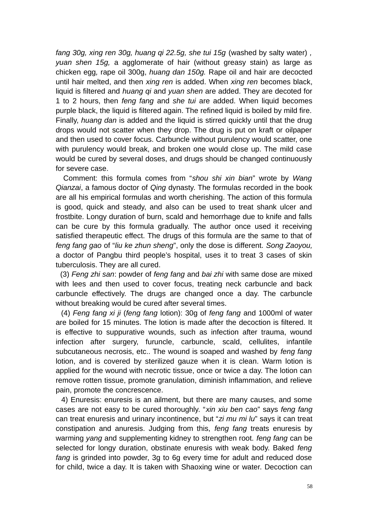*fang 30g, xing ren 30g, huang qi 22.5g, she tui 15g* (washed by salty water) *, yuan shen 15g,* a agglomerate of hair (without greasy stain) as large as chicken egg*,* rape oil 300g, *huang dan 150g.* Rape oil and hair are decocted until hair melted, and then *xing ren* is added. When *xing ren* becomes black, liquid is filtered and *huang qi* and *yuan shen* are added. They are decoted for 1 to 2 hours, then *feng fang* and *she tui* are added. When liquid becomes purple black, the liquid is filtered again. The refined liquid is boiled by mild fire. Finally, *huang dan* is added and the liquid is stirred quickly until that the drug drops would not scatter when they drop. The drug is put on kraft or oilpaper and then used to cover focus. Carbuncle without purulency would scatter, one with purulency would break, and broken one would close up. The mild case would be cured by several doses, and drugs should be changed continuously for severe case.

 Comment: this formula comes from "*shou shi xin bian*" wrote by *Wang Qianzai*, a famous doctor of *Qing* dynasty. The formulas recorded in the book are all his empirical formulas and worth cherishing. The action of this formula is good, quick and steady, and also can be used to treat shank ulcer and frostbite. Longy duration of burn, scald and hemorrhage due to knife and falls can be cure by this formula gradually. The author once used it receiving satisfied therapeutic effect. The drugs of this formula are the same to that of *feng fang gao* of "*liu ke zhun sheng*", only the dose is different. *Song Zaoyou,* a doctor of Pangbu third people's hospital, uses it to treat 3 cases of skin tuberculosis. They are all cured.

 (3) *Feng zhi san*: powder of *feng fang* and *bai zhi* with same dose are mixed with lees and then used to cover focus, treating neck carbuncle and back carbuncle effectively. The drugs are changed once a day. The carbuncle without breaking would be cured after several times.

 (4) *Feng fang xi ji* (*feng fang* lotion): 30g of *feng fang* and 1000ml of water are boiled for 15 minutes. The lotion is made after the decoction is filtered. It is effective to suppurative wounds, such as infection after trauma, wound infection after surgery, furuncle, carbuncle, scald, cellulites, infantile subcutaneous necrosis, etc.. The wound is soaped and washed by *feng fang* lotion, and is covered by sterilized gauze when it is clean. Warm lotion is applied for the wound with necrotic tissue, once or twice a day. The lotion can remove rotten tissue, promote granulation, diminish inflammation, and relieve pain, promote the concrescence.

 4) Enuresis: enuresis is an ailment, but there are many causes, and some cases are not easy to be cured thoroughly. "*xin xiu ben cao*" says *feng fang* can treat enuresis and urinary incontinence, but "*zi mu mi lu*" says it can treat constipation and anuresis. Judging from this, *feng fang* treats enuresis by warming *yang* and supplementing kidney to strengthen root. *feng fang* can be selected for longy duration, obstinate enuresis with weak body. Baked *feng fang* is grinded into powder, 3g to 6g every time for adult and reduced dose for child, twice a day. It is taken with Shaoxing wine or water. Decoction can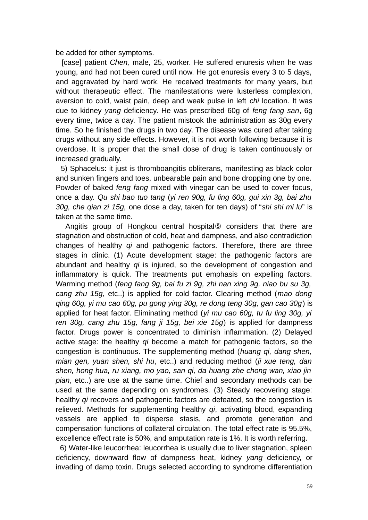be added for other symptoms.

 [case] patient *Chen,* male, 25, worker. He suffered enuresis when he was young, and had not been cured until now. He got enuresis every 3 to 5 days, and aggravated by hard work. He received treatments for many years, but without therapeutic effect. The manifestations were lusterless complexion, aversion to cold, waist pain, deep and weak pulse in left *chi* location. It was due to kidney *yang* deficiency. He was prescribed 60g of *feng fang san*, 6g every time, twice a day. The patient mistook the administration as 30g every time. So he finished the drugs in two day. The disease was cured after taking drugs without any side effects. However, it is not worth following because it is overdose. It is proper that the small dose of drug is taken continuously or increased gradually.

 5) Sphacelus: it just is thromboangitis obliterans, manifesting as black color and sunken fingers and toes, unbearable pain and bone dropping one by one. Powder of baked *feng fang* mixed with vinegar can be used to cover focus, once a day. *Qu shi bao tuo tang* (*yi ren 90g, fu ling 60g, gui xin 3g, bai zhu 30g, che qian zi 15g,* one dose a day, taken for ten days) of "*shi shi mi lu*" is taken at the same time.

Angitis group of Hongkou central hospital<sup>®</sup> considers that there are stagnation and obstruction of cold, heat and dampness, and also contradiction changes of healthy *qi* and pathogenic factors. Therefore, there are three stages in clinic. (1) Acute development stage: the pathogenic factors are abundant and healthy *qi* is injured, so the development of congestion and inflammatory is quick. The treatments put emphasis on expelling factors. Warming method (*feng fang 9g, bai fu zi 9g, zhi nan xing 9g, niao bu su 3g, cang zhu 15g,* etc..) is applied for cold factor. Clearing method (*mao dong qing 60g, yi mu cao 60g, pu gong ying 30g, re dong teng 30g, gan cao 30g*) is applied for heat factor. Eliminating method (*yi mu cao 60g, tu fu ling 30g, yi ren 30g, cang zhu 15g, fang ji 15g, bei xie 15g*) is applied for dampness factor. Drugs power is concentrated to diminish inflammation. (2) Delayed active stage: the healthy *qi* become a match for pathogenic factors, so the congestion is continuous. The supplementing method (*huang qi, dang shen, mian gen, yuan shen, shi hu*, etc..) and reducing method (*ji xue teng, dan shen, hong hua, ru xiang, mo yao, san qi, da huang zhe chong wan, xiao jin pian*, etc..) are use at the same time. Chief and secondary methods can be used at the same depending on syndromes. (3) Steady recovering stage: healthy *qi* recovers and pathogenic factors are defeated, so the congestion is relieved. Methods for supplementing healthy *qi*, activating blood, expanding vessels are applied to disperse stasis, and promote generation and compensation functions of collateral circulation. The total effect rate is 95.5%, excellence effect rate is 50%, and amputation rate is 1%. It is worth referring.

 6) Water-like leucorrhea: leucorrhea is usually due to liver stagnation, spleen deficiency, downward flow of dampness heat, kidney *yang* deficiency, or invading of damp toxin. Drugs selected according to syndrome differentiation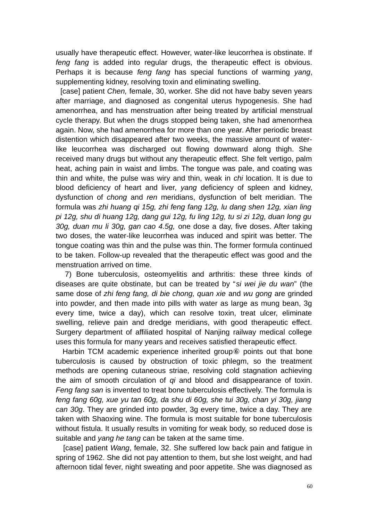usually have therapeutic effect. However, water-like leucorrhea is obstinate. If *feng fang* is added into regular drugs, the therapeutic effect is obvious. Perhaps it is because *feng fang* has special functions of warming *yang*, supplementing kidney, resolving toxin and eliminating swelling.

 [case] patient *Chen,* female, 30, worker. She did not have baby seven years after marriage, and diagnosed as congenital uterus hypogenesis. She had amenorrhea, and has menstruation after being treated by artificial menstrual cycle therapy. But when the drugs stopped being taken, she had amenorrhea again. Now, she had amenorrhea for more than one year. After periodic breast distention which disappeared after two weeks, the massive amount of waterlike leucorrhea was discharged out flowing downward along thigh. She received many drugs but without any therapeutic effect. She felt vertigo, palm heat, aching pain in waist and limbs. The tongue was pale, and coating was thin and white, the pulse was wiry and thin, weak in *chi* location. It is due to blood deficiency of heart and liver, *yang* deficiency of spleen and kidney, dysfunction of *chong* and *ren* meridians, dysfunction of belt meridian. The formula was *zhi huang qi 15g, zhi feng fang 12g, lu dang shen 12g, xian ling pi 12g, shu di huang 12g, dang gui 12g, fu ling 12g, tu si zi 12g, duan long gu 30g, duan mu li 30g, gan cao 4.5g,* one dose a day, five doses. After taking two doses, the water-like leucorrhea was induced and spirit was better. The tongue coating was thin and the pulse was thin. The former formula continued to be taken. Follow-up revealed that the therapeutic effect was good and the menstruation arrived on time.

 7) Bone tuberculosis, osteomyelitis and arthritis: these three kinds of diseases are quite obstinate, but can be treated by "*si wei jie du wan*" (the same dose of *zhi feng fang, di bie chong, quan xie* and *wu gong* are grinded into powder, and then made into pills with water as large as mung bean, 3g every time, twice a day), which can resolve toxin, treat ulcer, eliminate swelling, relieve pain and dredge meridians, with good therapeutic effect. Surgery department of affiliated hospital of Nanjing railway medical college uses this formula for many years and receives satisfied therapeutic effect.

 Harbin TCM academic experience inherited group⑥ points out that bone tuberculosis is caused by obstruction of toxic phlegm, so the treatment methods are opening cutaneous striae, resolving cold stagnation achieving the aim of smooth circulation of *qi* and blood and disappearance of toxin. *Feng fang san* is invented to treat bone tuberculosis effectively. The formula is *feng fang 60g, xue yu tan 60g, da shu di 60g, she tui 30g, chan yi 30g, jiang can 30g*. They are grinded into powder, 3g every time, twice a day. They are taken with Shaoxing wine. The formula is most suitable for bone tuberculosis without fistula. It usually results in vomiting for weak body, so reduced dose is suitable and *yang he tang* can be taken at the same time.

 [case] patient *Wang*, female, 32. She suffered low back pain and fatigue in spring of 1962. She did not pay attention to them, but she lost weight, and had afternoon tidal fever, night sweating and poor appetite. She was diagnosed as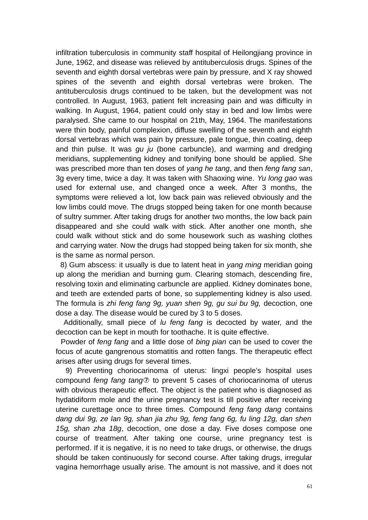infiltration tuberculosis in community staff hospital of Heilongjiang province in June, 1962, and disease was relieved by antituberculosis drugs. Spines of the seventh and eighth dorsal vertebras were pain by pressure, and X ray showed spines of the seventh and eighth dorsal vertebras were broken. The antituberculosis drugs continued to be taken, but the development was not controlled. In August, 1963, patient felt increasing pain and was difficulty in walking. In August, 1964, patient could only stay in bed and low limbs were paralysed. She came to our hospital on 21th, May, 1964. The manifestations were thin body, painful complexion, diffuse swelling of the seventh and eighth dorsal vertebras which was pain by pressure, pale tongue, thin coating, deep and thin pulse. It was *gu ju* (bone carbuncle), and warming and dredging meridians, supplementing kidney and tonifying bone should be applied. She was prescribed more than ten doses of *yang he tang*, and then *feng fang san*, 3g every time, twice a day. It was taken with Shaoxing wine. *Yu long gao* was used for external use, and changed once a week. After 3 months, the symptoms were relieved a lot, low back pain was relieved obviously and the low limbs could move. The drugs stopped being taken for one month because of sultry summer. After taking drugs for another two months, the low back pain disappeared and she could walk with stick. After another one month, she could walk without stick and do some housework such as washing clothes and carrying water. Now the drugs had stopped being taken for six month, she is the same as normal person.

 8) Gum abscess: it usually is due to latent heat in *yang ming* meridian going up along the meridian and burning gum. Clearing stomach, descending fire, resolving toxin and eliminating carbuncle are applied. Kidney dominates bone, and teeth are extended parts of bone, so supplementing kidney is also used. The formula is *zhi feng fang 9g, yuan shen 9g, gu sui bu 9g,* decoction, one dose a day. The disease would be cured by 3 to 5 doses.

 Additionally, small piece of *lu feng fang* is decocted by water, and the decoction can be kept in mouth for toothache. It is quite effective.

 Powder of *feng fang* and a little dose of *bing pian* can be used to cover the focus of acute gangrenous stomatitis and rotten fangs. The therapeutic effect arises after using drugs for several times.

 9) Preventing choriocarinoma of uterus: lingxi people's hospital uses compound *feng fang tang*⑦ to prevent 5 cases of choriocarinoma of uterus with obvious therapeutic effect. The object is the patient who is diagnosed as hydatidiform mole and the urine pregnancy test is till positive after receiving uterine curettage once to three times. Compound *feng fang dang* contains *dang dui 9g, ze lan 9g, shan jia zhu 9g, feng fang 6g, fu ling 12g, dan shen 15g, shan zha 18g*, decoction, one dose a day. Five doses compose one course of treatment. After taking one course, urine pregnancy test is performed. If it is negative, it is no need to take drugs, or otherwise, the drugs should be taken continuously for second course. After taking drugs, irregular vagina hemorrhage usually arise. The amount is not massive, and it does not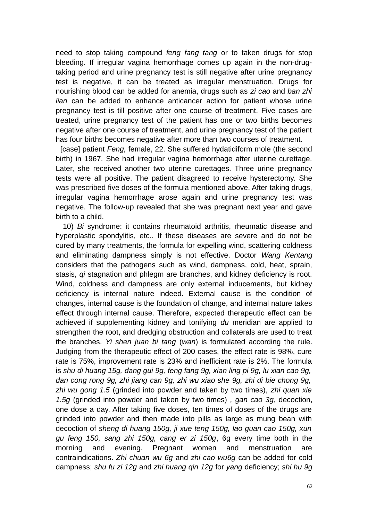need to stop taking compound *feng fang tang* or to taken drugs for stop bleeding. If irregular vagina hemorrhage comes up again in the non-drugtaking period and urine pregnancy test is still negative after urine pregnancy test is negative, it can be treated as irregular menstruation. Drugs for nourishing blood can be added for anemia, drugs such as *zi cao* and *ban zhi lian* can be added to enhance anticancer action for patient whose urine pregnancy test is till positive after one course of treatment. Five cases are treated, urine pregnancy test of the patient has one or two births becomes negative after one course of treatment, and urine pregnancy test of the patient has four births becomes negative after more than two courses of treatment.

 [case] patient *Feng,* female, 22. She suffered hydatidiform mole (the second birth) in 1967. She had irregular vagina hemorrhage after uterine curettage. Later, she received another two uterine curettages. Three urine pregnancy tests were all positive. The patient disagreed to receive hysterectomy. She was prescribed five doses of the formula mentioned above. After taking drugs, irregular vagina hemorrhage arose again and urine pregnancy test was negative. The follow-up revealed that she was pregnant next year and gave birth to a child.

 10) *Bi* syndrome: it contains rheumatoid arthritis, rheumatic disease and hyperplastic spondylitis, etc.. If these diseases are severe and do not be cured by many treatments, the formula for expelling wind, scattering coldness and eliminating dampness simply is not effective. Doctor *Wang Kentang* considers that the pathogens such as wind, dampness, cold, heat, sprain, stasis, *qi* stagnation and phlegm are branches, and kidney deficiency is root. Wind, coldness and dampness are only external inducements, but kidney deficiency is internal nature indeed. External cause is the condition of changes, internal cause is the foundation of change, and internal nature takes effect through internal cause. Therefore, expected therapeutic effect can be achieved if supplementing kidney and tonifying *du* meridian are applied to strengthen the root, and dredging obstruction and collaterals are used to treat the branches. *Yi shen juan bi tang* (*wan*) is formulated according the rule. Judging from the therapeutic effect of 200 cases, the effect rate is 98%, cure rate is 75%, improvement rate is 23% and inefficient rate is 2%. The formula is *shu di huang 15g, dang gui 9g, feng fang 9g, xian ling pi 9g, lu xian cao 9g, dan cong rong 9g, zhi jiang can 9g, zhi wu xiao she 9g, zhi di bie chong 9g, zhi wu gong 1.5* (grinded into powder and taken by two times)*, zhi quan xie 1.5g* (grinded into powder and taken by two times) *, gan cao 3g*, decoction, one dose a day. After taking five doses, ten times of doses of the drugs are grinded into powder and then made into pills as large as mung bean with decoction of *sheng di huang 150g, ji xue teng 150g, lao guan cao 150g, xun gu feng 150, sang zhi 150g, cang er zi 150g*, 6g every time both in the morning and evening. Pregnant women and menstruation are contraindications. *Zhi chuan wu 6g* and *zhi cao wu6g* can be added for cold dampness; *shu fu zi 12g* and *zhi huang qin 12g* for *yang* deficiency; *shi hu 9g*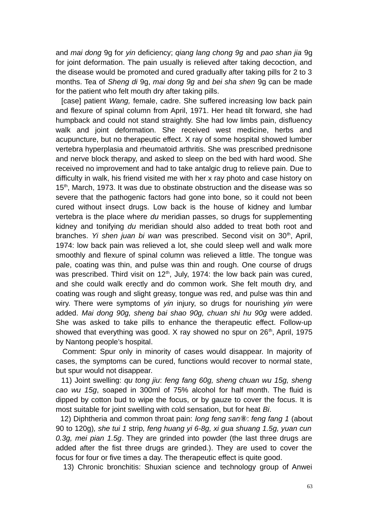and *mai dong* 9g for *yin* deficiency; *qiang lang chong 9g* and *pao shan jia* 9g for joint deformation. The pain usually is relieved after taking decoction, and the disease would be promoted and cured gradually after taking pills for 2 to 3 months. Tea of *Sheng di* 9g, *mai dong 9g* and *bei sha shen* 9g can be made for the patient who felt mouth dry after taking pills.

 [case] patient *Wang,* female, cadre. She suffered increasing low back pain and flexure of spinal column from April, 1971. Her head tilt forward, she had humpback and could not stand straightly. She had low limbs pain, disfluency walk and joint deformation. She received west medicine, herbs and acupuncture, but no therapeutic effect. X ray of some hospital showed lumber vertebra hyperplasia and rheumatoid arthritis. She was prescribed prednisone and nerve block therapy, and asked to sleep on the bed with hard wood. She received no improvement and had to take antalgic drug to relieve pain. Due to difficulty in walk, his friend visited me with her x ray photo and case history on 15<sup>th</sup>, March, 1973. It was due to obstinate obstruction and the disease was so severe that the pathogenic factors had gone into bone, so it could not been cured without insect drugs. Low back is the house of kidney and lumbar vertebra is the place where *du* meridian passes, so drugs for supplementing kidney and tonifying *du* meridian should also added to treat both root and branches. *Yi shen juan bi wan was prescribed.* Second visit on 30<sup>th</sup>, April, 1974: low back pain was relieved a lot, she could sleep well and walk more smoothly and flexure of spinal column was relieved a little. The tongue was pale, coating was thin, and pulse was thin and rough. One course of drugs was prescribed. Third visit on  $12<sup>th</sup>$ , July, 1974: the low back pain was cured, and she could walk erectly and do common work. She felt mouth dry, and coating was rough and slight greasy, tongue was red, and pulse was thin and wiry. There were symptoms of *yin* injury, so drugs for nourishing *yin* were added. *Mai dong 90g, sheng bai shao 90g, chuan shi hu 90g* were added. She was asked to take pills to enhance the therapeutic effect. Follow-up showed that everything was good. X ray showed no spur on  $26<sup>th</sup>$ , April, 1975 by Nantong people's hospital.

 Comment: Spur only in minority of cases would disappear. In majority of cases, the symptoms can be cured, functions would recover to normal state, but spur would not disappear.

 11) Joint swelling: *qu tong jiu*: *feng fang 60g, sheng chuan wu 15g, sheng cao wu 15g*, soaped in 300ml of 75% alcohol for half month. The fluid is dipped by cotton bud to wipe the focus, or by gauze to cover the focus. It is most suitable for joint swelling with cold sensation, but for heat *Bi*.

 12) Diphtheria and common throat pain: *long feng san*⑧: *feng fang 1* (about 90 to 120g)*, she tui 1* strip*, feng huang yi 6-8g, xi gua shuang 1.5g, yuan cun 0.3g, mei pian 1.5g*. They are grinded into powder (the last three drugs are added after the fist three drugs are grinded.). They are used to cover the focus for four or five times a day. The therapeutic effect is quite good.

13) Chronic bronchitis: Shuxian science and technology group of Anwei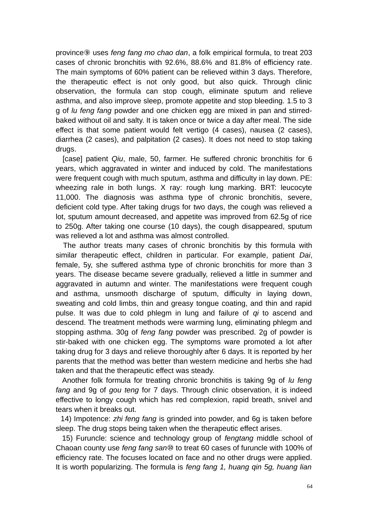province⑨ uses *feng fang mo chao dan*, a folk empirical formula, to treat 203 cases of chronic bronchitis with 92.6%, 88.6% and 81.8% of efficiency rate. The main symptoms of 60% patient can be relieved within 3 days. Therefore, the therapeutic effect is not only good, but also quick. Through clinic observation, the formula can stop cough, eliminate sputum and relieve asthma, and also improve sleep, promote appetite and stop bleeding. 1.5 to 3 g of *lu feng fang* powder and one chicken egg are mixed in pan and stirredbaked without oil and salty. It is taken once or twice a day after meal. The side effect is that some patient would felt vertigo (4 cases), nausea (2 cases), diarrhea (2 cases), and palpitation (2 cases). It does not need to stop taking drugs.

 [case] patient *Qiu*, male, 50, farmer. He suffered chronic bronchitis for 6 years, which aggravated in winter and induced by cold. The manifestations were frequent cough with much sputum, asthma and difficulty in lay down. PE: wheezing rale in both lungs. X ray: rough lung marking. BRT: leucocyte 11,000. The diagnosis was asthma type of chronic bronchitis, severe, deficient cold type. After taking drugs for two days, the cough was relieved a lot, sputum amount decreased, and appetite was improved from 62.5g of rice to 250g. After taking one course (10 days), the cough disappeared, sputum was relieved a lot and asthma was almost controlled.

 The author treats many cases of chronic bronchitis by this formula with similar therapeutic effect, children in particular. For example, patient *Dai*, female, 5y, she suffered asthma type of chronic bronchitis for more than 3 years. The disease became severe gradually, relieved a little in summer and aggravated in autumn and winter. The manifestations were frequent cough and asthma, unsmooth discharge of sputum, difficulty in laying down, sweating and cold limbs, thin and greasy tongue coating, and thin and rapid pulse. It was due to cold phlegm in lung and failure of *qi* to ascend and descend. The treatment methods were warming lung, eliminating phlegm and stopping asthma. 30g of *feng fang* powder was prescribed. 2g of powder is stir-baked with one chicken egg. The symptoms ware promoted a lot after taking drug for 3 days and relieve thoroughly after 6 days. It is reported by her parents that the method was better than western medicine and herbs she had taken and that the therapeutic effect was steady.

 Another folk formula for treating chronic bronchitis is taking 9g of *lu feng fang* and 9g of *gou teng* for 7 days. Through clinic observation, it is indeed effective to longy cough which has red complexion, rapid breath, snivel and tears when it breaks out.

 14) Impotence: *zhi feng fang* is grinded into powder, and 6g is taken before sleep. The drug stops being taken when the therapeutic effect arises.

 15) Furuncle: science and technology group of *fengtang* middle school of Chaoan county use *feng fang san*⑩ to treat 60 cases of furuncle with 100% of efficiency rate. The focuses located on face and no other drugs were applied. It is worth popularizing. The formula is *feng fang 1, huang qin 5g, huang lian*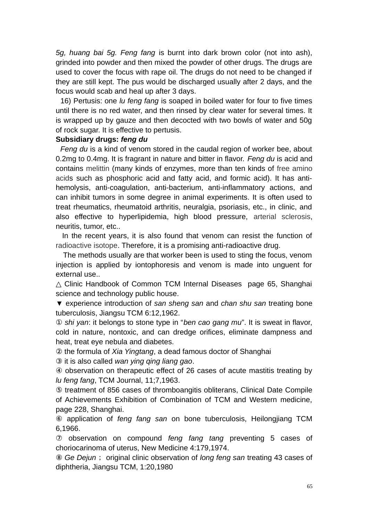*5g, huang bai 5g. Feng fang* is burnt into dark brown color (not into ash), grinded into powder and then mixed the powder of other drugs. The drugs are used to cover the focus with rape oil. The drugs do not need to be changed if they are still kept. The pus would be discharged usually after 2 days, and the focus would scab and heal up after 3 days.

 16) Pertusis: one *lu feng fang* is soaped in boiled water for four to five times until there is no red water, and then rinsed by clear water for several times. It is wrapped up by gauze and then decocted with two bowls of water and 50g of rock sugar. It is effective to pertusis.

## **Subsidiary drugs:** *feng du*

 *Feng du* is a kind of venom stored in the caudal region of worker bee, about 0.2mg to 0.4mg. It is fragrant in nature and bitter in flavor. *Feng du* is acid and contains [melittin](http://www.nciku.com/search/en/melittin) (many kinds of enzymes, more than ten kinds of [free](http://www.nciku.com/search/en/free) [amino](http://www.nciku.com/search/en/amino+acid) [acids](http://www.nciku.com/search/en/amino+acid) such as phosphoric acid and fatty acid, and formic acid). It has antihemolysis, anti-coagulation, anti-bacterium, anti-inflammatory actions, and can inhibit tumors in some degree in animal experiments. It is often used to treat rheumatics, rheumatoid arthritis, neuralgia, psoriasis, etc., in clinic, and also effective to hyperlipidemia, high blood pressure, [arterial sclerosis,](http://www.nciku.com/search/en/detail/arterial%20sclerosis/987331) neuritis, tumor, etc..

 In the recent years, it is also found that venom can resist the function of [radioactive isotope.](http://www.nciku.com/search/en/detail/radioactive%20isotope/77984) Therefore, it is a promising anti-radioactive drug.

The methods usually are that worker been is used to sting the focus, venom injection is applied by iontophoresis and venom is made into unguent for external use..

 $\triangle$  Clinic Handbook of Common TCM Internal Diseases page 65, Shanghai science and technology public house.

▼ experience introduction of *san sheng san* and *chan shu san* treating bone tuberculosis, Jiangsu TCM 6:12,1962.

① *shi yan*: it belongs to stone type in "*ben cao gang mu*". It is sweat in flavor, cold in nature, nontoxic, and can dredge orifices, eliminate dampness and heat, treat eye nebula and diabetes.

② the formula of *Xia Yingtang*, a dead famous doctor of Shanghai

③ it is also called *wan ying qing liang gao*.

④ observation on therapeutic effect of 26 cases of acute mastitis treating by *lu feng fang*, TCM Journal, 11;7,1963.

⑤ treatment of 856 cases of thromboangitis obliterans, Clinical Date Compile of Achievements Exhibition of Combination of TCM and Western medicine, page 228, Shanghai.

⑥ application of *feng fang san* on bone tuberculosis, Heilongjiang TCM 6,1966.

⑦ observation on compound *feng fang tang* preventing 5 cases of choriocarinoma of uterus, New Medicine 4:179,1974.

⑧ *Ge Dejun*; original clinic observation of *long feng san* treating 43 cases of diphtheria, Jiangsu TCM, 1:20,1980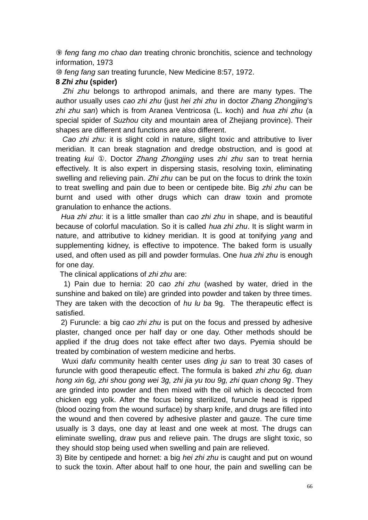⑨ *feng fang mo chao dan* treating chronic bronchitis, science and technology information, 1973

⑩ *feng fang san* treating furuncle, New Medicine 8:57, 1972.

#### **8** *Zhi zhu* **(spider)**

*Zhi zhu* belongs to arthropod animals, and there are many types. The author usually uses *cao zhi zhu* (just *hei zhi zhu* in doctor *Zhang Zhongjing*'s *zhi zhu san*) which is from Aranea Ventricosa (L. koch) and *hua zhi zhu* (a special spider of *Suzhou* city and mountain area of Zhejiang province). Their shapes are different and functions are also different.

 *Cao zhi zhu*: it is slight cold in nature, slight toxic and attributive to liver meridian. It can break stagnation and dredge obstruction, and is good at treating *kui* ①. Doctor *Zhang Zhongjing* uses *zhi zhu san* to treat hernia effectively. It is also expert in dispersing stasis, resolving toxin, eliminating swelling and relieving pain. *Zhi zhu* can be put on the focus to drink the toxin to treat swelling and pain due to been or centipede bite. Big *zhi zhu* can be burnt and used with other drugs which can draw toxin and promote granulation to enhance the actions.

 *Hua zhi zhu*: it is a little smaller than *cao zhi zhu* in shape, and is beautiful because of colorful maculation. So it is called *hua zhi zhu*. It is slight warm in nature, and attributive to kidney meridian. It is good at tonifying *yang* and supplementing kidney, is effective to impotence. The baked form is usually used, and often used as pill and powder formulas. One *hua zhi zhu* is enough for one day.

The clinical applications of *zhi zhu* are:

 1) Pain due to hernia: 20 *cao zhi zhu* (washed by water, dried in the sunshine and baked on tile) are grinded into powder and taken by three times. They are taken with the decoction of *hu lu ba* 9g. The therapeutic effect is satisfied.

 2) Furuncle: a big *cao zhi zhu* is put on the focus and pressed by adhesive plaster, changed once per half day or one day. Other methods should be applied if the drug does not take effect after two days. Pyemia should be treated by combination of western medicine and herbs.

 Wuxi *dafu* community health center uses *ding ju san* to treat 30 cases of furuncle with good therapeutic effect. The formula is baked *zhi zhu 6g, duan hong xin 6g, zhi shou gong wei 3g, zhi jia yu tou 9g, zhi quan chong 9g*. They are grinded into powder and then mixed with the oil which is decocted from chicken egg yolk. After the focus being sterilized, furuncle head is ripped (blood oozing from the wound surface) by sharp knife, and drugs are filled into the wound and then covered by adhesive plaster and gauze. The cure time usually is 3 days, one day at least and one week at most. The drugs can eliminate swelling, draw pus and relieve pain. The drugs are slight toxic, so they should stop being used when swelling and pain are relieved.

3) Bite by centipede and hornet: a big *hei zhi zhu* is caught and put on wound to suck the toxin. After about half to one hour, the pain and swelling can be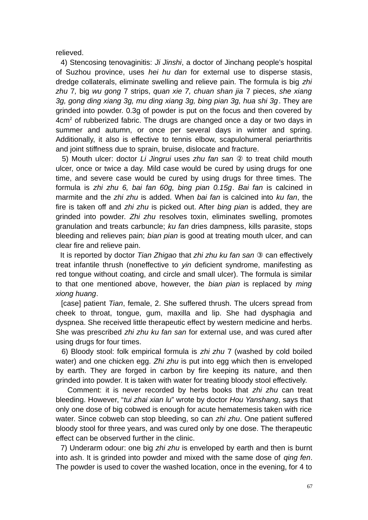relieved.

 4) Stencosing tenovaginitis: *Ji Jinshi*, a doctor of Jinchang people's hospital of Suzhou province, uses *hei hu dan* for external use to disperse stasis, dredge collaterals, eliminate swelling and relieve pain. The formula is big *zhi zhu* 7*,* big *wu gong* 7 strips, *quan xie 7, chuan shan jia* 7 pieces, *she xiang 3g, gong ding xiang 3g, mu ding xiang 3g, bing pian 3g, hua shi 3g*. They are grinded into powder. 0.3g of powder is put on the focus and then covered by  $4 \text{cm}^2$  of rubberized fabric. The drugs are changed once a day or two days in summer and autumn, or once per several days in winter and spring. Additionally, it also is effective to tennis elbow, scapulohumeral periarthritis and joint stiffness due to sprain, bruise, dislocate and fracture.

 5) Mouth ulcer: doctor *Li Jingrui* uses *zhu fan san* ② to treat child mouth ulcer, once or twice a day. Mild case would be cured by using drugs for one time, and severe case would be cured by using drugs for three times. The formula is *zhi zhu 6, bai fan 60g, bing pian 0.15g*. *Bai fan* is calcined in marmite and the *zhi zhu* is added. When *bai fan* is calcined into *ku fan*, the fire is taken off and *zhi zhu* is picked out. After *bing pian* is added, they are grinded into powder. *Zhi zhu* resolves toxin, eliminates swelling, promotes granulation and treats carbuncle; *ku fan* dries dampness, kills parasite, stops bleeding and relieves pain; *bian pian* is good at treating mouth ulcer, and can clear fire and relieve pain.

 It is reported by doctor *Tian Zhigao* that *zhi zhu ku fan san* ③ can effectively treat infantile thrush (noneffective to *yin* deficient syndrome, manifesting as red tongue without coating, and circle and small ulcer). The formula is similar to that one mentioned above, however, the *bian pian* is replaced by *ming xiong huang*.

 [case] patient *Tian*, female, 2. She suffered thrush. The ulcers spread from cheek to throat, tongue, gum, maxilla and lip. She had dysphagia and dyspnea. She received little therapeutic effect by western medicine and herbs. She was prescribed *zhi zhu ku fan san* for external use, and was cured after using drugs for four times.

 6) Bloody stool: folk empirical formula is *zhi zhu* 7 (washed by cold boiled water) and one chicken egg. *Zhi zhu* is put into egg which then is enveloped by earth. They are forged in carbon by fire keeping its nature, and then grinded into powder. It is taken with water for treating bloody stool effectively.

 Comment: it is never recorded by herbs books that *zhi zhu* can treat bleeding. However, "*tui zhai xian lu*" wrote by doctor *Hou Yanshang*, says that only one dose of big cobwed is enough for acute hematemesis taken with rice water. Since cobweb can stop bleeding, so can *zhi zhu*. One patient suffered bloody stool for three years, and was cured only by one dose. The therapeutic effect can be observed further in the clinic.

 7) Underarm odour: one big *zhi zhu* is enveloped by earth and then is burnt into ash. It is grinded into powder and mixed with the same dose of *qing fen*. The powder is used to cover the washed location, once in the evening, for 4 to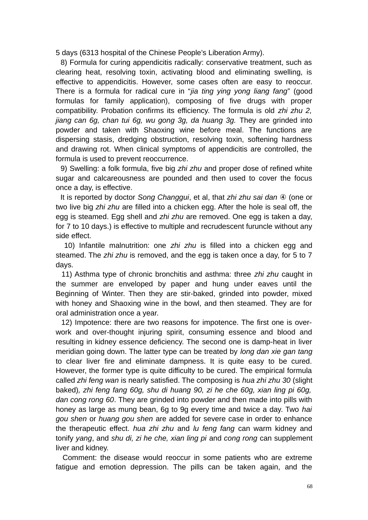5 days (6313 hospital of the Chinese People's Liberation Army).

 8) Formula for curing appendicitis radically: conservative treatment, such as clearing heat, resolving toxin, activating blood and eliminating swelling, is effective to appendicitis. However, some cases often are easy to reoccur. There is a formula for radical cure in "*jia ting ying yong liang fang*" (good formulas for family application), composing of five drugs with proper compatibility. Probation confirms its efficiency. The formula is old *zhi zhu 2, jiang can 6g, chan tui 6g, wu gong 3g, da huang 3g.* They are grinded into powder and taken with Shaoxing wine before meal. The functions are dispersing stasis, dredging obstruction, resolving toxin, softening hardness and drawing rot. When clinical symptoms of appendicitis are controlled, the formula is used to prevent reoccurrence.

 9) Swelling: a folk formula, five big *zhi zhu* and proper dose of refined white sugar and calcareousness are pounded and then used to cover the focus once a day, is effective.

 It is reported by doctor *Song Changgui*, et al, that *zhi zhu sai dan* ④ (one or two live big *zhi zhu* are filled into a chicken egg. After the hole is seal off, the egg is steamed. Egg shell and *zhi zhu* are removed. One egg is taken a day, for 7 to 10 days.) is effective to multiple and recrudescent furuncle without any side effect.

 10) Infantile malnutrition: one *zhi zhu* is filled into a chicken egg and steamed. The *zhi zhu* is removed, and the egg is taken once a day, for 5 to 7 days.

 11) Asthma type of chronic bronchitis and asthma: three *zhi zhu* caught in the summer are enveloped by paper and hung under eaves until the Beginning of Winter. Then they are stir-baked, grinded into powder, mixed with honey and Shaoxing wine in the bowl, and then steamed. They are for oral administration once a year.

 12) Impotence: there are two reasons for impotence. The first one is overwork and over-thought injuring spirit, consuming essence and blood and resulting in kidney essence deficiency. The second one is damp-heat in liver meridian going down. The latter type can be treated by *long dan xie gan tang* to clear liver fire and eliminate dampness. It is quite easy to be cured. However, the former type is quite difficulty to be cured. The empirical formula called *zhi feng wan* is nearly satisfied. The composing is *hua zhi zhu 30* (slight baked)*, zhi feng fang 60g, shu di huang 90, zi he che 60g, xian ling pi 60g, dan cong rong 60*. They are grinded into powder and then made into pills with honey as large as mung bean, 6g to 9g every time and twice a day. Two *hai gou shen* or *huang gou shen* are added for severe case in order to enhance the therapeutic effect. *hua zhi zhu* and *lu feng fang* can warm kidney and tonify *yang*, and *shu di, zi he che, xian ling pi* and *cong rong* can supplement liver and kidney.

 Comment: the disease would reoccur in some patients who are extreme fatigue and emotion depression. The pills can be taken again, and the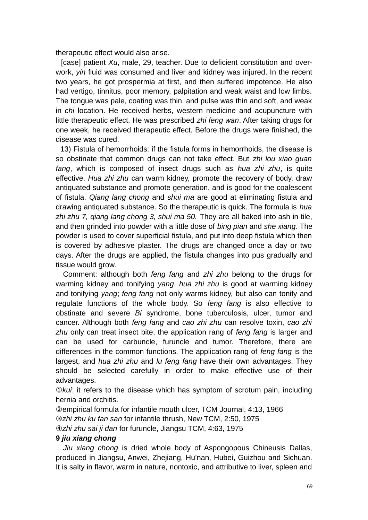therapeutic effect would also arise.

 [case] patient *Xu*, male, 29, teacher. Due to deficient constitution and overwork, *yin* fluid was consumed and liver and kidney was injured. In the recent two years, he got prospermia at first, and then suffered impotence. He also had vertigo, tinnitus, poor memory, palpitation and weak waist and low limbs. The tongue was pale, coating was thin, and pulse was thin and soft, and weak in *chi* location. He received herbs, western medicine and acupuncture with little therapeutic effect. He was prescribed *zhi feng wan*. After taking drugs for one week, he received therapeutic effect. Before the drugs were finished, the disease was cured.

 13) Fistula of hemorrhoids: if the fistula forms in hemorrhoids, the disease is so obstinate that common drugs can not take effect. But *zhi lou xiao guan fang*, which is composed of insect drugs such as *hua zhi zhu*, is quite effective. *Hua zhi zhu* can warm kidney, promote the recovery of body, draw antiquated substance and promote generation, and is good for the coalescent of fistula. *Qiang lang chong* and *shui ma* are good at eliminating fistula and drawing antiquated substance. So the therapeutic is quick. The formula is *hua zhi zhu 7, qiang lang chong 3, shui ma 50.* They are all baked into ash in tile, and then grinded into powder with a little dose of *bing pian* and *she xiang*. The powder is used to cover superficial fistula, and put into deep fistula which then is covered by adhesive plaster. The drugs are changed once a day or two days. After the drugs are applied, the fistula changes into pus gradually and tissue would grow.

 Comment: although both *feng fang* and *zhi zhu* belong to the drugs for warming kidney and tonifying *yang*, *hua zhi zhu* is good at warming kidney and tonifying *yang*; *feng fang* not only warms kidney, but also can tonify and regulate functions of the whole body. So *feng fang* is also effective to obstinate and severe *Bi* syndrome, bone tuberculosis, ulcer, tumor and cancer. Although both *feng fang* and *cao zhi zhu* can resolve toxin, *cao zhi zhu* only can treat insect bite, the application rang of *feng fang* is larger and can be used for carbuncle, furuncle and tumor. Therefore, there are differences in the common functions. The application rang of *feng fang* is the largest, and *hua zhi zhu* and *lu feng fang* have their own advantages. They should be selected carefully in order to make effective use of their advantages.

①*kui*: it refers to the disease which has symptom of scrotum pain, including hernia and orchitis.

②empirical formula for infantile mouth ulcer, TCM Journal, 4:13, 1966 ③*zhi zhu ku fan san* for infantile thrush, New TCM, 2:50, 1975

④*zhi zhu sai ji dan* for furuncle, Jiangsu TCM, 4:63, 1975

# **9** *jiu xiang chong*

*Jiu xiang chong* is dried whole body of Aspongopous Chineusis Dallas, produced in Jiangsu, Anwei, Zhejiang, Hu'nan, Hubei, Guizhou and Sichuan. It is salty in flavor, warm in nature, nontoxic, and attributive to liver, spleen and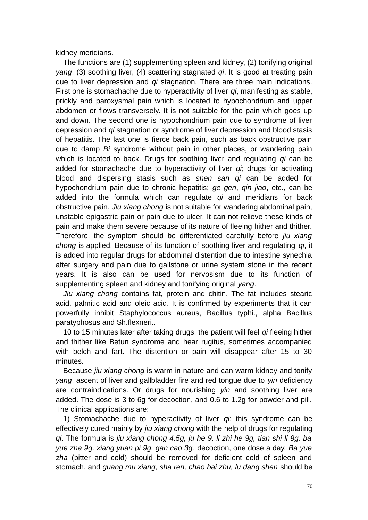kidney meridians.

The functions are (1) supplementing spleen and kidney, (2) tonifying original *yang*, (3) soothing liver, (4) scattering stagnated *qi*. It is good at treating pain due to liver depression and *qi* stagnation. There are three main indications. First one is stomachache due to hyperactivity of liver *qi*, manifesting as stable, prickly and paroxysmal pain which is located to hypochondrium and upper abdomen or flows transversely. It is not suitable for the pain which goes up and down. The second one is hypochondrium pain due to syndrome of liver depression and *qi* stagnation or syndrome of liver depression and blood stasis of hepatitis. The last one is fierce back pain, such as back obstructive pain due to damp *Bi* syndrome without pain in other places, or wandering pain which is located to back. Drugs for soothing liver and regulating *qi* can be added for stomachache due to hyperactivity of liver *qi*; drugs for activating blood and dispersing stasis such as *shen san qi* can be added for hypochondrium pain due to chronic hepatitis; *ge gen*, *qin jiao*, etc., can be added into the formula which can regulate *qi* and meridians for back obstructive pain. *Jiu xiang chong* is not suitable for wandering abdominal pain, unstable epigastric pain or pain due to ulcer. It can not relieve these kinds of pain and make them severe because of its nature of fleeing hither and thither. Therefore, the symptom should be differentiated carefully before *jiu xiang chong* is applied. Because of its function of soothing liver and regulating *qi*, it is added into regular drugs for abdominal distention due to intestine synechia after surgery and pain due to gallstone or urine system stone in the recent years. It is also can be used for nervosism due to its function of supplementing spleen and kidney and tonifying original *yang*.

*Jiu xiang chong* contains fat, protein and chitin. The fat includes stearic acid, palmitic acid and oleic acid. It is confirmed by experiments that it can powerfully inhibit Staphylococcus aureus, Bacillus typhi., alpha Bacillus paratyphosus and Sh.flexneri..

10 to 15 minutes later after taking drugs, the patient will feel *qi* fleeing hither and thither like Betun syndrome and hear rugitus, sometimes accompanied with belch and fart. The distention or pain will disappear after 15 to 30 minutes.

Because *jiu xiang chong* is warm in nature and can warm kidney and tonify *yang*, ascent of liver and gallbladder fire and red tongue due to *yin* deficiency are contraindications. Or drugs for nourishing *yin* and soothing liver are added. The dose is 3 to 6g for decoction, and 0.6 to 1.2g for powder and pill. The clinical applications are:

1) Stomachache due to hyperactivity of liver *qi*: this syndrome can be effectively cured mainly by *jiu xiang chong* with the help of drugs for regulating *qi*. The formula is *jiu xiang chong 4.5g, ju he 9, li zhi he 9g, tian shi li 9g, ba yue zha 9g, xiang yuan pi 9g, gan cao 3g*, decoction, one dose a day. *Ba yue zha* (bitter and cold) should be removed for deficient cold of spleen and stomach, and *guang mu xiang, sha ren, chao bai zhu, lu dang shen* should be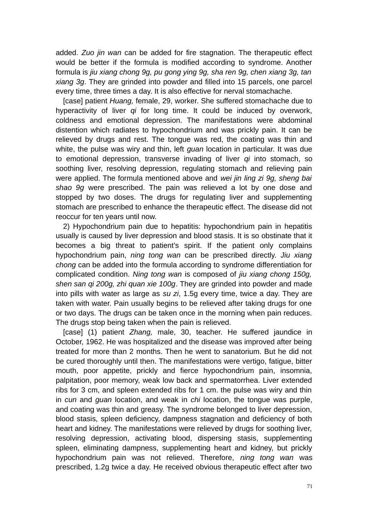added. *Zuo jin wan* can be added for fire stagnation. The therapeutic effect would be better if the formula is modified according to syndrome. Another formula is *jiu xiang chong 9g, pu gong ying 9g, sha ren 9g, chen xiang 3g, tan xiang 3g*. They are grinded into powder and filled into 15 parcels, one parcel every time, three times a day. It is also effective for nerval stomachache.

[case] patient *Huang,* female, 29, worker. She suffered stomachache due to hyperactivity of liver *qi* for long time. It could be induced by overwork, coldness and emotional depression. The manifestations were abdominal distention which radiates to hypochondrium and was prickly pain. It can be relieved by drugs and rest. The tongue was red, the coating was thin and white, the pulse was wiry and thin, left *guan* location in particular. It was due to emotional depression, transverse invading of liver *qi* into stomach, so soothing liver, resolving depression, regulating stomach and relieving pain were applied. The formula mentioned above and *wei jin ling zi 9g, sheng bai shao 9g* were prescribed. The pain was relieved a lot by one dose and stopped by two doses. The drugs for regulating liver and supplementing stomach are prescribed to enhance the therapeutic effect. The disease did not reoccur for ten years until now.

2) Hypochondrium pain due to hepatitis: hypochondrium pain in hepatitis usually is caused by liver depression and blood stasis. It is so obstinate that it becomes a big threat to patient's spirit. If the patient only complains hypochondrium pain, *ning tong wan* can be prescribed directly. *Jiu xiang chong* can be added into the formula according to syndrome differentiation for complicated condition. *Ning tong wan* is composed of *jiu xiang chong 150g, shen san qi 200g, zhi quan xie 100g*. They are grinded into powder and made into pills with water as large as *su zi*, 1.5g every time, twice a day. They are taken with water. Pain usually begins to be relieved after taking drugs for one or two days. The drugs can be taken once in the morning when pain reduces. The drugs stop being taken when the pain is relieved.

[case] (1) patient *Zhang,* male, 30, teacher. He suffered jaundice in October, 1962. He was hospitalized and the disease was improved after being treated for more than 2 months. Then he went to sanatorium. But he did not be cured thoroughly until then. The manifestations were vertigo, fatigue, bitter mouth, poor appetite, prickly and fierce hypochondrium pain, insomnia, palpitation, poor memory, weak low back and spermatorrhea. Liver extended ribs for 3 cm, and spleen extended ribs for 1 cm. the pulse was wiry and thin in *cun* and *guan* location, and weak in *chi* location, the tongue was purple, and coating was thin and greasy. The syndrome belonged to liver depression, blood stasis, spleen deficiency, dampness stagnation and deficiency of both heart and kidney. The manifestations were relieved by drugs for soothing liver, resolving depression, activating blood, dispersing stasis, supplementing spleen, eliminating dampness, supplementing heart and kidney, but prickly hypochondrium pain was not relieved. Therefore, *ning tong wan* was prescribed, 1.2g twice a day. He received obvious therapeutic effect after two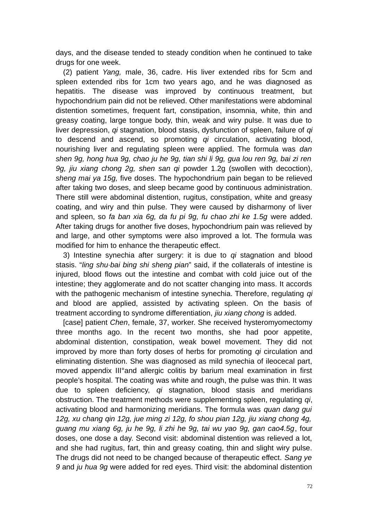days, and the disease tended to steady condition when he continued to take drugs for one week.

(2) patient *Yang,* male, 36, cadre. His liver extended ribs for 5cm and spleen extended ribs for 1cm two years ago, and he was diagnosed as hepatitis. The disease was improved by continuous treatment, but hypochondrium pain did not be relieved. Other manifestations were abdominal distention sometimes, frequent fart, constipation, insomnia, white, thin and greasy coating, large tongue body, thin, weak and wiry pulse. It was due to liver depression, *qi* stagnation, blood stasis, dysfunction of spleen, failure of *qi* to descend and ascend, so promoting *qi* circulation, activating blood, nourishing liver and regulating spleen were applied. The formula was *dan shen 9g, hong hua 9g, chao ju he 9g, tian shi li 9g, gua lou ren 9g, bai zi ren 9g, jiu xiang chong 2g, shen san qi* powder 1.2g (swollen with decoction), *sheng mai ya 15g,* five doses. The hypochondrium pain began to be relieved after taking two doses, and sleep became good by continuous administration. There still were abdominal distention, rugitus, constipation, white and greasy coating, and wiry and thin pulse. They were caused by disharmony of liver and spleen, so *fa ban xia 6g, da fu pi 9g, fu chao zhi ke 1.5g* were added. After taking drugs for another five doses, hypochondrium pain was relieved by and large, and other symptoms were also improved a lot. The formula was modified for him to enhance the therapeutic effect.

3) Intestine synechia after surgery: it is due to *qi* stagnation and blood stasis. "*ling shu*·*bai bing shi sheng pian*" said, if the collaterals of intestine is injured, blood flows out the intestine and combat with cold juice out of the intestine; they agglomerate and do not scatter changing into mass. It accords with the pathogenic mechanism of intestine synechia. Therefore, regulating *qi* and blood are applied, assisted by activating spleen. On the basis of treatment according to syndrome differentiation, *jiu xiang chong* is added.

[case] patient *Chen*, female, 37, worker. She received hysteromyomectomy three months ago. In the recent two months, she had poor appetite, abdominal distention, constipation, weak bowel movement. They did not improved by more than forty doses of herbs for promoting *qi* circulation and eliminating distention. She was diagnosed as mild synechia of ileocecal part, moved appendix III°and allergic colitis by barium meal examination in first people's hospital. The coating was white and rough, the pulse was thin. It was due to spleen deficiency, *qi* stagnation, blood stasis and meridians obstruction. The treatment methods were supplementing spleen, regulating *qi*, activating blood and harmonizing meridians. The formula was *quan dang gui 12g, xu chang qin 12g, jue ming zi 12g, fo shou pian 12g, jiu xiang chong 4g, guang mu xiang 6g, ju he 9g, li zhi he 9g, tai wu yao 9g, gan cao4.5g*, four doses, one dose a day. Second visit: abdominal distention was relieved a lot, and she had rugitus, fart, thin and greasy coating, thin and slight wiry pulse. The drugs did not need to be changed because of therapeutic effect. *Sang ye 9* and *ju hua 9g* were added for red eyes. Third visit: the abdominal distention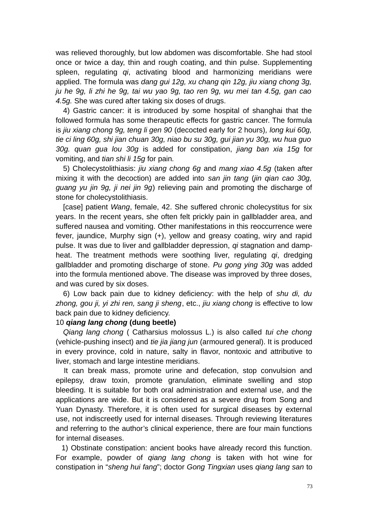was relieved thoroughly, but low abdomen was discomfortable. She had stool once or twice a day, thin and rough coating, and thin pulse. Supplementing spleen, regulating *qi*, activating blood and harmonizing meridians were applied. The formula was *dang gui 12g, xu chang qin 12g, jiu xiang chong 3g, ju he 9g, li zhi he 9g, tai wu yao 9g, tao ren 9g, wu mei tan 4.5g, gan cao 4.5g.* She was cured after taking six doses of drugs.

4) Gastric cancer: it is introduced by some hospital of shanghai that the followed formula has some therapeutic effects for gastric cancer. The formula is *jiu xiang chong 9g, teng li gen 90* (decocted early for 2 hours)*, long kui 60g, tie ci ling 60g, shi jian chuan 30g, niao bu su 30g, gui jian yu 30g, wu hua guo 30g. quan gua lou 30g* is added for constipation, *jiang ban xia 15g* for vomiting, and *tian shi li 15g* for pain*.*

5) Cholecystolithiasis: *jiu xiang chong 6g* and *mang xiao 4.5g* (taken after mixing it with the decoction) are added into *san jin tang* (*jin qian cao 30g, guang yu jin 9g, ji nei jin 9g*) relieving pain and promoting the discharge of stone for cholecystolithiasis.

[case] patient *Wang*, female, 42. She suffered chronic cholecystitus for six years. In the recent years, she often felt prickly pain in gallbladder area, and suffered nausea and vomiting. Other manifestations in this reoccurrence were fever, jaundice, Murphy sign (+), yellow and greasy coating, wiry and rapid pulse. It was due to liver and gallbladder depression, *qi* stagnation and dampheat. The treatment methods were soothing liver, regulating *qi*, dredging gallbladder and promoting discharge of stone. *Pu gong ying 30g* was added into the formula mentioned above. The disease was improved by three doses, and was cured by six doses.

6) Low back pain due to kidney deficiency: with the help of *shu di, du zhong, gou ji, yi zhi ren, sang ji sheng*, etc., *jiu xiang chong* is effective to low back pain due to kidney deficiency.

# 10 *qiang lang chong* **(dung beetle)**

*Qiang lang chong* ( Catharsius molossus L.) is also called *tui che chong* (vehicle-pushing insect) and *tie jia jiang jun* (armoured general). It is produced in every province, cold in nature, salty in flavor, nontoxic and attributive to liver, stomach and large intestine meridians.

 It can break mass, promote urine and defecation, stop convulsion and epilepsy, draw toxin, promote granulation, eliminate swelling and stop bleeding. It is suitable for both oral administration and external use, and the applications are wide. But it is considered as a severe drug from Song and Yuan Dynasty. Therefore, it is often used for surgical diseases by external use, not indiscreetly used for internal diseases. Through reviewing literatures and referring to the author's clinical experience, there are four main functions for internal diseases.

 1) Obstinate constipation: ancient books have already record this function. For example, powder of *qiang lang chong* is taken with hot wine for constipation in "*sheng hui fang*"; doctor *Gong Tingxian* uses *qiang lang san* to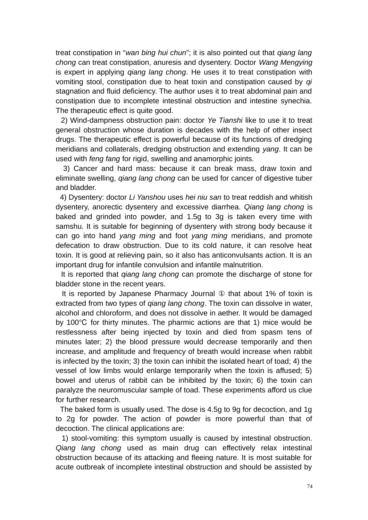treat constipation in "*wan bing hui chun*"; it is also pointed out that *qiang lang chong* can treat constipation, anuresis and dysentery. Doctor *Wang Mengying* is expert in applying *qiang lang chong*. He uses it to treat constipation with vomiting stool, constipation due to heat toxin and constipation caused by *qi* stagnation and fluid deficiency. The author uses it to treat abdominal pain and constipation due to incomplete intestinal obstruction and intestine synechia. The therapeutic effect is quite good.

 2) Wind-dampness obstruction pain: doctor *Ye Tianshi* like to use it to treat general obstruction whose duration is decades with the help of other insect drugs. The therapeutic effect is powerful because of its functions of dredging meridians and collaterals, dredging obstruction and extending *yang*. It can be used with *feng fang* for rigid, swelling and anamorphic joints.

 3) Cancer and hard mass: because it can break mass, draw toxin and eliminate swelling, *qiang lang chong* can be used for cancer of digestive tuber and bladder.

 4) Dysentery: doctor *Li Yanshou* uses *hei niu san* to treat reddish and whitish dysentery, anorectic dysentery and excessive diarrhea. *Qiang lang chong* is baked and grinded into powder, and 1.5g to 3g is taken every time with samshu. It is suitable for beginning of dysentery with strong body because it can go into hand *yang ming* and foot *yang ming* meridians, and promote defecation to draw obstruction. Due to its cold nature, it can resolve heat toxin. It is good at relieving pain, so it also has anticonvulsants action. It is an important drug for infantile convulsion and infantile malnutrition.

 It is reported that *qiang lang chong* can promote the discharge of stone for bladder stone in the recent years.

 It is reported by Japanese Pharmacy Journal ① that about 1% of toxin is extracted from two types of *qiang lang chong*. The toxin can dissolve in water, alcohol and chloroform, and does not dissolve in aether. It would be damaged by 100 $\degree$ C for thirty minutes. The pharmic actions are that 1) mice would be restlessness after being injected by toxin and died from spasm tens of minutes later; 2) the blood pressure would decrease temporarily and then increase, and amplitude and frequency of breath would increase when rabbit is infected by the toxin; 3) the toxin can inhibit the isolated heart of toad; 4) the vessel of low limbs would enlarge temporarily when the toxin is affused; 5) bowel and uterus of rabbit can be inhibited by the toxin; 6) the toxin can paralyze the neuromuscular sample of toad. These experiments afford us clue for further research.

 The baked form is usually used. The dose is 4.5g to 9g for decoction, and 1g to 2g for powder. The action of powder is more powerful than that of decoction. The clinical applications are:

 1) stool-vomiting: this symptom usually is caused by intestinal obstruction. *Qiang lang chong* used as main drug can effectively relax intestinal obstruction because of its attacking and fleeing nature. It is most suitable for acute outbreak of incomplete intestinal obstruction and should be assisted by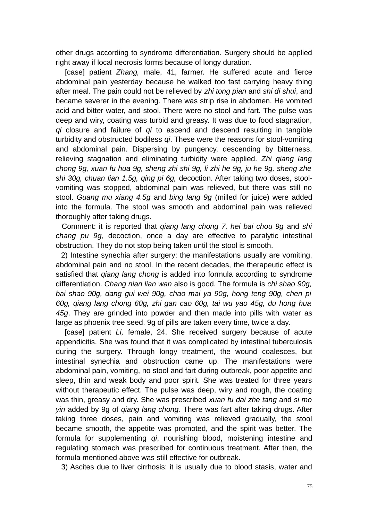other drugs according to syndrome differentiation. Surgery should be applied right away if local necrosis forms because of longy duration.

 [case] patient *Zhang,* male, 41, farmer. He suffered acute and fierce abdominal pain yesterday because he walked too fast carrying heavy thing after meal. The pain could not be relieved by *zhi tong pian* and *shi di shui*, and became severer in the evening. There was strip rise in abdomen. He vomited acid and bitter water, and stool. There were no stool and fart. The pulse was deep and wiry, coating was turbid and greasy. It was due to food stagnation, *qi* closure and failure of *qi* to ascend and descend resulting in tangible turbidity and obstructed bodiless *qi*. These were the reasons for stool-vomiting and abdominal pain. Dispersing by pungency, descending by bitterness, relieving stagnation and eliminating turbidity were applied. *Zhi qiang lang chong 9g, xuan fu hua 9g, sheng zhi shi 9g, li zhi he 9g, ju he 9g, sheng zhe shi 30g, chuan lian 1.5g, qing pi 6g,* decoction. After taking two doses, stoolvomiting was stopped, abdominal pain was relieved, but there was still no stool. *Guang mu xiang 4.5g* and *bing lang 9g* (milled for juice) were added into the formula. The stool was smooth and abdominal pain was relieved thoroughly after taking drugs.

 Comment: it is reported that *qiang lang chong 7, hei bai chou 9g* and *shi chang pu 9g*, decoction, once a day are effective to paralytic intestinal obstruction. They do not stop being taken until the stool is smooth.

 2) Intestine synechia after surgery: the manifestations usually are vomiting, abdominal pain and no stool. In the recent decades, the therapeutic effect is satisfied that *qiang lang chong* is added into formula according to syndrome differentiation. *Chang nian lian wan* also is good. The formula is *chi shao 90g, bai shao 90g, dang gui wei 90g, chao mai ya 90g, hong teng 90g, chen pi 60g, qiang lang chong 60g, zhi gan cao 60g, tai wu yao 45g, du hong hua 45g*. They are grinded into powder and then made into pills with water as large as phoenix tree seed. 9g of pills are taken every time, twice a day.

[case] patient *Li*, female, 24. She received surgery because of acute appendicitis. She was found that it was complicated by intestinal tuberculosis during the surgery. Through longy treatment, the wound coalesces, but intestinal synechia and obstruction came up. The manifestations were abdominal pain, vomiting, no stool and fart during outbreak, poor appetite and sleep, thin and weak body and poor spirit. She was treated for three years without therapeutic effect. The pulse was deep, wiry and rough, the coating was thin, greasy and dry. She was prescribed *xuan fu dai zhe tang* and *si mo yin* added by 9g of *qiang lang chong*. There was fart after taking drugs. After taking three doses, pain and vomiting was relieved gradually, the stool became smooth, the appetite was promoted, and the spirit was better. The formula for supplementing *qi*, nourishing blood, moistening intestine and regulating stomach was prescribed for continuous treatment. After then, the formula mentioned above was still effective for outbreak.

3) Ascites due to liver cirrhosis: it is usually due to blood stasis, water and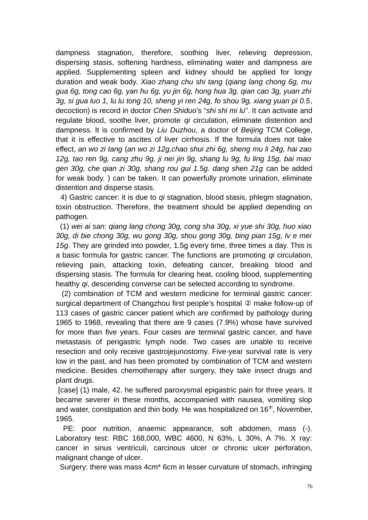dampness stagnation, therefore, soothing liver, relieving depression, dispersing stasis, softening hardness, eliminating water and dampness are applied. Supplementing spleen and kidney should be applied for longy duration and weak body. *Xiao zhang chu shi tang* (*qiang lang chong 6g, mu gua 6g, tong cao 6g, yan hu 6g, yu jin 6g, hong hua 3g, qian cao 3g, yuan zhi 3g, si gua luo 1, lu lu tong 10, sheng yi ren 24g, fo shou 9g, xiang yuan pi 0.5*, decoction) is record in doctor *Chen Shiduo*'s "*shi shi mi lu*". It can activate and regulate blood, soothe liver, promote *qi* circulation, eliminate distention and dampness. It is confirmed by *Liu Duzhou*, a doctor of *Beijing* TCM College, that it is effective to ascites of liver cirrhosis. If the formula does not take effect, *an wo zi tang* (*an wo zi 12g,chao shui zhi 6g, sheng mu li 24g, hai zao 12g, tao ren 9g, cang zhu 9g, ji nei jin 9g, shang lu 9g, fu ling 15g, bai mao gen 30g, che qian zi 30g, shang rou gui 1.5g. dang shen 21g* can be added for weak body. ) can be taken. It can powerfully promote urination, eliminate distention and disperse stasis.

 4) Gastric cancer: it is due to *qi* stagnation, blood stasis, phlegm stagnation, toxin obstruction. Therefore, the treatment should be applied depending on pathogen.

 (1) *wei ai san*: *qiang lang chong 30g, cong sha 30g, xi yue shi 30g, huo xiao 30g, di bie chong 30g, wu gong 30g, shou gong 30g, bing pian 15g, lv e mei 15g*. They are grinded into powder, 1.5g every time, three times a day. This is a basic formula for gastric cancer. The functions are promoting *qi* circulation, relieving pain, attacking toxin, defeating cancer, breaking blood and dispersing stasis. The formula for clearing heat, cooling blood, supplementing healthy *qi*, descending converse can be selected according to syndrome.

 (2) combination of TCM and western medicine for terminal gastric cancer: surgical department of Changzhou first people's hospital ② make follow-up of 113 cases of gastric cancer patient which are confirmed by pathology during 1965 to 1968, revealing that there are 9 cases (7.9%) whose have survived for more than five years. Four cases are terminal gastric cancer, and have metastasis of perigastric lymph node. Two cases are unable to receive resection and only receive gastrojejunostomy. Five-year survival rate is very low in the past, and has been promoted by combination of TCM and western medicine. Besides chemotherapy after surgery, they take insect drugs and plant drugs.

[case] (1) male, 42. he suffered paroxysmal epigastric pain for three years. It became severer in these months, accompanied with nausea, vomiting slop and water, constipation and thin body. He was hospitalized on  $16<sup>th</sup>$ , November, 1965.

PE: poor nutrition, anaemic appearance, soft abdomen, mass (-). Laboratory test: RBC 168,000, WBC 4600, N 63%, L 30%, A 7%. X ray: cancer in sinus ventriculi, carcinous ulcer or chronic ulcer perforation, malignant change of ulcer.

Surgery: there was mass 4cm\* 6cm in lesser curvature of stomach, infringing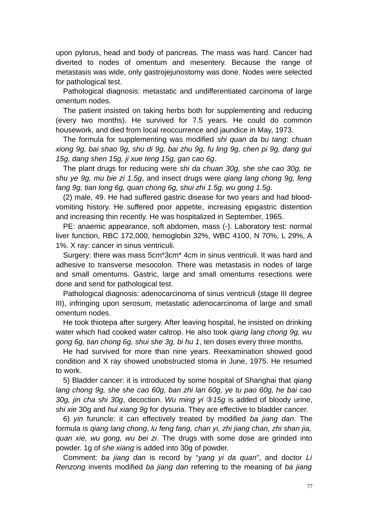upon pylorus, head and body of pancreas. The mass was hard. Cancer had diverted to nodes of omentum and mesentery. Because the range of metastasis was wide, only gastrojejunostomy was done. Nodes were selected for pathological test.

Pathological diagnosis: metastatic and undifferentiated carcinoma of large omentum nodes.

The patient insisted on taking herbs both for supplementing and reducing (every two months). He survived for 7.5 years. He could do common housework, and died from local reoccurrence and jaundice in May, 1973.

The formula for supplementing was modified *shi quan da bu tang*: *chuan xiong 9g, bai shao 9g, shu di 9g, bai zhu 9g, fu ling 9g, chen pi 9g, dang gui 15g, dang shen 15g, ji xue teng 15g, gan cao 6g*.

The plant drugs for reducing were *shi da chuan 30g, she she cao 30g, tie shu ye 9g, mu bie zi 1.5g*, and insect drugs were *qiang lang chong 9g, feng fang 9g, tian long 6g, quan chong 6g, shui zhi 1.5g, wu gong 1.5g.*

(2) male, 49. He had suffered gastric disease for two years and had bloodvomiting history. He suffered poor appetite, increasing epigastric distention and increasing thin recently. He was hospitalized in September, 1965.

PE: anaemic appearance, soft abdomen, mass (-). Laboratory test: normal liver function, RBC 172,000, hemoglobin 32%, WBC 4100, N 70%, L 29%, A 1%. X ray: cancer in sinus ventriculi.

Surgery: there was mass 5cm\*3cm\* 4cm in sinus ventriculi. It was hard and adhesive to transverse mesocolon. There was metastasis in nodes of large and small omentums. Gastric, large and small omentums resections were done and send for pathological test.

Pathological diagnosis: adenocarcinoma of sinus ventriculi (stage III degree III), infringing upon serosum, metastatic adenocarcinoma of large and small omentum nodes.

He took thiotepa after surgery. After leaving hospital, he insisted on drinking water which had cooked water caltrop. He also took *qiang lang chong 9g, wu gong 6g, tian chong 6g, shui she 3g, bi hu 1*, ten doses every three months.

He had survived for more than nine years. Reexamination showed good condition and X ray showed unobstructed stoma in June, 1975. He resumed to work.

5) Bladder cancer: it is introduced by some hospital of Shanghai that *qiang lang chong 9g, she she cao 60g, ban zhi lan 60g, ye tu pao 60g, he bai cao 30g, jin cha shi 30g*, decoction. *Wu ming yi* ③*15g* is added of bloody urine, *shi xie* 30g and *hui xiang 9g* for dysuria. They are effective to bladder cancer.

6) *yin* furuncle: it can effectively treated by modified *ba jiang dan*. The formula is *qiang lang chong*, *lu feng fang, chan yi, zhi jiang chan, zhi shan jia, quan xie, wu gong, wu bei zi*. The drugs with some dose are grinded into powder. 1g of *she xiang* is added into 30g of powder.

Comment: *ba jiang dan* is record by "*yang yi da quan*", and doctor *Li Renzong* invents modified *ba jiang dan* referring to the meaning of *ba jiang*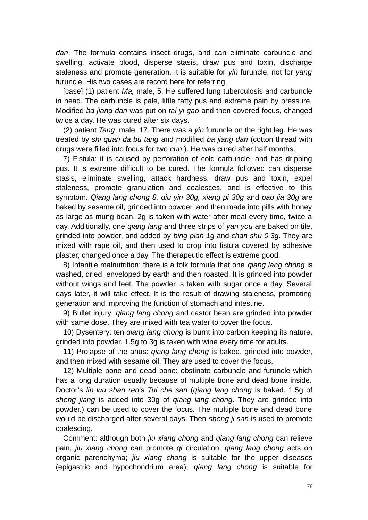*dan*. The formula contains insect drugs, and can eliminate carbuncle and swelling, activate blood, disperse stasis, draw pus and toxin, discharge staleness and promote generation. It is suitable for *yin* furuncle, not for *yang* furuncle. His two cases are record here for referring.

[case] (1) patient *Ma,* male, 5. He suffered lung tuberculosis and carbuncle in head. The carbuncle is pale, little fatty pus and extreme pain by pressure. Modified *ba jiang dan* was put on *tai yi gao* and then covered focus, changed twice a day. He was cured after six days.

(2) patient *Tang*, male, 17. There was a *yin* furuncle on the right leg. He was treated by *shi quan da bu tang* and modified *ba jiang dan* (cotton thread with drugs were filled into focus for two *cun*.). He was cured after half months.

7) Fistula: it is caused by perforation of cold carbuncle, and has dripping pus. It is extreme difficult to be cured. The formula followed can disperse stasis, eliminate swelling, attack hardness, draw pus and toxin, expel staleness, promote granulation and coalesces, and is effective to this symptom. *Qiang lang chong 8, qiu yin 30g, xiang pi 30g* and *pao jia 30g* are baked by sesame oil, grinded into powder, and then made into pills with honey as large as mung bean. 2g is taken with water after meal every time, twice a day. Additionally, one *qiang lang* and three strips of *yan you* are baked on tile, grinded into powder, and added by *bing pian 1g* and *chan shu 0.3g*. They are mixed with rape oil, and then used to drop into fistula covered by adhesive plaster, changed once a day. The therapeutic effect is extreme good.

8) Infantile malnutrition: there is a folk formula that one *qiang lang chong* is washed, dried, enveloped by earth and then roasted. It is grinded into powder without wings and feet. The powder is taken with sugar once a day. Several days later, it will take effect. It is the result of drawing staleness, promoting generation and improving the function of stomach and intestine.

9) Bullet injury: *qiang lang chong* and castor bean are grinded into powder with same dose. They are mixed with tea water to cover the focus.

10) Dysentery: ten *qiang lang chong* is burnt into carbon keeping its nature, grinded into powder. 1.5g to 3g is taken with wine every time for adults.

11) Prolapse of the anus: *qiang lang chong* is baked, grinded into powder, and then mixed with sesame oil. They are used to cover the focus.

12) Multiple bone and dead bone: obstinate carbuncle and furuncle which has a long duration usually because of multiple bone and dead bone inside. Doctor's *lin wu shan ren*'s *Tui che san* (*qiang lang chong* is baked. 1.5g of *sheng jiang* is added into 30g of *qiang lang chong*. They are grinded into powder.) can be used to cover the focus. The multiple bone and dead bone would be discharged after several days. Then *sheng ji san* is used to promote coalescing.

Comment: although both *jiu xiang chong* and *qiang lang chong* can relieve pain, *jiu xiang chong* can promote *qi* circulation, *qiang lang chong* acts on organic parenchyma; *jiu xiang chong* is suitable for the upper diseases (epigastric and hypochondrium area), *qiang lang chong* is suitable for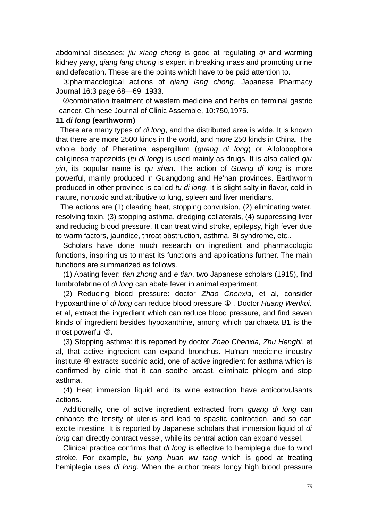abdominal diseases; *jiu xiang chong* is good at regulating *qi* and warming kidney *yang*, *qiang lang chong* is expert in breaking mass and promoting urine and defecation. These are the points which have to be paid attention to.

①pharmacological actions of *qiang lang chong*, Japanese Pharmacy Journal 16:3 page 68—69 ,1933.

②combination treatment of western medicine and herbs on terminal gastric cancer, Chinese Journal of Clinic Assemble, 10:750,1975.

#### **11** *di long* **(earthworm)**

 There are many types of *di long*, and the distributed area is wide. It is known that there are more 2500 kinds in the world, and more 250 kinds in China. The whole body of Pheretima aspergillum (*guang di long*) or Allolobophora caliginosa trapezoids (*tu di long*) is used mainly as drugs. It is also called *qiu yin*, its popular name is *qu shan*. The action of *Guang di long* is more powerful, mainly produced in Guangdong and He'nan provinces. Earthworm produced in other province is called *tu di long*. It is slight salty in flavor, cold in nature, nontoxic and attributive to lung, spleen and liver meridians.

 The actions are (1) clearing heat, stopping convulsion, (2) eliminating water, resolving toxin, (3) stopping asthma, dredging collaterals, (4) suppressing liver and reducing blood pressure. It can treat wind stroke, epilepsy, high fever due to warm factors, jaundice, throat obstruction, asthma, Bi syndrome, etc..

Scholars have done much research on ingredient and pharmacologic functions, inspiring us to mast its functions and applications further. The main functions are summarized as follows.

(1) Abating fever: *tian zhong* and *e tian*, two Japanese scholars (1915), find lumbrofabrine of *di long* can abate fever in animal experiment.

(2) Reducing blood pressure: doctor *Zhao Chenxia*, et al, consider hypoxanthine of *di long* can reduce blood pressure ① . Doctor *Huang Wenkui,* et al, extract the ingredient which can reduce blood pressure, and find seven kinds of ingredient besides hypoxanthine, among which parichaeta B1 is the most powerful ②.

(3) Stopping asthma: it is reported by doctor *Zhao Chenxia, Zhu Hengbi*, et al, that active ingredient can expand bronchus. Hu'nan medicine industry institute ④ extracts succinic acid, one of active ingredient for asthma which is confirmed by clinic that it can soothe breast, eliminate phlegm and stop asthma.

(4) Heat immersion liquid and its wine extraction have anticonvulsants actions.

Additionally, one of active ingredient extracted from *guang di long* can enhance the tensity of uterus and lead to spastic contraction, and so can excite intestine. It is reported by Japanese scholars that immersion liquid of *di long* can directly contract vessel, while its central action can expand vessel.

Clinical practice confirms that *di long* is effective to hemiplegia due to wind stroke. For example, *bu yang huan wu tang* which is good at treating hemiplegia uses *di long*. When the author treats longy high blood pressure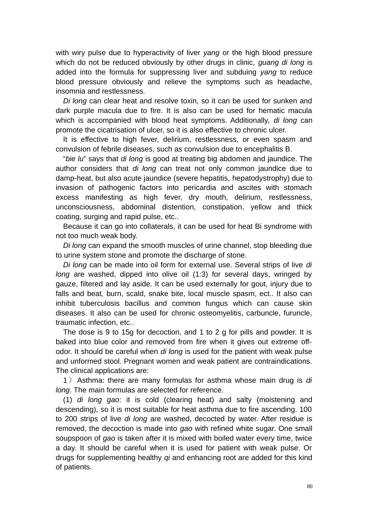with wiry pulse due to hyperactivity of liver *yang* or the high blood pressure which do not be reduced obviously by other drugs in clinic, *guang di long* is added into the formula for suppressing liver and subduing *yang* to reduce blood pressure obviously and relieve the symptoms such as headache, insomnia and restlessness.

*Di long* can clear heat and resolve toxin, so it can be used for sunken and dark purple macula due to fire. It is also can be used for hematic macula which is accompanied with blood heat symptoms. Additionally, *di long* can promote the cicatrisation of ulcer, so it is also effective to chronic ulcer.

It is effective to high fever, delirium, restlessness, or even spasm and convulsion of febrile diseases, such as convulsion due to encephalitis B.

"*bie lu*" says that *di long* is good at treating big abdomen and jaundice. The author considers that *di long* can treat not only common jaundice due to damp-heat, but also acute jaundice (severe hepatitis, hepatodystrophy) due to invasion of pathogenic factors into pericardia and ascites with stomach excess manifesting as high fever, dry mouth, delirium, restlessness, unconsciousness, abdominal distention, constipation, yellow and thick coating, surging and rapid pulse, etc..

Because it can go into collaterals, it can be used for heat Bi syndrome with not too much weak body.

*Di long* can expand the smooth muscles of urine channel, stop bleeding due to urine system stone and promote the discharge of stone.

*Di long* can be made into oil form for external use. Several strips of live *di long* are washed, dipped into olive oil (1:3) for several days, wringed by gauze, filtered and lay aside. It can be used externally for gout, injury due to falls and beat, burn, scald, snake bite, local muscle spasm, ect.. It also can inhibit tuberculosis bacillus and common fungus which can cause skin diseases. It also can be used for chronic osteomyelitis, carbuncle, furuncle, traumatic infection, etc..

The dose is 9 to 15g for decoction, and 1 to 2 g for pills and powder. It is baked into blue color and removed from fire when it gives out extreme offodor. It should be careful when *di long* is used for the patient with weak pulse and unformed stool. Pregnant women and weak patient are contraindications. The clinical applications are:

1 )Asthma: there are many formulas for asthma whose main drug is *di long*. The main formulas are selected for reference.

(1) *di long gao*: it is cold (clearing heat) and salty (moistening and descending), so it is most suitable for heat asthma due to fire ascending. 100 to 200 strips of live *di long* are washed, decocted by water. After residue is removed, the decoction is made into *gao* with refined white sugar. One small soupspoon of *gao* is taken after it is mixed with boiled water every time, twice a day. It should be careful when it is used for patient with weak pulse. Or drugs for supplementing healthy *qi* and enhancing root are added for this kind of patients.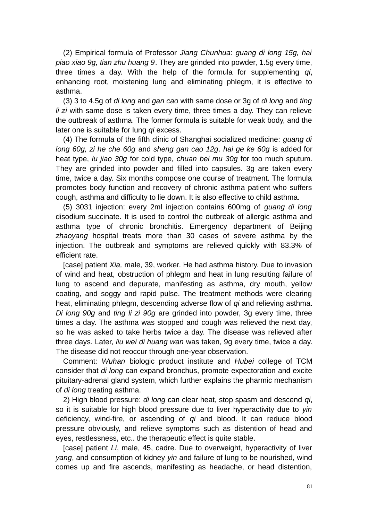(2) Empirical formula of Professor *Jiang Chunhua*: *guang di long 15g, hai piao xiao 9g, tian zhu huang 9*. They are grinded into powder, 1.5g every time, three times a day. With the help of the formula for supplementing *qi*, enhancing root, moistening lung and eliminating phlegm, it is effective to asthma.

(3) 3 to 4.5g of *di long* and *gan cao* with same dose or 3g of *di long* and *ting li zi* with same dose is taken every time, three times a day. They can relieve the outbreak of asthma. The former formula is suitable for weak body, and the later one is suitable for lung *qi* excess.

(4) The formula of the fifth clinic of Shanghai socialized medicine: *guang di long 60g, zi he che 60g* and *sheng gan cao 12g*. *hai ge ke 60g* is added for heat type, *lu jiao 30g* for cold type, *chuan bei mu 30g* for too much sputum. They are grinded into powder and filled into capsules. 3g are taken every time, twice a day. Six months compose one course of treatment. The formula promotes body function and recovery of chronic asthma patient who suffers cough, asthma and difficulty to lie down. It is also effective to child asthma.

(5) 3031 injection: every 2ml injection contains 600mg of *guang di long* disodium succinate. It is used to control the outbreak of allergic asthma and asthma type of chronic bronchitis. Emergency department of Beijing *zhaoyang* hospital treats more than 30 cases of severe asthma by the injection. The outbreak and symptoms are relieved quickly with 83.3% of efficient rate.

[case] patient *Xia,* male, 39, worker. He had asthma history. Due to invasion of wind and heat, obstruction of phlegm and heat in lung resulting failure of lung to ascend and depurate, manifesting as asthma, dry mouth, yellow coating, and soggy and rapid pulse. The treatment methods were clearing heat, eliminating phlegm, descending adverse flow of *qi* and relieving asthma. *Di long 90g* and *ting li zi 90g* are grinded into powder, 3g every time, three times a day. The asthma was stopped and cough was relieved the next day, so he was asked to take herbs twice a day. The disease was relieved after three days. Later, *liu wei di huang wan* was taken, 9g every time, twice a day. The disease did not reoccur through one-year observation.

Comment: *Wuhan* biologic product institute and *Hubei* college of TCM consider that *di long* can expand bronchus, promote expectoration and excite pituitary-adrenal gland system, which further explains the pharmic mechanism of *di long* treating asthma.

2) High blood pressure: *di long* can clear heat, stop spasm and descend *qi*, so it is suitable for high blood pressure due to liver hyperactivity due to *yin* deficiency, wind-fire, or ascending of *qi* and blood. It can reduce blood pressure obviously, and relieve symptoms such as distention of head and eyes, restlessness, etc.. the therapeutic effect is quite stable.

[case] patient *Li*, male, 45, cadre. Due to overweight, hyperactivity of liver *yang*, and consumption of kidney *yin* and failure of lung to be nourished, wind comes up and fire ascends, manifesting as headache, or head distention,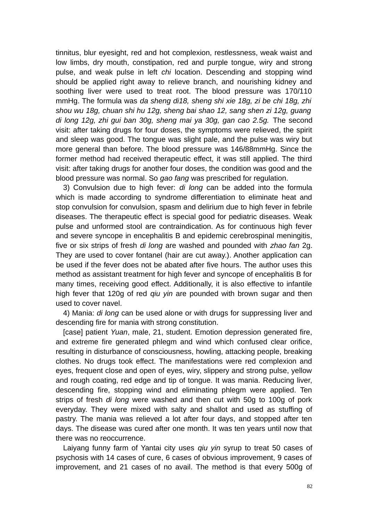tinnitus, blur eyesight, red and hot complexion, restlessness, weak waist and low limbs, dry mouth, constipation, red and purple tongue, wiry and strong pulse, and weak pulse in left *chi* location. Descending and stopping wind should be applied right away to relieve branch, and nourishing kidney and soothing liver were used to treat root. The blood pressure was 170/110 mmHg. The formula was *da sheng di18, sheng shi xie 18g, zi be chi 18g, zhi shou wu 18g, chuan shi hu 12g, sheng bai shao 12, sang shen zi 12g, guang di long 12g, zhi gui ban 30g, sheng mai ya 30g, gan cao 2.5g.* The second visit: after taking drugs for four doses, the symptoms were relieved, the spirit and sleep was good. The tongue was slight pale, and the pulse was wiry but more general than before. The blood pressure was 146/88mmHg. Since the former method had received therapeutic effect, it was still applied. The third visit: after taking drugs for another four doses, the condition was good and the blood pressure was normal. So *gao fang* was prescribed for regulation.

3) Convulsion due to high fever: *di long* can be added into the formula which is made according to syndrome differentiation to eliminate heat and stop convulsion for convulsion, spasm and delirium due to high fever in febrile diseases. The therapeutic effect is special good for pediatric diseases. Weak pulse and unformed stool are contraindication. As for continuous high fever and severe syncope in encephalitis B and epidemic cerebrospinal meningitis, five or six strips of fresh *di long* are washed and pounded with *zhao fan* 2g. They are used to cover fontanel (hair are cut away.). Another application can be used if the fever does not be abated after five hours. The author uses this method as assistant treatment for high fever and syncope of encephalitis B for many times, receiving good effect. Additionally, it is also effective to infantile high fever that 120g of red *qiu yin* are pounded with brown sugar and then used to cover navel.

4) Mania: *di long* can be used alone or with drugs for suppressing liver and descending fire for mania with strong constitution.

[case] patient *Yuan*, male, 21, student. Emotion depression generated fire, and extreme fire generated phlegm and wind which confused clear orifice, resulting in disturbance of consciousness, howling, attacking people, breaking clothes. No drugs took effect. The manifestations were red complexion and eyes, frequent close and open of eyes, wiry, slippery and strong pulse, yellow and rough coating, red edge and tip of tongue. It was mania. Reducing liver, descending fire, stopping wind and eliminating phlegm were applied. Ten strips of fresh *di long* were washed and then cut with 50g to 100g of pork everyday. They were mixed with salty and shallot and used as stuffing of pastry. The mania was relieved a lot after four days, and stopped after ten days. The disease was cured after one month. It was ten years until now that there was no reoccurrence.

Laiyang funny farm of Yantai city uses *qiu yin* syrup to treat 50 cases of psychosis with 14 cases of cure, 6 cases of obvious improvement, 9 cases of improvement, and 21 cases of no avail. The method is that every 500g of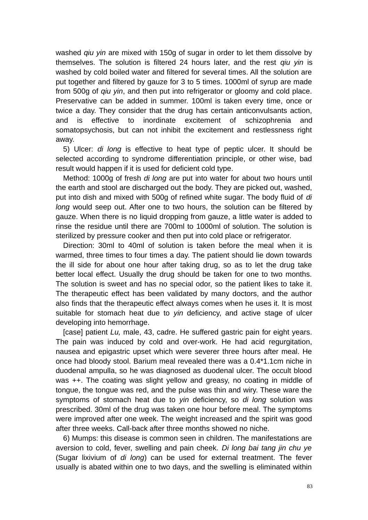washed *qiu yin* are mixed with 150g of sugar in order to let them dissolve by themselves. The solution is filtered 24 hours later, and the rest *qiu yin* is washed by cold boiled water and filtered for several times. All the solution are put together and filtered by gauze for 3 to 5 times. 1000ml of syrup are made from 500g of *qiu yin*, and then put into refrigerator or gloomy and cold place. Preservative can be added in summer. 100ml is taken every time, once or twice a day. They consider that the drug has certain anticonvulsants action, and is effective to inordinate excitement of schizophrenia and somatopsychosis, but can not inhibit the excitement and restlessness right away.

5) Ulcer: *di long* is effective to heat type of peptic ulcer. It should be selected according to syndrome differentiation principle, or other wise, bad result would happen if it is used for deficient cold type.

Method: 1000g of fresh *di long* are put into water for about two hours until the earth and stool are discharged out the body. They are picked out, washed, put into dish and mixed with 500g of refined white sugar. The body fluid of *di long* would seep out. After one to two hours, the solution can be filtered by gauze. When there is no liquid dropping from gauze, a little water is added to rinse the residue until there are 700ml to 1000ml of solution. The solution is sterilized by pressure cooker and then put into cold place or refrigerator.

Direction: 30ml to 40ml of solution is taken before the meal when it is warmed, three times to four times a day. The patient should lie down towards the ill side for about one hour after taking drug, so as to let the drug take better local effect. Usually the drug should be taken for one to two months. The solution is sweet and has no special odor, so the patient likes to take it. The therapeutic effect has been validated by many doctors, and the author also finds that the therapeutic effect always comes when he uses it. It is most suitable for stomach heat due to *yin* deficiency, and active stage of ulcer developing into hemorrhage.

[case] patient *Lu,* male, 43, cadre. He suffered gastric pain for eight years. The pain was induced by cold and over-work. He had acid regurgitation, nausea and epigastric upset which were severer three hours after meal. He once had bloody stool. Barium meal revealed there was a 0.4\*1.1cm niche in duodenal ampulla, so he was diagnosed as duodenal ulcer. The occult blood was ++. The coating was slight yellow and greasy, no coating in middle of tongue, the tongue was red, and the pulse was thin and wiry. These ware the symptoms of stomach heat due to *yin* deficiency, so *di long* solution was prescribed. 30ml of the drug was taken one hour before meal. The symptoms were improved after one week. The weight increased and the spirit was good after three weeks. Call-back after three months showed no niche.

6) Mumps: this disease is common seen in children. The manifestations are aversion to cold, fever, swelling and pain cheek. *Di long bai tang jin chu ye* (Sugar lixivium of *di long*) can be used for external treatment. The fever usually is abated within one to two days, and the swelling is eliminated within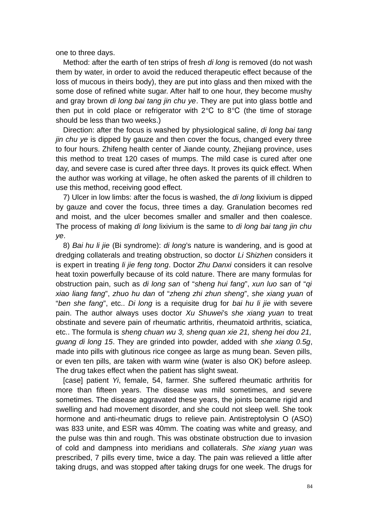one to three days.

Method: after the earth of ten strips of fresh *di long* is removed (do not wash them by water, in order to avoid the reduced therapeutic effect because of the loss of mucous in theirs body), they are put into glass and then mixed with the some dose of refined white sugar. After half to one hour, they become mushy and gray brown *di long bai tang jin chu ye*. They are put into glass bottle and then put in cold place or refrigerator with  $2^{\circ}C$  to  $8^{\circ}C$  (the time of storage should be less than two weeks.)

Direction: after the focus is washed by physiological saline, *di long bai tang jin chu ye* is dipped by gauze and then cover the focus, changed every three to four hours. Zhifeng health center of Jiande county, Zhejiang province, uses this method to treat 120 cases of mumps. The mild case is cured after one day, and severe case is cured after three days. It proves its quick effect. When the author was working at village, he often asked the parents of ill children to use this method, receiving good effect.

7) Ulcer in low limbs: after the focus is washed, the *di long* lixivium is dipped by gauze and cover the focus, three times a day. Granulation becomes red and moist, and the ulcer becomes smaller and smaller and then coalesce. The process of making *di long* lixivium is the same to *di long bai tang jin chu ye*.

8) *Bai hu li jie* (Bi syndrome): *di long*'s nature is wandering, and is good at dredging collaterals and treating obstruction, so doctor *Li Shizhen* considers it is expert in treating *li jie feng tong*. Doctor *Zhu Danxi* considers it can resolve heat toxin powerfully because of its cold nature. There are many formulas for obstruction pain, such as *di long san* of "*sheng hui fang*", *xun luo san* of "*qi xiao liang fang*", *zhuo hu dan* of "*zheng zhi zhun sheng*", *she xiang yuan* of "*ben she fang*", etc.. *Di long* is a requisite drug for *bai hu li jie* with severe pain. The author always uses doctor *Xu Shuwei*'s *she xiang yuan* to treat obstinate and severe pain of rheumatic arthritis, rheumatoid arthritis, sciatica, etc.. The formula is *sheng chuan wu 3, sheng quan xie 21, sheng hei dou 21, guang di long 15*. They are grinded into powder, added with *she xiang 0.5g*, made into pills with glutinous rice congee as large as mung bean. Seven pills, or even ten pills, are taken with warm wine (water is also OK) before asleep. The drug takes effect when the patient has slight sweat.

[case] patient *Yi*, female, 54, farmer. She suffered rheumatic arthritis for more than fifteen years. The disease was mild sometimes, and severe sometimes. The disease aggravated these years, the joints became rigid and swelling and had movement disorder, and she could not sleep well. She took hormone and anti-rheumatic drugs to relieve pain. Antistreptolysin O (ASO) was 833 unite, and ESR was 40mm. The coating was white and greasy, and the pulse was thin and rough. This was obstinate obstruction due to invasion of cold and dampness into meridians and collaterals. *She xiang yuan* was prescribed, 7 pills every time, twice a day. The pain was relieved a little after taking drugs, and was stopped after taking drugs for one week. The drugs for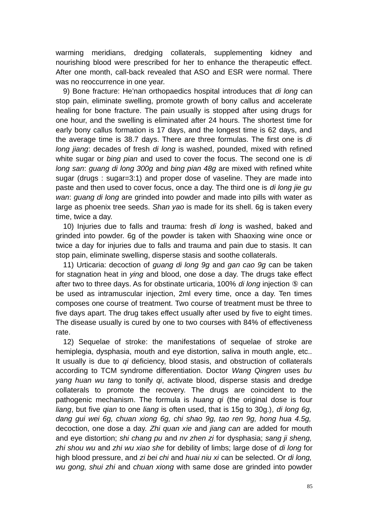warming meridians, dredging collaterals, supplementing kidney and nourishing blood were prescribed for her to enhance the therapeutic effect. After one month, call-back revealed that ASO and ESR were normal. There was no reoccurrence in one year.

9) Bone fracture: He'nan orthopaedics hospital introduces that *di long* can stop pain, eliminate swelling, promote growth of bony callus and accelerate healing for bone fracture. The pain usually is stopped after using drugs for one hour, and the swelling is eliminated after 24 hours. The shortest time for early bony callus formation is 17 days, and the longest time is 62 days, and the average time is 38.7 days. There are three formulas. The first one is *di long jiang*: decades of fresh *di long* is washed, pounded, mixed with refined white sugar or *bing pian* and used to cover the focus. The second one is *di long san*: *guang di long 300g* and *bing pian 48g* are mixed with refined white sugar (drugs : sugar=3:1) and proper dose of vaseline. They are made into paste and then used to cover focus, once a day. The third one is *di long jie gu wan*: *guang di long* are grinded into powder and made into pills with water as large as phoenix tree seeds. *Shan yao* is made for its shell. 6g is taken every time, twice a day.

10) Injuries due to falls and trauma: fresh *di long* is washed, baked and grinded into powder. 6g of the powder is taken with Shaoxing wine once or twice a day for injuries due to falls and trauma and pain due to stasis. It can stop pain, eliminate swelling, disperse stasis and soothe collaterals.

11) Urticaria: decoction of *guang di long 9g* and *gan cao 9g* can be taken for stagnation heat in *ying* and blood, one dose a day. The drugs take effect after two to three days. As for obstinate urticaria, 100% *di long* injection ⑤ can be used as intramuscular injection, 2ml every time, once a day. Ten times composes one course of treatment. Two course of treatment must be three to five days apart. The drug takes effect usually after used by five to eight times. The disease usually is cured by one to two courses with 84% of effectiveness rate.

12) Sequelae of stroke: the manifestations of sequelae of stroke are hemiplegia, dysphasia, mouth and eye distortion, saliva in mouth angle, etc.. It usually is due to *qi* deficiency, blood stasis, and obstruction of collaterals according to TCM syndrome differentiation. Doctor *Wang Qingren* uses *bu yang huan wu tang* to tonify *qi*, activate blood, disperse stasis and dredge collaterals to promote the recovery. The drugs are coincident to the pathogenic mechanism. The formula is *huang qi* (the original dose is four *liang*, but five *qian* to one *liang* is often used, that is 15g to 30g.)*, di long 6g, dang gui wei 6g, chuan xiong 6g, chi shao 9g, tao ren 9g, hong hua 4.5g,* decoction, one dose a day. *Zhi quan xie* and *jiang can* are added for mouth and eye distortion; *shi chang pu* and *nv zhen zi* for dysphasia; *sang ji sheng, zhi shou wu* and *zhi wu xiao she* for debility of limbs; large dose of *di long* for high blood pressure, and *zi bei chi* and *huai niu xi* can be selected. Or *di long, wu gong, shui zhi* and *chuan xiong* with same dose are grinded into powder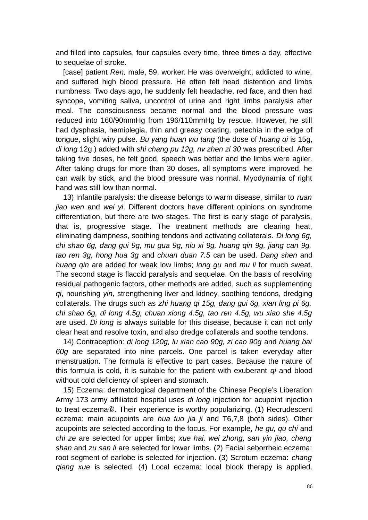and filled into capsules, four capsules every time, three times a day, effective to sequelae of stroke.

[case] patient *Ren,* male, 59, worker. He was overweight, addicted to wine, and suffered high blood pressure. He often felt head distention and limbs numbness. Two days ago, he suddenly felt headache, red face, and then had syncope, vomiting saliva, uncontrol of urine and right limbs paralysis after meal. The consciousness became normal and the blood pressure was reduced into 160/90mmHg from 196/110mmHg by rescue. However, he still had dysphasia, hemiplegia, thin and greasy coating, petechia in the edge of tongue, slight wiry pulse. *Bu yang huan wu tang* (the dose of *huang qi* is 15g, *di long* 12g.) added with *shi chang pu 12g, nv zhen zi 30* was prescribed. After taking five doses, he felt good, speech was better and the limbs were agiler. After taking drugs for more than 30 doses, all symptoms were improved, he can walk by stick, and the blood pressure was normal. Myodynamia of right hand was still low than normal.

13) Infantile paralysis: the disease belongs to warm disease, similar to *ruan jiao wen* and *wei yi*. Different doctors have different opinions on syndrome differentiation, but there are two stages. The first is early stage of paralysis, that is, progressive stage. The treatment methods are clearing heat, eliminating dampness, soothing tendons and activating collaterals. *Di long 6g, chi shao 6g, dang gui 9g, mu gua 9g, niu xi 9g, huang qin 9g, jiang can 9g, tao ren 3g, hong hua 3g* and *chuan duan 7.5* can be used. *Dang shen* and *huang qin* are added for weak low limbs; *long gu* and *mu li* for much sweat. The second stage is flaccid paralysis and sequelae. On the basis of resolving residual pathogenic factors, other methods are added, such as supplementing *qi*, nourishing *yin*, strengthening liver and kidney, soothing tendons, dredging collaterals. The drugs such as *zhi huang qi 15g, dang gui 6g, xian ling pi 6g, chi shao 6g, di long 4.5g, chuan xiong 4.5g, tao ren 4.5g, wu xiao she 4.5g* are used. *Di long* is always suitable for this disease, because it can not only clear heat and resolve toxin, and also dredge collaterals and soothe tendons.

14) Contraception: *di long 120g, lu xian cao 90g, zi cao 90g* and *huang bai 60g* are separated into nine parcels. One parcel is taken everyday after menstruation. The formula is effective to part cases. Because the nature of this formula is cold, it is suitable for the patient with exuberant *qi* and blood without cold deficiency of spleen and stomach.

15) Eczema: dermatological department of the Chinese People's Liberation Army 173 army affiliated hospital uses *di long* injection for acupoint injection to treat eczema⑥. Their experience is worthy popularizing. (1) Recrudescent eczema: main acupoints are *hua tuo jia ji* and T6,7,8 (both sides). Other acupoints are selected according to the focus. For example, *he gu, qu chi* and *chi ze* are selected for upper limbs; *xue hai, wei zhong, san yin jiao, cheng shan* and *zu san li* are selected for lower limbs. (2) Facial seborrheic eczema: root segment of earlobe is selected for injection. (3) Scrotum eczema: *chang qiang xue* is selected. (4) Local eczema: local block therapy is applied.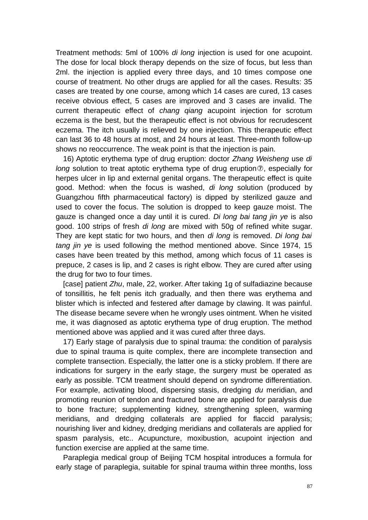Treatment methods: 5ml of 100% *di long* injection is used for one acupoint. The dose for local block therapy depends on the size of focus, but less than 2ml. the injection is applied every three days, and 10 times compose one course of treatment. No other drugs are applied for all the cases. Results: 35 cases are treated by one course, among which 14 cases are cured, 13 cases receive obvious effect, 5 cases are improved and 3 cases are invalid. The current therapeutic effect of *chang qiang* acupoint injection for scrotum eczema is the best, but the therapeutic effect is not obvious for recrudescent eczema. The itch usually is relieved by one injection. This therapeutic effect can last 36 to 48 hours at most, and 24 hours at least. Three-month follow-up shows no reoccurrence. The weak point is that the injection is pain.

16) Aptotic erythema type of drug eruption: doctor *Zhang Weisheng* use *di long* solution to treat aptotic erythema type of drug eruption⑦, especially for herpes ulcer in lip and external genital organs. The therapeutic effect is quite good. Method: when the focus is washed, *di long* solution (produced by Guangzhou fifth pharmaceutical factory) is dipped by sterilized gauze and used to cover the focus. The solution is dropped to keep gauze moist. The gauze is changed once a day until it is cured. *Di long bai tang jin ye* is also good. 100 strips of fresh *di long* are mixed with 50g of refined white sugar. They are kept static for two hours, and then *di long* is removed. *Di long bai tang jin ye* is used following the method mentioned above. Since 1974, 15 cases have been treated by this method, among which focus of 11 cases is prepuce, 2 cases is lip, and 2 cases is right elbow. They are cured after using the drug for two to four times.

[case] patient *Zhu*, male, 22, worker. After taking 1g of sulfadiazine because of tonsillitis, he felt penis itch gradually, and then there was erythema and blister which is infected and festered after damage by clawing. It was painful. The disease became severe when he wrongly uses ointment. When he visited me, it was diagnosed as aptotic erythema type of drug eruption. The method mentioned above was applied and it was cured after three days.

17) Early stage of paralysis due to spinal trauma: the condition of paralysis due to spinal trauma is quite complex, there are incomplete transection and complete transection. Especially, the latter one is a sticky problem. If there are indications for surgery in the early stage, the surgery must be operated as early as possible. TCM treatment should depend on syndrome differentiation. For example, activating blood, dispersing stasis, dredging *du* meridian, and promoting reunion of tendon and fractured bone are applied for paralysis due to bone fracture; supplementing kidney, strengthening spleen, warming meridians, and dredging collaterals are applied for flaccid paralysis; nourishing liver and kidney, dredging meridians and collaterals are applied for spasm paralysis, etc.. Acupuncture, moxibustion, acupoint injection and function exercise are applied at the same time.

Paraplegia medical group of Beijing TCM hospital introduces a formula for early stage of paraplegia, suitable for spinal trauma within three months, loss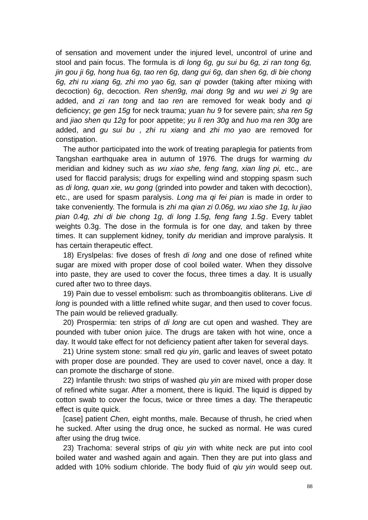of sensation and movement under the injured level, uncontrol of urine and stool and pain focus. The formula is *di long 6g, gu sui bu 6g, zi ran tong 6g, jin gou ji 6g, hong hua 6g, tao ren 6g, dang gui 6g, dan shen 6g, di bie chong 6g, zhi ru xiang 6g, zhi mo yao 6g, san qi* powder (taking after mixing with decoction) *6g*, decoction. *Ren shen9g, mai dong 9g* and *wu wei zi 9g* are added, and *zi ran tong* and *tao ren* are removed for weak body and *qi* deficiency; *ge gen 15g* for neck trauma; *yuan hu 9* for severe pain; *sha ren 5g* and *jiao shen qu 12g* for poor appetite; *yu li ren 30g* and *huo ma ren 30g* are added, and *gu sui bu* , *zhi ru xiang* and *zhi mo yao* are removed for constipation.

The author participated into the work of treating paraplegia for patients from Tangshan earthquake area in autumn of 1976. The drugs for warming *du* meridian and kidney such as *wu xiao she, feng fang, xian ling pi,* etc., are used for flaccid paralysis; drugs for expelling wind and stopping spasm such as *di long, quan xie, wu gong* (grinded into powder and taken with decoction), etc., are used for spasm paralysis. *Long ma qi fei pian* is made in order to take conveniently. The formula is *zhi ma qian zi 0.06g, wu xiao she 1g, lu jiao pian 0.4g, zhi di bie chong 1g, di long 1.5g, feng fang 1.5g*. Every tablet weights 0.3g. The dose in the formula is for one day, and taken by three times. It can supplement kidney, tonify *du* meridian and improve paralysis. It has certain therapeutic effect.

18) Eryslpelas: five doses of fresh *di long* and one dose of refined white sugar are mixed with proper dose of cool boiled water. When they dissolve into paste, they are used to cover the focus, three times a day. It is usually cured after two to three days.

19) Pain due to vessel embolism: such as thromboangitis obliterans. Live *di long* is pounded with a little refined white sugar, and then used to cover focus. The pain would be relieved gradually.

20) Prospermia: ten strips of *di long* are cut open and washed. They are pounded with tuber onion juice. The drugs are taken with hot wine, once a day. It would take effect for not deficiency patient after taken for several days.

21) Urine system stone: small red *qiu yin*, garlic and leaves of sweet potato with proper dose are pounded. They are used to cover navel, once a day. It can promote the discharge of stone.

22) Infantile thrush: two strips of washed *qiu yin* are mixed with proper dose of refined white sugar. After a moment, there is liquid. The liquid is dipped by cotton swab to cover the focus, twice or three times a day. The therapeutic effect is quite quick.

[case] patient *Chen*, eight months, male. Because of thrush, he cried when he sucked. After using the drug once, he sucked as normal. He was cured after using the drug twice.

23) Trachoma: several strips of *qiu yin* with white neck are put into cool boiled water and washed again and again. Then they are put into glass and added with 10% sodium chloride. The body fluid of *qiu yin* would seep out.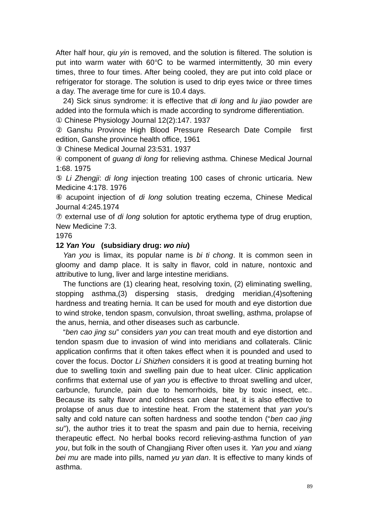After half hour, *qiu yin* is removed, and the solution is filtered. The solution is put into warm water with 60°C to be warmed intermittently, 30 min every times, three to four times. After being cooled, they are put into cold place or refrigerator for storage. The solution is used to drip eyes twice or three times a day. The average time for cure is 10.4 days.

24) Sick sinus syndrome: it is effective that *di long* and *lu jiao* powder are added into the formula which is made according to syndrome differentiation. ① Chinese Physiology Journal 12(2):147. 1937

② Ganshu Province High Blood Pressure Research Date Compile first edition, Ganshe province health office, 1961

③ Chinese Medical Journal 23:531. 1937

④ component of *guang di long* for relieving asthma. Chinese Medical Journal 1:68. 1975

⑤ *Li Zhengji*: *di long* injection treating 100 cases of chronic urticaria. New Medicine 4:178. 1976

⑥ acupoint injection of *di long* solution treating eczema, Chinese Medical Journal 4:245.1974

⑦ external use of *di long* solution for aptotic erythema type of drug eruption, New Medicine 7:3.

1976

# **12** *Yan You* **(subsidiary drug:** *wo niu***)**

*Yan you* is limax, its popular name is *bi ti chong*. It is common seen in gloomy and damp place. It is salty in flavor, cold in nature, nontoxic and attributive to lung, liver and large intestine meridians.

The functions are (1) clearing heat, resolving toxin, (2) eliminating swelling, stopping asthma,(3) dispersing stasis, dredging meridian,(4)softening hardness and treating hernia. It can be used for mouth and eye distortion due to wind stroke, tendon spasm, convulsion, throat swelling, asthma, prolapse of the anus, hernia, and other diseases such as carbuncle.

"*ben cao jing su*" considers *yan you* can treat mouth and eye distortion and tendon spasm due to invasion of wind into meridians and collaterals. Clinic application confirms that it often takes effect when it is pounded and used to cover the focus. Doctor *Li Shizhen* considers it is good at treating burning hot due to swelling toxin and swelling pain due to heat ulcer. Clinic application confirms that external use of *yan you* is effective to throat swelling and ulcer, carbuncle, furuncle, pain due to hemorrhoids, bite by toxic insect, etc.. Because its salty flavor and coldness can clear heat, it is also effective to prolapse of anus due to intestine heat. From the statement that *yan you*'s salty and cold nature can soften hardness and soothe tendon ("*ben cao jing su*"), the author tries it to treat the spasm and pain due to hernia, receiving therapeutic effect. No herbal books record relieving-asthma function of *yan you*, but folk in the south of Changjiang River often uses it. *Yan you* and *xiang bei mu* are made into pills, named *yu yan dan*. It is effective to many kinds of asthma.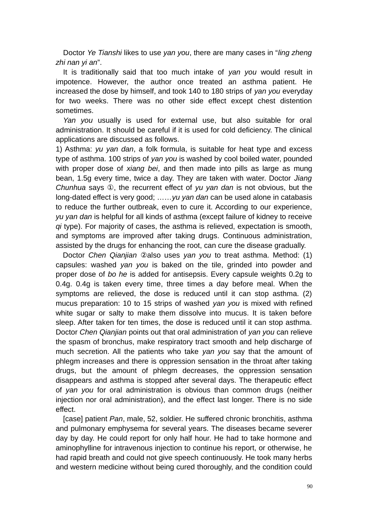Doctor *Ye Tianshi* likes to use *yan you*, there are many cases in "*ling zheng zhi nan yi an*".

It is traditionally said that too much intake of *yan you* would result in impotence. However, the author once treated an asthma patient. He increased the dose by himself, and took 140 to 180 strips of *yan you* everyday for two weeks. There was no other side effect except chest distention sometimes.

*Yan you* usually is used for external use, but also suitable for oral administration. It should be careful if it is used for cold deficiency. The clinical applications are discussed as follows.

1) Asthma: *yu yan dan*, a folk formula, is suitable for heat type and excess type of asthma. 100 strips of *yan you* is washed by cool boiled water, pounded with proper dose of *xiang bei*, and then made into pills as large as mung bean, 1.5g every time, twice a day. They are taken with water. Doctor *Jiang Chunhua* says ①, the recurrent effect of *yu yan dan* is not obvious, but the long-dated effect is very good; ……*yu yan dan* can be used alone in catabasis to reduce the further outbreak, even to cure it. According to our experience, *yu yan dan* is helpful for all kinds of asthma (except failure of kidney to receive *qi* type). For majority of cases, the asthma is relieved, expectation is smooth, and symptoms are improved after taking drugs. Continuous administration, assisted by the drugs for enhancing the root, can cure the disease gradually.

 Doctor *Chen Qianjian* ②also uses *yan you* to treat asthma. Method: (1) capsules: washed *yan you* is baked on the tile, grinded into powder and proper dose of *bo he* is added for antisepsis. Every capsule weights 0.2g to 0.4g. 0.4g is taken every time, three times a day before meal. When the symptoms are relieved, the dose is reduced until it can stop asthma. (2) mucus preparation: 10 to 15 strips of washed *yan you* is mixed with refined white sugar or salty to make them dissolve into mucus. It is taken before sleep. After taken for ten times, the dose is reduced until it can stop asthma. Doctor *Chen Qianjian* points out that oral administration of *yan you* can relieve the spasm of bronchus, make respiratory tract smooth and help discharge of much secretion. All the patients who take *yan you* say that the amount of phlegm increases and there is oppression sensation in the throat after taking drugs, but the amount of phlegm decreases, the oppression sensation disappears and asthma is stopped after several days. The therapeutic effect of *yan you* for oral administration is obvious than common drugs (neither injection nor oral administration), and the effect last longer. There is no side effect.

[case] patient *Pan*, male, 52, soldier. He suffered chronic bronchitis, asthma and pulmonary emphysema for several years. The diseases became severer day by day. He could report for only half hour. He had to take hormone and aminophylline for intravenous injection to continue his report, or otherwise, he had rapid breath and could not give speech continuously. He took many herbs and western medicine without being cured thoroughly, and the condition could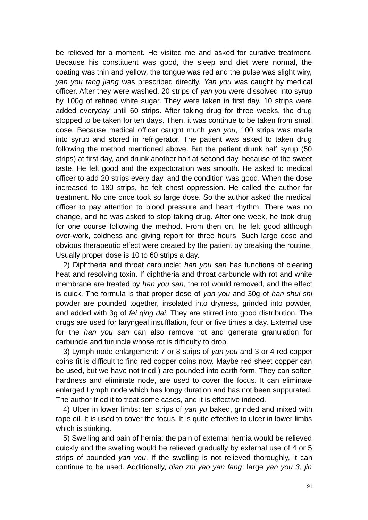be relieved for a moment. He visited me and asked for curative treatment. Because his constituent was good, the sleep and diet were normal, the coating was thin and yellow, the tongue was red and the pulse was slight wiry, *yan you tang jiang* was prescribed directly. *Yan you* was caught by medical officer. After they were washed, 20 strips of *yan you* were dissolved into syrup by 100g of refined white sugar. They were taken in first day. 10 strips were added everyday until 60 strips. After taking drug for three weeks, the drug stopped to be taken for ten days. Then, it was continue to be taken from small dose. Because medical officer caught much *yan you*, 100 strips was made into syrup and stored in refrigerator. The patient was asked to taken drug following the method mentioned above. But the patient drunk half syrup (50 strips) at first day, and drunk another half at second day, because of the sweet taste. He felt good and the expectoration was smooth. He asked to medical officer to add 20 strips every day, and the condition was good. When the dose increased to 180 strips, he felt chest oppression. He called the author for treatment. No one once took so large dose. So the author asked the medical officer to pay attention to blood pressure and heart rhythm. There was no change, and he was asked to stop taking drug. After one week, he took drug for one course following the method. From then on, he felt good although over-work, coldness and giving report for three hours. Such large dose and obvious therapeutic effect were created by the patient by breaking the routine. Usually proper dose is 10 to 60 strips a day.

2) Diphtheria and throat carbuncle: *han you san* has functions of clearing heat and resolving toxin. If diphtheria and throat carbuncle with rot and white membrane are treated by *han you san*, the rot would removed, and the effect is quick. The formula is that proper dose of *yan you* and 30g of *han shui shi* powder are pounded together, insolated into dryness, grinded into powder, and added with 3g of *fei qing dai*. They are stirred into good distribution. The drugs are used for laryngeal insufflation, four or five times a day. External use for the *han you san* can also remove rot and generate granulation for carbuncle and furuncle whose rot is difficulty to drop.

3) Lymph node enlargement: 7 or 8 strips of *yan you* and 3 or 4 red copper coins (it is difficult to find red copper coins now. Maybe red sheet copper can be used, but we have not tried.) are pounded into earth form. They can soften hardness and eliminate node, are used to cover the focus. It can eliminate enlarged Lymph node which has longy duration and has not been suppurated. The author tried it to treat some cases, and it is effective indeed.

4) Ulcer in lower limbs: ten strips of *yan yu* baked, grinded and mixed with rape oil. It is used to cover the focus. It is quite effective to ulcer in lower limbs which is stinking.

5) Swelling and pain of hernia: the pain of external hernia would be relieved quickly and the swelling would be relieved gradually by external use of 4 or 5 strips of pounded *yan you*. If the swelling is not relieved thoroughly, it can continue to be used. Additionally, *dian zhi yao yan fang*: large *yan you 3*, *jin*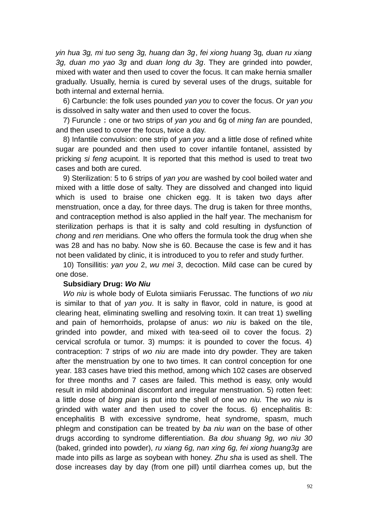*yin hua 3g, mi tuo seng 3g, huang dan 3g*, *fei xiong huang* 3g*, duan ru xiang 3g, duan mo yao 3g* and *duan long du 3g*. They are grinded into powder, mixed with water and then used to cover the focus. It can make hernia smaller gradually. Usually, hernia is cured by several uses of the drugs, suitable for both internal and external hernia.

6) Carbuncle: the folk uses pounded *yan you* to cover the focus. Or *yan you* is dissolved in salty water and then used to cover the focus.

7) Furuncle; one or two strips of yan you and 6g of *ming fan* are pounded, and then used to cover the focus, twice a day.

8) Infantile convulsion: one strip of *yan you* and a little dose of refined white sugar are pounded and then used to cover infantile fontanel, assisted by pricking *si feng* acupoint. It is reported that this method is used to treat two cases and both are cured.

9) Sterilization: 5 to 6 strips of *yan you* are washed by cool boiled water and mixed with a little dose of salty. They are dissolved and changed into liquid which is used to braise one chicken egg. It is taken two days after menstruation, once a day, for three days. The drug is taken for three months, and contraception method is also applied in the half year. The mechanism for sterilization perhaps is that it is salty and cold resulting in dysfunction of *chong* and *ren* meridians. One who offers the formula took the drug when she was 28 and has no baby. Now she is 60. Because the case is few and it has not been validated by clinic, it is introduced to you to refer and study further.

10) Tonsillitis: *yan you* 2, *wu mei 3*, decoction. Mild case can be cured by one dose.

#### **Subsidiary Drug:** *Wo Niu*

*Wo niu* is whole body of Eulota simiiaris Ferussac. The functions of *wo niu* is similar to that of *yan you*. It is salty in flavor, cold in nature, is good at clearing heat, eliminating swelling and resolving toxin. It can treat 1) swelling and pain of hemorrhoids, prolapse of anus: *wo niu* is baked on the tile, grinded into powder, and mixed with tea-seed oil to cover the focus. 2) cervical scrofula or tumor. 3) mumps: it is pounded to cover the focus. 4) contraception: 7 strips of *wo niu* are made into dry powder. They are taken after the menstruation by one to two times. It can control conception for one year. 183 cases have tried this method, among which 102 cases are observed for three months and 7 cases are failed. This method is easy, only would result in mild abdominal discomfort and irregular menstruation. 5) rotten feet: a little dose of *bing pian* is put into the shell of one *wo niu.* The *wo niu* is grinded with water and then used to cover the focus. 6) encephalitis B: encephalitis B with excessive syndrome, heat syndrome, spasm, much phlegm and constipation can be treated by *ba niu wan* on the base of other drugs according to syndrome differentiation. *Ba dou shuang 9g, wo niu 30* (baked, grinded into powder)*, ru xiang 6g, nan xing 6g, fei xiong huang3g* are made into pills as large as soybean with honey. *Zhu sha* is used as shell. The dose increases day by day (from one pill) until diarrhea comes up, but the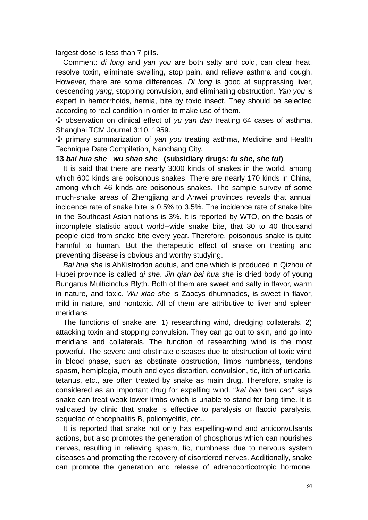largest dose is less than 7 pills.

Comment: *di long* and *yan you* are both salty and cold, can clear heat, resolve toxin, eliminate swelling, stop pain, and relieve asthma and cough. However, there are some differences. *Di long* is good at suppressing liver, descending *yang*, stopping convulsion, and eliminating obstruction. *Yan you* is expert in hemorrhoids, hernia, bite by toxic insect. They should be selected according to real condition in order to make use of them.

① observation on clinical effect of *yu yan dan* treating 64 cases of asthma, Shanghai TCM Journal 3:10. 1959.

② primary summarization of *yan you* treating asthma, Medicine and Health Technique Date Compilation, Nanchang City.

# **13** *bai hua she**wu shao she* **(subsidiary drugs:** *fu she***,** *she tui***)**

It is said that there are nearly 3000 kinds of snakes in the world, among which 600 kinds are poisonous snakes. There are nearly 170 kinds in China, among which 46 kinds are poisonous snakes. The sample survey of some much-snake areas of Zhengjiang and Anwei provinces reveals that annual incidence rate of snake bite is 0.5% to 3.5%. The incidence rate of snake bite in the Southeast Asian nations is 3%. It is reported by WTO, on the basis of incomplete statistic about world--wide snake bite, that 30 to 40 thousand people died from snake bite every year. Therefore, poisonous snake is quite harmful to human. But the therapeutic effect of snake on treating and preventing disease is obvious and worthy studying.

*Bai hua she* is AhKistrodon acutus, and one which is produced in Qizhou of Hubei province is called *qi she*. *Jin qian bai hua she* is dried body of young Bungarus Multicinctus Blyth. Both of them are sweet and salty in flavor, warm in nature, and toxic. *Wu xiao she* is Zaocys dhumnades, is sweet in flavor, mild in nature, and nontoxic. All of them are attributive to liver and spleen meridians.

The functions of snake are: 1) researching wind, dredging collaterals, 2) attacking toxin and stopping convulsion. They can go out to skin, and go into meridians and collaterals. The function of researching wind is the most powerful. The severe and obstinate diseases due to obstruction of toxic wind in blood phase, such as obstinate obstruction, limbs numbness, tendons spasm, hemiplegia, mouth and eyes distortion, convulsion, tic, itch of urticaria, tetanus, etc., are often treated by snake as main drug. Therefore, snake is considered as an important drug for expelling wind. "*kai bao ben cao*" says snake can treat weak lower limbs which is unable to stand for long time. It is validated by clinic that snake is effective to paralysis or flaccid paralysis, sequelae of encephalitis B, poliomyelitis, etc..

It is reported that snake not only has expelling-wind and anticonvulsants actions, but also promotes the generation of phosphorus which can nourishes nerves, resulting in relieving spasm, tic, numbness due to nervous system diseases and promoting the recovery of disordered nerves. Additionally, snake can promote the generation and release of adrenocorticotropic hormone,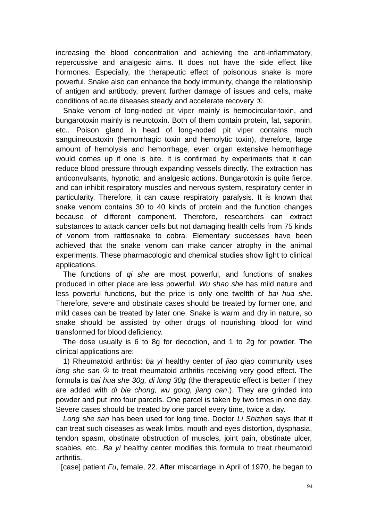increasing the blood concentration and achieving the anti-inflammatory, repercussive and analgesic aims. It does not have the side effect like hormones. Especially, the therapeutic effect of poisonous snake is more powerful. Snake also can enhance the body immunity, change the relationship of antigen and antibody, prevent further damage of issues and cells, make conditions of acute diseases steady and accelerate recovery ①.

Snake venom of long-noded [pit viper](http://www.nciku.com/search/en/pit+viper) mainly is hemocircular-toxin, and bungarotoxin mainly is neurotoxin. Both of them contain protein, fat, saponin, etc.. Poison gland in head of long-noded [pit viper](http://www.nciku.com/search/en/pit+viper) contains much sanguineoustoxin (hemorrhagic toxin and hemolytic toxin), therefore, large amount of hemolysis and hemorrhage, even organ extensive hemorrhage would comes up if one is bite. It is confirmed by experiments that it can reduce blood pressure through expanding vessels directly. The extraction has anticonvulsants, hypnotic, and analgesic actions. Bungarotoxin is quite fierce, and can inhibit respiratory muscles and nervous system, respiratory center in particularity. Therefore, it can cause respiratory paralysis. It is known that snake venom contains 30 to 40 kinds of protein and the function changes because of different component. Therefore, researchers can extract substances to attack cancer cells but not damaging health cells from 75 kinds of venom from rattlesnake to cobra. Elementary successes have been achieved that the snake venom can make cancer atrophy in the animal experiments. These pharmacologic and chemical studies show light to clinical applications.

The functions of *qi she* are most powerful, and functions of snakes produced in other place are less powerful. *Wu shao she* has mild nature and less powerful functions, but the price is only one twelfth of *bai hua she*. Therefore, severe and obstinate cases should be treated by former one, and mild cases can be treated by later one. Snake is warm and dry in nature, so snake should be assisted by other drugs of nourishing blood for wind transformed for blood deficiency.

The dose usually is 6 to 8g for decoction, and 1 to 2g for powder. The clinical applications are:

1) Rheumatoid arthritis: *ba yi* healthy center of *jiao qiao* community uses *long she san* ② to treat rheumatoid arthritis receiving very good effect. The formula is *bai hua she 30g, di long 30g* (the therapeutic effect is better if they are added with *di bie chong, wu gong, jiang can*.). They are grinded into powder and put into four parcels. One parcel is taken by two times in one day. Severe cases should be treated by one parcel every time, twice a day.

*Long she san* has been used for long time. Doctor *Li Shizhen* says that it can treat such diseases as weak limbs, mouth and eyes distortion, dysphasia, tendon spasm, obstinate obstruction of muscles, joint pain, obstinate ulcer, scabies, etc.. *Ba yi* healthy center modifies this formula to treat rheumatoid arthritis.

[case] patient *Fu*, female, 22. After miscarriage in April of 1970, he began to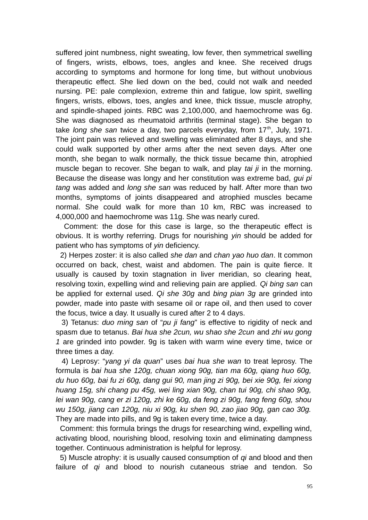suffered joint numbness, night sweating, low fever, then symmetrical swelling of fingers, wrists, elbows, toes, angles and knee. She received drugs according to symptoms and hormone for long time, but without unobvious therapeutic effect. She lied down on the bed, could not walk and needed nursing. PE: pale complexion, extreme thin and fatigue, low spirit, swelling fingers, wrists, elbows, toes, angles and knee, thick tissue, muscle atrophy, and spindle-shaped joints. RBC was 2,100,000, and haemochrome was 6g. She was diagnosed as rheumatoid arthritis (terminal stage). She began to take *long she san* twice a day, two parcels everyday, from 17<sup>th</sup>, July, 1971. The joint pain was relieved and swelling was eliminated after 8 days, and she could walk supported by other arms after the next seven days. After one month, she began to walk normally, the thick tissue became thin, atrophied muscle began to recover. She began to walk, and play *tai ji* in the morning. Because the disease was longy and her constitution was extreme bad, *gui pi tang* was added and *long she san* was reduced by half. After more than two months, symptoms of joints disappeared and atrophied muscles became normal. She could walk for more than 10 km, RBC was increased to 4,000,000 and haemochrome was 11g. She was nearly cured.

 Comment: the dose for this case is large, so the therapeutic effect is obvious. It is worthy referring. Drugs for nourishing *yin* should be added for patient who has symptoms of *yin* deficiency.

 2) Herpes zoster: it is also called *she dan* and *chan yao huo dan*. It common occurred on back, chest, waist and abdomen. The pain is quite fierce. It usually is caused by toxin stagnation in liver meridian, so clearing heat, resolving toxin, expelling wind and relieving pain are applied. *Qi bing san* can be applied for external used. *Qi she 30g* and *bing pian 3g* are grinded into powder, made into paste with sesame oil or rape oil, and then used to cover the focus, twice a day. It usually is cured after 2 to 4 days.

 3) Tetanus: *duo ming san* of "*pu ji fang*" is effective to rigidity of neck and spasm due to tetanus. *Bai hua she 2cun, wu shao she 2cun* and *zhi wu gong 1* are grinded into powder. 9g is taken with warm wine every time, twice or three times a day.

 4) Leprosy: "*yang yi da quan*" uses *bai hua she wan* to treat leprosy. The formula is *bai hua she 120g, chuan xiong 90g, tian ma 60g, qiang huo 60g, du huo 60g, bai fu zi 60g, dang gui 90, man jing zi 90g, bei xie 90g, fei xiong huang 15g, shi chang pu 45g, wei ling xian 90g, chan tui 90g, chi shao 90g, lei wan 90g, cang er zi 120g, zhi ke 60g, da feng zi 90g, fang feng 60g, shou wu 150g, jiang can 120g, niu xi 90g, ku shen 90, zao jiao 90g, gan cao 30g.* They are made into pills, and 9g is taken every time, twice a day.

 Comment: this formula brings the drugs for researching wind, expelling wind, activating blood, nourishing blood, resolving toxin and eliminating dampness together. Continuous administration is helpful for leprosy.

 5) Muscle atrophy: it is usually caused consumption of *qi* and blood and then failure of *qi* and blood to nourish cutaneous striae and tendon. So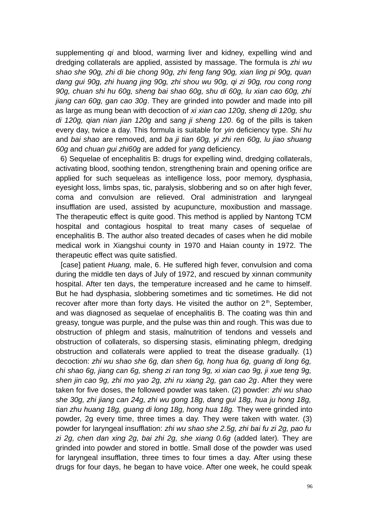supplementing *qi* and blood, warming liver and kidney, expelling wind and dredging collaterals are applied, assisted by massage. The formula is *zhi wu shao she 90g, zhi di bie chong 90g, zhi feng fang 90g, xian ling pi 90g, quan dang gui 90g, zhi huang jing 90g, zhi shou wu 90g, qi zi 90g, rou cong rong 90g, chuan shi hu 60g, sheng bai shao 60g, shu di 60g, lu xian cao 60g, zhi jiang can 60g, gan cao 30g*. They are grinded into powder and made into pill as large as mung bean with decoction of *xi xian cao 120g, sheng di 120g, shu di 120g, qian nian jian 120g* and *sang ji sheng 120*. 6g of the pills is taken every day, twice a day. This formula is suitable for *yin* deficiency type. *Shi hu* and *bai shao* are removed, and *ba ji tian 60g, yi zhi ren 60g, lu jiao shuang 60g* and *chuan gui zhi60g* are added for *yang* deficiency.

 6) Sequelae of encephalitis B: drugs for expelling wind, dredging collaterals, activating blood, soothing tendon, strengthening brain and opening orifice are applied for such sequeleas as intelligence loss, poor memory, dysphasia, eyesight loss, limbs spas, tic, paralysis, slobbering and so on after high fever, coma and convulsion are relieved. Oral administration and laryngeal insufflation are used, assisted by acupuncture, moxibustion and massage. The therapeutic effect is quite good. This method is applied by Nantong TCM hospital and contagious hospital to treat many cases of sequelae of encephalitis B. The author also treated decades of cases when he did mobile medical work in Xiangshui county in 1970 and Haian county in 1972. The therapeutic effect was quite satisfied.

 [case] patient *Huang,* male, 6. He suffered high fever, convulsion and coma during the middle ten days of July of 1972, and rescued by xinnan community hospital. After ten days, the temperature increased and he came to himself. But he had dysphasia, slobbering sometimes and tic sometimes. He did not recover after more than forty days. He visited the author on  $2<sup>th</sup>$ , September, and was diagnosed as sequelae of encephalitis B. The coating was thin and greasy, tongue was purple, and the pulse was thin and rough. This was due to obstruction of phlegm and stasis, malnutrition of tendons and vessels and obstruction of collaterals, so dispersing stasis, eliminating phlegm, dredging obstruction and collaterals were applied to treat the disease gradually. (1) decoction: *zhi wu shao she 6g, dan shen 6g, hong hua 6g, guang di long 6g, chi shao 6g, jiang can 6g, sheng zi ran tong 9g, xi xian cao 9g, ji xue teng 9g, shen jin cao 9g, zhi mo yao 2g, zhi ru xiang 2g, gan cao 2g*. After they were taken for five doses, the followed powder was taken. (2) powder: *zhi wu shao she 30g, zhi jiang can 24g, zhi wu gong 18g, dang gui 18g, hua ju hong 18g, tian zhu huang 18g, guang di long 18g, hong hua 18g.* They were grinded into powder, 2g every time, three times a day. They were taken with water. (3) powder for laryngeal insufflation: *zhi wu shao she 2.5g, zhi bai fu zi 2g, pao fu zi 2g, chen dan xing 2g, bai zhi 2g, she xiang 0.6g* (added later)*.* They are grinded into powder and stored in bottle. Small dose of the powder was used for laryngeal insufflation, three times to four times a day. After using these drugs for four days, he began to have voice. After one week, he could speak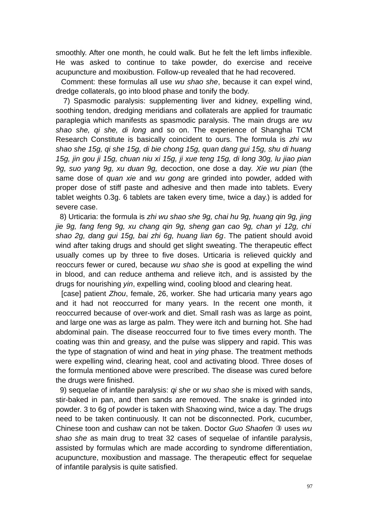smoothly. After one month, he could walk. But he felt the left limbs inflexible. He was asked to continue to take powder, do exercise and receive acupuncture and moxibustion. Follow-up revealed that he had recovered.

 Comment: these formulas all use *wu shao she*, because it can expel wind, dredge collaterals, go into blood phase and tonify the body.

 7) Spasmodic paralysis: supplementing liver and kidney, expelling wind, soothing tendon, dredging meridians and collaterals are applied for traumatic paraplegia which manifests as spasmodic paralysis. The main drugs are *wu shao she, qi she, di long* and so on. The experience of Shanghai TCM Research Constitute is basically coincident to ours. The formula is *zhi wu shao she 15g, qi she 15g, di bie chong 15g, quan dang gui 15g, shu di huang 15g, jin gou ji 15g, chuan niu xi 15g, ji xue teng 15g, di long 30g, lu jiao pian 9g, suo yang 9g, xu duan 9g,* decoction, one dose a day. *Xie wu pian* (the same dose of *quan xie* and *wu gong* are grinded into powder, added with proper dose of stiff paste and adhesive and then made into tablets. Every tablet weights 0.3g. 6 tablets are taken every time, twice a day.) is added for severe case.

 8) Urticaria: the formula is *zhi wu shao she 9g, chai hu 9g, huang qin 9g, jing jie 9g, fang feng 9g, xu chang qin 9g, sheng gan cao 9g, chan yi 12g, chi shao 2g, dang gui 15g, bai zhi 6g, huang lian 6g*. The patient should avoid wind after taking drugs and should get slight sweating. The therapeutic effect usually comes up by three to five doses. Urticaria is relieved quickly and reoccurs fewer or cured, because *wu shao she* is good at expelling the wind in blood, and can reduce anthema and relieve itch, and is assisted by the drugs for nourishing *yin*, expelling wind, cooling blood and clearing heat.

 [case] patient *Zhou*, female, 26, worker. She had urticaria many years ago and it had not reoccurred for many years. In the recent one month, it reoccurred because of over-work and diet. Small rash was as large as point, and large one was as large as palm. They were itch and burning hot. She had abdominal pain. The disease reoccurred four to five times every month. The coating was thin and greasy, and the pulse was slippery and rapid. This was the type of stagnation of wind and heat in *ying* phase. The treatment methods were expelling wind, clearing heat, cool and activating blood. Three doses of the formula mentioned above were prescribed. The disease was cured before the drugs were finished.

 9) sequelae of infantile paralysis: *qi she* or *wu shao she* is mixed with sands, stir-baked in pan, and then sands are removed. The snake is grinded into powder. 3 to 6g of powder is taken with Shaoxing wind, twice a day. The drugs need to be taken continuously. It can not be disconnected. Pork, cucumber, Chinese toon and cushaw can not be taken. Doctor *Guo Shaofen* ③ uses *wu shao she* as main drug to treat 32 cases of sequelae of infantile paralysis, assisted by formulas which are made according to syndrome differentiation, acupuncture, moxibustion and massage. The therapeutic effect for sequelae of infantile paralysis is quite satisfied.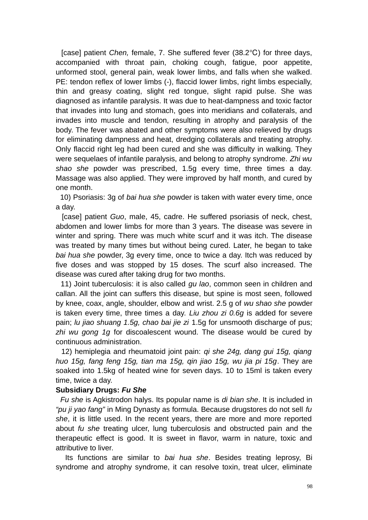[case] patient *Chen*, female, 7. She suffered fever (38.2 °C) for three days, accompanied with throat pain, choking cough, fatigue, poor appetite, unformed stool, general pain, weak lower limbs, and falls when she walked. PE: tendon reflex of lower limbs (-), flaccid lower limbs, right limbs especially, thin and greasy coating, slight red tongue, slight rapid pulse. She was diagnosed as infantile paralysis. It was due to heat-dampness and toxic factor that invades into lung and stomach, goes into meridians and collaterals, and invades into muscle and tendon, resulting in atrophy and paralysis of the body. The fever was abated and other symptoms were also relieved by drugs for eliminating dampness and heat, dredging collaterals and treating atrophy. Only flaccid right leg had been cured and she was difficulty in walking. They were sequelaes of infantile paralysis, and belong to atrophy syndrome. *Zhi wu shao she* powder was prescribed, 1.5g every time, three times a day. Massage was also applied. They were improved by half month, and cured by one month.

 10) Psoriasis: 3g of *bai hua she* powder is taken with water every time, once a day.

 [case] patient *Guo*, male, 45, cadre. He suffered psoriasis of neck, chest, abdomen and lower limbs for more than 3 years. The disease was severe in winter and spring. There was much white scurf and it was itch. The disease was treated by many times but without being cured. Later, he began to take *bai hua she* powder, 3g every time, once to twice a day. Itch was reduced by five doses and was stopped by 15 doses. The scurf also increased. The disease was cured after taking drug for two months.

 11) Joint tuberculosis: it is also called *gu lao*, common seen in children and callan. All the joint can suffers this disease, but spine is most seen, followed by knee, coax, angle, shoulder, elbow and wrist. 2.5 g of *wu shao she* powder is taken every time, three times a day. *Liu zhou zi 0.6g* is added for severe pain; *lu jiao shuang 1.5g, chao bai jie zi* 1.5g for unsmooth discharge of pus; *zhi wu gong 1g* for discoalescent wound. The disease would be cured by continuous administration.

 12) hemiplegia and rheumatoid joint pain: *qi she 24g, dang gui 15g, qiang huo 15g, fang feng 15g, tian ma 15g, qin jiao 15g, wu jia pi 15g*. They are soaked into 1.5kg of heated wine for seven days. 10 to 15ml is taken every time, twice a day.

### **Subsidiary Drugs:** *Fu She*

 *Fu she* is Agkistrodon halys. Its popular name is *di bian she*. It is included in *"pu ji yao fang"* in Ming Dynasty as formula. Because drugstores do not sell *fu she*, it is little used. In the recent years, there are more and more reported about *fu she* treating ulcer, lung tuberculosis and obstructed pain and the therapeutic effect is good. It is sweet in flavor, warm in nature, toxic and attributive to liver.

 Its functions are similar to *bai hua she*. Besides treating leprosy, Bi syndrome and atrophy syndrome, it can resolve toxin, treat ulcer, eliminate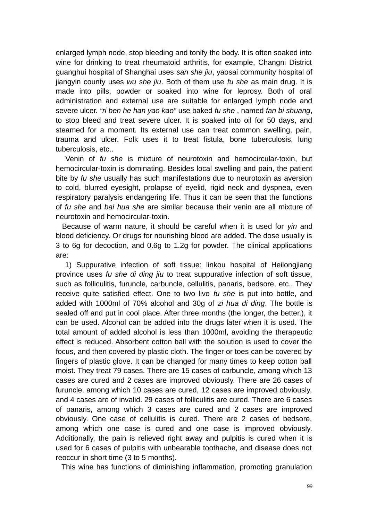enlarged lymph node, stop bleeding and tonify the body. It is often soaked into wine for drinking to treat rheumatoid arthritis, for example, Changni District guanghui hospital of Shanghai uses *san she jiu*, yaosai community hospital of jiangyin county uses *wu she jiu*. Both of them use *fu she* as main drug. It is made into pills, powder or soaked into wine for leprosy. Both of oral administration and external use are suitable for enlarged lymph node and severe ulcer. *"ri ben he han yao kao"* use baked *fu she* , named *fan bi shuang*, to stop bleed and treat severe ulcer. It is soaked into oil for 50 days, and steamed for a moment. Its external use can treat common swelling, pain, trauma and ulcer. Folk uses it to treat fistula, bone tuberculosis, lung tuberculosis, etc..

 Venin of *fu she* is mixture of neurotoxin and hemocircular-toxin, but hemocircular-toxin is dominating. Besides local swelling and pain, the patient bite by *fu she* usually has such manifestations due to neurotoxin as aversion to cold, blurred eyesight, prolapse of eyelid, rigid neck and dyspnea, even respiratory paralysis endangering life. Thus it can be seen that the functions of *fu she* and *bai hua she* are similar because their venin are all mixture of neurotoxin and hemocircular-toxin.

 Because of warm nature, it should be careful when it is used for *yin* and blood deficiency. Or drugs for nourishing blood are added. The dose usually is 3 to 6g for decoction, and 0.6g to 1.2g for powder. The clinical applications are:

 1) Suppurative infection of soft tissue: linkou hospital of Heilongjiang province uses *fu she di ding jiu* to treat suppurative infection of soft tissue, such as folliculitis, furuncle, carbuncle, cellulitis, panaris, bedsore, etc.. They receive quite satisfied effect. One to two live *fu she* is put into bottle, and added with 1000ml of 70% alcohol and 30g of *zi hua di ding*. The bottle is sealed off and put in cool place. After three months (the longer, the better.), it can be used. Alcohol can be added into the drugs later when it is used. The total amount of added alcohol is less than 1000ml, avoiding the therapeutic effect is reduced. Absorbent cotton ball with the solution is used to cover the focus, and then covered by plastic cloth. The finger or toes can be covered by fingers of plastic glove. It can be changed for many times to keep cotton ball moist. They treat 79 cases. There are 15 cases of carbuncle, among which 13 cases are cured and 2 cases are improved obviously. There are 26 cases of furuncle, among which 10 cases are cured, 12 cases are improved obviously, and 4 cases are of invalid. 29 cases of folliculitis are cured. There are 6 cases of panaris, among which 3 cases are cured and 2 cases are improved obviously. One case of cellulitis is cured. There are 2 cases of bedsore, among which one case is cured and one case is improved obviously. Additionally, the pain is relieved right away and pulpitis is cured when it is used for 6 cases of pulpitis with unbearable toothache, and disease does not reoccur in short time (3 to 5 months).

This wine has functions of diminishing inflammation, promoting granulation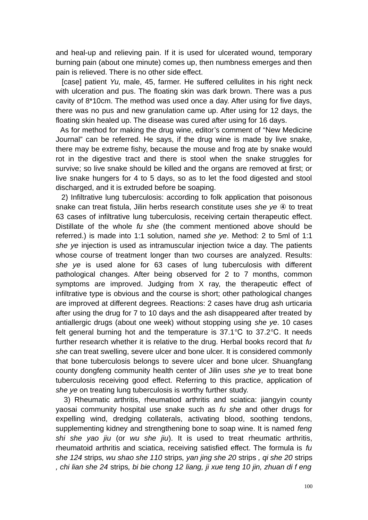and heal-up and relieving pain. If it is used for ulcerated wound, temporary burning pain (about one minute) comes up, then numbness emerges and then pain is relieved. There is no other side effect.

 [case] patient *Yu,* male, 45, farmer. He suffered cellulites in his right neck with ulceration and pus. The floating skin was dark brown. There was a pus cavity of 8\*10cm. The method was used once a day. After using for five days, there was no pus and new granulation came up. After using for 12 days, the floating skin healed up. The disease was cured after using for 16 days.

 As for method for making the drug wine, editor's comment of "New Medicine Journal" can be referred. He says, if the drug wine is made by live snake, there may be extreme fishy, because the mouse and frog ate by snake would rot in the digestive tract and there is stool when the snake struggles for survive; so live snake should be killed and the organs are removed at first; or live snake hungers for 4 to 5 days, so as to let the food digested and stool discharged, and it is extruded before be soaping.

 2) Infiltrative lung tuberculosis: according to folk application that poisonous snake can treat fistula, Jilin herbs research constitute uses *she ye* ④ to treat 63 cases of infiltrative lung tuberculosis, receiving certain therapeutic effect. Distillate of the whole *fu she* (the comment mentioned above should be referred.) is made into 1:1 solution, named *she ye*. Method: 2 to 5ml of 1:1 *she ye* injection is used as intramuscular injection twice a day. The patients whose course of treatment longer than two courses are analyzed. Results: *she ye* is used alone for 63 cases of lung tuberculosis with different pathological changes. After being observed for 2 to 7 months, common symptoms are improved. Judging from X ray, the therapeutic effect of infiltrative type is obvious and the course is short; other pathological changes are improved at different degrees. Reactions: 2 cases have drug ash urticaria after using the drug for 7 to 10 days and the ash disappeared after treated by antiallergic drugs (about one week) without stopping using *she ye*. 10 cases felt general burning hot and the temperature is  $37.1^{\circ}$ C to  $37.2^{\circ}$ C. It needs further research whether it is relative to the drug. Herbal books record that *fu she* can treat swelling, severe ulcer and bone ulcer. It is considered commonly that bone tuberculosis belongs to severe ulcer and bone ulcer. Shuangfang county dongfeng community health center of Jilin uses *she ye* to treat bone tuberculosis receiving good effect. Referring to this practice, application of *she ye* on treating lung tuberculosis is worthy further study.

 3) Rheumatic arthritis, rheumatiod arthritis and sciatica: jiangyin county yaosai community hospital use snake such as *fu she* and other drugs for expelling wind, dredging collaterals, activating blood, soothing tendons, supplementing kidney and strengthening bone to soap wine. It is named *feng shi she yao jiu* (or *wu she jiu*). It is used to treat rheumatic arthritis, rheumatoid arthritis and sciatica, receiving satisfied effect. The formula is *fu she 124* strips*, wu shao she 110* strips*, yan jing she 20* strips *, qi she 20* strips *, chi lian she 24* strips*, bi bie chong 12 liang, ji xue teng 10 jin, zhuan di f eng*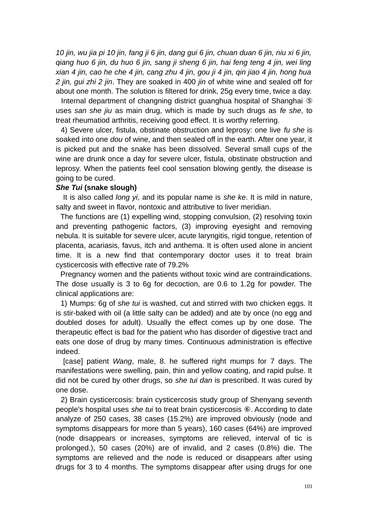*10 jin, wu jia pi 10 jin, fang ji 6 jin, dang gui 6 jin, chuan duan 6 jin, niu xi 6 jin, qiang huo 6 jin, du huo 6 jin, sang ji sheng 6 jin, hai feng teng 4 jin, wei ling xian 4 jin, cao he che 4 jin, cang zhu 4 jin, gou ji 4 jin, qin jiao 4 jin, hong hua 2 jin, gui zhi 2 jin*. They are soaked in 400 *jin* of white wine and sealed off for about one month. The solution is filtered for drink, 25g every time, twice a day.

 Internal department of changning district guanghua hospital of Shanghai ⑤ uses *san she jiu* as main drug, which is made by such drugs as *fe she*, to treat rheumatiod arthritis, receiving good effect. It is worthy referring.

 4) Severe ulcer, fistula, obstinate obstruction and leprosy: one live *fu she* is soaked into one *dou* of wine, and then sealed off in the earth. After one year, it is picked put and the snake has been dissolved. Several small cups of the wine are drunk once a day for severe ulcer, fistula, obstinate obstruction and leprosy. When the patients feel cool sensation blowing gently, the disease is going to be cured.

# *She Tui* **(snake slough)**

It is also called *long yi*, and its popular name is *she ke*. It is mild in nature, salty and sweet in flavor, nontoxic and attributive to liver meridian.

 The functions are (1) expelling wind, stopping convulsion, (2) resolving toxin and preventing pathogenic factors, (3) improving eyesight and removing nebula. It is suitable for severe ulcer, acute laryngitis, rigid tongue, retention of placenta, acariasis, favus, itch and anthema. It is often used alone in ancient time. It is a new find that contemporary doctor uses it to treat brain cysticercosis with effective rate of 79.2%

 Pregnancy women and the patients without toxic wind are contraindications. The dose usually is 3 to 6g for decoction, are 0.6 to 1.2g for powder. The clinical applications are:

 1) Mumps: 6g of *she tui* is washed, cut and stirred with two chicken eggs. It is stir-baked with oil (a little salty can be added) and ate by once (no egg and doubled doses for adult). Usually the effect comes up by one dose. The therapeutic effect is bad for the patient who has disorder of digestive tract and eats one dose of drug by many times. Continuous administration is effective indeed.

 [case] patient *Wang*, male, 8. he suffered right mumps for 7 days. The manifestations were swelling, pain, thin and yellow coating, and rapid pulse. It did not be cured by other drugs, so *she tui dan* is prescribed. It was cured by one dose.

 2) Brain cysticercosis: brain cysticercosis study group of Shenyang seventh people's hospital uses *she tui* to treat brain cysticercosis ⑥. According to date analyze of 250 cases, 38 cases (15.2%) are improved obviously (node and symptoms disappears for more than 5 years), 160 cases (64%) are improved (node disappears or increases, symptoms are relieved, interval of tic is prolonged.), 50 cases (20%) are of invalid, and 2 cases (0.8%) die. The symptoms are relieved and the node is reduced or disappears after using drugs for 3 to 4 months. The symptoms disappear after using drugs for one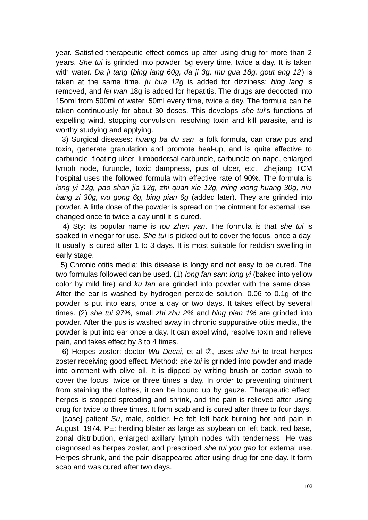year. Satisfied therapeutic effect comes up after using drug for more than 2 years. *She tui* is grinded into powder, 5g every time, twice a day. It is taken with water. *Da ji tang* (*bing lang 60g, da ji 3g, mu gua 18g, gout eng 12*) is taken at the same time. *ju hua 12g* is added for dizziness; *bing lang* is removed, and *lei wan* 18g is added for hepatitis. The drugs are decocted into 15oml from 500ml of water, 50ml every time, twice a day. The formula can be taken continuously for about 30 doses. This develops *she tui*'s functions of expelling wind, stopping convulsion, resolving toxin and kill parasite, and is worthy studying and applying.

 3) Surgical diseases: *huang ba du san*, a folk formula, can draw pus and toxin, generate granulation and promote heal-up, and is quite effective to carbuncle, floating ulcer, lumbodorsal carbuncle, carbuncle on nape, enlarged lymph node, furuncle, toxic dampness, pus of ulcer, etc.. Zhejiang TCM hospital uses the followed formula with effective rate of 90%. The formula is *long yi 12g, pao shan jia 12g, zhi quan xie 12g, ming xiong huang 30g, niu bang zi 30g, wu gong 6g, bing pian 6g* (added later). They are grinded into powder. A little dose of the powder is spread on the ointment for external use, changed once to twice a day until it is cured.

 4) Sty: its popular name is *tou zhen yan*. The formula is that *she tui* is soaked in vinegar for use. *She tui* is picked out to cover the focus, once a day. It usually is cured after 1 to 3 days. It is most suitable for reddish swelling in early stage.

 5) Chronic otitis media: this disease is longy and not easy to be cured. The two formulas followed can be used. (1) *long fan san*: *long yi* (baked into yellow color by mild fire) and *ku fan* are grinded into powder with the same dose. After the ear is washed by hydrogen peroxide solution, 0.06 to 0.1g of the powder is put into ears, once a day or two days. It takes effect by several times. (2) *she tui 97%,* small *zhi zhu 2%* and *bing pian 1%* are grinded into powder. After the pus is washed away in chronic suppurative otitis media, the powder is put into ear once a day. It can expel wind, resolve toxin and relieve pain, and takes effect by 3 to 4 times.

 6) Herpes zoster: doctor *Wu Decai*, et al ⑦, uses *she tui* to treat herpes zoster receiving good effect. Method: *she tui* is grinded into powder and made into ointment with olive oil. It is dipped by writing brush or cotton swab to cover the focus, twice or three times a day. In order to preventing ointment from staining the clothes, it can be bound up by gauze. Therapeutic effect: herpes is stopped spreading and shrink, and the pain is relieved after using drug for twice to three times. It form scab and is cured after three to four days.

 [case] patient *Su*, male, soldier. He felt left back burning hot and pain in August, 1974. PE: herding blister as large as soybean on left back, red base, zonal distribution, enlarged axillary lymph nodes with tenderness. He was diagnosed as herpes zoster, and prescribed *she tui you gao* for external use. Herpes shrunk, and the pain disappeared after using drug for one day. It form scab and was cured after two days.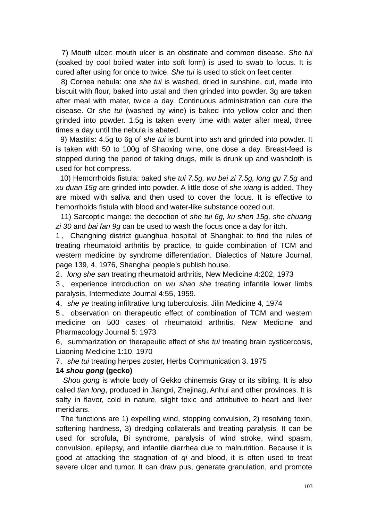7) Mouth ulcer: mouth ulcer is an obstinate and common disease. *She tui* (soaked by cool boiled water into soft form) is used to swab to focus. It is cured after using for once to twice. *She tui* is used to stick on feet center.

 8) Cornea nebula: one *she tui* is washed, dried in sunshine, cut, made into biscuit with flour, baked into ustal and then grinded into powder. 3g are taken after meal with mater, twice a day. Continuous administration can cure the disease. Or *she tui* (washed by wine) is baked into yellow color and then grinded into powder. 1.5g is taken every time with water after meal, three times a day until the nebula is abated.

 9) Mastitis: 4.5g to 6g of *she tui* is burnt into ash and grinded into powder. It is taken with 50 to 100g of Shaoxing wine, one dose a day. Breast-feed is stopped during the period of taking drugs, milk is drunk up and washcloth is used for hot compress.

 10) Hemorrhoids fistula: baked *she tui 7.5g, wu bei zi 7.5g, long gu 7.5g* and *xu duan 15g* are grinded into powder. A little dose of *she xiang* is added. They are mixed with saliva and then used to cover the focus. It is effective to hemorrhoids fistula with blood and water-like substance oozed out.

 11) Sarcoptic mange: the decoction of *she tui 6g, ku shen 15g, she chuang zi 30* and *bai fan 9g* can be used to wash the focus once a day for itch.

1 、 Changning district guanghua hospital of Shanghai: to find the rules of treating rheumatoid arthritis by practice, to guide combination of TCM and western medicine by syndrome differentiation. Dialectics of Nature Journal, page 139, 4, 1976, Shanghai people's publish house.

2、*long she san* treating rheumatoid arthritis, New Medicine 4:202, 1973

3 、 experience introduction on *wu shao she* treating infantile lower limbs paralysis, Intermediate Journal 4:55, 1959.

4、*she ye* treating infiltrative lung tuberculosis, Jilin Medicine 4, 1974

5 、 observation on therapeutic effect of combination of TCM and western medicine on 500 cases of rheumatoid arthritis, New Medicine and Pharmacology Journal 5: 1973

6、summarization on therapeutic effect of *she tui* treating brain cysticercosis, Liaoning Medicine 1:10, 1970

7、*she tui* treating herpes zoster, Herbs Communication 3. 1975

### **14** *shou gong* **(gecko)**

*Shou gong* is whole body of Gekko chinemsis Gray or its sibling. It is also called *tian long*, produced in Jiangxi, Zhejinag, Anhui and other provinces. It is salty in flavor, cold in nature, slight toxic and attributive to heart and liver meridians.

 The functions are 1) expelling wind, stopping convulsion, 2) resolving toxin, softening hardness, 3) dredging collaterals and treating paralysis. It can be used for scrofula, Bi syndrome, paralysis of wind stroke, wind spasm, convulsion, epilepsy, and infantile diarrhea due to malnutrition. Because it is good at attacking the stagnation of *qi* and blood, it is often used to treat severe ulcer and tumor. It can draw pus, generate granulation, and promote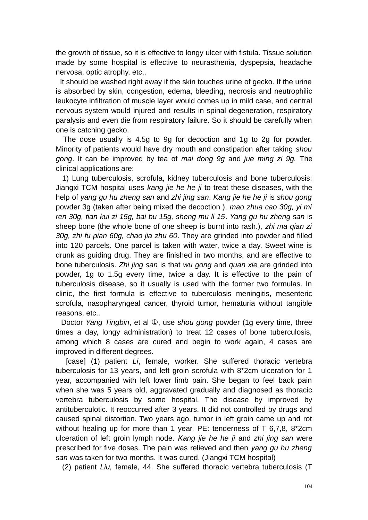the growth of tissue, so it is effective to longy ulcer with fistula. Tissue solution made by some hospital is effective to neurasthenia, dyspepsia, headache nervosa, optic atrophy, etc,,

 It should be washed right away if the skin touches urine of gecko. If the urine is absorbed by skin, congestion, edema, bleeding, necrosis and neutrophilic leukocyte infiltration of muscle layer would comes up in mild case, and central nervous system would injured and results in spinal degeneration, respiratory paralysis and even die from respiratory failure. So it should be carefully when one is catching gecko.

The dose usually is 4.5g to 9g for decoction and 1g to 2g for powder. Minority of patients would have dry mouth and constipation after taking *shou gong*. It can be improved by tea of *mai dong 9g* and *jue ming zi 9g.* The clinical applications are:

 1) Lung tuberculosis, scrofula, kidney tuberculosis and bone tuberculosis: Jiangxi TCM hospital uses *kang jie he he ji* to treat these diseases, with the help of *yang gu hu zheng san* and *zhi jing san*. *Kang jie he he ji* is *shou gong* powder 3g (taken after being mixed the decoction ), *mao zhua cao 30g, yi mi ren 30g, tian kui zi 15g, bai bu 15g, sheng mu li 15*. *Yang gu hu zheng san* is sheep bone (the whole bone of one sheep is burnt into rash.), *zhi ma qian zi 30g, zhi fu pian 60g, chao jia zhu 60*. They are grinded into powder and filled into 120 parcels. One parcel is taken with water, twice a day. Sweet wine is drunk as guiding drug. They are finished in two months, and are effective to bone tuberculosis. *Zhi jing san* is that *wu gong* and *quan xie* are grinded into powder, 1g to 1.5g every time, twice a day. It is effective to the pain of tuberculosis disease, so it usually is used with the former two formulas. In clinic, the first formula is effective to tuberculosis meningitis, mesenteric scrofula, nasopharyngeal cancer, thyroid tumor, hematuria without tangible reasons, etc..

 Doctor *Yang Tingbin*, et al ①, use *shou gong* powder (1g every time, three times a day, longy administration) to treat 12 cases of bone tuberculosis, among which 8 cases are cured and begin to work again, 4 cases are improved in different degrees.

[case] (1) patient *Li*, female, worker. She suffered thoracic vertebra tuberculosis for 13 years, and left groin scrofula with 8\*2cm ulceration for 1 year, accompanied with left lower limb pain. She began to feel back pain when she was 5 years old, aggravated gradually and diagnosed as thoracic vertebra tuberculosis by some hospital. The disease by improved by antituberculotic. It reoccurred after 3 years. It did not controlled by drugs and caused spinal distortion. Two years ago, tumor in left groin came up and rot without healing up for more than 1 year. PE: tenderness of T 6,7,8, 8\*2cm ulceration of left groin lymph node. *Kang jie he he ji* and *zhi jing san* were prescribed for five doses. The pain was relieved and then *yang gu hu zheng san* was taken for two months. It was cured. (Jiangxi TCM hospital)

(2) patient *Liu,* female, 44. She suffered thoracic vertebra tuberculosis (T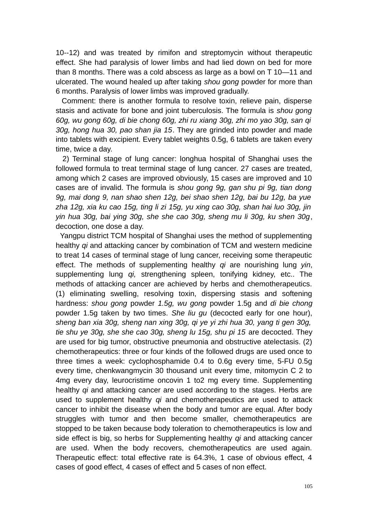10--12) and was treated by rimifon and streptomycin without therapeutic effect. She had paralysis of lower limbs and had lied down on bed for more than 8 months. There was a cold abscess as large as a bowl on T 10—11 and ulcerated. The wound healed up after taking *shou gong* powder for more than 6 months. Paralysis of lower limbs was improved gradually.

 Comment: there is another formula to resolve toxin, relieve pain, disperse stasis and activate for bone and joint tuberculosis. The formula is *shou gong 60g, wu gong 60g, di bie chong 60g, zhi ru xiang 30g, zhi mo yao 30g, san qi 30g, hong hua 30, pao shan jia 15*. They are grinded into powder and made into tablets with excipient. Every tablet weights 0.5g, 6 tablets are taken every time, twice a day.

 2) Terminal stage of lung cancer: longhua hospital of Shanghai uses the followed formula to treat terminal stage of lung cancer. 27 cases are treated, among which 2 cases are improved obviously, 15 cases are improved and 10 cases are of invalid. The formula is *shou gong 9g, gan shu pi 9g, tian dong 9g, mai dong 9, nan shao shen 12g, bei shao shen 12g, bai bu 12g, ba yue zha 12g, xia ku cao 15g, ting li zi 15g, yu xing cao 30g, shan hai luo 30g, jin yin hua 30g, bai ying 30g, she she cao 30g, sheng mu li 30g, ku shen 30g*, decoction, one dose a day.

 Yangpu district TCM hospital of Shanghai uses the method of supplementing healthy *qi* and attacking cancer by combination of TCM and western medicine to treat 14 cases of terminal stage of lung cancer, receiving some therapeutic effect. The methods of supplementing healthy *qi* are nourishing lung *yin*, supplementing lung *qi,* strengthening spleen, tonifying kidney, etc.. The methods of attacking cancer are achieved by herbs and chemotherapeutics. (1) eliminating swelling, resolving toxin, dispersing stasis and softening hardness: *shou gong* powder *1.5g, wu gong* powder 1.5g and *di bie chong* powder 1.5g taken by two times. *She liu gu* (decocted early for one hour), *sheng ban xia 30g, sheng nan xing 30g, qi ye yi zhi hua 30, yang ti gen 30g, tie shu ye 30g, she she cao 30g, sheng lu 15g, shu pi 15* are decocted. They are used for big tumor, obstructive pneumonia and obstructive atelectasis. (2) chemotherapeutics: three or four kinds of the followed drugs are used once to three times a week: cyclophosphamide 0.4 to 0.6g every time, 5-FU 0.5g every time, chenkwangmycin 30 thousand unit every time, mitomycin C 2 to 4mg every day, leurocristime oncovin 1 to2 mg every time. Supplementing healthy *qi* and attacking cancer are used according to the stages. Herbs are used to supplement healthy *qi* and chemotherapeutics are used to attack cancer to inhibit the disease when the body and tumor are equal. After body struggles with tumor and then become smaller, chemotherapeutics are stopped to be taken because body toleration to chemotherapeutics is low and side effect is big, so herbs for Supplementing healthy *qi* and attacking cancer are used. When the body recovers, chemotherapeutics are used again. Therapeutic effect: total effective rate is 64.3%, 1 case of obvious effect, 4 cases of good effect, 4 cases of effect and 5 cases of non effect.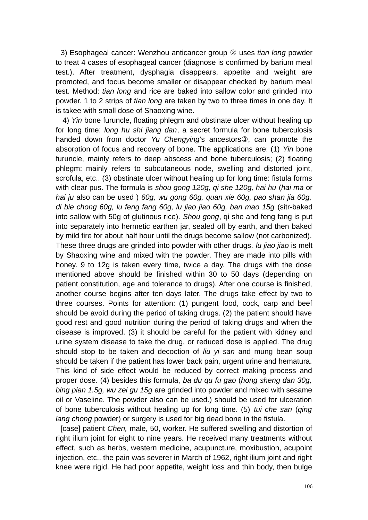3) Esophageal cancer: Wenzhou anticancer group ② uses *tian long* powder to treat 4 cases of esophageal cancer (diagnose is confirmed by barium meal test.). After treatment, dysphagia disappears, appetite and weight are promoted, and focus become smaller or disappear checked by barium meal test. Method: *tian long* and rice are baked into sallow color and grinded into powder. 1 to 2 strips of *tian long* are taken by two to three times in one day. It is takee with small dose of Shaoxing wine.

 4) *Yin* bone furuncle, floating phlegm and obstinate ulcer without healing up for long time: *long hu shi jiang dan*, a secret formula for bone tuberculosis handed down from doctor *Yu Chengying*'s ancestors③, can promote the absorption of focus and recovery of bone. The applications are: (1) *Yin* bone furuncle, mainly refers to deep abscess and bone tuberculosis; (2) floating phlegm: mainly refers to subcutaneous node, swelling and distorted joint, scrofula, etc.. (3) obstinate ulcer without healing up for long time: fistula forms with clear pus. The formula is *shou gong 120g, qi she 120g, hai hu* (*hai ma* or *hai ju* also can be used ) *60g, wu gong 60g, quan xie 60g, pao shan jia 60g, di bie chong 60g, lu feng fang 60g, lu jiao jiao 60g, ban mao 15g* (sitr-baked into sallow with 50g of glutinous rice)*. Shou gong*, qi she and feng fang is put into separately into hermetic earthen jar, sealed off by earth, and then baked by mild fire for about half hour until the drugs become sallow (not carbonized). These three drugs are grinded into powder with other drugs. *lu jiao jiao* is melt by Shaoxing wine and mixed with the powder. They are made into pills with honey. 9 to 12g is taken every time, twice a day. The drugs with the dose mentioned above should be finished within 30 to 50 days (depending on patient constitution, age and tolerance to drugs). After one course is finished, another course begins after ten days later. The drugs take effect by two to three courses. Points for attention: (1) pungent food, cock, carp and beef should be avoid during the period of taking drugs. (2) the patient should have good rest and good nutrition during the period of taking drugs and when the disease is improved. (3) it should be careful for the patient with kidney and urine system disease to take the drug, or reduced dose is applied. The drug should stop to be taken and decoction of *liu yi san* and mung bean soup should be taken if the patient has lower back pain, urgent urine and hematura. This kind of side effect would be reduced by correct making process and proper dose. (4) besides this formula, *ba du qu fu gao* (*hong sheng dan 30g, bing pian 1.5g, wu zei gu 15g* are grinded into powder and mixed with sesame oil or Vaseline. The powder also can be used.) should be used for ulceration of bone tuberculosis without healing up for long time. (5) *tui che san* (*qing lang chong* powder) or surgery is used for big dead bone in the fistula.

 [case] patient *Chen,* male, 50, worker. He suffered swelling and distortion of right ilium joint for eight to nine years. He received many treatments without effect, such as herbs, western medicine, acupuncture, moxibustion, acupoint injection, etc., the pain was severer in March of 1962, right ilium joint and right knee were rigid. He had poor appetite, weight loss and thin body, then bulge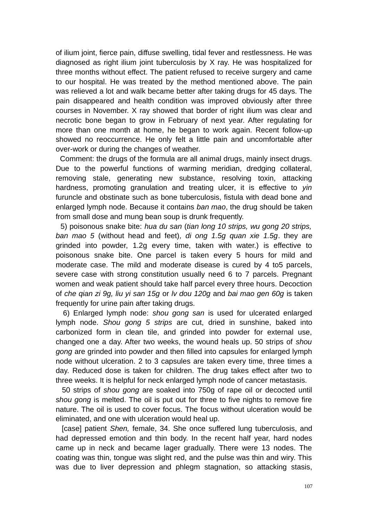of ilium joint, fierce pain, diffuse swelling, tidal fever and restlessness. He was diagnosed as right ilium joint tuberculosis by X ray. He was hospitalized for three months without effect. The patient refused to receive surgery and came to our hospital. He was treated by the method mentioned above. The pain was relieved a lot and walk became better after taking drugs for 45 days. The pain disappeared and health condition was improved obviously after three courses in November. X ray showed that border of right ilium was clear and necrotic bone began to grow in February of next year. After regulating for more than one month at home, he began to work again. Recent follow-up showed no reoccurrence. He only felt a little pain and uncomfortable after over-work or during the changes of weather.

 Comment: the drugs of the formula are all animal drugs, mainly insect drugs. Due to the powerful functions of warming meridian, dredging collateral, removing stale, generating new substance, resolving toxin, attacking hardness, promoting granulation and treating ulcer, it is effective to *yin* furuncle and obstinate such as bone tuberculosis, fistula with dead bone and enlarged lymph node. Because it contains *ban mao*, the drug should be taken from small dose and mung bean soup is drunk frequently.

 5) poisonous snake bite: *hua du san* (*tian long 10 strips, wu gong 20 strips, ban mao 5* (without head and feet)*, di ong 1.5g quan xie 1.5g*. they are grinded into powder, 1.2g every time, taken with water.) is effective to poisonous snake bite. One parcel is taken every 5 hours for mild and moderate case. The mild and moderate disease is cured by 4 to5 parcels, severe case with strong constitution usually need 6 to 7 parcels. Pregnant women and weak patient should take half parcel every three hours. Decoction of *che qian zi 9g, liu yi san 15g* or *lv dou 120g* and *bai mao gen 60g* is taken frequently for urine pain after taking drugs.

 6) Enlarged lymph node: *shou gong san* is used for ulcerated enlarged lymph node. *Shou gong 5 strips* are cut, dried in sunshine, baked into carbonized form in clean tile, and grinded into powder for external use, changed one a day. After two weeks, the wound heals up. 50 strips of *shou gong* are grinded into powder and then filled into capsules for enlarged lymph node without ulceration. 2 to 3 capsules are taken every time, three times a day. Reduced dose is taken for children. The drug takes effect after two to three weeks. It is helpful for neck enlarged lymph node of cancer metastasis.

 50 strips of *shou gong* are soaked into 750g of rape oil or decocted until *shou gong* is melted. The oil is put out for three to five nights to remove fire nature. The oil is used to cover focus. The focus without ulceration would be eliminated, and one with ulceration would heal up.

[case] patient *Shen,* female, 34. She once suffered lung tuberculosis, and had depressed emotion and thin body. In the recent half year, hard nodes came up in neck and became lager gradually. There were 13 nodes. The coating was thin, tongue was slight red, and the pulse was thin and wiry. This was due to liver depression and phlegm stagnation, so attacking stasis,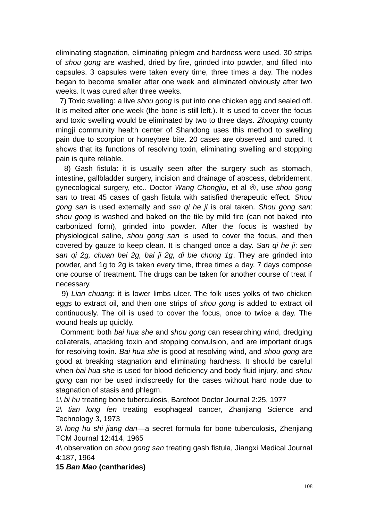eliminating stagnation, eliminating phlegm and hardness were used. 30 strips of *shou gong* are washed, dried by fire, grinded into powder, and filled into capsules. 3 capsules were taken every time, three times a day. The nodes began to become smaller after one week and eliminated obviously after two weeks. It was cured after three weeks.

 7) Toxic swelling: a live *shou gong* is put into one chicken egg and sealed off. It is melted after one week (the bone is still left.). It is used to cover the focus and toxic swelling would be eliminated by two to three days. *Zhouping* county mingji community health center of Shandong uses this method to swelling pain due to scorpion or honeybee bite. 20 cases are observed and cured. It shows that its functions of resolving toxin, eliminating swelling and stopping pain is quite reliable.

 8) Gash fistula: it is usually seen after the surgery such as stomach, intestine, gallbladder surgery, incision and drainage of abscess, debridement, gynecological surgery, etc.. Doctor *Wang Chongjiu*, et al ④, use *shou gong san* to treat 45 cases of gash fistula with satisfied therapeutic effect. *Shou gong san* is used externally and *san qi he ji* is oral taken. *Shou gong san*: *shou gong* is washed and baked on the tile by mild fire (can not baked into carbonized form), grinded into powder. After the focus is washed by physiological saline, *shou gong san* is used to cover the focus, and then covered by gauze to keep clean. It is changed once a day. *San qi he ji*: *sen san qi 2g, chuan bei 2g, bai ji 2g, di bie chong 1g*. They are grinded into powder, and 1g to 2g is taken every time, three times a day. 7 days compose one course of treatment. The drugs can be taken for another course of treat if necessary.

 9) *Lian chuang:* it is lower limbs ulcer. The folk uses yolks of two chicken eggs to extract oil, and then one strips of *shou gong* is added to extract oil continuously. The oil is used to cover the focus, once to twice a day. The wound heals up quickly.

 Comment: both *bai hua she* and *shou gong* can researching wind, dredging collaterals, attacking toxin and stopping convulsion, and are important drugs for resolving toxin. *Bai hua she* is good at resolving wind, and *shou gong* are good at breaking stagnation and eliminating hardness. It should be careful when *bai hua she* is used for blood deficiency and body fluid injury, and *shou gong* can nor be used indiscreetly for the cases without hard node due to stagnation of stasis and phlegm.

1\ *bi hu* treating bone tuberculosis, Barefoot Doctor Journal 2:25, 1977

2\ *tian long fen* treating esophageal cancer, Zhanjiang Science and Technology 3, 1973

3\ *long hu shi jiang dan*—a secret formula for bone tuberculosis, Zhenjiang TCM Journal 12:414, 1965

4\ observation on *shou gong san* treating gash fistula, Jiangxi Medical Journal 4:187, 1964

**15** *Ban Mao* **(cantharides)**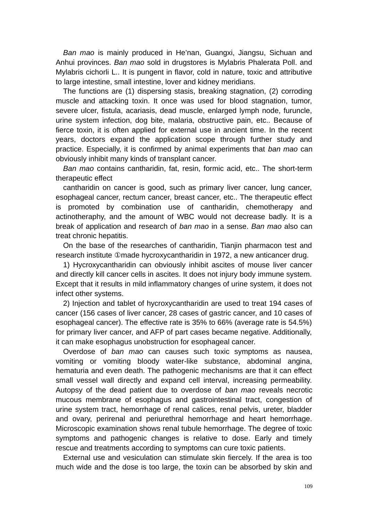*Ban mao* is mainly produced in He'nan, Guangxi, Jiangsu, Sichuan and Anhui provinces. *Ban mao* sold in drugstores is Mylabris Phalerata Poll. and Mylabris cichorli L.. It is pungent in flavor, cold in nature, toxic and attributive to large intestine, small intestine, lover and kidney meridians.

The functions are (1) dispersing stasis, breaking stagnation, (2) corroding muscle and attacking toxin. It once was used for blood stagnation, tumor, severe ulcer, fistula, acariasis, dead muscle, enlarged lymph node, furuncle, urine system infection, dog bite, malaria, obstructive pain, etc.. Because of fierce toxin, it is often applied for external use in ancient time. In the recent years, doctors expand the application scope through further study and practice. Especially, it is confirmed by animal experiments that *ban mao* can obviously inhibit many kinds of transplant cancer.

*Ban mao* contains cantharidin, fat, resin, formic acid, etc.. The short-term therapeutic effect

cantharidin on cancer is good, such as primary liver cancer, lung cancer, esophageal cancer, rectum cancer, breast cancer, etc.. The therapeutic effect is promoted by combination use of cantharidin, chemotherapy and actinotheraphy, and the amount of WBC would not decrease badly. It is a break of application and research of *ban mao* in a sense. *Ban mao* also can treat chronic hepatitis.

On the base of the researches of cantharidin, Tianjin pharmacon test and research institute ①made hycroxycantharidin in 1972, a new anticancer drug.

1) Hycroxycantharidin can obviously inhibit ascites of mouse liver cancer and directly kill cancer cells in ascites. It does not injury body immune system. Except that it results in mild inflammatory changes of urine system, it does not infect other systems.

2) Injection and tablet of hycroxycantharidin are used to treat 194 cases of cancer (156 cases of liver cancer, 28 cases of gastric cancer, and 10 cases of esophageal cancer). The effective rate is 35% to 66% (average rate is 54.5%) for primary liver cancer, and AFP of part cases became negative. Additionally, it can make esophagus unobstruction for esophageal cancer.

Overdose of *ban mao* can causes such toxic symptoms as nausea, vomiting or vomiting bloody water-like substance, abdominal angina, hematuria and even death. The pathogenic mechanisms are that it can effect small vessel wall directly and expand cell interval, increasing permeability. Autopsy of the dead patient due to overdose of *ban mao* reveals necrotic mucous membrane of esophagus and gastrointestinal tract, congestion of urine system tract, hemorrhage of renal calices, renal pelvis, ureter, bladder and ovary, perirenal and periurethral hemorrhage and heart hemorrhage. Microscopic examination shows renal tubule hemorrhage. The degree of toxic symptoms and pathogenic changes is relative to dose. Early and timely rescue and treatments according to symptoms can cure toxic patients.

External use and vesiculation can stimulate skin fiercely. If the area is too much wide and the dose is too large, the toxin can be absorbed by skin and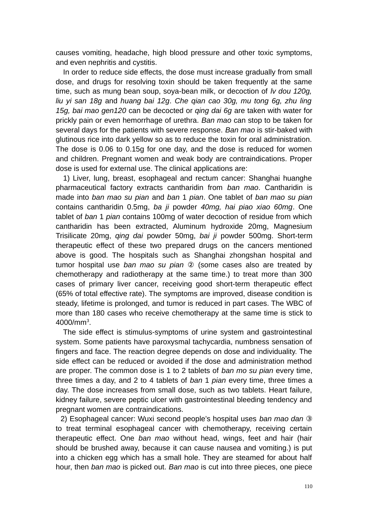causes vomiting, headache, high blood pressure and other toxic symptoms, and even nephritis and cystitis.

In order to reduce side effects, the dose must increase gradually from small dose, and drugs for resolving toxin should be taken frequently at the same time, such as mung bean soup, soya-bean milk, or decoction of *lv dou 120g, liu yi san 18g* and *huang bai 12g*. *Che qian cao 30g, mu tong 6g, zhu ling 15g, bai mao gen120* can be decocted or *qing dai 6g* are taken with water for prickly pain or even hemorrhage of urethra. *Ban mao* can stop to be taken for several days for the patients with severe response. *Ban mao* is stir-baked with glutinous rice into dark yellow so as to reduce the toxin for oral administration. The dose is 0.06 to 0.15g for one day, and the dose is reduced for women and children. Pregnant women and weak body are contraindications. Proper dose is used for external use. The clinical applications are:

1) Liver, lung, breast, esophageal and rectum cancer: Shanghai huanghe pharmaceutical factory extracts cantharidin from *ban mao*. Cantharidin is made into *ban mao su pian* and *ban* 1 *pian*. One tablet of *ban mao su pian* contains cantharidin 0.5mg, *ba ji* powder *40mg, hai piao xiao 60mg*. One tablet of *ban* 1 *pian* contains 100mg of water decoction of residue from which cantharidin has been extracted, Aluminum hydroxide 20mg, Magnesium Trisilicate 20mg, *qing dai* powder 50mg, *bai ji* powder 500mg. Short-term therapeutic effect of these two prepared drugs on the cancers mentioned above is good. The hospitals such as Shanghai zhongshan hospital and tumor hospital use *ban mao su pian* ② (some cases also are treated by chemotherapy and radiotherapy at the same time.) to treat more than 300 cases of primary liver cancer, receiving good short-term therapeutic effect (65% of total effective rate). The symptoms are improved, disease condition is steady, lifetime is prolonged, and tumor is reduced in part cases. The WBC of more than 180 cases who receive chemotherapy at the same time is stick to 4000/mm<sup>3</sup>.

The side effect is stimulus-symptoms of urine system and gastrointestinal system. Some patients have paroxysmal tachycardia, numbness sensation of fingers and face. The reaction degree depends on dose and individuality. The side effect can be reduced or avoided if the dose and administration method are proper. The common dose is 1 to 2 tablets of *ban mo su pian* every time, three times a day, and 2 to 4 tablets of *ban* 1 *pian* every time, three times a day. The dose increases from small dose, such as two tablets. Heart failure, kidney failure, severe peptic ulcer with gastrointestinal bleeding tendency and pregnant women are contraindications.

 2) Esophageal cancer: Wuxi second people's hospital uses *ban mao dan* ③ to treat terminal esophageal cancer with chemotherapy, receiving certain therapeutic effect. One *ban mao* without head, wings, feet and hair (hair should be brushed away, because it can cause nausea and vomiting.) is put into a chicken egg which has a small hole. They are steamed for about half hour, then *ban mao* is picked out. *Ban mao* is cut into three pieces, one piece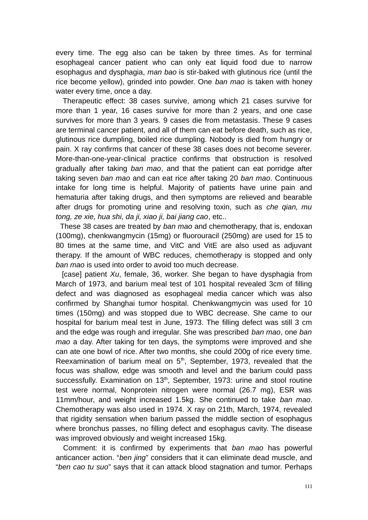every time. The egg also can be taken by three times. As for terminal esophageal cancer patient who can only eat liquid food due to narrow esophagus and dysphagia, *man bao* is stir-baked with glutinous rice (until the rice become yellow), grinded into powder. One *ban mao* is taken with honey water every time, once a day.

 Therapeutic effect: 38 cases survive, among which 21 cases survive for more than 1 year, 16 cases survive for more than 2 years, and one case survives for more than 3 years. 9 cases die from metastasis. These 9 cases are terminal cancer patient, and all of them can eat before death, such as rice, glutinous rice dumpling, boiled rice dumpling. Nobody is died from hungry or pain. X ray confirms that cancer of these 38 cases does not become severer. More-than-one-year-clinical practice confirms that obstruction is resolved gradually after taking *ban mao*, and that the patient can eat porridge after taking seven *ban mao* and can eat rice after taking 20 *ban mao*. Continuous intake for long time is helpful. Majority of patients have urine pain and hematuria after taking drugs, and then symptoms are relieved and bearable after drugs for promoting urine and resolving toxin, such as *che qian, mu tong, ze xie, hua shi, da ji, xiao ji, bai jiang cao*, etc..

 These 38 cases are treated by *ban mao* and chemotherapy, that is, endoxan (100mg), chenkwangmycin (15mg) or fluorouracil (250mg) are used for 15 to 80 times at the same time, and VitC and VitE are also used as adjuvant therapy. If the amount of WBC reduces, chemotherapy is stopped and only *ban mao* is used into order to avoid too much decrease.

 [case] patient *Xu*, female, 36, worker. She began to have dysphagia from March of 1973, and barium meal test of 101 hospital revealed 3cm of filling defect and was diagnosed as esophageal media cancer which was also confirmed by Shanghai tumor hospital. Chenkwangmycin was used for 10 times (150mg) and was stopped due to WBC decrease. She came to our hospital for barium meal test in June, 1973. The filling defect was still 3 cm and the edge was rough and irregular. She was prescribed *ban mao*, one *ban mao* a day. After taking for ten days, the symptoms were improved and she can ate one bowl of rice. After two months, she could 200g of rice every time. Reexamination of barium meal on  $5<sup>th</sup>$ , September, 1973, revealed that the focus was shallow, edge was smooth and level and the barium could pass successfully. Examination on 13<sup>th</sup>, September, 1973: urine and stool routine test were normal, Nonprotein nitrogen were normal (26.7 mg), ESR was 11mm/hour, and weight increased 1.5kg. She continued to take *ban mao*. Chemotherapy was also used in 1974. X ray on 21th, March, 1974, revealed that rigidity sensation when barium passed the middle section of esophagus where bronchus passes, no filling defect and esophagus cavity. The disease was improved obviously and weight increased 15kg.

Comment: it is confirmed by experiments that *ban mao* has powerful anticancer action. "*ben jing*" considers that it can eliminate dead muscle, and "*ben cao tu suo*" says that it can attack blood stagnation and tumor. Perhaps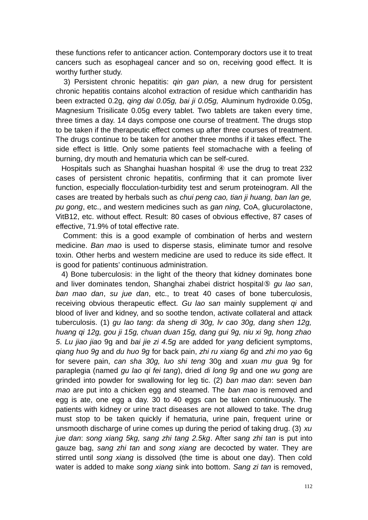these functions refer to anticancer action. Contemporary doctors use it to treat cancers such as esophageal cancer and so on, receiving good effect. It is worthy further study.

 3) Persistent chronic hepatitis: *qin gan pian,* a new drug for persistent chronic hepatitis contains alcohol extraction of residue which cantharidin has been extracted 0.2g, *qing dai 0.05g, bai ji 0.05g,* Aluminum hydroxide 0.05g, Magnesium Trisilicate 0.05g every tablet. Two tablets are taken every time, three times a day. 14 days compose one course of treatment. The drugs stop to be taken if the therapeutic effect comes up after three courses of treatment. The drugs continue to be taken for another three months if it takes effect. The side effect is little. Only some patients feel stomachache with a feeling of burning, dry mouth and hematuria which can be self-cured.

Hospitals such as Shanghai huashan hospital 4 use the drug to treat 232 cases of persistent chronic hepatitis, confirming that it can promote liver function, especially flocculation-turbidity test and serum proteinogram. All the cases are treated by herbals such as *chui peng cao, tian ji huang, ban lan ge, pu gong*, etc., and western medicines such as *gan ning,* CoA, glucurolactone, VitB12, etc. without effect. Result: 80 cases of obvious effective, 87 cases of effective, 71.9% of total effective rate.

 Comment: this is a good example of combination of herbs and western medicine. *Ban mao* is used to disperse stasis, eliminate tumor and resolve toxin. Other herbs and western medicine are used to reduce its side effect. It is good for patients' continuous administration.

 4) Bone tuberculosis: in the light of the theory that kidney dominates bone and liver dominates tendon, Shanghai zhabei district hospital⑤ *gu lao san*, *ban mao dan*, *su jue dan*, etc., to treat 40 cases of bone tuberculosis, receiving obvious therapeutic effect. *Gu lao san* mainly supplement *qi* and blood of liver and kidney, and so soothe tendon, activate collateral and attack tuberculosis. (1) *gu lao tang*: *da sheng di 30g, lv cao 30g, dang shen 12g, huang qi 12g, gou ji 15g, chuan duan 15g, dang gui 9g, niu xi 9g, hong zhao 5*. *Lu jiao jiao* 9g and *bai jie zi 4.5g* are added for *yang* deficient symptoms, *qiang huo 9g* and *du huo 9g* for back pain, *zhi ru xiang 6g* and *zhi mo yao* 6g for severe pain, *can sha 30g, luo shi teng* 30g and *xuan mu gua* 9g for paraplegia (named *gu lao qi fei tang*), dried *di long 9g* and one *wu gong* are grinded into powder for swallowing for leg tic. (2) *ban mao dan*: seven *ban mao* are put into a chicken egg and steamed. The *ban mao* is removed and egg is ate, one egg a day. 30 to 40 eggs can be taken continuously. The patients with kidney or urine tract diseases are not allowed to take. The drug must stop to be taken quickly if hematuria, urine pain, frequent urine or unsmooth discharge of urine comes up during the period of taking drug. (3) *xu jue dan*: *song xiang 5kg, sang zhi tang 2.5kg*. After *sang zhi tan* is put into gauze bag, *sang zhi tan* and *song xiang* are decocted by water. They are stirred until *song xiang* is dissolved (the time is about one day). Then cold water is added to make *song xiang* sink into bottom. *Sang zi tan* is removed,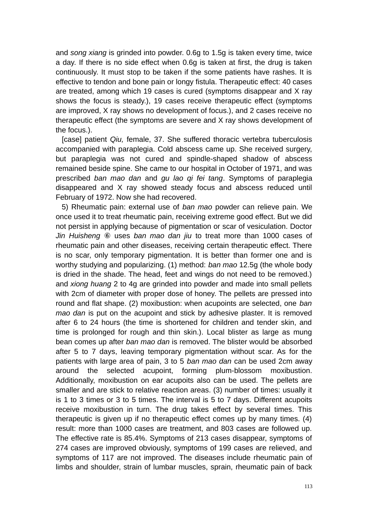and *song xiang* is grinded into powder. 0.6g to 1.5g is taken every time, twice a day. If there is no side effect when 0.6g is taken at first, the drug is taken continuously. It must stop to be taken if the some patients have rashes. It is effective to tendon and bone pain or longy fistula. Therapeutic effect: 40 cases are treated, among which 19 cases is cured (symptoms disappear and X ray shows the focus is steady.), 19 cases receive therapeutic effect (symptoms are improved, X ray shows no development of focus.), and 2 cases receive no therapeutic effect (the symptoms are severe and X ray shows development of the focus.).

 [case] patient *Qiu,* female, 37. She suffered thoracic vertebra tuberculosis accompanied with paraplegia. Cold abscess came up. She received surgery, but paraplegia was not cured and spindle-shaped shadow of abscess remained beside spine. She came to our hospital in October of 1971, and was prescribed *ban mao dan* and *gu lao qi fei tang*. Symptoms of paraplegia disappeared and X ray showed steady focus and abscess reduced until February of 1972. Now she had recovered.

 5) Rheumatic pain: external use of *ban mao* powder can relieve pain. We once used it to treat rheumatic pain, receiving extreme good effect. But we did not persist in applying because of pigmentation or scar of vesiculation. Doctor *Jin Huisheng* ⑥ uses *ban mao dan jiu* to treat more than 1000 cases of rheumatic pain and other diseases, receiving certain therapeutic effect. There is no scar, only temporary pigmentation. It is better than former one and is worthy studying and popularizing. (1) method: *ban mao* 12.5g (the whole body is dried in the shade. The head, feet and wings do not need to be removed.) and *xiong huang* 2 to 4g are grinded into powder and made into small pellets with 2cm of diameter with proper dose of honey. The pellets are pressed into round and flat shape. (2) moxibustion: when acupoints are selected, one *ban mao dan* is put on the acupoint and stick by adhesive plaster. It is removed after 6 to 24 hours (the time is shortened for children and tender skin, and time is prolonged for rough and thin skin.). Local blister as large as mung bean comes up after *ban mao dan* is removed. The blister would be absorbed after 5 to 7 days, leaving temporary pigmentation without scar. As for the patients with large area of pain, 3 to 5 *ban mao dan* can be used 2cm away around the selected acupoint, forming plum-blossom moxibustion. Additionally, moxibustion on ear acupoits also can be used. The pellets are smaller and are stick to relative reaction areas. (3) number of times: usually it is 1 to 3 times or 3 to 5 times. The interval is 5 to 7 days. Different acupoits receive moxibustion in turn. The drug takes effect by several times. This therapeutic is given up if no therapeutic effect comes up by many times. (4) result: more than 1000 cases are treatment, and 803 cases are followed up. The effective rate is 85.4%. Symptoms of 213 cases disappear, symptoms of 274 cases are improved obviously, symptoms of 199 cases are relieved, and symptoms of 117 are not improved. The diseases include rheumatic pain of limbs and shoulder, strain of lumbar muscles, sprain, rheumatic pain of back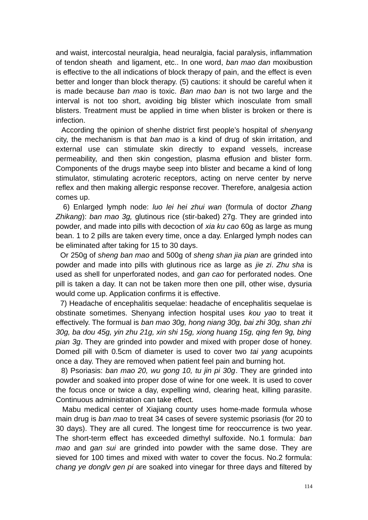and waist, intercostal neuralgia, head neuralgia, facial paralysis, inflammation of tendon sheath and ligament, etc.. In one word, *ban mao dan* moxibustion is effective to the all indications of block therapy of pain, and the effect is even better and longer than block therapy. (5) cautions: it should be careful when it is made because *ban mao* is toxic. *Ban mao ban* is not two large and the interval is not too short, avoiding big blister which inosculate from small blisters. Treatment must be applied in time when blister is broken or there is infection.

 According the opinion of shenhe district first people's hospital of *shenyang* city, the mechanism is that *ban mao* is a kind of drug of skin irritation, and external use can stimulate skin directly to expand vessels, increase permeability, and then skin congestion, plasma effusion and blister form. Components of the drugs maybe seep into blister and became a kind of long stimulator, stimulating acroteric receptors, acting on nerve center by nerve reflex and then making allergic response recover. Therefore, analgesia action comes up.

 6) Enlarged lymph node: *luo lei hei zhui wan* (formula of doctor *Zhang Zhikang*): *ban mao 3g,* glutinous rice (stir-baked) 27g. They are grinded into powder, and made into pills with decoction of *xia ku cao* 60g as large as mung bean. 1 to 2 pills are taken every time, once a day. Enlarged lymph nodes can be eliminated after taking for 15 to 30 days.

 Or 250g of *sheng ban mao* and 500g of *sheng shan jia pian* are grinded into powder and made into pills with glutinous rice as large as *jie zi*. *Zhu sha* is used as shell for unperforated nodes, and *gan cao* for perforated nodes. One pill is taken a day. It can not be taken more then one pill, other wise, dysuria would come up. Application confirms it is effective.

 7) Headache of encephalitis sequelae: headache of encephalitis sequelae is obstinate sometimes. Shenyang infection hospital uses *kou yao* to treat it effectively. The formual is *ban mao 30g, hong niang 30g, bai zhi 30g, shan zhi 30g, ba dou 45g, yin zhu 21g, xin shi 15g, xiong huang 15g, qing fen 9g, bing pian 3g*. They are grinded into powder and mixed with proper dose of honey. Domed pill with 0.5cm of diameter is used to cover two *tai yang* acupoints once a day. They are removed when patient feel pain and burning hot.

 8) Psoriasis: *ban mao 20, wu gong 10, tu jin pi 30g*. They are grinded into powder and soaked into proper dose of wine for one week. It is used to cover the focus once or twice a day, expelling wind, clearing heat, killing parasite. Continuous administration can take effect.

 Mabu medical center of Xiajiang county uses home-made formula whose main drug is *ban mao* to treat 34 cases of severe systemic psoriasis (for 20 to 30 days). They are all cured. The longest time for reoccurrence is two year. The short-term effect has exceeded dimethyl sulfoxide. No.1 formula: *ban mao* and *gan sui* are grinded into powder with the same dose. They are sieved for 100 times and mixed with water to cover the focus. No.2 formula: *chang ye donglv gen pi* are soaked into vinegar for three days and filtered by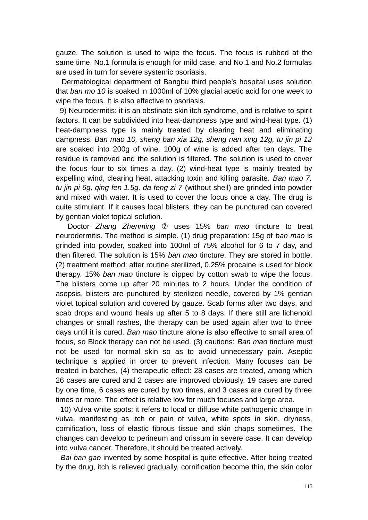gauze. The solution is used to wipe the focus. The focus is rubbed at the same time. No.1 formula is enough for mild case, and No.1 and No.2 formulas are used in turn for severe systemic psoriasis.

 Dermatological department of Bangbu third people's hospital uses solution that *ban mo 10* is soaked in 1000ml of 10% glacial acetic acid for one week to wipe the focus. It is also effective to psoriasis.

 9) Neurodermitis: it is an obstinate skin itch syndrome, and is relative to spirit factors. It can be subdivided into heat-dampness type and wind-heat type. (1) heat-dampness type is mainly treated by clearing heat and eliminating dampness. *Ban mao 10, sheng ban xia 12g, sheng nan xing 12g, tu jin pi 12* are soaked into 200g of wine. 100g of wine is added after ten days. The residue is removed and the solution is filtered. The solution is used to cover the focus four to six times a day. (2) wind-heat type is mainly treated by expelling wind, clearing heat, attacking toxin and killing parasite. *Ban mao 7, tu jin pi 6g, qing fen 1.5g, da feng zi 7* (without shell) are grinded into powder and mixed with water. It is used to cover the focus once a day. The drug is quite stimulant. If it causes local blisters, they can be punctured can covered by gentian violet topical solution.

 Doctor *Zhang Zhenming* ⑦ uses 15% *ban mao* tincture to treat neurodermitis. The method is simple. (1) drug preparation: 15g of *ban mao* is grinded into powder, soaked into 100ml of 75% alcohol for 6 to 7 day, and then filtered. The solution is 15% *ban mao* tincture. They are stored in bottle. (2) treatment method: after routine sterilized, 0.25% procaine is used for block therapy. 15% *ban mao* tincture is dipped by cotton swab to wipe the focus. The blisters come up after 20 minutes to 2 hours. Under the condition of asepsis, blisters are punctured by sterilized needle, covered by 1% gentian violet topical solution and covered by gauze. Scab forms after two days, and scab drops and wound heals up after 5 to 8 days. If there still are lichenoid changes or small rashes, the therapy can be used again after two to three days until it is cured. *Ban mao* tincture alone is also effective to small area of focus, so Block therapy can not be used. (3) cautions: *Ban mao* tincture must not be used for normal skin so as to avoid unnecessary pain. Aseptic technique is applied in order to prevent infection. Many focuses can be treated in batches. (4) therapeutic effect: 28 cases are treated, among which 26 cases are cured and 2 cases are improved obviously. 19 cases are cured by one time, 6 cases are cured by two times, and 3 cases are cured by three times or more. The effect is relative low for much focuses and large area.

 10) Vulva white spots: it refers to local or diffuse white pathogenic change in vulva, manifesting as itch or pain of vulva, white spots in skin, dryness, cornification, loss of elastic fibrous tissue and skin chaps sometimes. The changes can develop to perineum and crissum in severe case. It can develop into vulva cancer. Therefore, it should be treated actively.

 *Bai ban gao* invented by some hospital is quite effective. After being treated by the drug, itch is relieved gradually, cornification become thin, the skin color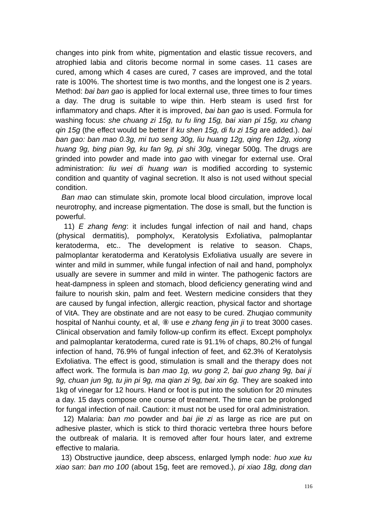changes into pink from white, pigmentation and elastic tissue recovers, and atrophied labia and clitoris become normal in some cases. 11 cases are cured, among which 4 cases are cured, 7 cases are improved, and the total rate is 100%. The shortest time is two months, and the longest one is 2 years. Method: *bai ban gao* is applied for local external use, three times to four times a day. The drug is suitable to wipe thin. Herb steam is used first for inflammatory and chaps. After it is improved, *bai ban gao* is used. Formula for washing focus: *she chuang zi 15g, tu fu ling 15g, bai xian pi 15g, xu chang qin 15g* (the effect would be better if *ku shen 15g, di fu zi 15g* are added.). *bai ban gao: ban mao 0.3g, mi tuo seng 30g, liu huang 12g, qing fen 12g, xiong huang 9g, bing pian 9g, ku fan 9g, pi shi 30g,* vinegar 500g. The drugs are grinded into powder and made into *gao* with vinegar for external use. Oral administration: *liu wei di huang wan* is modified according to systemic condition and quantity of vaginal secretion. It also is not used without special condition.

 *Ban mao* can stimulate skin, promote local blood circulation, improve local neurotrophy, and increase pigmentation. The dose is small, but the function is powerful.

 11) *E zhang feng*: it includes fungal infection of nail and hand, chaps (physical dermatitis), pompholyx, Keratolysis Exfoliativa, palmoplantar keratoderma, etc.. The development is relative to season. Chaps, palmoplantar keratoderma and Keratolysis Exfoliativa usually are severe in winter and mild in summer, while fungal infection of nail and hand, pompholyx usually are severe in summer and mild in winter. The pathogenic factors are heat-dampness in spleen and stomach, blood deficiency generating wind and failure to nourish skin, palm and feet. Western medicine considers that they are caused by fungal infection, allergic reaction, physical factor and shortage of VitA. They are obstinate and are not easy to be cured. Zhuqiao community hospital of Nanhui county, et al, ⑧ use *e zhang feng jin ji* to treat 3000 cases. Clinical observation and family follow-up confirm its effect. Except pompholyx and palmoplantar keratoderma, cured rate is 91.1% of chaps, 80.2% of fungal infection of hand, 76.9% of fungal infection of feet, and 62.3% of Keratolysis Exfoliativa. The effect is good, stimulation is small and the therapy does not affect work. The formula is *ban mao 1g, wu gong 2, bai guo zhang 9g, bai ji 9g, chuan jun 9g, tu jin pi 9g, ma qian zi 9g, bai xin 6g.* They are soaked into 1kg of vinegar for 12 hours. Hand or foot is put into the solution for 20 minutes a day. 15 days compose one course of treatment. The time can be prolonged for fungal infection of nail. Caution: it must not be used for oral administration.

 12) Malaria: *ban mo* powder and *bai jie zi* as large as rice are put on adhesive plaster, which is stick to third thoracic vertebra three hours before the outbreak of malaria. It is removed after four hours later, and extreme effective to malaria.

 13) Obstructive jaundice, deep abscess, enlarged lymph node: *huo xue ku xiao san*: *ban mo 100* (about 15g, feet are removed.)*, pi xiao 18g, dong dan*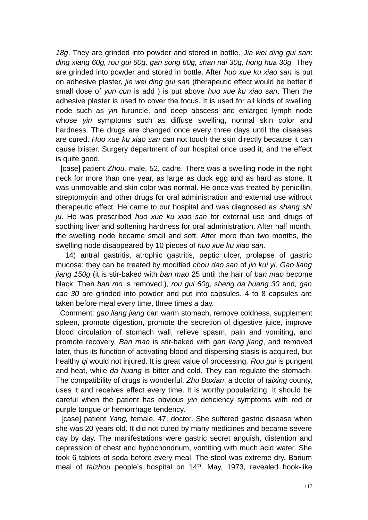*18g*. They are grinded into powder and stored in bottle. *Jia wei ding gui san*: *ding xiang 60g, rou gui 60g, gan song 60g, shan nai 30g, hong hua 30g*. They are grinded into powder and stored in bottle. After *huo xue ku xiao san* is put on adhesive plaster, *jie wei ding gui san* (therapeutic effect would be better if small dose of *yun cun* is add ) is put above *huo xue ku xiao san*. Then the adhesive plaster is used to cover the focus. It is used for all kinds of swelling node such as *yin* furuncle, and deep abscess and enlarged lymph node whose *yin* symptoms such as diffuse swelling, normal skin color and hardness. The drugs are changed once every three days until the diseases are cured. *Huo xue ku xiao san* can not touch the skin directly because it can cause blister. Surgery department of our hospital once used it, and the effect is quite good.

 [case] patient *Zhou,* male, 52, cadre. There was a swelling node in the right neck for more than one year, as large as duck egg and as hard as stone. It was unmovable and skin color was normal. He once was treated by penicillin, streptomycin and other drugs for oral administration and external use without therapeutic effect. He came to our hospital and was diagnosed as *shang shi ju*. He was prescribed *huo xue ku xiao san* for external use and drugs of soothing liver and softening hardness for oral administration. After half month, the swelling node became small and soft. After more than two months, the swelling node disappeared by 10 pieces of *huo xue ku xiao san*.

 14) antral gastritis, atrophic gastritis, peptic ulcer, prolapse of gastric mucosa: they can be treated by modified *chou dao san* of *jin kui yi*. *Gao liang jiang 150g* (it is stir-baked with *ban mao* 25 until the hair of *ban mao* become black. Then *ban mo* is removed.)*, rou gui 60g, sheng da huang 30* and*, gan cao 30* are grinded into powder and put into capsules. 4 to 8 capsules are taken before meal every time, three times a day.

 Comment: *gao liang jiang* can warm stomach, remove coldness, supplement spleen, promote digestion, promote the secretion of digestive juice, improve blood circulation of stomach wall, relieve spasm, pain and vomiting, and promote recovery. *Ban mao* is stir-baked with *gan liang jiang*, and removed later, thus its function of activating blood and dispersing stasis is acquired, but healthy *qi* would not injured. It is great value of processing. *Rou gui* is pungent and heat, while *da huang* is bitter and cold. They can regulate the stomach. The compatibility of drugs is wonderful. *Zhu Buxian*, a doctor of *taixing* county, uses it and receives effect every time. It is worthy popularizing. It should be careful when the patient has obvious *yin* deficiency symptoms with red or purple tongue or hemorrhage tendency.

 [case] patient *Yang,* female, 47, doctor. She suffered gastric disease when she was 20 years old. It did not cured by many medicines and became severe day by day. The manifestations were gastric secret anguish, distention and depression of chest and hypochondrium, vomiting with much acid water. She took 6 tablets of soda before every meal. The stool was extreme dry. Barium meal of *taizhou* people's hospital on 14<sup>th</sup>, May, 1973, revealed hook-like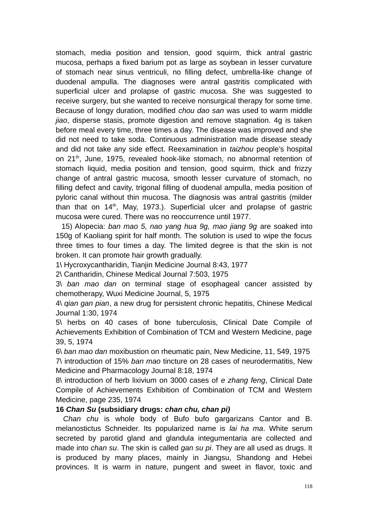stomach, media position and tension, good squirm, thick antral gastric mucosa, perhaps a fixed barium pot as large as soybean in lesser curvature of stomach near sinus ventriculi, no filling defect, umbrella-like change of duodenal ampulla. The diagnoses were antral gastritis complicated with superficial ulcer and prolapse of gastric mucosa. She was suggested to receive surgery, but she wanted to receive nonsurgical therapy for some time. Because of longy duration, modified *chou dao san* was used to warm middle *jiao*, disperse stasis, promote digestion and remove stagnation. 4g is taken before meal every time, three times a day. The disease was improved and she did not need to take soda. Continuous administration made disease steady and did not take any side effect. Reexamination in *taizhou* people's hospital on 21<sup>th</sup>, June, 1975, revealed hook-like stomach, no abnormal retention of stomach liquid, media position and tension, good squirm, thick and frizzy change of antral gastric mucosa, smooth lesser curvature of stomach, no filling defect and cavity, trigonal filling of duodenal ampulla, media position of pyloric canal without thin mucosa. The diagnosis was antral gastritis (milder than that on  $14<sup>th</sup>$ , May, 1973.). Superficial ulcer and prolapse of gastric mucosa were cured. There was no reoccurrence until 1977.

 15) Alopecia: *ban mao 5, nao yang hua 9g, mao jiang 9g* are soaked into 150g of Kaoliang spirit for half month. The solution is used to wipe the focus three times to four times a day. The limited degree is that the skin is not broken. It can promote hair growth gradually.

1\ Hycroxycantharidin, Tianjin Medicine Journal 8:43, 1977

2\ Cantharidin, Chinese Medical Journal 7:503, 1975

3\ *ban mao dan* on terminal stage of esophageal cancer assisted by chemotherapy, Wuxi Medicine Journal, 5, 1975

4\ *qian gan pian*, a new drug for persistent chronic hepatitis, Chinese Medical Journal 1:30, 1974

5\ herbs on 40 cases of bone tuberculosis, Clinical Date Compile of Achievements Exhibition of Combination of TCM and Western Medicine, page 39, 5, 1974

6\ *ban mao dan* moxibustion on rheumatic pain, New Medicine, 11, 549, 1975 7\ introduction of 15% *ban mao* tincture on 28 cases of neurodermatitis, New Medicine and Pharmacology Journal 8:18, 1974

8\ introduction of herb lixivium on 3000 cases of *e zhang feng*, Clinical Date Compile of Achievements Exhibition of Combination of TCM and Western Medicine, page 235, 1974

## **16** *Chan Su* **(subsidiary drugs:** *chan chu, chan pi)*

*Chan chu* is whole body of Bufo bufo gargarizans Cantor and B. melanostictus Schneider. Its popularized name is *lai ha ma*. White serum secreted by parotid gland and glandula integumentaria are collected and made into *chan su*. The skin is called *gan su pi*. They are all used as drugs. It is produced by many places, mainly in Jiangsu, Shandong and Hebei provinces. It is warm in nature, pungent and sweet in flavor, toxic and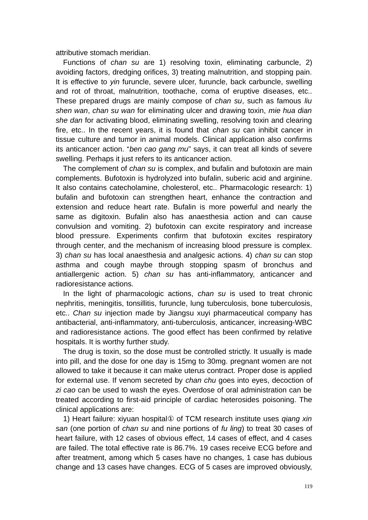attributive stomach meridian.

Functions of *chan su* are 1) resolving toxin, eliminating carbuncle, 2) avoiding factors, dredging orifices, 3) treating malnutrition, and stopping pain. It is effective to *yin* furuncle, severe ulcer, furuncle, back carbuncle, swelling and rot of throat, malnutrition, toothache, coma of eruptive diseases, etc.. These prepared drugs are mainly compose of *chan su*, such as famous *liu shen wan*, *chan su wan* for eliminating ulcer and drawing toxin, *mie hua dian she dan* for activating blood, eliminating swelling, resolving toxin and clearing fire, etc.. In the recent years, it is found that *chan su* can inhibit cancer in tissue culture and tumor in animal models. Clinical application also confirms its anticancer action. "*ben cao gang mu*" says, it can treat all kinds of severe swelling. Perhaps it just refers to its anticancer action.

The complement of *chan su* is complex, and bufalin and bufotoxin are main complements. Bufotoxin is hydrolyzed into bufalin, suberic acid and arginine. It also contains catecholamine, cholesterol, etc.. Pharmacologic research: 1) bufalin and bufotoxin can strengthen heart, enhance the contraction and extension and reduce heart rate. Bufalin is more powerful and nearly the same as digitoxin. Bufalin also has anaesthesia action and can cause convulsion and vomiting. 2) bufotoxin can excite respiratory and increase blood pressure. Experiments confirm that bufotoxin excites respiratory through center, and the mechanism of increasing blood pressure is complex. 3) *chan su* has local anaesthesia and analgesic actions. 4) *chan su* can stop asthma and cough maybe through stopping spasm of bronchus and antiallergenic action. 5) *chan su* has anti-inflammatory, anticancer and radioresistance actions.

In the light of pharmacologic actions, *chan su* is used to treat chronic nephritis, meningitis, tonsillitis, furuncle, lung tuberculosis, bone tuberculosis, etc.. *Chan su* injection made by Jiangsu xuyi pharmaceutical company has antibacterial, anti-inflammatory, anti-tuberculosis, anticancer, increasing-WBC and radioresistance actions. The good effect has been confirmed by relative hospitals. It is worthy further study.

The drug is toxin, so the dose must be controlled strictly. It usually is made into pill, and the dose for one day is 15mg to 30mg. pregnant women are not allowed to take it because it can make uterus contract. Proper dose is applied for external use. If venom secreted by *chan chu* goes into eyes, decoction of *zi cao* can be used to wash the eyes. Overdose of oral administration can be treated according to first-aid principle of cardiac heterosides poisoning. The clinical applications are:

1) Heart failure: xiyuan hospital① of TCM research institute uses *qiang xin san* (one portion of *chan su* and nine portions of *fu ling*) to treat 30 cases of heart failure, with 12 cases of obvious effect, 14 cases of effect, and 4 cases are failed. The total effective rate is 86.7%. 19 cases receive ECG before and after treatment, among which 5 cases have no changes, 1 case has dubious change and 13 cases have changes. ECG of 5 cases are improved obviously,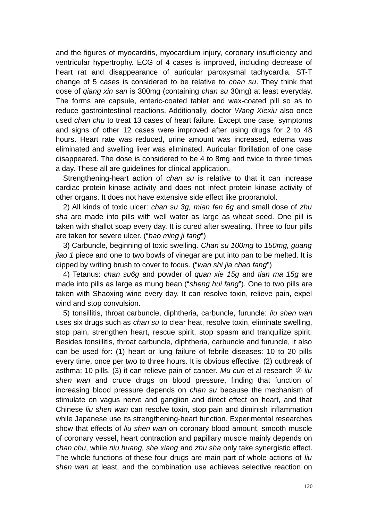and the figures of myocarditis, myocardium injury, coronary insufficiency and ventricular hypertrophy. ECG of 4 cases is improved, including decrease of heart rat and disappearance of auricular paroxysmal tachycardia. ST-T change of 5 cases is considered to be relative to *chan su*. They think that dose of *qiang xin san* is 300mg (containing *chan su* 30mg) at least everyday. The forms are capsule, enteric-coated tablet and wax-coated pill so as to reduce gastrointestinal reactions. Additionally, doctor *Wang Xiexiu* also once used *chan chu* to treat 13 cases of heart failure. Except one case, symptoms and signs of other 12 cases were improved after using drugs for 2 to 48 hours. Heart rate was reduced, urine amount was increased, edema was eliminated and swelling liver was eliminated. Auricular fibrillation of one case disappeared. The dose is considered to be 4 to 8mg and twice to three times a day. These all are guidelines for clinical application.

Strengthening-heart action of *chan su* is relative to that it can increase cardiac protein kinase activity and does not infect protein kinase activity of other organs. It does not have extensive side effect like propranolol.

2) All kinds of toxic ulcer: *chan su 3g, mian fen 6g* and small dose of *zhu sha* are made into pills with well water as large as wheat seed. One pill is taken with shallot soap every day. It is cured after sweating. Three to four pills are taken for severe ulcer. ("*bao ming ji fang*")

3) Carbuncle, beginning of toxic swelling. *Chan su 100mg* to *150mg, guang jiao 1* piece and one to two bowls of vinegar are put into pan to be melted. It is dipped by writing brush to cover to focus. ("*wan shi jia chao fang*")

4) Tetanus: *chan su6g* and powder of *quan xie 15g* and *tian ma 15g* are made into pills as large as mung bean ("*sheng hui fang*"). One to two pills are taken with Shaoxing wine every day. It can resolve toxin, relieve pain, expel wind and stop convulsion.

5) tonsillitis, throat carbuncle, diphtheria, carbuncle, furuncle: *liu shen wan* uses six drugs such as *chan su* to clear heat, resolve toxin, eliminate swelling, stop pain, strengthen heart, rescue spirit, stop spasm and tranquilize spirit. Besides tonsillitis, throat carbuncle, diphtheria, carbuncle and furuncle, it also can be used for: (1) heart or lung failure of febrile diseases: 10 to 20 pills every time, once per two to three hours. It is obvious effective. (2) outbreak of asthma: 10 pills. (3) it can relieve pain of cancer. *Mu cun* et al research ② *liu shen wan* and crude drugs on blood pressure, finding that function of increasing blood pressure depends on *chan su* because the mechanism of stimulate on vagus nerve and ganglion and direct effect on heart, and that Chinese *liu shen wan* can resolve toxin, stop pain and diminish inflammation while Japanese use its strengthening-heart function. Experimental researches show that effects of *liu shen wan* on coronary blood amount, smooth muscle of coronary vessel, heart contraction and papillary muscle mainly depends on *chan chu*, while *niu huang, she xiang* and *zhu sha* only take synergistic effect. The whole functions of these four drugs are main part of whole actions of *liu shen wan* at least, and the combination use achieves selective reaction on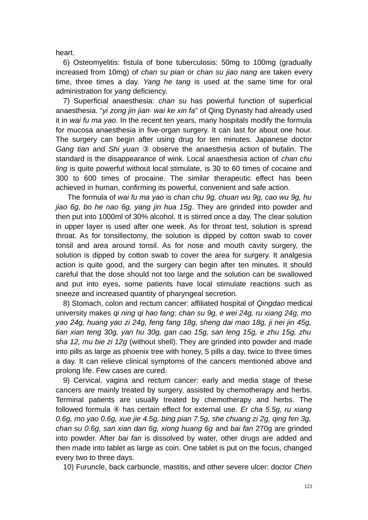heart.

6) Osteomyelitis: fistula of bone tuberculosis: 50mg to 100mg (gradually increased from 10mg) of *chan su pian* or *chan su jiao nang* are taken every time, three times a day. *Yang he tang* is used at the same time for oral administration for *yang* deficiency.

7) Superficial anaesthesia: *chan su* has powerful function of superficial anaesthesia. "*yi zong jin jian*· *wai ke xin fa*" of Qing Dynasty had already used it in *wai fu ma yao*. In the recent ten years, many hospitals modify the formula for mucosa anaesthesia in five-organ surgery. It can last for about one hour. The surgery can begin after using drug for ten minutes. Japanese doctor *Gang tian* and *Shi yuan* ③ observe the anaesthesia action of bufalin. The standard is the disappearance of wink. Local anaesthesia action of *chan chu ling* is quite powerful without local stimulate, is 30 to 60 times of cocaine and 300 to 600 times of procaine. The similar therapeutic effect has been achieved in human, confirming its powerful, convenient and safe action.

 The formula of *wai fu ma yao* is *chan chu 9g, chuan wu 9g, cao wu 9g, hu jiao 6g, bo he nao 6g, yang jin hua 15g*. They are grinded into powder and then put into 1000ml of 30% alcohol. It is stirred once a day. The clear solution in upper layer is used after one week. As for throat test, solution is spread throat. As for tonsillectomy, the solution is dipped by cotton swab to cover tonsil and area around tonsil. As for nose and mouth cavity surgery, the solution is dipped by cotton swab to cover the area for surgery. It analgesia action is quite good, and the surgery can begin after ten minutes. It should careful that the dose should not too large and the solution can be swallowed and put into eyes, some patients have local stimulate reactions such as sneeze and increased quantity of pharyngeal secretion.

8) Stomach, colon and rectum cancer: affiliated hospital of *Qingdao* medical university makes *qi ning qi hao fang*: *chan su 9g, e wei 24g, ru xiang 24g, mo yao 24g, huang yao zi 24g, feng fang 18g, sheng dai mao 18g, ji nei jin 45g, tian xian teng 30g, yan hu 30g, gan cao 15g, san leng 15g, e zhu 15g, zhu sha 12, mu bie zi 12g* (without shell). They are grinded into powder and made into pills as large as phoenix tree with honey, 5 pills a day, twice to three times a day. It can relieve clinical symptoms of the cancers mentioned above and prolong life. Few cases are cured.

9) Cervical, vagina and rectum cancer: early and media stage of these cancers are mainly treated by surgery, assisted by chemotherapy and herbs. Terminal patients are usually treated by chemotherapy and herbs. The followed formula ④ has certain effect for external use. *Er cha 5.5g, ru xiang 0.6g, mo yao 0.6g, xue jie 4.5g, bing pian 7.5g, she chuang zi 2g, qing fen 3g, chan su 0.6g, san xian dan 6g, xiong huang 6g* and *bai fan* 270g are grinded into powder. After *bai fan* is dissolved by water, other drugs are added and then made into tablet as large as coin. One tablet is put on the focus, changed every two to three days.

10) Furuncle, back carbuncle, mastitis, and other severe ulcer: doctor *Chen*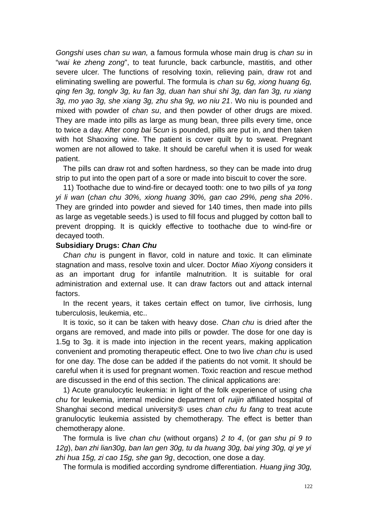*Gongshi* uses *chan su wan,* a famous formula whose main drug is *chan su* in "*wai ke zheng zong*", to teat furuncle, back carbuncle, mastitis, and other severe ulcer. The functions of resolving toxin, relieving pain, draw rot and eliminating swelling are powerful. The formula is *chan su 6g, xiong huang 6g, qing fen 3g, tonglv 3g, ku fan 3g, duan han shui shi 3g, dan fan 3g, ru xiang 3g, mo yao 3g, she xiang 3g, zhu sha 9g, wo niu 21*. Wo niu is pounded and mixed with powder of *chan su*, and then powder of other drugs are mixed. They are made into pills as large as mung bean, three pills every time, once to twice a day. After *cong bai* 5*cun* is pounded, pills are put in, and then taken with hot Shaoxing wine. The patient is cover quilt by to sweat. Pregnant women are not allowed to take. It should be careful when it is used for weak patient.

The pills can draw rot and soften hardness, so they can be made into drug strip to put into the open part of a sore or made into biscuit to cover the sore.

11) Toothache due to wind-fire or decayed tooth: one to two pills of *ya tong yi li wan* (*chan chu 30%, xiong huang 30%, gan cao 29%, peng sha 20%*. They are grinded into powder and sieved for 140 times, then made into pills as large as vegetable seeds.) is used to fill focus and plugged by cotton ball to prevent dropping. It is quickly effective to toothache due to wind-fire or decayed tooth.

#### **Subsidiary Drugs:** *Chan Chu*

*Chan chu* is pungent in flavor, cold in nature and toxic. It can eliminate stagnation and mass, resolve toxin and ulcer. Doctor *Miao Xiyong* considers it as an important drug for infantile malnutrition. It is suitable for oral administration and external use. It can draw factors out and attack internal factors.

In the recent years, it takes certain effect on tumor, live cirrhosis, lung tuberculosis, leukemia, etc..

It is toxic, so it can be taken with heavy dose. *Chan chu* is dried after the organs are removed, and made into pills or powder. The dose for one day is 1.5g to 3g. it is made into injection in the recent years, making application convenient and promoting therapeutic effect. One to two live *chan chu* is used for one day. The dose can be added if the patients do not vomit. It should be careful when it is used for pregnant women. Toxic reaction and rescue method are discussed in the end of this section. The clinical applications are:

1) Acute granulocytic leukemia: in light of the folk experience of using *cha chu* for leukemia, internal medicine department of *ruijin* affiliated hospital of Shanghai second medical university⑤ uses *chan chu fu fang* to treat acute granulocytic leukemia assisted by chemotherapy. The effect is better than chemotherapy alone.

The formula is live *chan chu* (without organs) *2 to 4*, (or *gan shu pi 9 to 12g*), *ban zhi lian30g, ban lan gen 30g, tu da huang 30g, bai ying 30g, qi ye yi zhi hua 15g, zi cao 15g, she gan 9g*, decoction, one dose a day.

The formula is modified according syndrome differentiation. *Huang jing 30g,*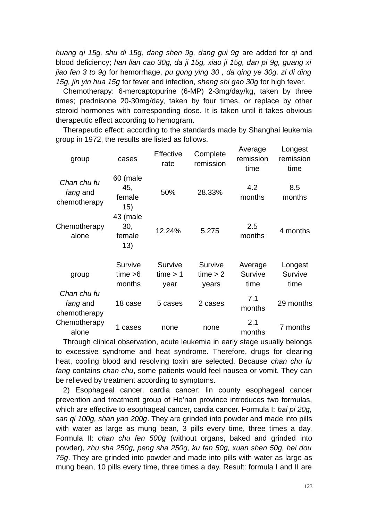*huang qi 15g, shu di 15g, dang shen 9g, dang gui 9g* are added for *qi* and blood deficiency; *han lian cao 30g, da ji 15g, xiao ji 15g, dan pi 9g, guang xi jiao fen 3 to 9g* for hemorrhage, *pu gong ying 30 , da qing ye 30g, zi di ding 15g, jin yin hua 15g* for fever and infection, *sheng shi gao 30g* for high fever.

Chemotherapy: 6-mercaptopurine (6-MP) 2-3mg/day/kg, taken by three times; prednisone 20-30mg/day, taken by four times, or replace by other steroid hormones with corresponding dose. It is taken until it takes obvious therapeutic effect according to hemogram.

Therapeutic effect: according to the standards made by Shanghai leukemia group in 1972, the results are listed as follows.

| group                                   | cases                            | <b>Effective</b><br>rate    | Complete<br>remission        | Average<br>remission<br>time | Longest<br>remission<br>time |
|-----------------------------------------|----------------------------------|-----------------------------|------------------------------|------------------------------|------------------------------|
| Chan chu fu<br>fang and<br>chemotherapy | 60 (male<br>45,<br>female<br>15) | 50%                         | 28.33%                       | 4.2<br>months                | 8.5<br>months                |
| Chemotherapy<br>alone                   | 43 (male<br>30,<br>female<br>13) | 12.24%                      | 5.275                        | 2.5<br>months                | 4 months                     |
| group                                   | Survive<br>time > 6<br>months    | Survive<br>time > 1<br>year | Survive<br>time > 2<br>years | Average<br>Survive<br>time   | Longest<br>Survive<br>time   |
| Chan chu fu<br>fang and<br>chemotherapy | 18 case                          | 5 cases                     | 2 cases                      | 7.1<br>months                | 29 months                    |
| Chemotherapy<br>alone                   | 1 cases                          | none                        | none                         | 2.1<br>months                | 7 months                     |

Through clinical observation, acute leukemia in early stage usually belongs to excessive syndrome and heat syndrome. Therefore, drugs for clearing heat, cooling blood and resolving toxin are selected. Because *chan chu fu fang* contains *chan chu*, some patients would feel nausea or vomit. They can be relieved by treatment according to symptoms.

2) Esophageal cancer, cardia cancer: lin county esophageal cancer prevention and treatment group of He'nan province introduces two formulas, which are effective to esophageal cancer, cardia cancer. Formula I: *bai pi 20g, san qi 100g, shan yao 200g*. They are grinded into powder and made into pills with water as large as mung bean, 3 pills every time, three times a day. Formula II: *chan chu fen 500g* (without organs, baked and grinded into powder)*, zhu sha 250g, peng sha 250g, ku fan 50g, xuan shen 50g, hei dou 75g*. They are grinded into powder and made into pills with water as large as mung bean, 10 pills every time, three times a day. Result: formula I and II are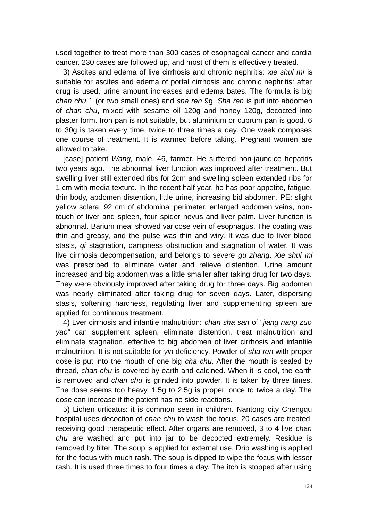used together to treat more than 300 cases of esophageal cancer and cardia cancer. 230 cases are followed up, and most of them is effectively treated.

3) Ascites and edema of live cirrhosis and chronic nephritis: *xie shui mi* is suitable for ascites and edema of portal cirrhosis and chronic nephritis: after drug is used, urine amount increases and edema bates. The formula is big *chan chu* 1 (or two small ones) and *sha ren* 9g. *Sha ren* is put into abdomen of *chan chu*, mixed with sesame oil 120g and honey 120g, decocted into plaster form. Iron pan is not suitable, but aluminium or cuprum pan is good. 6 to 30g is taken every time, twice to three times a day. One week composes one course of treatment. It is warmed before taking. Pregnant women are allowed to take.

[case] patient *Wang,* male, 46, farmer. He suffered non-jaundice hepatitis two years ago. The abnormal liver function was improved after treatment. But swelling liver still extended ribs for 2cm and swelling spleen extended ribs for 1 cm with media texture. In the recent half year, he has poor appetite, fatigue, thin body, abdomen distention, little urine, increasing bid abdomen. PE: slight yellow sclera, 92 cm of abdominal perimeter, enlarged abdomen veins, nontouch of liver and spleen, four spider nevus and liver palm. Liver function is abnormal. Barium meal showed varicose vein of esophagus. The coating was thin and greasy, and the pulse was thin and wiry. It was due to liver blood stasis, *qi* stagnation, dampness obstruction and stagnation of water. It was live cirrhosis decompensation, and belongs to severe *gu zhang*. *Xie shui mi* was prescribed to eliminate water and relieve distention. Urine amount increased and big abdomen was a little smaller after taking drug for two days. They were obviously improved after taking drug for three days. Big abdomen was nearly eliminated after taking drug for seven days. Later, dispersing stasis, softening hardness, regulating liver and supplementing spleen are applied for continuous treatment.

4) Lver cirrhosis and infantile malnutrition: *chan sha san* of "*jiang nang zuo yao*" can supplement spleen, eliminate distention, treat malnutrition and eliminate stagnation, effective to big abdomen of liver cirrhosis and infantile malnutrition. It is not suitable for *yin* deficiency. Powder of *sha ren* with proper dose is put into the mouth of one big *cha chu*. After the mouth is sealed by thread, *chan chu* is covered by earth and calcined. When it is cool, the earth is removed and *chan chu* is grinded into powder. It is taken by three times. The dose seems too heavy, 1.5g to 2.5g is proper, once to twice a day. The dose can increase if the patient has no side reactions.

5) Lichen urticatus: it is common seen in children. Nantong city Chengqu hospital uses decoction of *chan chu* to wash the focus. 20 cases are treated, receiving good therapeutic effect. After organs are removed, 3 to 4 live *chan chu* are washed and put into jar to be decocted extremely. Residue is removed by filter. The soup is applied for external use. Drip washing is applied for the focus with much rash. The soup is dipped to wipe the focus with lesser rash. It is used three times to four times a day. The itch is stopped after using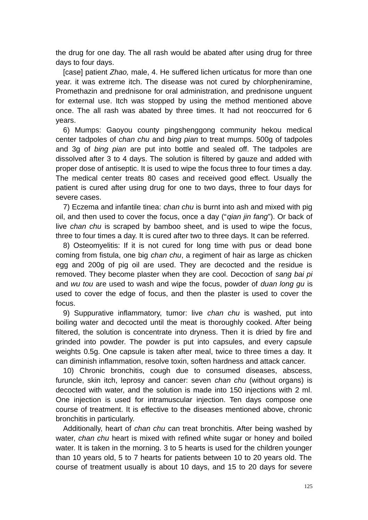the drug for one day. The all rash would be abated after using drug for three days to four days.

[case] patient *Zhao,* male, 4. He suffered lichen urticatus for more than one year. it was extreme itch. The disease was not cured by chlorpheniramine, Promethazin and prednisone for oral administration, and prednisone unguent for external use. Itch was stopped by using the method mentioned above once. The all rash was abated by three times. It had not reoccurred for 6 years.

6) Mumps: Gaoyou county pingshenggong community hekou medical center tadpoles of *chan chu* and *bing pian* to treat mumps. 500g of tadpoles and 3g of *bing pian* are put into bottle and sealed off. The tadpoles are dissolved after 3 to 4 days. The solution is filtered by gauze and added with proper dose of antiseptic. It is used to wipe the focus three to four times a day. The medical center treats 80 cases and received good effect. Usually the patient is cured after using drug for one to two days, three to four days for severe cases.

7) Eczema and infantile tinea: *chan chu* is burnt into ash and mixed with pig oil, and then used to cover the focus, once a day ("*qian jin fang*"). Or back of live *chan chu* is scraped by bamboo sheet, and is used to wipe the focus, three to four times a day. It is cured after two to three days. It can be referred.

8) Osteomyelitis: If it is not cured for long time with pus or dead bone coming from fistula, one big *chan chu*, a regiment of hair as large as chicken egg and 200g of pig oil are used. They are decocted and the residue is removed. They become plaster when they are cool. Decoction of *sang bai pi* and *wu tou* are used to wash and wipe the focus, powder of *duan long gu* is used to cover the edge of focus, and then the plaster is used to cover the focus.

9) Suppurative inflammatory, tumor: live *chan chu* is washed, put into boiling water and decocted until the meat is thoroughly cooked. After being filtered, the solution is concentrate into dryness. Then it is dried by fire and grinded into powder. The powder is put into capsules, and every capsule weights 0.5g. One capsule is taken after meal, twice to three times a day. It can diminish inflammation, resolve toxin, soften hardness and attack cancer.

10) Chronic bronchitis, cough due to consumed diseases, abscess, furuncle, skin itch, leprosy and cancer: seven *chan chu* (without organs) is decocted with water, and the solution is made into 150 injections with 2 ml. One injection is used for intramuscular injection. Ten days compose one course of treatment. It is effective to the diseases mentioned above, chronic bronchitis in particularly.

Additionally, heart of *chan chu* can treat bronchitis. After being washed by water, *chan chu* heart is mixed with refined white sugar or honey and boiled water. It is taken in the morning. 3 to 5 hearts is used for the children younger than 10 years old, 5 to 7 hearts for patients between 10 to 20 years old. The course of treatment usually is about 10 days, and 15 to 20 days for severe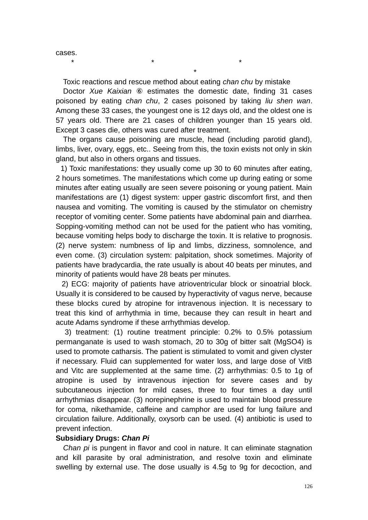cases.

Toxic reactions and rescue method about eating *chan chu* by mistake

\*

 $\star$   $\star$   $\star$ 

Doctor *Xue Kaixian* ⑥ estimates the domestic date, finding 31 cases poisoned by eating *chan chu*, 2 cases poisoned by taking *liu shen wan*. Among these 33 cases, the youngest one is 12 days old, and the oldest one is 57 years old. There are 21 cases of children younger than 15 years old. Except 3 cases die, others was cured after treatment.

The organs cause poisoning are muscle, head (including parotid gland), limbs, liver, ovary, eggs, etc.. Seeing from this, the toxin exists not only in skin gland, but also in others organs and tissues.

 1) Toxic manifestations: they usually come up 30 to 60 minutes after eating, 2 hours sometimes. The manifestations which come up during eating or some minutes after eating usually are seen severe poisoning or young patient. Main manifestations are (1) digest system: upper gastric discomfort first, and then nausea and vomiting. The vomiting is caused by the stimulator on chemistry receptor of vomiting center. Some patients have abdominal pain and diarrhea. Sopping-vomiting method can not be used for the patient who has vomiting, because vomiting helps body to discharge the toxin. It is relative to prognosis. (2) nerve system: numbness of lip and limbs, dizziness, somnolence, and even come. (3) circulation system: palpitation, shock sometimes. Majority of patients have bradycardia, the rate usually is about 40 beats per minutes, and minority of patients would have 28 beats per minutes.

 2) ECG: majority of patients have atrioventricular block or sinoatrial block. Usually it is considered to be caused by hyperactivity of vagus nerve, because these blocks cured by atropine for intravenous injection. It is necessary to treat this kind of arrhythmia in time, because they can result in heart and acute Adams syndrome if these arrhythmias develop.

 3) treatment: (1) routine treatment principle: 0.2% to 0.5% potassium permanganate is used to wash stomach, 20 to 30g of bitter salt (MgSO4) is used to promote catharsis. The patient is stimulated to vomit and given clyster if necessary. Fluid can supplemented for water loss, and large dose of VitB and Vitc are supplemented at the same time. (2) arrhythmias: 0.5 to 1g of atropine is used by intravenous injection for severe cases and by subcutaneous injection for mild cases, three to four times a day until arrhythmias disappear. (3) norepinephrine is used to maintain blood pressure for coma, nikethamide, caffeine and camphor are used for lung failure and circulation failure. Additionally, oxysorb can be used. (4) antibiotic is used to prevent infection.

### **Subsidiary Drugs:** *Chan Pi*

*Chan pi* is pungent in flavor and cool in nature. It can eliminate stagnation and kill parasite by oral administration, and resolve toxin and eliminate swelling by external use. The dose usually is 4.5g to 9g for decoction, and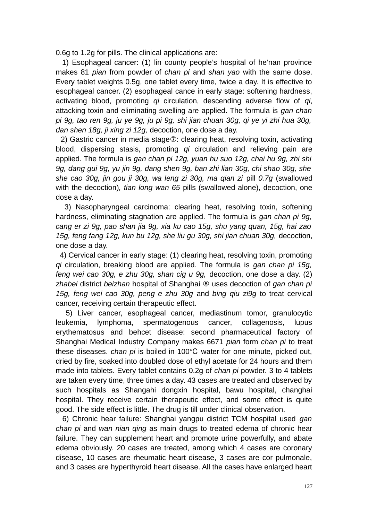0.6g to 1.2g for pills. The clinical applications are:

 1) Esophageal cancer: (1) lin county people's hospital of he'nan province makes 81 *pian* from powder of *chan pi* and *shan yao* with the same dose. Every tablet weights 0.5g, one tablet every time, twice a day. It is effective to esophageal cancer. (2) esophageal cance in early stage: softening hardness, activating blood, promoting *qi* circulation, descending adverse flow of *qi*, attacking toxin and eliminating swelling are applied. The formula is *gan chan pi 9g, tao ren 9g, ju ye 9g, ju pi 9g, shi jian chuan 30g, qi ye yi zhi hua 30g, dan shen 18g, ji xing zi 12g,* decoction, one dose a day.

 2) Gastric cancer in media stage⑦: clearing heat, resolving toxin, activating blood, dispersing stasis, promoting *qi* circulation and relieving pain are applied. The formula is *gan chan pi 12g, yuan hu suo 12g, chai hu 9g, zhi shi 9g, dang gui 9g, yu jin 9g, dang shen 9g, ban zhi lian 30g, chi shao 30g, she she cao 30g, jin gou ji 30g, wa leng zi 30g, ma qian zi* pill *0.7g* (swallowed with the decoction)*, tian long wan 65* pills (swallowed alone), decoction, one dose a day.

 3) Nasopharyngeal carcinoma: clearing heat, resolving toxin, softening hardness, eliminating stagnation are applied. The formula is *gan chan pi 9g, cang er zi 9g, pao shan jia 9g, xia ku cao 15g, shu yang quan, 15g, hai zao 15g, feng fang 12g, kun bu 12g, she liu gu 30g, shi jian chuan 30g,* decoction, one dose a day.

 4) Cervical cancer in early stage: (1) clearing heat, resolving toxin, promoting *qi* circulation, breaking blood are applied. The formula is *gan chan pi 15g, feng wei cao 30g, e zhu 30g, shan cig u 9g,* decoction, one dose a day. (2) *zhabei* district *beizhan* hospital of Shanghai ⑧ uses decoction of *gan chan pi 15g, feng wei cao 30g, peng e zhu 30g* and *bing qiu zi9g* to treat cervical cancer, receiving certain therapeutic effect.

 5) Liver cancer, esophageal cancer, mediastinum tomor, granulocytic leukemia, lymphoma, spermatogenous cancer, collagenosis, lupus erythematosus and behcet disease: second pharmaceutical factory of Shanghai Medical Industry Company makes 6671 *pian* form *chan pi* to treat these diseases. *chan pi* is boiled in 100°C water for one minute, picked out, dried by fire, soaked into doubled dose of ethyl acetate for 24 hours and them made into tablets. Every tablet contains 0.2g of *chan pi* powder. 3 to 4 tablets are taken every time, three times a day. 43 cases are treated and observed by such hospitals as Shangahi dongxin hospital, bawu hospital, changhai hospital. They receive certain therapeutic effect, and some effect is quite good. The side effect is little. The drug is till under clinical observation.

 6) Chronic hear failure: Shanghai yangpu district TCM hospital used *gan chan pi* and *wan nian qing* as main drugs to treated edema of chronic hear failure. They can supplement heart and promote urine powerfully, and abate edema obviously. 20 cases are treated, among which 4 cases are coronary disease, 10 cases are rheumatic heart disease, 3 cases are cor pulmonale, and 3 cases are hyperthyroid heart disease. All the cases have enlarged heart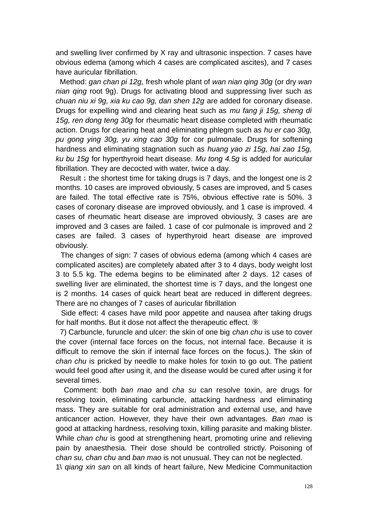and swelling liver confirmed by X ray and ultrasonic inspection. 7 cases have obvious edema (among which 4 cases are complicated ascites), and 7 cases have auricular fibrillation.

 Method: *gan chan pi 12g,* fresh whole plant of *wan nian qing 30g* (or dry *wan nian qing* root 9g). Drugs for activating blood and suppressing liver such as *chuan niu xi 9g, xia ku cao 9g, dan shen 12g* are added for coronary disease. Drugs for expelling wind and clearing heat such as *mu fang ji 15g, sheng di 15g, ren dong teng 30g* for rheumatic heart disease completed with rheumatic action. Drugs for clearing heat and eliminating phlegm such as *hu er cao 30g, pu gong ying 30g, yu xing cao 30g* for cor pulmonale. Drugs for softening hardness and eliminating stagnation such as *huang yao zi 15g, hai zao 15g, ku bu 15g* for hyperthyroid heart disease. *Mu tong 4.5g* is added for auricular fibrillation. They are decocted with water, twice a day.

Result; the shortest time for taking drugs is 7 days, and the longest one is 2 months. 10 cases are improved obviously, 5 cases are improved, and 5 cases are failed. The total effective rate is 75%, obvious effective rate is 50%. 3 cases of coronary disease are improved obviously, and 1 case is improved. 4 cases of rheumatic heart disease are improved obviously, 3 cases are are improved and 3 cases are failed. 1 case of cor pulmonale is improved and 2 cases are failed. 3 cases of hyperthyroid heart disease are improved obviously.

 The changes of sign: 7 cases of obvious edema (among which 4 cases are complicated ascites) are completely abated after 3 to 4 days, body weight lost 3 to 5.5 kg. The edema begins to be eliminated after 2 days. 12 cases of swelling liver are eliminated, the shortest time is 7 days, and the longest one is 2 months. 14 cases of quick heart beat are reduced in different degrees. There are no changes of 7 cases of auricular fibrillation

 Side effect: 4 cases have mild poor appetite and nausea after taking drugs for half months. But it dose not affect the therapeutic effect. **⑨** 

 7) Carbuncle, furuncle and ulcer: the skin of one big *chan chu* is use to cover the cover (internal face forces on the focus, not internal face. Because it is difficult to remove the skin if internal face forces on the focus.). The skin of *chan chu* is pricked by needle to make holes for toxin to go out. The patient would feel good after using it, and the disease would be cured after using it for several times.

 Comment: both *ban mao* and *cha su* can resolve toxin, are drugs for resolving toxin, eliminating carbuncle, attacking hardness and eliminating mass. They are suitable for oral administration and external use, and have anticancer action. However, they have their own advantages. *Ban mao* is good at attacking hardness, resolving toxin, killing parasite and making blister. While *chan chu* is good at strengthening heart, promoting urine and relieving pain by anaesthesia. Their dose should be controlled strictly. Poisoning of *chan su, chan chu* and *ban mao* is not unusual. They can not be neglected.

1\ *qiang xin san* on all kinds of heart failure, New Medicine Communitaction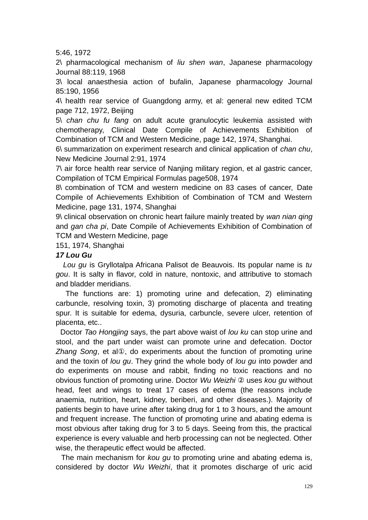5:46, 1972

2\ pharmacological mechanism of *liu shen wan*, Japanese pharmacology Journal 88:119, 1968

3\ local anaesthesia action of bufalin, Japanese pharmacology Journal 85:190, 1956

4\ health rear service of Guangdong army, et al: general new edited TCM page 712, 1972, Beijing

5\ *chan chu fu fang* on adult acute granulocytic leukemia assisted with chemotherapy, Clinical Date Compile of Achievements Exhibition of Combination of TCM and Western Medicine, page 142, 1974, Shanghai.

6\ summarization on experiment research and clinical application of *chan chu*, New Medicine Journal 2:91, 1974

7\ air force health rear service of Nanjing military region, et al gastric cancer, Compilation of TCM Empirical Formulas page508, 1974

8\ combination of TCM and western medicine on 83 cases of cancer, Date Compile of Achievements Exhibition of Combination of TCM and Western Medicine, page 131, 1974, Shanghai

9\ clinical observation on chronic heart failure mainly treated by *wan nian qing* and *gan cha pi*, Date Compile of Achievements Exhibition of Combination of TCM and Western Medicine, page

151, 1974, Shanghai

## *17 Lou Gu*

*Lou gu* is Gryllotalpa Africana Palisot de Beauvois*.* Its popular name is *tu gou*. It is salty in flavor, cold in nature, nontoxic, and attributive to stomach and bladder meridians.

 The functions are: 1) promoting urine and defecation, 2) eliminating carbuncle, resolving toxin, 3) promoting discharge of placenta and treating spur. It is suitable for edema, dysuria, carbuncle, severe ulcer, retention of placenta, etc..

 Doctor *Tao Hongjing* says, the part above waist of *lou ku* can stop urine and stool, and the part under waist can promote urine and defecation. Doctor *Zhang Song*, et al①, do experiments about the function of promoting urine and the toxin of *lou gu*. They grind the whole body of *lou gu* into powder and do experiments on mouse and rabbit, finding no toxic reactions and no obvious function of promoting urine. Doctor *Wu Weizhi* ② uses *kou gu* without head, feet and wings to treat 17 cases of edema (the reasons include anaemia, nutrition, heart, kidney, beriberi, and other diseases.). Majority of patients begin to have urine after taking drug for 1 to 3 hours, and the amount and frequent increase. The function of promoting urine and abating edema is most obvious after taking drug for 3 to 5 days. Seeing from this, the practical experience is every valuable and herb processing can not be neglected. Other wise, the therapeutic effect would be affected.

 The main mechanism for *kou gu* to promoting urine and abating edema is, considered by doctor *Wu Weizhi*, that it promotes discharge of uric acid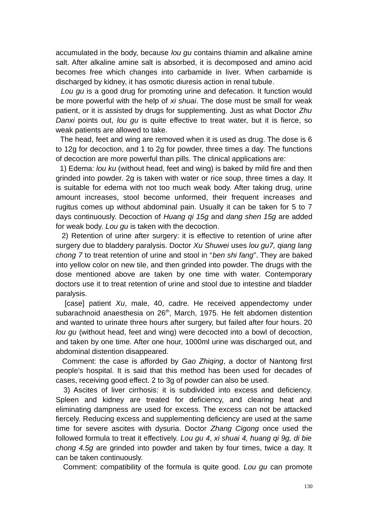accumulated in the body, because *lou gu* contains thiamin and alkaline amine salt. After alkaline amine salt is absorbed, it is decomposed and amino acid becomes free which changes into carbamide in liver. When carbamide is discharged by kidney, it has osmotic diuresis action in renal tubule.

 *Lou gu* is a good drug for promoting urine and defecation. It function would be more powerful with the help of *xi shuai*. The dose must be small for weak patient, or it is assisted by drugs for supplementing. Just as what Doctor *Zhu Danxi* points out, *lou gu* is quite effective to treat water, but it is fierce, so weak patients are allowed to take.

 The head, feet and wing are removed when it is used as drug. The dose is 6 to 12g for decoction, and 1 to 2g for powder, three times a day. The functions of decoction are more powerful than pills. The clinical applications are:

 1) Edema: *lou ku* (without head, feet and wing) is baked by mild fire and then grinded into powder. 2g is taken with water or rice soup, three times a day. It is suitable for edema with not too much weak body. After taking drug, urine amount increases, stool become unformed, their frequent increases and rugitus comes up without abdominal pain. Usually it can be taken for 5 to 7 days continuously. Decoction of *Huang qi 15g* and *dang shen 15g* are added for weak body. *Lou gu* is taken with the decoction.

 2) Retention of urine after surgery: it is effective to retention of urine after surgery due to bladdery paralysis. Doctor *Xu Shuwei* uses *lou gu7, qiang lang chong 7* to treat retention of urine and stool in "*ben shi fang*". They are baked into yellow color on new tile, and then grinded into powder. The drugs with the dose mentioned above are taken by one time with water. Contemporary doctors use it to treat retention of urine and stool due to intestine and bladder paralysis.

 [case] patient *Xu*, male, 40, cadre. He received appendectomy under subarachnoid anaesthesia on 26<sup>th</sup>, March, 1975. He felt abdomen distention and wanted to urinate three hours after surgery, but failed after four hours. 20 *lou gu* (without head, feet and wing) were decocted into a bowl of decoction, and taken by one time. After one hour, 1000ml urine was discharged out, and abdominal distention disappeared.

 Comment: the case is afforded by *Gao Zhiqing*, a doctor of Nantong first people's hospital. It is said that this method has been used for decades of cases, receiving good effect. 2 to 3g of powder can also be used.

 3) Ascites of liver cirrhosis: it is subdivided into excess and deficiency. Spleen and kidney are treated for deficiency, and clearing heat and eliminating dampness are used for excess. The excess can not be attacked fiercely. Reducing excess and supplementing deficiency are used at the same time for severe ascites with dysuria. Doctor *Zhang Cigong* once used the followed formula to treat it effectively. *Lou gu 4*, *xi shuai 4, huang qi 9g, di bie chong 4.5g* are grinded into powder and taken by four times, twice a day. It can be taken continuously.

Comment: compatibility of the formula is quite good. *Lou gu* can promote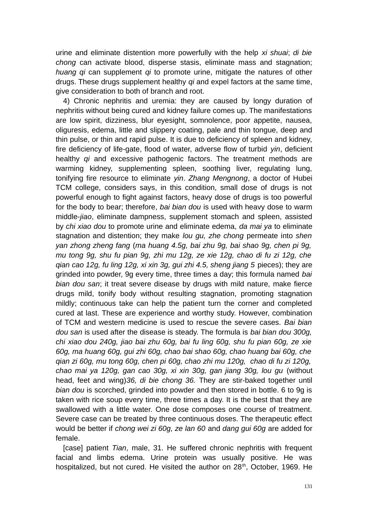urine and eliminate distention more powerfully with the help *xi shuai*; *di bie chong* can activate blood, disperse stasis, eliminate mass and stagnation; *huang qi* can supplement *qi* to promote urine, mitigate the natures of other drugs. These drugs supplement healthy *qi* and expel factors at the same time, give consideration to both of branch and root.

4) Chronic nephritis and uremia: they are caused by longy duration of nephritis without being cured and kidney failure comes up. The manifestations are low spirit, dizziness, blur eyesight, somnolence, poor appetite, nausea, oliguresis, edema, little and slippery coating, pale and thin tongue, deep and thin pulse, or thin and rapid pulse. It is due to deficiency of spleen and kidney, fire deficiency of life-gate, flood of water, adverse flow of turbid *yin*, deficient healthy *qi* and excessive pathogenic factors. The treatment methods are warming kidney, supplementing spleen, soothing liver, regulating lung, tonifying fire resource to eliminate *yin*. *Zhang Mengnong*, a doctor of Hubei TCM college, considers says, in this condition, small dose of drugs is not powerful enough to fight against factors, heavy dose of drugs is too powerful for the body to bear; therefore, *bai bian dou* is used with heavy dose to warm middle-*jiao*, eliminate dampness, supplement stomach and spleen, assisted by *chi xiao dou* to promote urine and eliminate edema, *da mai ya* to eliminate stagnation and distention; they make *lou gu, zhe chong* permeate into *shen yan zhong zheng fang* (*ma huang 4.5g, bai zhu 9g, bai shao 9g, chen pi 9g, mu tong 9g, shu fu pian 9g, zhi mu 12g, ze xie 12g, chao di fu zi 12g, che qian cao 12g, fu ling 12g, xi xin 3g, gui zhi 4.5, sheng jiang 5* pieces); they are grinded into powder, 9g every time, three times a day; this formula named *bai bian dou san*; it treat severe disease by drugs with mild nature, make fierce drugs mild, tonify body without resulting stagnation, promoting stagnation mildly; continuous take can help the patient turn the corner and completed cured at last. These are experience and worthy study. However, combination of TCM and western medicine is used to rescue the severe cases. *Bai bian dou san* is used after the disease is steady. The formula is *bai bian dou 300g, chi xiao dou 240g, jiao bai zhu 60g, bai fu ling 60g, shu fu pian 60g, ze xie 60g, ma huang 60g, gui zhi 60g, chao bai shao 60g, chao huang bai 60g, che qian zi 60g, mu tong 60g, chen pi 60g, chao zhi mu 120g, chao di fu zi 120g, chao mai ya 120g, gan cao 30g, xi xin 30g, gan jiang 30g, lou gu* (without head, feet and wing)*36, di bie chong 36.* They are stir-baked together until *bian dou* is scorched, grinded into powder and then stored in bottle. 6 to 9g is taken with rice soup every time, three times a day. It is the best that they are swallowed with a little water. One dose composes one course of treatment. Severe case can be treated by three continuous doses. The therapeutic effect would be better if *chong wei zi 60g, ze lan 60* and *dang gui 60g* are added for female.

[case] patient *Tian*, male, 31. He suffered chronic nephritis with frequent facial and limbs edema. Urine protein was usually positive. He was hospitalized, but not cured. He visited the author on 28<sup>th</sup>, October, 1969. He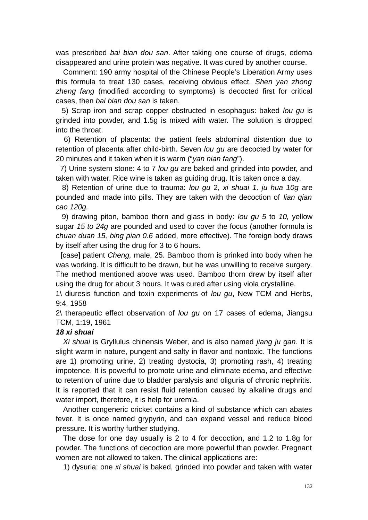was prescribed *bai bian dou san*. After taking one course of drugs, edema disappeared and urine protein was negative. It was cured by another course.

Comment: 190 army hospital of the Chinese People's Liberation Army uses this formula to treat 130 cases, receiving obvious effect. *Shen yan zhong zheng fang* (modified according to symptoms) is decocted first for critical cases, then *bai bian dou san* is taken.

 5) Scrap iron and scrap copper obstructed in esophagus: baked *lou gu* is grinded into powder, and 1.5g is mixed with water. The solution is dropped into the throat.

 6) Retention of placenta: the patient feels abdominal distention due to retention of placenta after child-birth. Seven *lou gu* are decocted by water for 20 minutes and it taken when it is warm ("*yan nian fang*").

 7) Urine system stone: 4 to 7 *lou gu* are baked and grinded into powder, and taken with water. Rice wine is taken as guiding drug. It is taken once a day.

 8) Retention of urine due to trauma: *lou gu* 2, *xi shuai 1, ju hua 10g* are pounded and made into pills. They are taken with the decoction of *lian qian cao 120g.*

9) drawing piton, bamboo thorn and glass in body: *lou gu 5* to *10,* yellow sugar *15 to 24g* are pounded and used to cover the focus (another formula is *chuan duan 15, bing pian 0.6* added, more effective). The foreign body draws by itself after using the drug for 3 to 6 hours.

 [case] patient *Cheng,* male, 25. Bamboo thorn is prinked into body when he was working. It is difficult to be drawn, but he was unwilling to receive surgery. The method mentioned above was used. Bamboo thorn drew by itself after using the drug for about 3 hours. It was cured after using viola crystalline.

1\ diuresis function and toxin experiments of *lou gu*, New TCM and Herbs, 9:4, 1958

2\ therapeutic effect observation of *lou gu* on 17 cases of edema, Jiangsu TCM, 1:19, 1961

### *18 xi shuai*

*Xi shuai* is Gryllulus chinensis Weber, and is also named *jiang ju gan*. It is slight warm in nature, pungent and salty in flavor and nontoxic. The functions are 1) promoting urine, 2) treating dystocia, 3) promoting rash, 4) treating impotence. It is powerful to promote urine and eliminate edema, and effective to retention of urine due to bladder paralysis and oliguria of chronic nephritis. It is reported that it can resist fluid retention caused by alkaline drugs and water import, therefore, it is help for uremia.

Another congeneric cricket contains a kind of substance which can abates fever. It is once named grypyrin, and can expand vessel and reduce blood pressure. It is worthy further studying.

The dose for one day usually is 2 to 4 for decoction, and 1.2 to 1.8g for powder. The functions of decoction are more powerful than powder. Pregnant women are not allowed to taken. The clinical applications are:

1) dysuria: one *xi shuai* is baked, grinded into powder and taken with water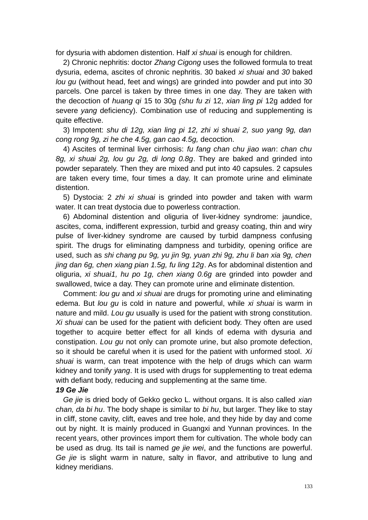for dysuria with abdomen distention. Half *xi shuai* is enough for children.

2) Chronic nephritis: doctor *Zhang Cigong* uses the followed formula to treat dysuria, edema, ascites of chronic nephritis. 30 baked *xi shuai* and *30* baked *lou gu* (without head, feet and wings) are grinded into powder and put into 30 parcels. One parcel is taken by three times in one day. They are taken with the decoction of *huang qi* 15 to 30g *(shu fu zi* 12, *xian ling pi* 12g added for severe *yang* deficiency). Combination use of reducing and supplementing is quite effective.

3) Impotent: *shu di 12g, xian ling pi 12, zhi xi shuai 2, suo yang 9g, dan cong rong 9g, zi he che 4.5g, gan cao 4.5g,* decoction.

4) Ascites of terminal liver cirrhosis: *fu fang chan chu jiao wan*: *chan chu 8g, xi shuai 2g, lou gu 2g, di long 0.8g*. They are baked and grinded into powder separately. Then they are mixed and put into 40 capsules. 2 capsules are taken every time, four times a day. It can promote urine and eliminate distention.

5) Dystocia: 2 *zhi xi shuai* is grinded into powder and taken with warm water. It can treat dystocia due to powerless contraction.

6) Abdominal distention and oliguria of liver-kidney syndrome: jaundice, ascites, coma, indifferent expression, turbid and greasy coating, thin and wiry pulse of liver-kidney syndrome are caused by turbid dampness confusing spirit. The drugs for eliminating dampness and turbidity, opening orifice are used, such as *shi chang pu 9g, yu jin 9g, yuan zhi 9g, zhu li ban xia 9g, chen jing dan 6g, chen xiang pian 1.5g, fu ling 12g*. As for abdominal distention and oliguria, *xi shuai1, hu po 1g, chen xiang 0.6g* are grinded into powder and swallowed, twice a day. They can promote urine and eliminate distention.

Comment: *lou gu* and *xi shuai* are drugs for promoting urine and eliminating edema. But *lou gu* is cold in nature and powerful, while *xi shuai* is warm in nature and mild. *Lou gu* usually is used for the patient with strong constitution. *Xi shuai* can be used for the patient with deficient body. They often are used together to acquire better effect for all kinds of edema with dysuria and constipation. *Lou gu* not only can promote urine, but also promote defection, so it should be careful when it is used for the patient with unformed stool. *Xi shuai* is warm, can treat impotence with the help of drugs which can warm kidney and tonify *yang*. It is used with drugs for supplementing to treat edema with defiant body, reducing and supplementing at the same time.

# *19 Ge Jie*

*Ge jie* is dried body of Gekko gecko L. without organs. It is also called *xian chan, da bi hu*. The body shape is similar to *bi hu*, but larger. They like to stay in cliff, stone cavity, clift, eaves and tree hole, and they hide by day and come out by night. It is mainly produced in Guangxi and Yunnan provinces. In the recent years, other provinces import them for cultivation. The whole body can be used as drug. Its tail is named *ge jie wei*, and the functions are powerful. *Ge jie* is slight warm in nature, salty in flavor, and attributive to lung and kidney meridians.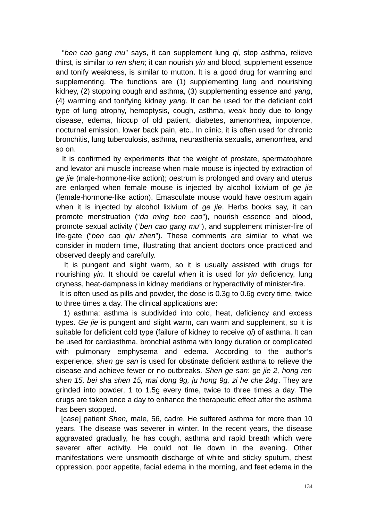"*ben cao gang mu*" says, it can supplement lung *qi,* stop asthma, relieve thirst, is similar to *ren shen*; it can nourish *yin* and blood, supplement essence and tonify weakness, is similar to mutton. It is a good drug for warming and supplementing. The functions are (1) supplementing lung and nourishing kidney, (2) stopping cough and asthma, (3) supplementing essence and *yang*, (4) warming and tonifying kidney *yang*. It can be used for the deficient cold type of lung atrophy, hemoptysis, cough, asthma, weak body due to longy disease, edema, hiccup of old patient, diabetes, amenorrhea, impotence, nocturnal emission, lower back pain, etc.. In clinic, it is often used for chronic bronchitis, lung tuberculosis, asthma, neurasthenia sexualis, amenorrhea, and so on.

 It is confirmed by experiments that the weight of prostate, spermatophore and levator ani muscle increase when male mouse is injected by extraction of *ge jie* (male-hormone-like action); oestrum is prolonged and ovary and uterus are enlarged when female mouse is injected by alcohol lixivium of *ge jie* (female-hormone-like action). Emasculate mouse would have oestrum again when it is injected by alcohol lixivium of *ge jie*. Herbs books say, it can promote menstruation ("*da ming ben cao*"), nourish essence and blood, promote sexual activity ("*ben cao gang mu*"), and supplement minister-fire of life-gate ("*ben cao qiu zhen*"). These comments are similar to what we consider in modern time, illustrating that ancient doctors once practiced and observed deeply and carefully.

 It is pungent and slight warm, so it is usually assisted with drugs for nourishing *yin*. It should be careful when it is used for *yin* deficiency, lung dryness, heat-dampness in kidney meridians or hyperactivity of minister-fire.

 It is often used as pills and powder, the dose is 0.3g to 0.6g every time, twice to three times a day. The clinical applications are:

 1) asthma: asthma is subdivided into cold, heat, deficiency and excess types. *Ge jie* is pungent and slight warm, can warm and supplement, so it is suitable for deficient cold type (failure of kidney to receive *qi*) of asthma. It can be used for cardiasthma, bronchial asthma with longy duration or complicated with pulmonary emphysema and edema. According to the author's experience, *shen ge san* is used for obstinate deficient asthma to relieve the disease and achieve fewer or no outbreaks. *Shen ge san*: *ge jie 2, hong ren shen 15, bei sha shen 15, mai dong 9g, ju hong 9g, zi he che 24g*. They are grinded into powder, 1 to 1.5g every time, twice to three times a day. The drugs are taken once a day to enhance the therapeutic effect after the asthma has been stopped.

 [case] patient *Shen,* male, 56, cadre. He suffered asthma for more than 10 years. The disease was severer in winter. In the recent years, the disease aggravated gradually, he has cough, asthma and rapid breath which were severer after activity. He could not lie down in the evening. Other manifestations were unsmooth discharge of white and sticky sputum, chest oppression, poor appetite, facial edema in the morning, and feet edema in the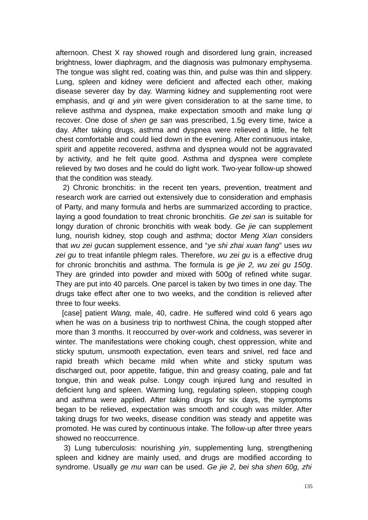afternoon. Chest X ray showed rough and disordered lung grain, increased brightness, lower diaphragm, and the diagnosis was pulmonary emphysema. The tongue was slight red, coating was thin, and pulse was thin and slippery. Lung, spleen and kidney were deficient and affected each other, making disease severer day by day. Warming kidney and supplementing root were emphasis, and *qi* and *yin* were given consideration to at the same time, to relieve asthma and dyspnea, make expectation smooth and make lung *qi* recover. One dose of *shen ge san* was prescribed, 1.5g every time, twice a day. After taking drugs, asthma and dyspnea were relieved a little, he felt chest comfortable and could lied down in the evening. After continuous intake, spirit and appetite recovered, asthma and dyspnea would not be aggravated by activity, and he felt quite good. Asthma and dyspnea were complete relieved by two doses and he could do light work. Two-year follow-up showed that the condition was steady.

 2) Chronic bronchitis: in the recent ten years, prevention, treatment and research work are carried out extensively due to consideration and emphasis of Party, and many formula and herbs are summarized according to practice, laying a good foundation to treat chronic bronchitis. *Ge zei san* is suitable for longy duration of chronic bronchitis with weak body. *Ge jie* can supplement lung, nourish kidney, stop cough and asthma; doctor *Meng Xian* considers that *wu zei gu*can supplement essence, and "*ye shi zhai xuan fang*" uses *wu zei gu* to treat infantile phlegm rales. Therefore, *wu zei gu* is a effective drug for chronic bronchitis and asthma. The formula is *ge jie 2, wu zei gu 150g*. They are grinded into powder and mixed with 500g of refined white sugar. They are put into 40 parcels. One parcel is taken by two times in one day. The drugs take effect after one to two weeks, and the condition is relieved after three to four weeks.

 [case] patient *Wang,* male, 40, cadre. He suffered wind cold 6 years ago when he was on a business trip to northwest China, the cough stopped after more than 3 months. It reoccurred by over-work and coldness, was severer in winter. The manifestations were choking cough, chest oppression, white and sticky sputum, unsmooth expectation, even tears and snivel, red face and rapid breath which became mild when white and sticky sputum was discharged out, poor appetite, fatigue, thin and greasy coating, pale and fat tongue, thin and weak pulse. Longy cough injured lung and resulted in deficient lung and spleen. Warming lung, regulating spleen, stopping cough and asthma were applied. After taking drugs for six days, the symptoms began to be relieved, expectation was smooth and cough was milder. After taking drugs for two weeks, disease condition was steady and appetite was promoted. He was cured by continuous intake. The follow-up after three years showed no reoccurrence.

 3) Lung tuberculosis: nourishing *yin*, supplementing lung, strengthening spleen and kidney are mainly used, and drugs are modified according to syndrome. Usually *ge mu wan* can be used. *Ge jie 2, bei sha shen 60g, zhi*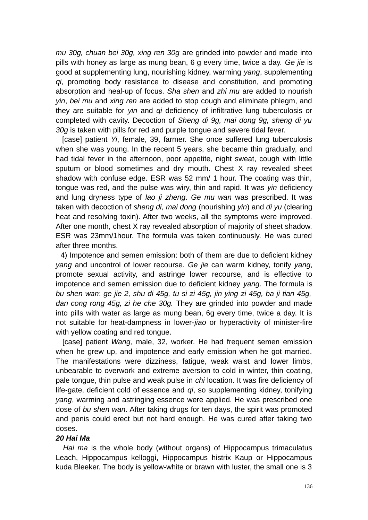*mu 30g, chuan bei 30g, xing ren 30g* are grinded into powder and made into pills with honey as large as mung bean, 6 g every time, twice a day. *Ge jie* is good at supplementing lung, nourishing kidney, warming *yang*, supplementing *qi*, promoting body resistance to disease and constitution, and promoting absorption and heal-up of focus. *Sha shen* and *zhi mu* are added to nourish *yin*, *bei mu* and *xing ren* are added to stop cough and eliminate phlegm, and they are suitable for *yin* and *qi* deficiency of infiltrative lung tuberculosis or completed with cavity. Decoction of *Sheng di 9g, mai dong 9g, sheng di yu 30g* is taken with pills for red and purple tongue and severe tidal fever.

 [case] patient *Yi*, female, 39, farmer. She once suffered lung tuberculosis when she was young. In the recent 5 years, she became thin gradually, and had tidal fever in the afternoon, poor appetite, night sweat, cough with little sputum or blood sometimes and dry mouth. Chest X ray revealed sheet shadow with confuse edge. ESR was 52 mm/ 1 hour. The coating was thin, tongue was red, and the pulse was wiry, thin and rapid. It was *yin* deficiency and lung dryness type of *lao ji zheng*. *Ge mu wan* was prescribed. It was taken with decoction of *sheng di, mai dong* (nourishing *yin*) and *di yu* (clearing heat and resolving toxin). After two weeks, all the symptoms were improved. After one month, chest X ray revealed absorption of majority of sheet shadow. ESR was 23mm/1hour. The formula was taken continuously. He was cured after three months.

 4) Impotence and semen emission: both of them are due to deficient kidney *yang* and uncontrol of lower recourse. *Ge jie* can warm kidney, tonify *yang*, promote sexual activity, and astringe lower recourse, and is effective to impotence and semen emission due to deficient kidney *yang*. The formula is *bu shen wan*: *ge jie 2, shu di 45g, tu si zi 45g, jin ying zi 45g, ba ji tian 45g, dan cong rong 45g, zi he che 30g.* They are grinded into powder and made into pills with water as large as mung bean, 6g every time, twice a day. It is not suitable for heat-dampness in lower-*jiao* or hyperactivity of minister-fire with yellow coating and red tongue.

 [case] patient *Wang,* male, 32, worker. He had frequent semen emission when he grew up, and impotence and early emission when he got married. The manifestations were dizziness, fatigue, weak waist and lower limbs, unbearable to overwork and extreme aversion to cold in winter, thin coating, pale tongue, thin pulse and weak pulse in *chi* location. It was fire deficiency of life-gate, deficient cold of essence and *qi*, so supplementing kidney, tonifying *yang*, warming and astringing essence were applied. He was prescribed one dose of *bu shen wan*. After taking drugs for ten days, the spirit was promoted and penis could erect but not hard enough. He was cured after taking two doses.

### *20 Hai Ma*

*Hai ma* is the whole body (without organs) of Hippocampus trimaculatus Leach, Hippocampus kelloggi, Hippocampus histrix Kaup or Hippocampus kuda Bleeker. The body is yellow-white or brawn with luster, the small one is 3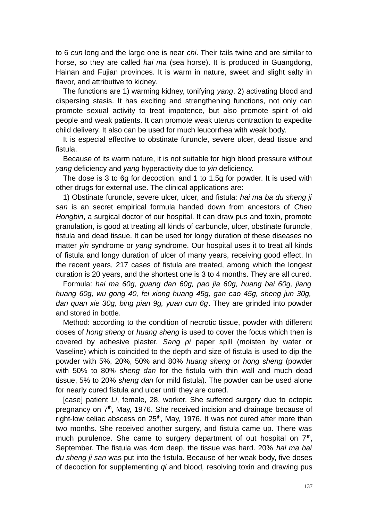to 6 *cun* long and the large one is near *chi*. Their tails twine and are similar to horse, so they are called *hai ma* (sea horse). It is produced in Guangdong, Hainan and Fujian provinces. It is warm in nature, sweet and slight salty in flavor, and attributive to kidney.

The functions are 1) warming kidney, tonifying *yang*, 2) activating blood and dispersing stasis. It has exciting and strengthening functions, not only can promote sexual activity to treat impotence, but also promote spirit of old people and weak patients. It can promote weak uterus contraction to expedite child delivery. It also can be used for much leucorrhea with weak body.

It is especial effective to obstinate furuncle, severe ulcer, dead tissue and fistula.

Because of its warm nature, it is not suitable for high blood pressure without *yang* deficiency and *yang* hyperactivity due to *yin* deficiency.

The dose is 3 to 6g for decoction, and 1 to 1.5g for powder. It is used with other drugs for external use. The clinical applications are:

1) Obstinate furuncle, severe ulcer, ulcer, and fistula: *hai ma ba du sheng ji san* is an secret empirical formula handed down from ancestors of *Chen Hongbin*, a surgical doctor of our hospital. It can draw pus and toxin, promote granulation, is good at treating all kinds of carbuncle, ulcer, obstinate furuncle, fistula and dead tissue. It can be used for longy duration of these diseases no matter *yin* syndrome or *yang* syndrome. Our hospital uses it to treat all kinds of fistula and longy duration of ulcer of many years, receiving good effect. In the recent years, 217 cases of fistula are treated, among which the longest duration is 20 years, and the shortest one is 3 to 4 months. They are all cured.

Formula: *hai ma 60g, guang dan 60g, pao jia 60g, huang bai 60g, jiang huang 60g, wu gong 40, fei xiong huang 45g, gan cao 45g, sheng jun 30g, dan quan xie 30g, bing pian 9g, yuan cun 6g*. They are grinded into powder and stored in bottle.

Method: according to the condition of necrotic tissue, powder with different doses of *hong sheng* or *huang sheng* is used to cover the focus which then is covered by adhesive plaster. *Sang pi* paper spill (moisten by water or Vaseline) which is coincided to the depth and size of fistula is used to dip the powder with 5%, 20%, 50% and 80% *huang sheng* or *hong sheng* (powder with 50% to 80% *sheng dan* for the fistula with thin wall and much dead tissue, 5% to 20% *sheng dan* for mild fistula). The powder can be used alone for nearly cured fistula and ulcer until they are cured.

[case] patient *Li*, female, 28, worker. She suffered surgery due to ectopic pregnancy on  $7<sup>th</sup>$ , May, 1976. She received incision and drainage because of right-low celiac abscess on  $25<sup>th</sup>$ , May, 1976. It was not cured after more than two months. She received another surgery, and fistula came up. There was much purulence. She came to surgery department of out hospital on  $7<sup>th</sup>$ , September. The fistula was 4cm deep, the tissue was hard. 20% *hai ma bai du sheng ji san* was put into the fistula. Because of her weak body, five doses of decoction for supplementing *qi* and blood*,* resolving toxin and drawing pus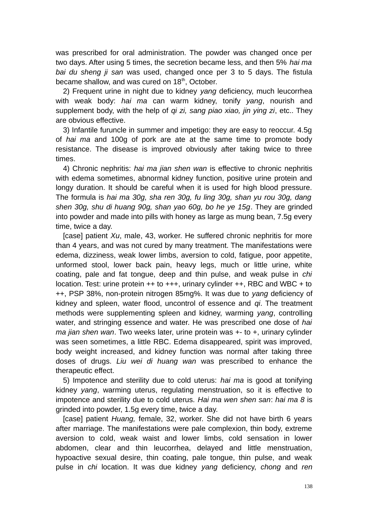was prescribed for oral administration. The powder was changed once per two days. After using 5 times, the secretion became less, and then 5% *hai ma bai du sheng ji san* was used, changed once per 3 to 5 days. The fistula became shallow, and was cured on  $18<sup>th</sup>$ , October.

2) Frequent urine in night due to kidney *yang* deficiency, much leucorrhea with weak body: *hai ma* can warm kidney, tonify *yang*, nourish and supplement body, with the help of *qi zi, sang piao xiao, jin ying zi*, etc.. They are obvious effective.

3) Infantile furuncle in summer and impetigo: they are easy to reoccur. 4.5g of *hai ma* and 100g of pork are ate at the same time to promote body resistance. The disease is improved obviously after taking twice to three times.

4) Chronic nephritis: *hai ma jian shen wan* is effective to chronic nephritis with edema sometimes, abnormal kidney function, positive urine protein and longy duration. It should be careful when it is used for high blood pressure. The formula is *hai ma 30g, sha ren 30g, fu ling 30g, shan yu rou 30g, dang shen 30g, shu di huang 90g, shan yao 60g, bo he ye 15g*. They are grinded into powder and made into pills with honey as large as mung bean, 7.5g every time, twice a day.

[case] patient *Xu*, male, 43, worker. He suffered chronic nephritis for more than 4 years, and was not cured by many treatment. The manifestations were edema, dizziness, weak lower limbs, aversion to cold, fatigue, poor appetite, unformed stool, lower back pain, heavy legs, much or little urine, white coating, pale and fat tongue, deep and thin pulse, and weak pulse in *chi* location. Test: urine protein ++ to +++, urinary cylinder ++, RBC and WBC + to ++, PSP 38%, non-protein nitrogen 85mg%. It was due to *yang* deficiency of kidney and spleen, water flood, uncontrol of essence and *qi*. The treatment methods were supplementing spleen and kidney, warming *yang*, controlling water, and stringing essence and water. He was prescribed one dose of *hai ma jian shen wan*. Two weeks later, urine protein was +- to +, urinary cylinder was seen sometimes, a little RBC. Edema disappeared, spirit was improved, body weight increased, and kidney function was normal after taking three doses of drugs. *Liu wei di huang wan* was prescribed to enhance the therapeutic effect.

5) Impotence and sterility due to cold uterus: *hai ma* is good at tonifying kidney *yang*, warming uterus, regulating menstruation, so it is effective to impotence and sterility due to cold uterus. *Hai ma wen shen san*: *hai ma 8* is grinded into powder, 1.5g every time, twice a day.

[case] patient *Huang,* female, 32, worker. She did not have birth 6 years after marriage. The manifestations were pale complexion, thin body, extreme aversion to cold, weak waist and lower limbs, cold sensation in lower abdomen, clear and thin leucorrhea, delayed and little menstruation, hypoactive sexual desire, thin coating, pale tongue, thin pulse, and weak pulse in *chi* location. It was due kidney *yang* deficiency, *chong* and *ren*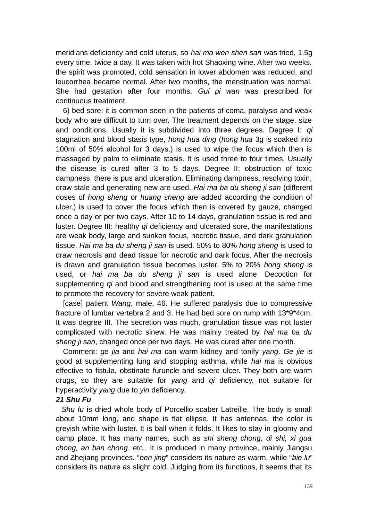meridians deficiency and cold uterus, so *hai ma wen shen san* was tried, 1.5g every time, twice a day. It was taken with hot Shaoxing wine. After two weeks, the spirit was promoted, cold sensation in lower abdomen was reduced, and leucorrhea became normal. After two months, the menstruation was normal. She had gestation after four months. *Gui pi wan* was prescribed for continuous treatment.

6) bed sore: it is common seen in the patients of coma, paralysis and weak body who are difficult to turn over. The treatment depends on the stage, size and conditions. Usually it is subdivided into three degrees. Degree I: *qi* stagnation and blood stasis type, *hong hua ding* (*hong hua* 3g is soaked into 100ml of 50% alcohol for 3 days.) is used to wipe the focus which then is massaged by palm to eliminate stasis. It is used three to four times. Usually the disease is cured after 3 to 5 days. Degree II: obstruction of toxic dampness, there is pus and ulceration. Eliminating dampness, resolving toxin, draw stale and generating new are used. *Hai ma ba du sheng ji san* (different doses of *hong sheng* or *huang sheng* are added according the condition of ulcer.) is used to cover the focus which then is covered by gauze, changed once a day or per two days. After 10 to 14 days, granulation tissue is red and luster. Degree III: healthy *qi* deficiency and ulcerated sore, the manifestations are weak body, large and sunken focus, necrotic tissue, and dark granulation tissue. *Hai ma ba du sheng ji san* is used. 50% to 80% *hong sheng* is used to draw necrosis and dead tissue for necrotic and dark focus. After the necrosis is drawn and granulation tissue becomes luster, 5% to 20% *hong sheng* is used, or *hai ma ba du sheng ji san* is used alone. Decoction for supplementing *qi* and blood and strengthening root is used at the same time to promote the recovery for severe weak patient.

[case] patient *Wang*, male, 46. He suffered paralysis due to compressive fracture of lumbar vertebra 2 and 3. He had bed sore on rump with 13\*9\*4cm. It was degree III. The secretion was much, granulation tissue was not luster complicated with necrotic sinew. He was mainly treated by *hai ma ba du sheng ji san*, changed once per two days. He was cured after one month.

Comment: *ge jia* and *hai ma* can warm kidney and tonify *yang*. *Ge jie* is good at supplementing lung and stopping asthma, while *hai ma* is obvious effective to fistula, obstinate furuncle and severe ulcer. They both are warm drugs, so they are suitable for *yang* and *qi* deficiency, not suitable for hyperactivity *yang* due to *yin* deficiency.

### *21 Shu Fu*

 *Shu fu* is dried whole body of Porcellio scaber Latreille. The body is small about 10mm long, and shape is flat ellipse. It has antennas, the color is greyish white with luster. It is ball when it folds. It likes to stay in gloomy and damp place. It has many names, such as *shi sheng chong, di shi, xi gua chong, an ban chong*, etc.. It is produced in many province, mainly Jiangsu and Zhejiang provinces. "*ben jing*" considers its nature as warm, while "*bie lu*" considers its nature as slight cold. Judging from its functions, it seems that its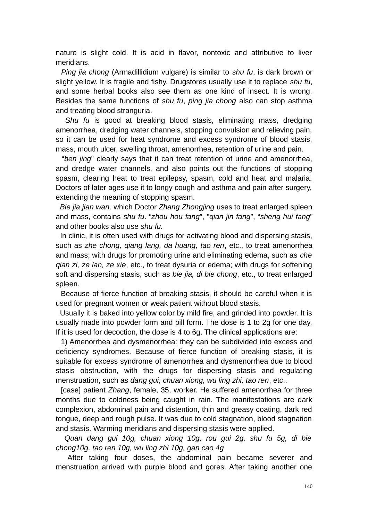nature is slight cold. It is acid in flavor, nontoxic and attributive to liver meridians.

 *Ping jia chong* (Armadillidium vulgare) is similar to *shu fu*, is dark brown or slight yellow. It is fragile and fishy. Drugstores usually use it to replace *shu fu*, and some herbal books also see them as one kind of insect. It is wrong. Besides the same functions of *shu fu*, *ping jia chong* also can stop asthma and treating blood stranguria.

 *Shu fu* is good at breaking blood stasis, eliminating mass, dredging amenorrhea, dredging water channels, stopping convulsion and relieving pain, so it can be used for heat syndrome and excess syndrome of blood stasis, mass, mouth ulcer, swelling throat, amenorrhea, retention of urine and pain.

 "*ben jing*" clearly says that it can treat retention of urine and amenorrhea, and dredge water channels, and also points out the functions of stopping spasm, clearing heat to treat epilepsy, spasm, cold and heat and malaria. Doctors of later ages use it to longy cough and asthma and pain after surgery, extending the meaning of stopping spasm.

 *Bie jia jian wan,* which Doctor *Zhang Zhongjing* uses to treat enlarged spleen and mass, contains *shu fu*. "*zhou hou fang*", "*qian jin fang*", "*sheng hui fang*" and other books also use *shu fu.*

In clinic, it is often used with drugs for activating blood and dispersing stasis, such as *zhe chong, qiang lang, da huang, tao ren*, etc., to treat amenorrhea and mass; with drugs for promoting urine and eliminating edema, such as *che qian zi, ze lan, ze xie*, etc., to treat dysuria or edema; with drugs for softening soft and dispersing stasis, such as *bie jia, di bie chong*, etc., to treat enlarged spleen.

 Because of fierce function of breaking stasis, it should be careful when it is used for pregnant women or weak patient without blood stasis.

 Usually it is baked into yellow color by mild fire, and grinded into powder. It is usually made into powder form and pill form. The dose is 1 to 2g for one day. If it is used for decoction, the dose is 4 to 6g. The clinical applications are:

 1) Amenorrhea and dysmenorrhea: they can be subdivided into excess and deficiency syndromes. Because of fierce function of breaking stasis, it is suitable for excess syndrome of amenorrhea and dysmenorrhea due to blood stasis obstruction, with the drugs for dispersing stasis and regulating menstruation, such as *dang gui, chuan xiong, wu ling zhi, tao ren*, etc..

 [case] patient *Zhang*, female, 35, worker. He suffered amenorrhea for three months due to coldness being caught in rain. The manifestations are dark complexion, abdominal pain and distention, thin and greasy coating, dark red tongue, deep and rough pulse. It was due to cold stagnation, blood stagnation and stasis. Warming meridians and dispersing stasis were applied.

 *Quan dang gui 10g, chuan xiong 10g, rou gui 2g, shu fu 5g, di bie chong10g, tao ren 10g, wu ling zhi 10g, gan cao 4g*

 After taking four doses, the abdominal pain became severer and menstruation arrived with purple blood and gores. After taking another one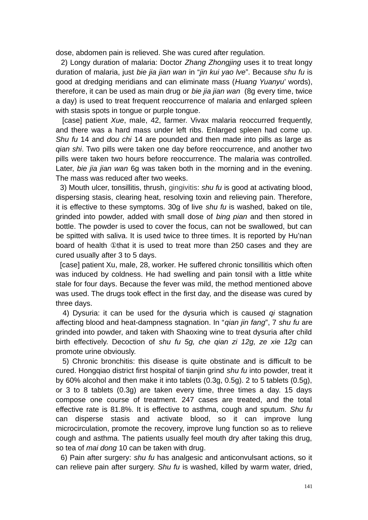dose, abdomen pain is relieved. She was cured after regulation.

 2) Longy duration of malaria: Doctor *Zhang Zhongjing* uses it to treat longy duration of malaria, just *bie jia jian wan* in "*jin kui yao lve*". Because *shu fu* is good at dredging meridians and can eliminate mass (*Huang Yuanyu*' words), therefore, it can be used as main drug or *bie jia jian wan* (8g every time, twice a day) is used to treat frequent reoccurrence of malaria and enlarged spleen with stasis spots in tongue or purple tongue.

 [case] patient *Xue*, male, 42, farmer. Vivax malaria reoccurred frequently, and there was a hard mass under left ribs. Enlarged spleen had come up. *Shu fu* 14 and *dou chi* 14 are pounded and then made into pills as large as *qian shi*. Two pills were taken one day before reoccurrence, and another two pills were taken two hours before reoccurrence. The malaria was controlled. Later, *bie jia jian wan* 6g was taken both in the morning and in the evening. The mass was reduced after two weeks.

 3) Mouth ulcer, tonsillitis, thrush, [gingivitis:](http://www.nciku.com/search/en/gingivitis) *shu fu* is good at activating blood, dispersing stasis, clearing heat, resolving toxin and relieving pain. Therefore, it is effective to these symptoms. 30g of live *shu fu* is washed, baked on tile, grinded into powder, added with small dose of *bing pian* and then stored in bottle. The powder is used to cover the focus, can not be swallowed, but can be spitted with saliva. It is used twice to three times. It is reported by Hu'nan board of health ①that it is used to treat more than 250 cases and they are cured usually after 3 to 5 days.

[case] patient Xu, male, 28, worker. He suffered chronic tonsillitis which often was induced by coldness. He had swelling and pain tonsil with a little white stale for four days. Because the fever was mild, the method mentioned above was used. The drugs took effect in the first day, and the disease was cured by three days.

 4) Dysuria: it can be used for the dysuria which is caused *qi* stagnation affecting blood and heat-dampness stagnation. In "*qian jin fang*", 7 *shu fu* are grinded into powder, and taken with Shaoxing wine to treat dysuria after child birth effectively. Decoction of *shu fu 5g, che qian zi 12g, ze xie 12g* can promote urine obviously.

 5) Chronic bronchitis: this disease is quite obstinate and is difficult to be cured. Hongqiao district first hospital of tianjin grind *shu fu* into powder, treat it by 60% alcohol and then make it into tablets (0.3g, 0.5g). 2 to 5 tablets (0.5g), or 3 to 8 tablets (0.3g) are taken every time, three times a day. 15 days compose one course of treatment. 247 cases are treated, and the total effective rate is 81.8%. It is effective to asthma, cough and sputum. *Shu fu* can disperse stasis and activate blood, so it can improve lung microcirculation, promote the recovery, improve lung function so as to relieve cough and asthma. The patients usually feel mouth dry after taking this drug, so tea of *mai dong* 10 can be taken with drug.

 6) Pain after surgery: *shu fu* has analgesic and anticonvulsant actions, so it can relieve pain after surgery. *Shu fu* is washed, killed by warm water, dried,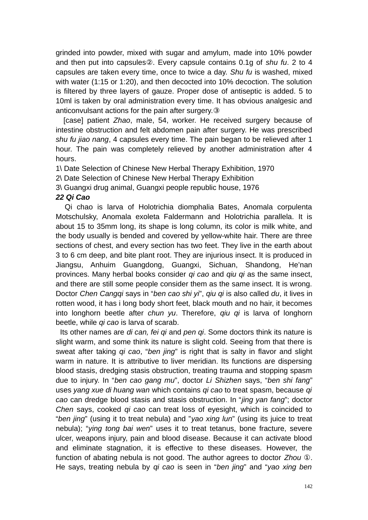grinded into powder, mixed with sugar and amylum, made into 10% powder and then put into capsules②. Every capsule contains 0.1g of *shu fu*. 2 to 4 capsules are taken every time, once to twice a day. *Shu fu* is washed, mixed with water (1:15 or 1:20), and then decocted into 10% decoction. The solution is filtered by three layers of gauze. Proper dose of antiseptic is added. 5 to 10ml is taken by oral administration every time. It has obvious analgesic and anticonvulsant actions for the pain after surgery.③

 [case] patient *Zhao*, male, 54, worker. He received surgery because of intestine obstruction and felt abdomen pain after surgery. He was prescribed *shu fu jiao nang*, 4 capsules every time. The pain began to be relieved after 1 hour. The pain was completely relieved by another administration after 4 hours.

1\ Date Selection of Chinese New Herbal Therapy Exhibition, 1970

2\ Date Selection of Chinese New Herbal Therapy Exhibition

3\ Guangxi drug animal, Guangxi people republic house, 1976

## *22 Qi Cao*

 Qi chao is larva of Holotrichia diomphalia Bates, Anomala corpulenta Motschulsky, Anomala exoleta Faldermann and Holotrichia parallela. It is about 15 to 35mm long, its shape is long column, its color is milk white, and the body usually is bended and covered by yellow-white hair. There are three sections of chest, and every section has two feet. They live in the earth about 3 to 6 cm deep, and bite plant root. They are injurious insect. It is produced in Jiangsu, Anhuim Guangdong, Guangxi, Sichuan, Shandong, He'nan provinces. Many herbal books consider *qi cao* and *qiu qi* as the same insect, and there are still some people consider them as the same insect. It is wrong. Doctor *Chen Cangqi* says in "*ben cao shi yi*", *qiu qi* is also called *du*, it lives in rotten wood, it has i long body short feet, black mouth and no hair, it becomes into longhorn beetle after *chun yu*. Therefore, *qiu qi* is larva of longhorn beetle, while *qi cao* is larva of scarab.

 Its other names are *di can, fei qi* and *pen qi*. Some doctors think its nature is slight warm, and some think its nature is slight cold. Seeing from that there is sweat after taking *qi cao*, "*ben jing*" is right that is salty in flavor and slight warm in nature. It is attributive to liver meridian. Its functions are dispersing blood stasis, dredging stasis obstruction, treating trauma and stopping spasm due to injury. In "*ben cao gang mu*", doctor *Li Shizhen* says, "*ben shi fang*" uses *yang xue di huang wan* which contains *qi cao* to treat spasm, because *qi cao* can dredge blood stasis and stasis obstruction. In "*jing yan fang*"; doctor *Chen* says, cooked *qi cao* can treat loss of eyesight, which is coincided to "*ben jing*" (using it to treat nebula) and "*yao xing lun*" (using its juice to treat nebula); "*ying tong bai wen*" uses it to treat tetanus, bone fracture, severe ulcer, weapons injury, pain and blood disease. Because it can activate blood and eliminate stagnation, it is effective to these diseases. However, the function of abating nebula is not good. The author agrees to doctor *Zhou* ①. He says, treating nebula by *qi cao* is seen in "*ben jing*" and "*yao xing ben*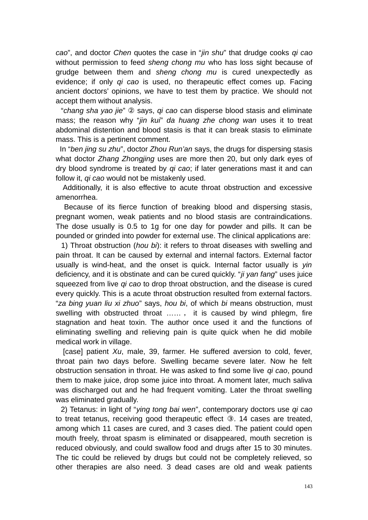*cao*", and doctor *Chen* quotes the case in "*jin shu*" that drudge cooks *qi cao* without permission to feed *sheng chong mu* who has loss sight because of grudge between them and *sheng chong mu* is cured unexpectedly as evidence; if only *qi cao* is used, no therapeutic effect comes up. Facing ancient doctors' opinions, we have to test them by practice. We should not accept them without analysis.

 "*chang sha yao jie*" ② says, *qi cao* can disperse blood stasis and eliminate mass; the reason why "*jin kui*" *da huang zhe chong wan* uses it to treat abdominal distention and blood stasis is that it can break stasis to eliminate mass. This is a pertinent comment.

 In "*ben jing su zhu*", doctor *Zhou Run'an* says, the drugs for dispersing stasis what doctor *Zhang Zhongjing* uses are more then 20, but only dark eyes of dry blood syndrome is treated by *qi cao*; if later generations mast it and can follow it, *qi cao* would not be mistakenly used.

 Additionally, it is also effective to acute throat obstruction and excessive amenorrhea.

 Because of its fierce function of breaking blood and dispersing stasis, pregnant women, weak patients and no blood stasis are contraindications. The dose usually is 0.5 to 1g for one day for powder and pills. It can be pounded or grinded into powder for external use. The clinical applications are:

 1) Throat obstruction (*hou bi*): it refers to throat diseases with swelling and pain throat. It can be caused by external and internal factors. External factor usually is wind-heat, and the onset is quick. Internal factor usually is *yin* deficiency, and it is obstinate and can be cured quickly. "*ji yan fang*" uses juice squeezed from live *qi cao* to drop throat obstruction, and the disease is cured every quickly. This is a acute throat obstruction resulted from external factors. "*za bing yuan liu xi zhuo*" says, *hou bi*, of which *bi* means obstruction, must swelling with obstructed throat …… , it is caused by wind phlegm, fire stagnation and heat toxin. The author once used it and the functions of eliminating swelling and relieving pain is quite quick when he did mobile medical work in village.

 [case] patient *Xu*, male, 39, farmer. He suffered aversion to cold, fever, throat pain two days before. Swelling became severe later. Now he felt obstruction sensation in throat. He was asked to find some live *qi cao*, pound them to make juice, drop some juice into throat. A moment later, much saliva was discharged out and he had frequent vomiting. Later the throat swelling was eliminated gradually.

 2) Tetanus: in light of "*ying tong bai wen*", contemporary doctors use *qi cao* to treat tetanus, receiving good therapeutic effect ③. 14 cases are treated, among which 11 cases are cured, and 3 cases died. The patient could open mouth freely, throat spasm is eliminated or disappeared, mouth secretion is reduced obviously, and could swallow food and drugs after 15 to 30 minutes. The tic could be relieved by drugs but could not be completely relieved, so other therapies are also need. 3 dead cases are old and weak patients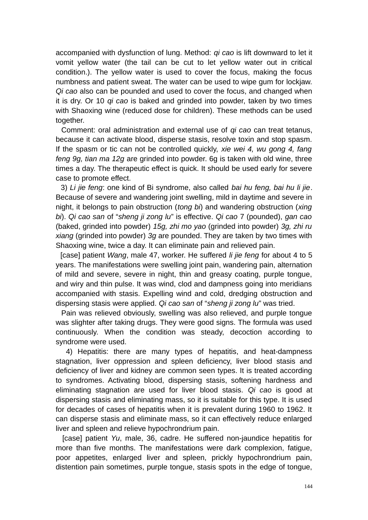accompanied with dysfunction of lung. Method: *qi cao* is lift downward to let it vomit yellow water (the tail can be cut to let yellow water out in critical condition.). The yellow water is used to cover the focus, making the focus numbness and patient sweat. The water can be used to wipe gum for lockjaw. *Qi cao* also can be pounded and used to cover the focus, and changed when it is dry. Or 10 *qi cao* is baked and grinded into powder, taken by two times with Shaoxing wine (reduced dose for children). These methods can be used together.

 Comment: oral administration and external use of *qi cao* can treat tetanus, because it can activate blood, disperse stasis, resolve toxin and stop spasm. If the spasm or tic can not be controlled quickly, *xie wei 4, wu gong 4, fang feng 9g, tian ma 12g* are grinded into powder. 6g is taken with old wine, three times a day. The therapeutic effect is quick. It should be used early for severe case to promote effect.

 3) *Li jie feng*: one kind of Bi syndrome, also called *bai hu feng, bai hu li jie*. Because of severe and wandering joint swelling, mild in daytime and severe in night, it belongs to pain obstruction (*tong bi*) and wandering obstruction (*xing bi*). *Qi cao san* of "*sheng ji zong lu*" is effective. *Qi cao* 7 (pounded), *gan cao* (baked, grinded into powder) *15g, zhi mo yao* (grinded into powder) *3g, zhi ru xiang* (grinded into powder) *3g* are pounded. They are taken by two times with Shaoxing wine, twice a day. It can eliminate pain and relieved pain.

 [case] patient *Wang*, male 47, worker. He suffered *li jie feng* for about 4 to 5 years. The manifestations were swelling joint pain, wandering pain, alternation of mild and severe, severe in night, thin and greasy coating, purple tongue, and wiry and thin pulse. It was wind, clod and dampness going into meridians accompanied with stasis. Expelling wind and cold, dredging obstruction and dispersing stasis were applied. *Qi cao san* of "*sheng ji zong lu*" was tried.

 Pain was relieved obviously, swelling was also relieved, and purple tongue was slighter after taking drugs. They were good signs. The formula was used continuously. When the condition was steady, decoction according to syndrome were used.

 4) Hepatitis: there are many types of hepatitis, and heat-dampness stagnation, liver oppression and spleen deficiency, liver blood stasis and deficiency of liver and kidney are common seen types. It is treated according to syndromes. Activating blood, dispersing stasis, softening hardness and eliminating stagnation are used for liver blood stasis. *Qi cao* is good at dispersing stasis and eliminating mass, so it is suitable for this type. It is used for decades of cases of hepatitis when it is prevalent during 1960 to 1962. It can disperse stasis and eliminate mass, so it can effectively reduce enlarged liver and spleen and relieve hypochrondrium pain.

 [case] patient *Yu*, male, 36, cadre. He suffered non-jaundice hepatitis for more than five months. The manifestations were dark complexion, fatigue, poor appetites, enlarged liver and spleen, prickly hypochrondrium pain, distention pain sometimes, purple tongue, stasis spots in the edge of tongue,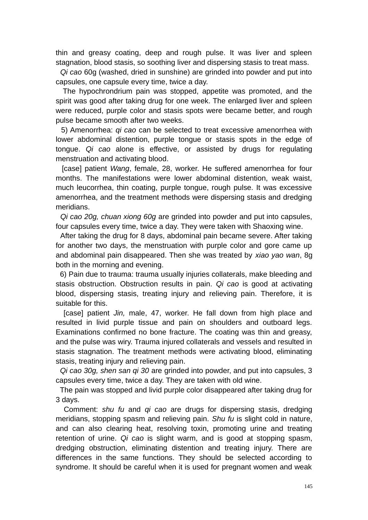thin and greasy coating, deep and rough pulse. It was liver and spleen stagnation, blood stasis, so soothing liver and dispersing stasis to treat mass.

 *Qi cao* 60g (washed, dried in sunshine) are grinded into powder and put into capsules, one capsule every time, twice a day.

 The hypochrondrium pain was stopped, appetite was promoted, and the spirit was good after taking drug for one week. The enlarged liver and spleen were reduced, purple color and stasis spots were became better, and rough pulse became smooth after two weeks.

 5) Amenorrhea: *qi cao* can be selected to treat excessive amenorrhea with lower abdominal distention, purple tongue or stasis spots in the edge of tongue. *Qi cao* alone is effective, or assisted by drugs for regulating menstruation and activating blood.

 [case] patient *Wang*, female, 28, worker. He suffered amenorrhea for four months. The manifestations were lower abdominal distention, weak waist, much leucorrhea, thin coating, purple tongue, rough pulse. It was excessive amenorrhea, and the treatment methods were dispersing stasis and dredging meridians.

 *Qi cao 20g, chuan xiong 60g* are grinded into powder and put into capsules, four capsules every time, twice a day. They were taken with Shaoxing wine.

 After taking the drug for 8 days, abdominal pain became severe. After taking for another two days, the menstruation with purple color and gore came up and abdominal pain disappeared. Then she was treated by *xiao yao wan*, 8g both in the morning and evening.

 6) Pain due to trauma: trauma usually injuries collaterals, make bleeding and stasis obstruction. Obstruction results in pain. *Qi cao* is good at activating blood, dispersing stasis, treating injury and relieving pain. Therefore, it is suitable for this.

 [case] patient *Jin,* male, 47, worker. He fall down from high place and resulted in livid purple tissue and pain on shoulders and outboard legs. Examinations confirmed no bone fracture. The coating was thin and greasy, and the pulse was wiry. Trauma injured collaterals and vessels and resulted in stasis stagnation. The treatment methods were activating blood, eliminating stasis, treating injury and relieving pain.

 *Qi cao 30g, shen san qi 30* are grinded into powder, and put into capsules, 3 capsules every time, twice a day. They are taken with old wine.

 The pain was stopped and livid purple color disappeared after taking drug for 3 days.

 Comment: *shu fu* and *qi cao* are drugs for dispersing stasis, dredging meridians, stopping spasm and relieving pain. *Shu fu* is slight cold in nature, and can also clearing heat, resolving toxin, promoting urine and treating retention of urine. *Qi cao* is slight warm, and is good at stopping spasm, dredging obstruction, eliminating distention and treating injury. There are differences in the same functions. They should be selected according to syndrome. It should be careful when it is used for pregnant women and weak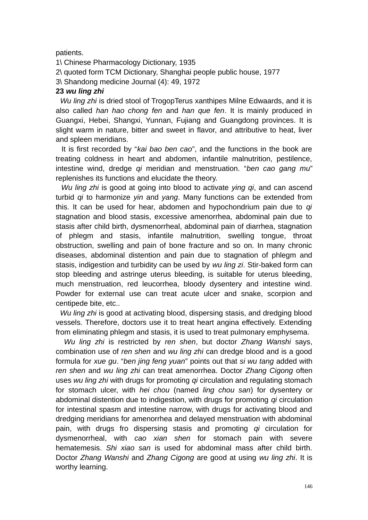## patients.

1\ Chinese Pharmacology Dictionary, 1935 2\ quoted form TCM Dictionary, Shanghai people public house, 1977 3\ Shandong medicine Journal (4): 49, 1972

## **23** *wu ling zhi*

 *Wu ling zhi* is dried stool of TrogopTerus xanthipes Milne Edwaards, and it is also called *han hao chong fen* and *han que fen*. It is mainly produced in Guangxi, Hebei, Shangxi, Yunnan, Fujiang and Guangdong provinces. It is slight warm in nature, bitter and sweet in flavor, and attributive to heat, liver and spleen meridians.

 It is first recorded by "*kai bao ben cao*", and the functions in the book are treating coldness in heart and abdomen, infantile malnutrition, pestilence, intestine wind, dredge *qi* meridian and menstruation. "*ben cao gang mu*" replenishes its functions and elucidate the theory.

 *Wu ling zhi* is good at going into blood to activate *ying qi*, and can ascend turbid *qi* to harmonize *yin* and *yang*. Many functions can be extended from this. It can be used for hear, abdomen and hypochondrium pain due to *qi* stagnation and blood stasis, excessive amenorrhea, abdominal pain due to stasis after child birth, dysmenorrheal, abdominal pain of diarrhea, stagnation of phlegm and stasis, infantile malnutrition, swelling tongue, throat obstruction, swelling and pain of bone fracture and so on. In many chronic diseases, abdominal distention and pain due to stagnation of phlegm and stasis, indigestion and turbidity can be used by *wu ling zi*. Stir-baked form can stop bleeding and astringe uterus bleeding, is suitable for uterus bleeding, much menstruation, red leucorrhea, bloody dysentery and intestine wind. Powder for external use can treat acute ulcer and snake, scorpion and centipede bite, etc..

 *Wu ling zhi* is good at activating blood, dispersing stasis, and dredging blood vessels. Therefore, doctors use it to treat heart angina effectively. Extending from eliminating phlegm and stasis, it is used to treat pulmonary emphysema.

 *Wu ling zhi* is restricted by *ren shen*, but doctor *Zhang Wanshi* says, combination use of *ren shen* and *wu ling zhi* can dredge blood and is a good formula for *xue gu*. "*ben jing feng yuan*" points out that *si wu tang* added with *ren shen* and *wu ling zhi* can treat amenorrhea. Doctor *Zhang Cigong* often uses *wu ling zhi* with drugs for promoting *qi* circulation and regulating stomach for stomach ulcer, with *hei chou* (named *ling chou san*) for dysentery or abdominal distention due to indigestion, with drugs for promoting *qi* circulation for intestinal spasm and intestine narrow, with drugs for activating blood and dredging meridians for amenorrhea and delayed menstruation with abdominal pain, with drugs fro dispersing stasis and promoting *qi* circulation for dysmenorrheal, with *cao xian shen* for stomach pain with severe hematemesis. *Shi xiao san* is used for abdominal mass after child birth. Doctor *Zhang Wanshi* and *Zhang Cigong* are good at using *wu ling zhi*. It is worthy learning.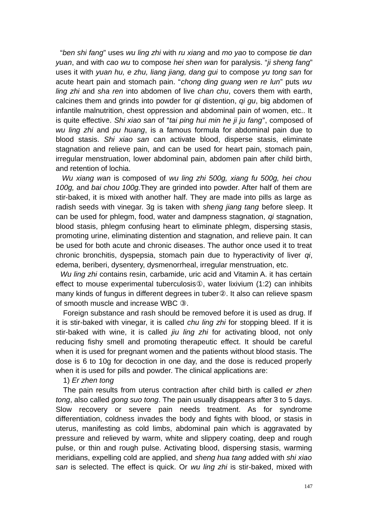"*ben shi fang*" uses *wu ling zhi* with *ru xiang* and *mo yao* to compose *tie dan yuan*, and with *cao wu* to compose *hei shen wan* for paralysis. "*ji sheng fang*" uses it with *yuan hu, e zhu, liang jiang, dang gui* to compose *yu tong san* for acute heart pain and stomach pain. "*chong ding guang wen re lun*" puts *wu ling zhi* and *sha ren* into abdomen of live *chan chu*, covers them with earth, calcines them and grinds into powder for *qi* distention, *qi gu*, big abdomen of infantile malnutrition, chest oppression and abdominal pain of women, etc.. It is quite effective. *Shi xiao san* of "*tai ping hui min he ji ju fang*", composed of *wu ling zhi* and *pu huang*, is a famous formula for abdominal pain due to blood stasis. *Shi xiao san* can activate blood, disperse stasis, eliminate stagnation and relieve pain, and can be used for heart pain, stomach pain, irregular menstruation, lower abdominal pain, abdomen pain after child birth, and retention of lochia.

 *Wu xiang wan* is composed of *wu ling zhi 500g, xiang fu 500g, hei chou 100g,* and *bai chou 100g.*They are grinded into powder. After half of them are stir-baked, it is mixed with another half. They are made into pills as large as radish seeds with vinegar. 3g is taken with *sheng jiang tang* before sleep. It can be used for phlegm, food, water and dampness stagnation, *qi* stagnation, blood stasis, phlegm confusing heart to eliminate phlegm, dispersing stasis, promoting urine, eliminating distention and stagnation, and relieve pain. It can be used for both acute and chronic diseases. The author once used it to treat chronic bronchitis, dyspepsia, stomach pain due to hyperactivity of liver *qi*, edema, beriberi, dysentery, dysmenorrheal, irregular menstruation, etc.

 *Wu ling zhi* contains resin, carbamide, uric acid and Vitamin A. it has certain effect to mouse experimental tuberculosis①, water lixivium (1:2) can inhibits many kinds of fungus in different degrees in tuber②. It also can relieve spasm of smooth muscle and increase WBC ③.

Foreign substance and rash should be removed before it is used as drug. If it is stir-baked with vinegar, it is called *chu ling zhi* for stopping bleed. If it is stir-baked with wine, it is called *jiu ling zhi* for activating blood, not only reducing fishy smell and promoting therapeutic effect. It should be careful when it is used for pregnant women and the patients without blood stasis. The dose is 6 to 10g for decoction in one day, and the dose is reduced properly when it is used for pills and powder. The clinical applications are:

### 1) *Er zhen tong*

The pain results from uterus contraction after child birth is called *er zhen tong*, also called *gong suo tong*. The pain usually disappears after 3 to 5 days. Slow recovery or severe pain needs treatment. As for syndrome differentiation, coldness invades the body and fights with blood, or stasis in uterus, manifesting as cold limbs, abdominal pain which is aggravated by pressure and relieved by warm, white and slippery coating, deep and rough pulse, or thin and rough pulse. Activating blood, dispersing stasis, warming meridians, expelling cold are applied, and *sheng hua tang* added with *shi xiao san* is selected. The effect is quick. Or *wu ling zhi* is stir-baked, mixed with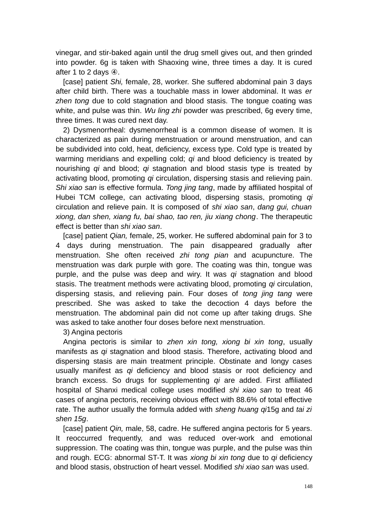vinegar, and stir-baked again until the drug smell gives out, and then grinded into powder. 6g is taken with Shaoxing wine, three times a day. It is cured after 1 to 2 days ④.

[case] patient *Shi,* female, 28, worker. She suffered abdominal pain 3 days after child birth. There was a touchable mass in lower abdominal. It was *er zhen tong* due to cold stagnation and blood stasis. The tongue coating was white, and pulse was thin. *Wu ling zhi* powder was prescribed, 6g every time, three times. It was cured next day.

2) Dysmenorrheal: dysmenorrheal is a common disease of women. It is characterized as pain during menstruation or around menstruation, and can be subdivided into cold, heat, deficiency, excess type. Cold type is treated by warming meridians and expelling cold; *qi* and blood deficiency is treated by nourishing *qi* and blood; *qi* stagnation and blood stasis type is treated by activating blood, promoting *qi* circulation, dispersing stasis and relieving pain. *Shi xiao san* is effective formula. *Tong jing tang*, made by affiliated hospital of Hubei TCM college, can activating blood, dispersing stasis, promoting *qi* circulation and relieve pain. It is composed of *shi xiao san*, *dang gui, chuan xiong, dan shen, xiang fu, bai shao, tao ren, jiu xiang chong*. The therapeutic effect is better than *shi xiao san*.

[case] patient *Qian,* female, 25, worker. He suffered abdominal pain for 3 to 4 days during menstruation. The pain disappeared gradually after menstruation. She often received *zhi tong pian* and acupuncture. The menstruation was dark purple with gore. The coating was thin, tongue was purple, and the pulse was deep and wiry. It was *qi* stagnation and blood stasis. The treatment methods were activating blood, promoting *qi* circulation, dispersing stasis, and relieving pain. Four doses of *tong jing tang* were prescribed. She was asked to take the decoction 4 days before the menstruation. The abdominal pain did not come up after taking drugs. She was asked to take another four doses before next menstruation.

3) Angina pectoris

Angina pectoris is similar to *zhen xin tong, xiong bi xin tong*, usually manifests as *qi* stagnation and blood stasis. Therefore, activating blood and dispersing stasis are main treatment principle. Obstinate and longy cases usually manifest as *qi* deficiency and blood stasis or root deficiency and branch excess. So drugs for supplementing *qi* are added. First affiliated hospital of Shanxi medical college uses modified *shi xiao san* to treat 46 cases of angina pectoris, receiving obvious effect with 88.6% of total effective rate. The author usually the formula added with *sheng huang qi*15g and *tai zi shen 15g*.

[case] patient *Qin*, male, 58, cadre. He suffered angina pectoris for 5 years. It reoccurred frequently, and was reduced over-work and emotional suppression. The coating was thin, tongue was purple, and the pulse was thin and rough. ECG: abnormal ST-T. It was *xiong bi xin tong* due to *qi* deficiency and blood stasis, obstruction of heart vessel. Modified *shi xiao san* was used.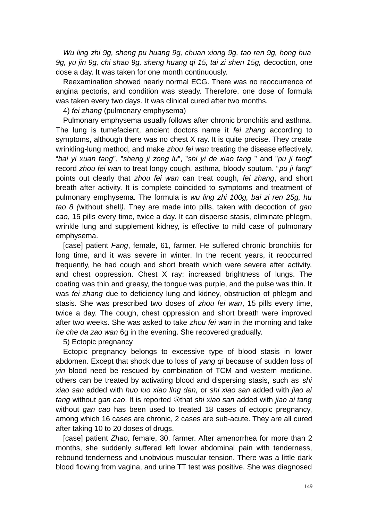*Wu ling zhi 9g, sheng pu huang 9g, chuan xiong 9g, tao ren 9g, hong hua 9g, yu jin 9g, chi shao 9g, sheng huang qi 15, tai zi shen 15g,* decoction, one dose a day. It was taken for one month continuously.

Reexamination showed nearly normal ECG. There was no reoccurrence of angina pectoris, and condition was steady. Therefore, one dose of formula was taken every two days. It was clinical cured after two months.

4) *fei zhang* (pulmonary emphysema)

Pulmonary emphysema usually follows after chronic bronchitis and asthma. The lung is tumefacient, ancient doctors name it *fei zhang* according to symptoms, although there was no chest X ray. It is quite precise. They create wrinkling-lung method, and make *zhou fei wan* treating the disease effectively. "*bai yi xuan fang*", "*sheng ji zong lu*", "*shi yi de xiao fang* " and "*pu ji fang*" record *zhou fei wan* to treat longy cough, asthma, bloody sputum. "*pu ji fang*" points out clearly that *zhou fei wan* can treat cough, *fei zhang*, and short breath after activity. It is complete coincided to symptoms and treatment of pulmonary emphysema. The formula is *wu ling zhi 100g, bai zi ren 25g, hu tao 8 (*without shell*)*. They are made into pills, taken with decoction of *gan cao*, 15 pills every time, twice a day. It can disperse stasis, eliminate phlegm, wrinkle lung and supplement kidney, is effective to mild case of pulmonary emphysema.

[case] patient *Fang*, female, 61, farmer. He suffered chronic bronchitis for long time, and it was severe in winter. In the recent years, it reoccurred frequently, he had cough and short breath which were severe after activity, and chest oppression. Chest X ray: increased brightness of lungs. The coating was thin and greasy, the tongue was purple, and the pulse was thin. It was *fei zhang* due to deficiency lung and kidney, obstruction of phlegm and stasis. She was prescribed two doses of *zhou fei wan*, 15 pills every time, twice a day. The cough, chest oppression and short breath were improved after two weeks. She was asked to take *zhou fei wan* in the morning and take *he che da zao wan* 6g in the evening. She recovered gradually.

#### 5) Ectopic pregnancy

Ectopic pregnancy belongs to excessive type of blood stasis in lower abdomen. Except that shock due to loss of *yang qi* because of sudden loss of *yin* blood need be rescued by combination of TCM and western medicine, others can be treated by activating blood and dispersing stasis, such as *shi xiao san* added with *huo luo xiao ling dan,* or *shi xiao san* added with *jiao ai tang* without *gan cao*. It is reported ⑤that *shi xiao san* added with *jiao ai tang* without *gan cao* has been used to treated 18 cases of ectopic pregnancy, among which 16 cases are chronic, 2 cases are sub-acute. They are all cured after taking 10 to 20 doses of drugs.

[case] patient *Zhao,* female, 30, farmer. After amenorrhea for more than 2 months, she suddenly suffered left lower abdominal pain with tenderness, rebound tenderness and unobvious muscular tension. There was a little dark blood flowing from vagina, and urine TT test was positive. She was diagnosed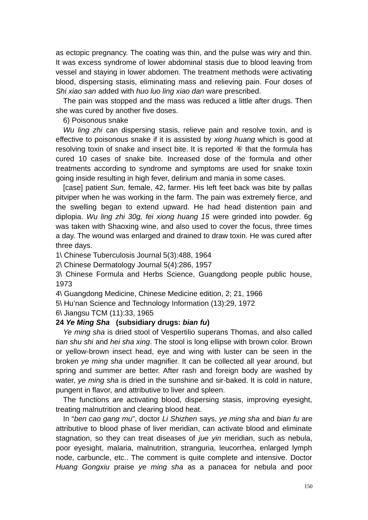as ectopic pregnancy. The coating was thin, and the pulse was wiry and thin. It was excess syndrome of lower abdominal stasis due to blood leaving from vessel and staying in lower abdomen. The treatment methods were activating blood, dispersing stasis, eliminating mass and relieving pain. Four doses of *Shi xiao san* added with *huo luo ling xiao dan* ware prescribed.

The pain was stopped and the mass was reduced a little after drugs. Then she was cured by another five doses.

6) Poisonous snake

*Wu ling zhi* can dispersing stasis, relieve pain and resolve toxin, and is effective to poisonous snake if it is assisted by *xiong huang* which is good at resolving toxin of snake and insect bite. It is reported ⑥ that the formula has cured 10 cases of snake bite. Increased dose of the formula and other treatments according to syndrome and symptoms are used for snake toxin going inside resulting in high fever, delirium and mania in some cases.

[case] patient *Sun,* female, 42, farmer. His left feet back was bite by pallas pitviper when he was working in the farm. The pain was extremely fierce, and the swelling began to extend upward. He had head distention pain and diplopia. *Wu ling zhi 30g, fei xiong huang 15* were grinded into powder. 6g was taken with Shaoxing wine, and also used to cover the focus, three times a day. The wound was enlarged and drained to draw toxin. He was cured after three days.

1\ Chinese Tuberculosis Journal 5(3):488, 1964

2\ Chinese Dermatology Journal 5(4):286, 1957

3\ Chinese Formula and Herbs Science, Guangdong people public house, 1973

4\ Guangdong Medicine, Chinese Medicine edition, 2; 21, 1966

5\ Hu'nan Science and Technology Information (13):29, 1972

6\ Jiangsu TCM (11):33, 1965

## **24** *Ye Ming Sha* **(subsidiary drugs:** *bian fu***)**

*Ye ming sha* is dried stool of Vespertilio superans Thomas, and also called *tian shu shi* and *hei sha xing*. The stool is long ellipse with brown color. Brown or yellow-brown insect head, eye and wing with luster can be seen in the broken *ye ming sha* under magnifier. It can be collected all year around, but spring and summer are better. After rash and foreign body are washed by water, *ye ming sha* is dried in the sunshine and sir-baked. It is cold in nature, pungent in flavor, and attributive to liver and spleen.

The functions are activating blood, dispersing stasis, improving eyesight, treating malnutrition and clearing blood heat.

In "*ben cao gang mu*", doctor *Li Shizhen* says, *ye ming sha* and *bian fu* are attributive to blood phase of liver meridian, can activate blood and eliminate stagnation, so they can treat diseases of *jue yin* meridian, such as nebula, poor eyesight, malaria, malnutrition, stranguria, leucorrhea, enlarged lymph node, carbuncle, etc.. The comment is quite complete and intensive. Doctor *Huang Gongxiu* praise *ye ming sha* as a panacea for nebula and poor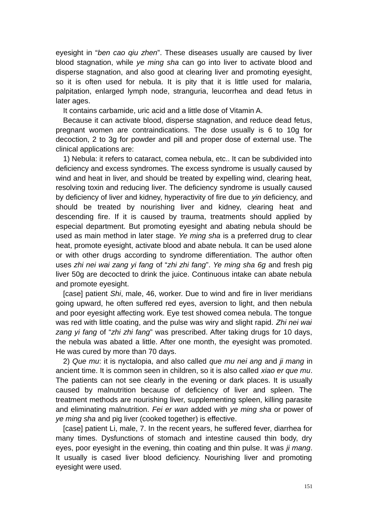eyesight in "*ben cao qiu zhen*". These diseases usually are caused by liver blood stagnation, while *ye ming sha* can go into liver to activate blood and disperse stagnation, and also good at clearing liver and promoting eyesight, so it is often used for nebula. It is pity that it is little used for malaria, palpitation, enlarged lymph node, stranguria, leucorrhea and dead fetus in later ages.

It contains carbamide, uric acid and a little dose of Vitamin A.

Because it can activate blood, disperse stagnation, and reduce dead fetus, pregnant women are contraindications. The dose usually is 6 to 10g for decoction, 2 to 3g for powder and pill and proper dose of external use. The clinical applications are:

1) Nebula: it refers to cataract, comea nebula, etc.. It can be subdivided into deficiency and excess syndromes. The excess syndrome is usually caused by wind and heat in liver, and should be treated by expelling wind, clearing heat, resolving toxin and reducing liver. The deficiency syndrome is usually caused by deficiency of liver and kidney, hyperactivity of fire due to *yin* deficiency, and should be treated by nourishing liver and kidney, clearing heat and descending fire. If it is caused by trauma, treatments should applied by especial department. But promoting eyesight and abating nebula should be used as main method in later stage. *Ye ming sha* is a preferred drug to clear heat, promote eyesight, activate blood and abate nebula. It can be used alone or with other drugs according to syndrome differentiation. The author often uses *zhi nei wai zang yi fang* of "*zhi zhi fang*". *Ye ming sha 6g* and fresh pig liver 50g are decocted to drink the juice. Continuous intake can abate nebula and promote eyesight.

[case] patient *Shi*, male, 46, worker. Due to wind and fire in liver meridians going upward, he often suffered red eyes, aversion to light, and then nebula and poor eyesight affecting work. Eye test showed comea nebula. The tongue was red with little coating, and the pulse was wiry and slight rapid. *Zhi nei wai zang yi fang* of "*zhi zhi fang*" was prescribed. After taking drugs for 10 days, the nebula was abated a little. After one month, the eyesight was promoted. He was cured by more than 70 days.

2) *Que mu*: it is nyctalopia, and also called *que mu nei ang* and *ji mang* in ancient time. It is common seen in children, so it is also called *xiao er que mu*. The patients can not see clearly in the evening or dark places. It is usually caused by malnutrition because of deficiency of liver and spleen. The treatment methods are nourishing liver, supplementing spleen, killing parasite and eliminating malnutrition. *Fei er wan* added with *ye ming sha* or power of *ye ming sha* and pig liver (cooked together) is effective.

[case] patient Li, male, 7. In the recent years, he suffered fever, diarrhea for many times. Dysfunctions of stomach and intestine caused thin body, dry eyes, poor eyesight in the evening, thin coating and thin pulse. It was *ji mang*. It usually is cased liver blood deficiency. Nourishing liver and promoting eyesight were used.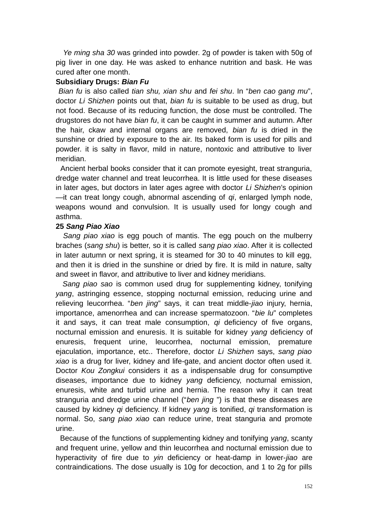*Ye ming sha 30* was grinded into powder. 2g of powder is taken with 50g of pig liver in one day. He was asked to enhance nutrition and bask. He was cured after one month.

#### **Subsidiary Drugs:** *Bian Fu*

*Bian fu* is also called *tian shu, xian shu* and *fei shu*. In "*ben cao gang mu*", doctor *Li Shizhen* points out that, *bian fu* is suitable to be used as drug, but not food. Because of its reducing function, the dose must be controlled. The drugstores do not have *bian fu*, it can be caught in summer and autumn. After the hair, ckaw and internal organs are removed, *bian fu* is dried in the sunshine or dried by exposure to the air. Its baked form is used for pills and powder. it is salty in flavor, mild in nature, nontoxic and attributive to liver meridian.

 Ancient herbal books consider that it can promote eyesight, treat stranguria, dredge water channel and treat leucorrhea. It is little used for these diseases in later ages, but doctors in later ages agree with doctor *Li Shizhen*'s opinion —it can treat longy cough, abnormal ascending of *qi*, enlarged lymph node, weapons wound and convulsion. It is usually used for longy cough and asthma.

#### **25** *Sang Piao Xiao*

*Sang piao xiao* is egg pouch of mantis. The egg pouch on the mulberry braches (*sang shu*) is better, so it is called *sang piao xiao*. After it is collected in later autumn or next spring, it is steamed for 30 to 40 minutes to kill egg, and then it is dried in the sunshine or dried by fire. It is mild in nature, salty and sweet in flavor, and attributive to liver and kidney meridians.

 *Sang piao sao* is common used drug for supplementing kidney, tonifying *yang*, astringing essence, stopping nocturnal emission, reducing urine and relieving leucorrhea. "*ben jing*" says, it can treat middle-*jiao* injury, hernia, importance, amenorrhea and can increase spermatozoon. "*bie lu*" completes it and says, it can treat male consumption, *qi* deficiency of five organs, nocturnal emission and enuresis. It is suitable for kidney *yang* deficiency of enuresis, frequent urine, leucorrhea, nocturnal emission, premature ejaculation, importance, etc.. Therefore, doctor *Li Shizhen* says, *sang piao xiao* is a drug for liver, kidney and life-gate, and ancient doctor often used it. Doctor *Kou Zongkui* considers it as a indispensable drug for consumptive diseases, importance due to kidney *yang* deficiency, nocturnal emission, enuresis, white and turbid urine and hernia. The reason why it can treat stranguria and dredge urine channel ("*ben jing* ") is that these diseases are caused by kidney *qi* deficiency. If kidney *yang* is tonified, *qi* transformation is normal. So, *sang piao xiao* can reduce urine, treat stanguria and promote urine.

 Because of the functions of supplementing kidney and tonifying *yang*, scanty and frequent urine, yellow and thin leucorrhea and nocturnal emission due to hyperactivity of fire due to *yin* deficiency or heat-damp in lower-*jiao* are contraindications. The dose usually is 10g for decoction, and 1 to 2g for pills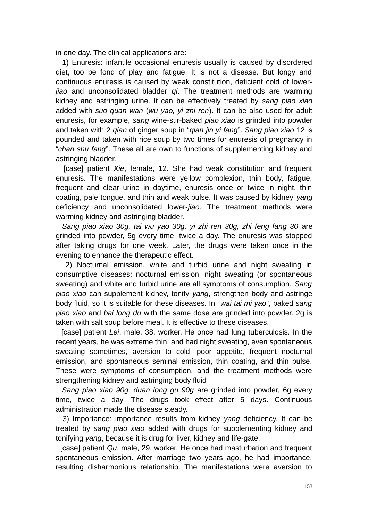in one day. The clinical applications are:

 1) Enuresis: infantile occasional enuresis usually is caused by disordered diet, too be fond of play and fatigue. It is not a disease. But longy and continuous enuresis is caused by weak constitution, deficient cold of lower*jiao* and unconsolidated bladder *qi*. The treatment methods are warming kidney and astringing urine. It can be effectively treated by *sang piao xiao* added with *suo quan wan* (*wu yao, yi zhi ren*). It can be also used for adult enuresis, for example, *sang* wine-stir-baked *piao xiao* is grinded into powder and taken with 2 *qian* of ginger soup in "*qian jin yi fang*". *Sang piao xiao* 12 is pounded and taken with rice soup by two times for enuresis of pregnancy in "*chan shu fang*". These all are own to functions of supplementing kidney and astringing bladder.

 [case] patient *Xie*, female, 12. She had weak constitution and frequent enuresis. The manifestations were yellow complexion, thin body, fatigue, frequent and clear urine in daytime, enuresis once or twice in night, thin coating, pale tongue, and thin and weak pulse. It was caused by kidney *yang* deficiency and unconsolidated lower-*jiao*. The treatment methods were warming kidney and astringing bladder.

 *Sang piao xiao 30g, tai wu yao 30g, yi zhi ren 30g, zhi feng fang 30* are grinded into powder, 5g every time, twice a day. The enuresis was stopped after taking drugs for one week. Later, the drugs were taken once in the evening to enhance the therapeutic effect.

 2) Nocturnal emission, white and turbid urine and night sweating in consumptive diseases: nocturnal emission, night sweating (or spontaneous sweating) and white and turbid urine are all symptoms of consumption. *Sang piao xiao* can supplement kidney, tonify *yang*, strengthen body and astringe body fluid, so it is suitable for these diseases. In "*wai tai mi yao*", baked *sang piao xiao* and *bai long du* with the same dose are grinded into powder. 2g is taken with salt soup before meal. It is effective to these diseases.

 [case] patient *Lei*, male, 38, worker. He once had lung tuberculosis. In the recent years, he was extreme thin, and had night sweating, even spontaneous sweating sometimes, aversion to cold, poor appetite, frequent nocturnal emission, and spontaneous seminal emission, thin coating, and thin pulse. These were symptoms of consumption, and the treatment methods were strengthening kidney and astringing body fluid

 *Sang piao xiao 90g, duan long gu 90g* are grinded into powder, 6g every time, twice a day. The drugs took effect after 5 days. Continuous administration made the disease steady.

 3) Importance: importance results from kidney *yang* deficiency. It can be treated by *sang piao xiao* added with drugs for supplementing kidney and tonifying *yang*, because it is drug for liver, kidney and life-gate.

 [case] patient *Qu*, male, 29, worker. He once had masturbation and frequent spontaneous emission. After marriage two years ago, he had importance, resulting disharmonious relationship. The manifestations were aversion to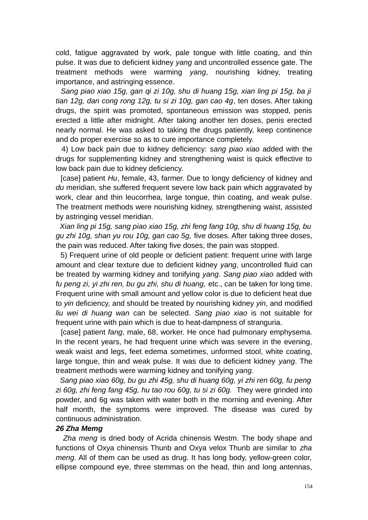cold, fatigue aggravated by work, pale tongue with little coating, and thin pulse. It was due to deficient kidney *yang* and uncontrolled essence gate. The treatment methods were warming *yang*, nourishing kidney, treating importance, and astringing essence.

 *Sang piao xiao 15g, gan qi zi 10g, shu di huang 15g, xian ling pi 15g, ba ji tian 12g, dan cong rong 12g, tu si zi 10g, gan cao 4g*, ten doses. After taking drugs, the spirit was promoted, spontaneous emission was stopped, penis erected a little after midnight. After taking another ten doses, penis erected nearly normal. He was asked to taking the drugs patiently, keep continence and do proper exercise so as to cure importance completely.

 4) Low back pain due to kidney deficiency: *sang piao xiao* added with the drugs for supplementing kidney and strengthening waist is quick effective to low back pain due to kidney deficiency.

 [case] patient *Hu*, female, 43, farmer. Due to longy deficiency of kidney and *du* meridian, she suffered frequent severe low back pain which aggravated by work, clear and thin leucorrhea, large tongue, thin coating, and weak pulse. The treatment methods were nourishing kidney, strengthening waist, assisted by astringing vessel meridian.

 *Xian ling pi 15g, sang piao xiao 15g, zhi feng fang 10g, shu di huang 15g, bu gu zhi 10g, shan yu rou 10g, gan cao 5g,* five doses. After taking three doses, the pain was reduced. After taking five doses, the pain was stopped.

 5) Frequent urine of old people or deficient patient: frequent urine with large amount and clear texture due to deficient kidney *yang*, uncontrolled fluid can be treated by warming kidney and tonifying *yang*. *Sang piao xiao* added with *fu peng zi, yi zhi ren, bu gu zhi, shu di huang,* etc., can be taken for long time. Frequent urine with small amount and yellow color is due to deficient heat due to *yin* deficiency, and should be treated by nourishing kidney *yin*, and modified *liu wei di huang wan* can be selected. *Sang piao xiao* is not suitable for frequent urine with pain which is due to heat-dampness of stranguria.

 [case] patient *fang*, male, 68, worker. He once had pulmonary emphysema. In the recent years, he had frequent urine which was severe in the evening, weak waist and legs, feet edema sometimes, unformed stool, white coating, large tongue, thin and weak pulse. It was due to deficient kidney *yang*. The treatment methods were warming kidney and tonifying *yang*.

 *Sang piao xiao 60g, bu gu zhi 45g, shu di huang 60g, yi zhi ren 60g, fu peng zi 60g, zhi feng fang 45g, hu tao rou 60g, tu si zi 60g.* They were grinded into powder, and 6g was taken with water both in the morning and evening. After half month, the symptoms were improved. The disease was cured by continuous administration.

### *26 Zha Memg*

*Zha meng* is dried body of Acrida chinensis Westm. The body shape and functions of Oxya chinensis Thunb and Oxya velox Thunb are similar to *zha meng*. All of them can be used as drug. It has long body, yellow-green color, ellipse compound eye, three stemmas on the head, thin and long antennas,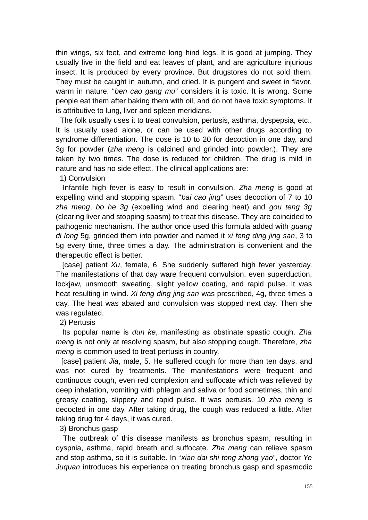thin wings, six feet, and extreme long hind legs. It is good at jumping. They usually live in the field and eat leaves of plant, and are agriculture injurious insect. It is produced by every province. But drugstores do not sold them. They must be caught in autumn, and dried. It is pungent and sweet in flavor, warm in nature. "*ben cao gang mu*" considers it is toxic. It is wrong. Some people eat them after baking them with oil, and do not have toxic symptoms. It is attributive to lung, liver and spleen meridians.

 The folk usually uses it to treat convulsion, pertusis, asthma, dyspepsia, etc.. It is usually used alone, or can be used with other drugs according to syndrome differentiation. The dose is 10 to 20 for decoction in one day, and 3g for powder (*zha meng* is calcined and grinded into powder.). They are taken by two times. The dose is reduced for children. The drug is mild in nature and has no side effect. The clinical applications are:

1) Convulsion

 Infantile high fever is easy to result in convulsion. *Zha meng* is good at expelling wind and stopping spasm. "*bai cao jing*" uses decoction of 7 to 10 *zha meng*, *bo he 3g* (expelling wind and clearing heat) and *gou teng 3g* (clearing liver and stopping spasm) to treat this disease. They are coincided to pathogenic mechanism. The author once used this formula added with *guang di long* 5g, grinded them into powder and named it *xi feng ding jing san*, 3 to 5g every time, three times a day. The administration is convenient and the therapeutic effect is better.

 [case] patient *Xu*, female, 6. She suddenly suffered high fever yesterday. The manifestations of that day ware frequent convulsion, even superduction, lockjaw, unsmooth sweating, slight yellow coating, and rapid pulse. It was heat resulting in wind. *Xi feng ding jing san* was prescribed, 4g, three times a day. The heat was abated and convulsion was stopped next day. Then she was regulated.

2) Pertusis

 Its popular name is *dun ke*, manifesting as obstinate spastic cough. *Zha meng* is not only at resolving spasm, but also stopping cough. Therefore, *zha meng* is common used to treat pertusis in country.

 [case] patient *Jia*, male, 5. He suffered cough for more than ten days, and was not cured by treatments. The manifestations were frequent and continuous cough, even red complexion and suffocate which was relieved by deep inhalation, vomiting with phlegm and saliva or food sometimes, thin and greasy coating, slippery and rapid pulse. It was pertusis. 10 *zha meng* is decocted in one day. After taking drug, the cough was reduced a little. After taking drug for 4 days, it was cured.

3) Bronchus gasp

 The outbreak of this disease manifests as bronchus spasm, resulting in dyspnia, asthma, rapid breath and suffocate. *Zha meng* can relieve spasm and stop asthma, so it is suitable. In "*xian dai shi tong zhong yao*", doctor *Ye Juquan* introduces his experience on treating bronchus gasp and spasmodic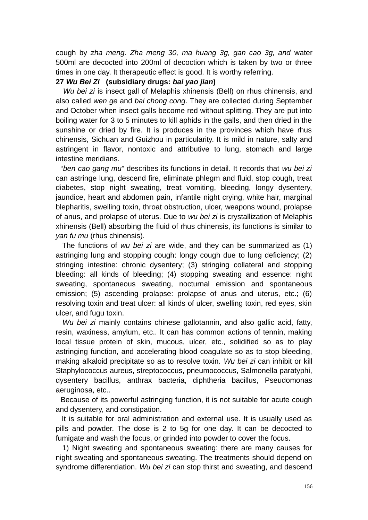cough by *zha meng*. *Zha meng 30, ma huang 3g, gan cao 3g, and* water 500ml are decocted into 200ml of decoction which is taken by two or three times in one day. It therapeutic effect is good. It is worthy referring.

#### **27** *Wu Bei Zi* **(subsidiary drugs:** *bai yao jian***)**

*Wu bei zi* is insect gall of Melaphis xhinensis (Bell) on rhus chinensis, and also called *wen ge* and *bai chong cong*. They are collected during September and October when insect galls become red without splitting. They are put into boiling water for 3 to 5 minutes to kill aphids in the galls, and then dried in the sunshine or dried by fire. It is produces in the provinces which have rhus chinensis, Sichuan and Guizhou in particularity. It is mild in nature, salty and astringent in flavor, nontoxic and attributive to lung, stomach and large intestine meridians.

 "*ben cao gang mu*" describes its functions in detail. It records that *wu bei zi* can astringe lung, descend fire, eliminate phlegm and fluid, stop cough, treat diabetes, stop night sweating, treat vomiting, bleeding, longy dysentery, jaundice, heart and abdomen pain, infantile night crying, white hair, marginal blepharitis, swelling toxin, throat obstruction, ulcer, weapons wound, prolapse of anus, and prolapse of uterus. Due to *wu bei zi* is crystallization of Melaphis xhinensis (Bell) absorbing the fluid of rhus chinensis, its functions is similar to *yan fu mu* (rhus chinensis).

 The functions of *wu bei zi* are wide, and they can be summarized as (1) astringing lung and stopping cough: longy cough due to lung deficiency; (2) stringing intestine: chronic dysentery; (3) stringing collateral and stopping bleeding: all kinds of bleeding; (4) stopping sweating and essence: night sweating, spontaneous sweating, nocturnal emission and spontaneous emission; (5) ascending prolapse: prolapse of anus and uterus, etc.; (6) resolving toxin and treat ulcer: all kinds of ulcer, swelling toxin, red eyes, skin ulcer, and fugu toxin.

 *Wu bei zi* mainly contains chinese gallotannin, and also gallic acid, fatty, resin, waxiness, amylum, etc.. It can has common actions of tennin, making local tissue protein of skin, mucous, ulcer, etc., solidified so as to play astringing function, and accelerating blood coagulate so as to stop bleeding, making alkaloid precipitate so as to resolve toxin. *Wu bei zi* can inhibit or kill Staphylococcus aureus, streptococcus, pneumococcus, Salmonella paratyphi, dysentery bacillus, anthrax bacteria, diphtheria bacillus, Pseudomonas aeruginosa, etc..

 Because of its powerful astringing function, it is not suitable for acute cough and dysentery, and constipation.

 It is suitable for oral administration and external use. It is usually used as pills and powder. The dose is 2 to 5g for one day. It can be decocted to fumigate and wash the focus, or grinded into powder to cover the focus.

 1) Night sweating and spontaneous sweating: there are many causes for night sweating and spontaneous sweating. The treatments should depend on syndrome differentiation. *Wu bei zi* can stop thirst and sweating, and descend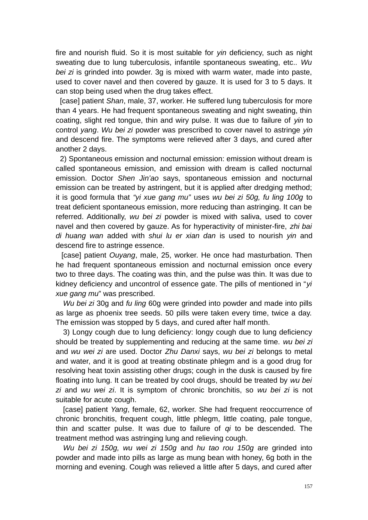fire and nourish fluid. So it is most suitable for *yin* deficiency, such as night sweating due to lung tuberculosis, infantile spontaneous sweating, etc.. *Wu bei zi* is grinded into powder. 3g is mixed with warm water, made into paste, used to cover navel and then covered by gauze. It is used for 3 to 5 days. It can stop being used when the drug takes effect.

 [case] patient *Shan*, male, 37, worker. He suffered lung tuberculosis for more than 4 years. He had frequent spontaneous sweating and night sweating, thin coating, slight red tongue, thin and wiry pulse. It was due to failure of *yin* to control *yang*. *Wu bei zi* powder was prescribed to cover navel to astringe *yin* and descend fire. The symptoms were relieved after 3 days, and cured after another 2 days.

 2) Spontaneous emission and nocturnal emission: emission without dream is called spontaneous emission, and emission with dream is called nocturnal emission. Doctor *Shen Jin'ao* says, spontaneous emission and nocturnal emission can be treated by astringent, but it is applied after dredging method; it is good formula that *"yi xue gang mu"* uses *wu bei zi 50g, fu ling 100g* to treat deficient spontaneous emission, more reducing than astringing. It can be referred. Additionally, *wu bei zi* powder is mixed with saliva, used to cover navel and then covered by gauze. As for hyperactivity of minister-fire, *zhi bai di huang wan* added with *shui lu er xian dan* is used to nourish *yin* and descend fire to astringe essence.

 [case] patient *Ouyang*, male, 25, worker. He once had masturbation. Then he had frequent spontaneous emission and nocturnal emission once every two to three days. The coating was thin, and the pulse was thin. It was due to kidney deficiency and uncontrol of essence gate. The pills of mentioned in "*yi xue gang mu*" was prescribed.

*Wu bei zi* 30g and *fu ling* 60g were grinded into powder and made into pills as large as phoenix tree seeds. 50 pills were taken every time, twice a day. The emission was stopped by 5 days, and cured after half month.

3) Longy cough due to lung deficiency: longy cough due to lung deficiency should be treated by supplementing and reducing at the same time. *wu bei zi* and *wu wei zi* are used. Doctor *Zhu Danxi* says, *wu bei zi* belongs to metal and water, and it is good at treating obstinate phlegm and is a good drug for resolving heat toxin assisting other drugs; cough in the dusk is caused by fire floating into lung. It can be treated by cool drugs, should be treated by *wu bei zi* and *wu wei zi*. It is symptom of chronic bronchitis, so *wu bei zi* is not suitable for acute cough.

[case] patient *Yang*, female, 62, worker. She had frequent reoccurrence of chronic bronchitis, frequent cough, little phlegm, little coating, pale tongue, thin and scatter pulse. It was due to failure of *qi* to be descended. The treatment method was astringing lung and relieving cough.

*Wu bei zi 150g, wu wei zi 150g* and *hu tao rou 150g* are grinded into powder and made into pills as large as mung bean with honey, 6g both in the morning and evening. Cough was relieved a little after 5 days, and cured after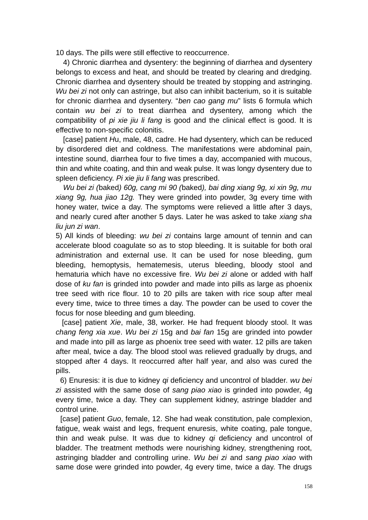10 days. The pills were still effective to reoccurrence.

4) Chronic diarrhea and dysentery: the beginning of diarrhea and dysentery belongs to excess and heat, and should be treated by clearing and dredging. Chronic diarrhea and dysentery should be treated by stopping and astringing. *Wu bei zi* not only can astringe, but also can inhibit bacterium, so it is suitable for chronic diarrhea and dysentery. "*ben cao gang mu*" lists 6 formula which contain *wu bei zi* to treat diarrhea and dysentery, among which the compatibility of *pi xie jiu li fang* is good and the clinical effect is good. It is effective to non-specific colonitis.

[case] patient *H*u, male, 48, cadre. He had dysentery, which can be reduced by disordered diet and coldness. The manifestations were abdominal pain, intestine sound, diarrhea four to five times a day, accompanied with mucous, thin and white coating, and thin and weak pulse. It was longy dysentery due to spleen deficiency. *Pi xie jiu li fang* was prescribed.

*Wu bei zi (*baked*) 60g, cang mi 90 (*baked*), bai ding xiang 9g, xi xin 9g, mu xiang 9g, hua jiao 12g.* They were grinded into powder, 3g every time with honey water, twice a day. The symptoms were relieved a little after 3 days, and nearly cured after another 5 days. Later he was asked to take *xiang sha liu jun zi wan*.

5) All kinds of bleeding: *wu bei zi* contains large amount of tennin and can accelerate blood coagulate so as to stop bleeding. It is suitable for both oral administration and external use. It can be used for nose bleeding, gum bleeding, hemoptysis, hematemesis, uterus bleeding, bloody stool and hematuria which have no excessive fire. *Wu bei zi* alone or added with half dose of *ku fan* is grinded into powder and made into pills as large as phoenix tree seed with rice flour. 10 to 20 pills are taken with rice soup after meal every time, twice to three times a day. The powder can be used to cover the focus for nose bleeding and gum bleeding.

 [case] patient *Xie*, male, 38, worker. He had frequent bloody stool. It was *chang feng xia xue*. *Wu bei zi* 15g and *bai fan* 15g are grinded into powder and made into pill as large as phoenix tree seed with water. 12 pills are taken after meal, twice a day. The blood stool was relieved gradually by drugs, and stopped after 4 days. It reoccurred after half year, and also was cured the pills.

 6) Enuresis: it is due to kidney *qi* deficiency and uncontrol of bladder. *wu bei zi* assisted with the same dose of *sang piao xiao* is grinded into powder, 4g every time, twice a day. They can supplement kidney, astringe bladder and control urine.

 [case] patient *Guo*, female, 12. She had weak constitution, pale complexion, fatigue, weak waist and legs, frequent enuresis, white coating, pale tongue, thin and weak pulse. It was due to kidney *qi* deficiency and uncontrol of bladder. The treatment methods were nourishing kidney, strengthening root, astringing bladder and controlling urine. *Wu bei zi* and *sang piao xiao* with same dose were grinded into powder, 4g every time, twice a day. The drugs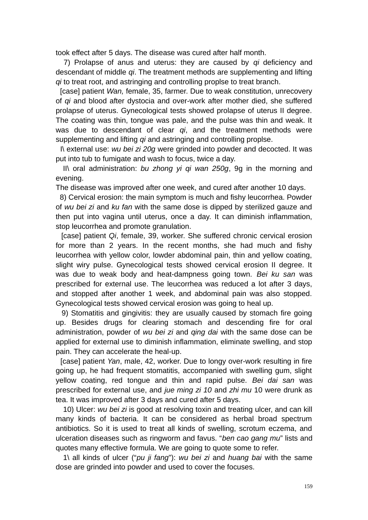took effect after 5 days. The disease was cured after half month.

 7) Prolapse of anus and uterus: they are caused by *qi* deficiency and descendant of middle *qi*. The treatment methods are supplementing and lifting *qi* to treat root, and astringing and controlling proplse to treat branch.

 [case] patient *Wan,* female, 35, farmer. Due to weak constitution, unrecovery of *qi* and blood after dystocia and over-work after mother died, she suffered prolapse of uterus. Gynecological tests showed prolapse of uterus II degree. The coating was thin, tongue was pale, and the pulse was thin and weak. It was due to descendant of clear *qi*, and the treatment methods were supplementing and lifting *qi* and astringing and controlling proplse.

 I\ external use: *wu bei zi 20g* were grinded into powder and decocted. It was put into tub to fumigate and wash to focus, twice a day.

 II\ oral administration: *bu zhong yi qi wan 250g*, 9g in the morning and evening.

The disease was improved after one week, and cured after another 10 days.

 8) Cervical erosion: the main symptom is much and fishy leucorrhea. Powder of *wu bei zi* and *ku fan* with the same dose is dipped by sterilized gauze and then put into vagina until uterus, once a day. It can diminish inflammation, stop leucorrhea and promote granulation.

 [case] patient *Qi*, female, 39, worker. She suffered chronic cervical erosion for more than 2 years. In the recent months, she had much and fishy leucorrhea with yellow color, lowder abdominal pain, thin and yellow coating, slight wiry pulse. Gynecological tests showed cervical erosion II degree. It was due to weak body and heat-dampness going town. *Bei ku san* was prescribed for external use. The leucorrhea was reduced a lot after 3 days, and stopped after another 1 week, and abdominal pain was also stopped. Gynecological tests showed cervical erosion was going to heal up.

 9) Stomatitis and gingivitis: they are usually caused by stomach fire going up. Besides drugs for clearing stomach and descending fire for oral administration, powder of *wu bei zi* and *qing dai* with the same dose can be applied for external use to diminish inflammation, eliminate swelling, and stop pain. They can accelerate the heal-up.

 [case] patient *Yan*, male, 42, worker. Due to longy over-work resulting in fire going up, he had frequent stomatitis, accompanied with swelling gum, slight yellow coating, red tongue and thin and rapid pulse. *Bei dai san* was prescribed for external use, and *jue ming zi 10* and *zhi mu* 10 were drunk as tea. It was improved after 3 days and cured after 5 days.

10) Ulcer: *wu bei zi* is good at resolving toxin and treating ulcer, and can kill many kinds of bacteria. It can be considered as herbal broad spectrum antibiotics. So it is used to treat all kinds of swelling, scrotum eczema, and ulceration diseases such as ringworm and favus. "*ben cao gang mu*" lists and quotes many effective formula. We are going to quote some to refer.

1\ all kinds of ulcer ("*pu ji fang*"): *wu bei zi* and *huang bai* with the same dose are grinded into powder and used to cover the focuses.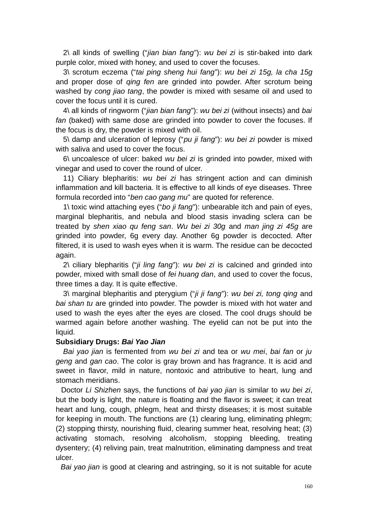2\ all kinds of swelling ("*jian bian fang*"): *wu bei zi* is stir-baked into dark purple color, mixed with honey, and used to cover the focuses.

3\ scrotum eczema ("*tai ping sheng hui fang*"): *wu bei zi 15g, la cha 15g* and proper dose of *qing fen* are grinded into powder. After scrotum being washed by *cong jiao tang*, the powder is mixed with sesame oil and used to cover the focus until it is cured.

4\ all kinds of ringworm ("*jian bian fang*"): *wu bei zi* (without insects) and *bai fan* (baked) with same dose are grinded into powder to cover the focuses. If the focus is dry, the powder is mixed with oil.

5\ damp and ulceration of leprosy ("*pu ji fang*"): *wu bei zi* powder is mixed with saliva and used to cover the focus.

6\ uncoalesce of ulcer: baked *wu bei zi* is grinded into powder, mixed with vinegar and used to cover the round of ulcer.

11) Ciliary blepharitis: *wu bei zi* has stringent action and can diminish inflammation and kill bacteria. It is effective to all kinds of eye diseases. Three formula recorded into "*ben cao gang mu*" are quoted for reference.

1\ toxic wind attaching eyes ("*bo ji fang*"): unbearable itch and pain of eyes, marginal blepharitis, and nebula and blood stasis invading sclera can be treated by *shen xiao qu feng san*. *Wu bei zi 30g* and *man jing zi 45g* are grinded into powder, 6g every day. Another 6g powder is decocted. After filtered, it is used to wash eyes when it is warm. The residue can be decocted again.

2\ ciliary blepharitis ("*ji ling fang*"): *wu bei zi* is calcined and grinded into powder, mixed with small dose of *fei huang dan*, and used to cover the focus, three times a day. It is quite effective.

3\ marginal blepharitis and pterygium ("*ji ji fang*"): *wu bei zi, tong qing* and *bai shan tu* are grinded into powder. The powder is mixed with hot water and used to wash the eyes after the eyes are closed. The cool drugs should be warmed again before another washing. The eyelid can not be put into the liquid.

## **Subsidiary Drugs:** *Bai Yao Jian*

*Bai yao jian* is fermented from *wu bei zi* and tea or *wu mei*, *bai fan* or *ju geng* and *gan cao*. The color is gray brown and has fragrance. It is acid and sweet in flavor, mild in nature, nontoxic and attributive to heart, lung and stomach meridians.

 Doctor *Li Shizhen* says, the functions of *bai yao jian* is similar to *wu bei zi*, but the body is light, the nature is floating and the flavor is sweet; it can treat heart and lung, cough, phlegm, heat and thirsty diseases; it is most suitable for keeping in mouth. The functions are (1) clearing lung, eliminating phlegm; (2) stopping thirsty, nourishing fluid, clearing summer heat, resolving heat; (3) activating stomach, resolving alcoholism, stopping bleeding, treating dysentery; (4) reliving pain, treat malnutrition, eliminating dampness and treat ulcer.

*Bai yao jian* is good at clearing and astringing, so it is not suitable for acute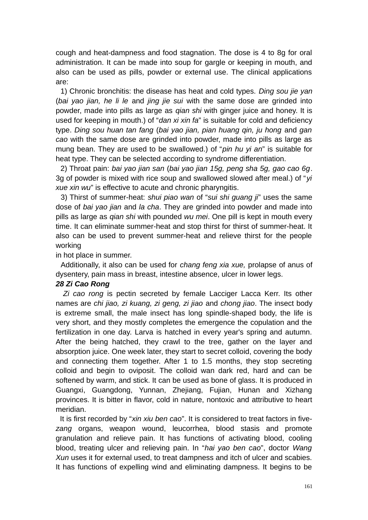cough and heat-dampness and food stagnation. The dose is 4 to 8g for oral administration. It can be made into soup for gargle or keeping in mouth, and also can be used as pills, powder or external use. The clinical applications are:

 1) Chronic bronchitis: the disease has heat and cold types. *Ding sou jie yan* (*bai yao jian, he li le* and *jing jie sui* with the same dose are grinded into powder, made into pills as large as *qian shi* with ginger juice and honey. It is used for keeping in mouth.) of "*dan xi xin fa*" is suitable for cold and deficiency type. *Ding sou huan tan fang* (*bai yao jian, pian huang qin, ju hong* and *gan cao* with the same dose are grinded into powder, made into pills as large as mung bean. They are used to be swallowed.) of "*pin hu yi an*" is suitable for heat type. They can be selected according to syndrome differentiation.

 2) Throat pain: *bai yao jian san* (*bai yao jian 15g, peng sha 5g, gao cao 6g*. 3g of powder is mixed with rice soup and swallowed slowed after meal.) of "*yi xue xin wu*" is effective to acute and chronic pharyngitis.

 3) Thirst of summer-heat: *shui piao wan* of "*sui shi guang ji*" uses the same dose of *bai yao jian* and *la cha*. They are grinded into powder and made into pills as large as *qian shi* with pounded *wu mei*. One pill is kept in mouth every time. It can eliminate summer-heat and stop thirst for thirst of summer-heat. It also can be used to prevent summer-heat and relieve thirst for the people working

in hot place in summer.

 Additionally, it also can be used for *chang feng xia xue,* prolapse of anus of dysentery, pain mass in breast, intestine absence, ulcer in lower legs.

### *28 Zi Cao Rong*

 *Zi cao rong* is pectin secreted by female Lacciger Lacca Kerr. Its other names are *chi jiao, zi kuang, zi geng, zi jiao* and *chong jiao*. The insect body is extreme small, the male insect has long spindle-shaped body, the life is very short, and they mostly completes the emergence the copulation and the fertilization in one day. Larva is hatched in every year's spring and autumn. After the being hatched, they crawl to the tree, gather on the layer and absorption juice. One week later, they start to secret colloid, covering the body and connecting them together. After 1 to 1.5 months, they stop secreting colloid and begin to oviposit. The colloid wan dark red, hard and can be softened by warm, and stick. It can be used as bone of glass. It is produced in Guangxi, Guangdong, Yunnan, Zhejiang, Fujian, Hunan and Xizhang provinces. It is bitter in flavor, cold in nature, nontoxic and attributive to heart meridian.

 It is first recorded by "*xin xiu ben cao*". It is considered to treat factors in five*zang* organs, weapon wound, leucorrhea, blood stasis and promote granulation and relieve pain. It has functions of activating blood, cooling blood, treating ulcer and relieving pain. In "*hai yao ben cao*", doctor *Wang Xun* uses it for external used, to treat dampness and itch of ulcer and scabies. It has functions of expelling wind and eliminating dampness. It begins to be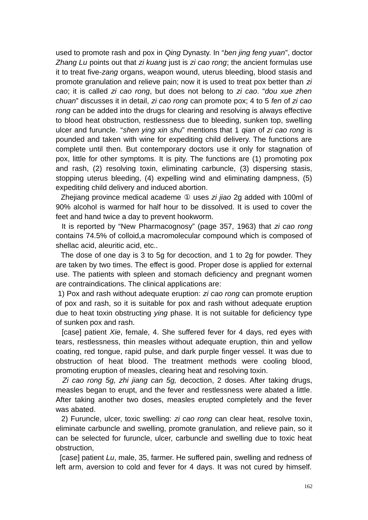used to promote rash and pox in *Qing* Dynasty. In "*ben jing feng yuan*", doctor *Zhang Lu* points out that *zi kuang* just is *zi cao rong*; the ancient formulas use it to treat five-*zang* organs, weapon wound, uterus bleeding, blood stasis and promote granulation and relieve pain; now it is used to treat pox better than *zi cao*; it is called *zi cao rong*, but does not belong to *zi cao*. "*dou xue zhen chuan*" discusses it in detail, *zi cao rong* can promote pox; 4 to 5 *fen* of *zi cao rong* can be added into the drugs for clearing and resolving is always effective to blood heat obstruction, restlessness due to bleeding, sunken top, swelling ulcer and furuncle. "*shen ying xin shu*" mentions that 1 *qian* of *zi cao rong* is pounded and taken with wine for expediting child delivery. The functions are complete until then. But contemporary doctors use it only for stagnation of pox, little for other symptoms. It is pity. The functions are (1) promoting pox and rash, (2) resolving toxin, eliminating carbuncle, (3) dispersing stasis, stopping uterus bleeding, (4) expelling wind and eliminating dampness, (5) expediting child delivery and induced abortion.

 Zhejiang province medical academe ① uses *zi jiao* 2g added with 100ml of 90% alcohol is warmed for half hour to be dissolved. It is used to cover the feet and hand twice a day to prevent hookworm.

 It is reported by "New Pharmacognosy" (page 357, 1963) that *zi cao rong* contains 74.5% of colloid,a macromolecular compound which is composed of shellac acid, aleuritic acid, etc..

 The dose of one day is 3 to 5g for decoction, and 1 to 2g for powder. They are taken by two times. The effect is good. Proper dose is applied for external use. The patients with spleen and stomach deficiency and pregnant women are contraindications. The clinical applications are:

1) Pox and rash without adequate eruption: *zi cao rong* can promote eruption of pox and rash, so it is suitable for pox and rash without adequate eruption due to heat toxin obstructing *ying* phase. It is not suitable for deficiency type of sunken pox and rash.

 [case] patient *Xie*, female, 4. She suffered fever for 4 days, red eyes with tears, restlessness, thin measles without adequate eruption, thin and yellow coating, red tongue, rapid pulse, and dark purple finger vessel. It was due to obstruction of heat blood. The treatment methods were cooling blood, promoting eruption of measles, clearing heat and resolving toxin.

 *Zi cao rong 5g, zhi jiang can 5g,* decoction, 2 doses. After taking drugs, measles began to erupt, and the fever and restlessness were abated a little. After taking another two doses, measles erupted completely and the fever was abated.

 2) Furuncle, ulcer, toxic swelling: *zi cao rong* can clear heat, resolve toxin, eliminate carbuncle and swelling, promote granulation, and relieve pain, so it can be selected for furuncle, ulcer, carbuncle and swelling due to toxic heat obstruction,

 [case] patient *Lu*, male, 35, farmer. He suffered pain, swelling and redness of left arm, aversion to cold and fever for 4 days. It was not cured by himself.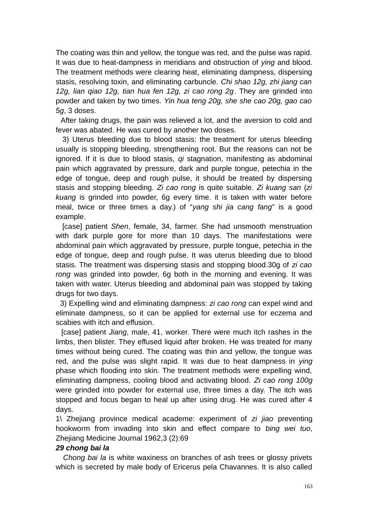The coating was thin and yellow, the tongue was red, and the pulse was rapid. It was due to heat-dampness in meridians and obstruction of *ying* and blood. The treatment methods were clearing heat, eliminating dampness, dispersing stasis, resolving toxin, and eliminating carbuncle. *Chi shao 12g, zhi jiang can 12g, lian qiao 12g, tian hua fen 12g, zi cao rong 2g*. They are grinded into powder and taken by two times. *Yin hua teng 20g, she she cao 20g, gao cao 5g*, 3 doses.

 After taking drugs, the pain was relieved a lot, and the aversion to cold and fever was abated. He was cured by another two doses.

 3) Uterus bleeding due to blood stasis: the treatment for uterus bleeding usually is stopping bleeding, strengthening root. But the reasons can not be ignored. If it is due to blood stasis, *qi* stagnation, manifesting as abdominal pain which aggravated by pressure, dark and purple tongue, petechia in the edge of tongue, deep and rough pulse, it should be treated by dispersing stasis and stopping bleeding. *Zi cao rong* is quite suitable. *Zi kuang san* (*zi kuang* is grinded into powder, 6g every time. it is taken with water before meal, twice or three times a day.) of "*yang shi jia cang fang*" is a good example.

 [case] patient *Shen*, female, 34, farmer. She had unsmooth menstruation with dark purple gore for more than 10 days. The manifestations were abdominal pain which aggravated by pressure, purple tongue, petechia in the edge of tongue, deep and rough pulse. It was uterus bleeding due to blood stasis. The treatment was dispersing stasis and stopping blood.30g of *zi cao rong* was grinded into powder, 6g both in the morning and evening. It was taken with water. Uterus bleeding and abdominal pain was stopped by taking drugs for two days.

 3) Expelling wind and eliminating dampness: *zi cao rong* can expel wind and eliminate dampness, so it can be applied for external use for eczema and scabies with itch and effusion.

 [case] patient *Jiang*, male, 41, worker. There were much itch rashes in the limbs, then blister. They effused liquid after broken. He was treated for many times without being cured. The coating was thin and yellow, the tongue was red, and the pulse was slight rapid. It was due to heat dampness in *ying* phase which flooding into skin. The treatment methods were expelling wind, eliminating dampness, cooling blood and activating blood. *Zi cao rong 100g* were grinded into powder for external use, three times a day. The itch was stopped and focus began to heal up after using drug. He was cured after 4 days.

1\ Zhejiang province medical academe: experiment of *zi jiao* preventing hookworm from invading into skin and effect compare to *bing wei tuo*, Zhejiang Medicine Journal 1962,3 (2):69

## *29 chong bai la*

*Chong bai la* is white waxiness on branches of ash trees or glossy privets which is secreted by male body of Ericerus pela Chavannes. It is also called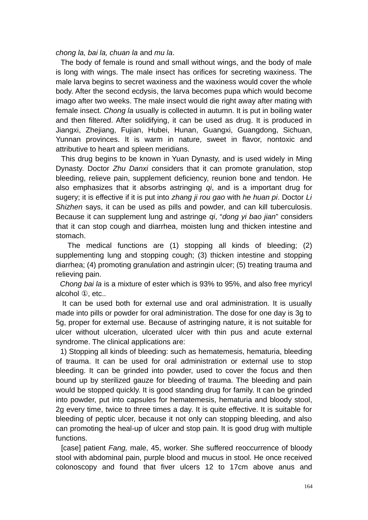*chong la, bai la, chuan la* and *mu la*.

 The body of female is round and small without wings, and the body of male is long with wings. The male insect has orifices for secreting waxiness. The male larva begins to secret waxiness and the waxiness would cover the whole body. After the second ecdysis, the larva becomes pupa which would become imago after two weeks. The male insect would die right away after mating with female insect. *Chong la* usually is collected in autumn. It is put in boiling water and then filtered. After solidifying, it can be used as drug. It is produced in Jiangxi, Zhejiang, Fujian, Hubei, Hunan, Guangxi, Guangdong, Sichuan, Yunnan provinces. It is warm in nature, sweet in flavor, nontoxic and attributive to heart and spleen meridians.

 This drug begins to be known in Yuan Dynasty, and is used widely in Ming Dynasty. Doctor *Zhu Danxi* considers that it can promote granulation, stop bleeding, relieve pain, supplement deficiency, reunion bone and tendon. He also emphasizes that it absorbs astringing *qi*, and is a important drug for sugery; it is effective if it is put into *zhang ji rou gao* with *he huan pi*. Doctor *Li Shizhen* says, it can be used as pills and powder, and can kill tuberculosis. Because it can supplement lung and astringe *qi*, "*dong yi bao jian*" considers that it can stop cough and diarrhea, moisten lung and thicken intestine and stomach.

 The medical functions are (1) stopping all kinds of bleeding; (2) supplementing lung and stopping cough; (3) thicken intestine and stopping diarrhea; (4) promoting granulation and astringin ulcer; (5) treating trauma and relieving pain.

 *Chong bai la* is a mixture of ester which is 93% to 95%, and also free myricyl alcohol **Q**, etc..

 It can be used both for external use and oral administration. It is usually made into pills or powder for oral administration. The dose for one day is 3g to 5g, proper for external use. Because of astringing nature, it is not suitable for ulcer without ulceration, ulcerated ulcer with thin pus and acute external syndrome. The clinical applications are:

 1) Stopping all kinds of bleeding: such as hematemesis, hematuria, bleeding of trauma. It can be used for oral administration or external use to stop bleeding. It can be grinded into powder, used to cover the focus and then bound up by sterilized gauze for bleeding of trauma. The bleeding and pain would be stopped quickly. It is good standing drug for family. It can be grinded into powder, put into capsules for hematemesis, hematuria and bloody stool, 2g every time, twice to three times a day. It is quite effective. It is suitable for bleeding of peptic ulcer, because it not only can stopping bleeding, and also can promoting the heal-up of ulcer and stop pain. It is good drug with multiple functions.

 [case] patient *Fang,* male, 45, worker. She suffered reoccurrence of bloody stool with abdominal pain, purple blood and mucus in stool. He once received colonoscopy and found that fiver ulcers 12 to 17cm above anus and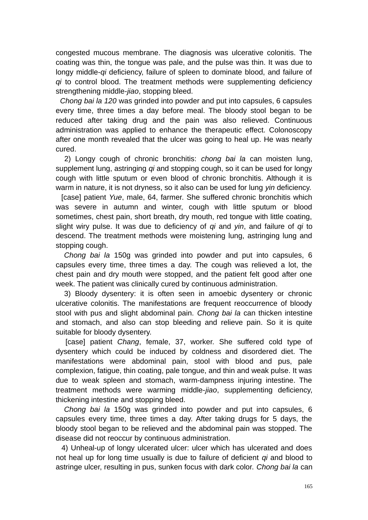congested mucous membrane. The diagnosis was ulcerative colonitis. The coating was thin, the tongue was pale, and the pulse was thin. It was due to longy middle-*qi* deficiency, failure of spleen to dominate blood, and failure of *qi* to control blood. The treatment methods were supplementing deficiency strengthening middle-*jiao*, stopping bleed.

 *Chong bai la 120* was grinded into powder and put into capsules, 6 capsules every time, three times a day before meal. The bloody stool began to be reduced after taking drug and the pain was also relieved. Continuous administration was applied to enhance the therapeutic effect. Colonoscopy after one month revealed that the ulcer was going to heal up. He was nearly cured.

 2) Longy cough of chronic bronchitis: *chong bai la* can moisten lung, supplement lung, astringing *qi* and stopping cough, so it can be used for longy cough with little sputum or even blood of chronic bronchitis. Although it is warm in nature, it is not dryness, so it also can be used for lung *yin* deficiency.

 [case] patient *Yue*, male, 64, farmer. She suffered chronic bronchitis which was severe in autumn and winter, cough with little sputum or blood sometimes, chest pain, short breath, dry mouth, red tongue with little coating, slight wiry pulse. It was due to deficiency of *qi* and *yin*, and failure of *qi* to descend. The treatment methods were moistening lung, astringing lung and stopping cough.

 *Chong bai la* 150g was grinded into powder and put into capsules, 6 capsules every time, three times a day. The cough was relieved a lot, the chest pain and dry mouth were stopped, and the patient felt good after one week. The patient was clinically cured by continuous administration.

 3) Bloody dysentery: it is often seen in amoebic dysentery or chronic ulcerative colonitis. The manifestations are frequent reoccurrence of bloody stool with pus and slight abdominal pain. *Chong bai la* can thicken intestine and stomach, and also can stop bleeding and relieve pain. So it is quite suitable for bloody dysentery.

[case] patient *Chang*, female, 37, worker. She suffered cold type of dysentery which could be induced by coldness and disordered diet. The manifestations were abdominal pain, stool with blood and pus, pale complexion, fatigue, thin coating, pale tongue, and thin and weak pulse. It was due to weak spleen and stomach, warm-dampness injuring intestine. The treatment methods were warming middle-*jiao*, supplementing deficiency, thickening intestine and stopping bleed.

 *Chong bai la* 150g was grinded into powder and put into capsules, 6 capsules every time, three times a day. After taking drugs for 5 days, the bloody stool began to be relieved and the abdominal pain was stopped. The disease did not reoccur by continuous administration.

 4) Unheal-up of longy ulcerated ulcer: ulcer which has ulcerated and does not heal up for long time usually is due to failure of deficient *qi* and blood to astringe ulcer, resulting in pus, sunken focus with dark color. *Chong bai la* can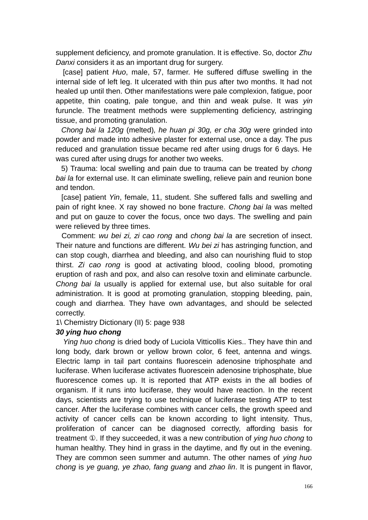supplement deficiency, and promote granulation. It is effective. So, doctor *Zhu Danxi* considers it as an important drug for surgery.

 [case] patient *Huo*, male, 57, farmer. He suffered diffuse swelling in the internal side of left leg. It ulcerated with thin pus after two months. It had not healed up until then. Other manifestations were pale complexion, fatigue, poor appetite, thin coating, pale tongue, and thin and weak pulse. It was *yin* furuncle. The treatment methods were supplementing deficiency, astringing tissue, and promoting granulation.

 *Chong bai la 120g* (melted)*, he huan pi 30g, er cha 30g* were grinded into powder and made into adhesive plaster for external use, once a day. The pus reduced and granulation tissue became red after using drugs for 6 days. He was cured after using drugs for another two weeks.

 5) Trauma: local swelling and pain due to trauma can be treated by *chong bai la* for external use. It can eliminate swelling, relieve pain and reunion bone and tendon.

 [case] patient *Yin*, female, 11, student. She suffered falls and swelling and pain of right knee. X ray showed no bone fracture. *Chong bai la* was melted and put on gauze to cover the focus, once two days. The swelling and pain were relieved by three times.

 Comment: *wu bei zi, zi cao rong* and *chong bai la* are secretion of insect. Their nature and functions are different. *Wu bei zi* has astringing function, and can stop cough, diarrhea and bleeding, and also can nourishing fluid to stop thirst. *Zi cao rong* is good at activating blood, cooling blood, promoting eruption of rash and pox, and also can resolve toxin and eliminate carbuncle. *Chong bai la* usually is applied for external use, but also suitable for oral administration. It is good at promoting granulation, stopping bleeding, pain, cough and diarrhea. They have own advantages, and should be selected correctly.

1\ Chemistry Dictionary (II) 5: page 938

#### *30 ying huo chong*

*Ying huo chong* is dried body of Luciola Vitticollis Kies.. They have thin and long body, dark brown or yellow brown color, 6 feet, antenna and wings. Electric lamp in tail part contains fluorescein adenosine triphosphate and luciferase. When luciferase activates fluorescein adenosine triphosphate, blue fluorescence comes up. It is reported that ATP exists in the all bodies of organism. If it runs into luciferase, they would have reaction. In the recent days, scientists are trying to use technique of luciferase testing ATP to test cancer. After the luciferase combines with cancer cells, the growth speed and activity of cancer cells can be known according to light intensity. Thus, proliferation of cancer can be diagnosed correctly, affording basis for treatment ①. If they succeeded, it was a new contribution of *ying huo chong* to human healthy. They hind in grass in the daytime, and fly out in the evening. They are common seen summer and autumn. The other names of *ying huo chong* is *ye guang, ye zhao, fang guang* and *zhao lin*. It is pungent in flavor,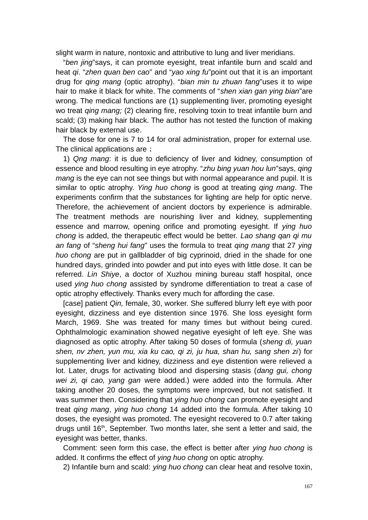slight warm in nature, nontoxic and attributive to lung and liver meridians.

"*ben jing*"says, it can promote eyesight, treat infantile burn and scald and heat *qi*. "*zhen quan ben cao*" and "*yao xing fu*"point out that it is an important drug for *qing mang* (optic atrophy). "*bian min tu zhuan fang*"uses it to wipe hair to make it black for white. The comments of "*shen xian gan ying bian*"are wrong. The medical functions are (1) supplementing liver, promoting eyesight wo treat *qing mang;* (2) clearing fire, resolving toxin to treat infantile burn and scald; (3) making hair black. The author has not tested the function of making hair black by external use.

The dose for one is 7 to 14 for oral administration, proper for external use. The clinical applications are ;

1) *Qng mang*: it is due to deficiency of liver and kidney, consumption of essence and blood resulting in eye atrophy. "*zhu bing yuan hou lun*"says, *qing mang* is the eye can not see things but with normal appearance and pupil. It is similar to optic atrophy. *Ying huo chong* is good at treating *qing mang*. The experiments confirm that the substances for lighting are help for optic nerve. Therefore, the achievement of ancient doctors by experience is admirable. The treatment methods are nourishing liver and kidney, supplementing essence and marrow, opening orifice and promoting eyesight. If *ying huo chong* is added, the therapeutic effect would be better. *Lao shang qan qi mu an fang* of "*sheng hui fang*" uses the formula to treat *qing mang* that 27 *ying huo chong* are put in gallbladder of big cyprinoid, dried in the shade for one hundred days, grinded into powder and put into eyes with little dose. It can be referred. *Lin Shiye*, a doctor of Xuzhou mining bureau staff hospital, once used *ying huo chong* assisted by syndrome differentiation to treat a case of optic atrophy effectively. Thanks every much for affording the case.

[case] patient *Qin,* female, 30, worker. She suffered blurry left eye with poor eyesight, dizziness and eye distention since 1976. She loss eyesight form March, 1969. She was treated for many times but without being cured. Ophthalmologic examination showed negative eyesight of left eye. She was diagnosed as optic atrophy. After taking 50 doses of formula (*sheng di, yuan shen, nv zhen, yun mu, xia ku cao, qi zi, ju hua, shan hu, sang shen zi*) for supplementing liver and kidney, dizziness and eye distention were relieved a lot. Later, drugs for activating blood and dispersing stasis (*dang gui, chong wei zi, qi cao, yang gan* were added.) were added into the formula. After taking another 20 doses, the symptoms were improved, but not satisfied. It was summer then. Considering that *ying huo chong* can promote eyesight and treat *qing mang*, *ying huo chong* 14 added into the formula. After taking 10 doses, the eyesight was promoted. The eyesight recovered to 0.7 after taking drugs until 16<sup>th</sup>, September. Two months later, she sent a letter and said, the eyesight was better, thanks.

Comment: seen form this case, the effect is better after *ying huo chong* is added. It confirms the effect of *ying huo chong* on optic atrophy.

2) Infantile burn and scald: *ying huo chong* can clear heat and resolve toxin,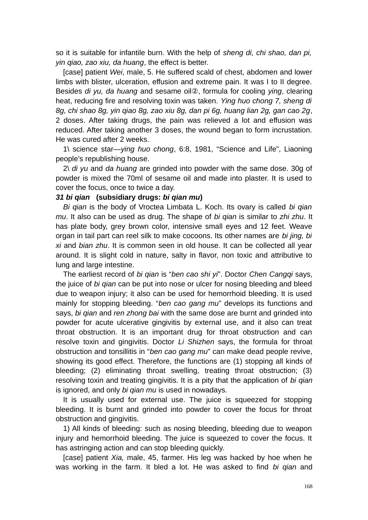so it is suitable for infantile burn. With the help of *sheng di, chi shao, dan pi, yin qiao, zao xiu, da huang*, the effect is better.

[case] patient *Wei*, male, 5. He suffered scald of chest, abdomen and lower limbs with blister, ulceration, effusion and extreme pain. It was I to II degree. Besides *di yu, da huang* and sesame oil②, formula for cooling *ying*, clearing heat, reducing fire and resolving toxin was taken. *Ying huo chong 7, sheng di 8g, chi shao 8g, yin qiao 8g, zao xiu 8g, dan pi 6g, huang lian 2g, gan cao 2g*, 2 doses. After taking drugs, the pain was relieved a lot and effusion was reduced. After taking another 3 doses, the wound began to form incrustation. He was cured after 2 weeks.

1\ science star—*ying huo chong*, 6:8, 1981, "Science and Life", Liaoning people's republishing house.

2\ *di yu* and *da huang* are grinded into powder with the same dose. 30g of powder is mixed the 70ml of sesame oil and made into plaster. It is used to cover the focus, once to twice a day.

#### *31 bi qian* **(subsidiary drugs:** *bi qian mu***)**

*Bi qian* is the body of Vroctea Limbata L. Koch. Its ovary is called *bi qian mu*. It also can be used as drug. The shape of *bi qian* is similar to *zhi zhu*. It has plate body, grey brown color, intensive small eyes and 12 feet. Weave organ in tail part can reel silk to make cocoons. Its other names are *bi jing, bi xi* and *bian zhu*. It is common seen in old house. It can be collected all year around. It is slight cold in nature, salty in flavor, non toxic and attributive to lung and large intestine.

The earliest record of *bi qian* is "*ben cao shi yi*". Doctor *Chen Cangqi* says, the juice of *bi qian* can be put into nose or ulcer for nosing bleeding and bleed due to weapon injury; it also can be used for hemorrhoid bleeding. It is used mainly for stopping bleeding. "*ben cao gang mu*" develops its functions and says, *bi qian* and *ren zhong bai* with the same dose are burnt and grinded into powder for acute ulcerative gingivitis by external use, and it also can treat throat obstruction. It is an important drug for throat obstruction and can resolve toxin and gingivitis. Doctor *Li Shizhen* says, the formula for throat obstruction and tonsillitis in "*ben cao gang mu*" can make dead people revive, showing its good effect. Therefore, the functions are (1) stopping all kinds of bleeding; (2) eliminating throat swelling, treating throat obstruction; (3) resolving toxin and treating gingivitis. It is a pity that the application of *bi qian* is ignored, and only *bi qian mu* is used in nowadays.

It is usually used for external use. The juice is squeezed for stopping bleeding. It is burnt and grinded into powder to cover the focus for throat obstruction and gingivitis.

1) All kinds of bleeding: such as nosing bleeding, bleeding due to weapon injury and hemorrhoid bleeding. The juice is squeezed to cover the focus. It has astringing action and can stop bleeding quickly.

[case] patient *Xia,* male, 45, farmer. His leg was hacked by hoe when he was working in the farm. It bled a lot. He was asked to find *bi qian* and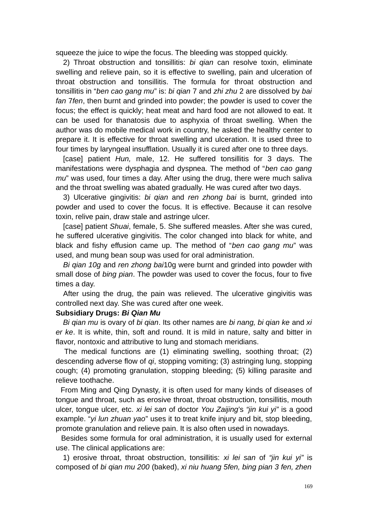squeeze the juice to wipe the focus. The bleeding was stopped quickly.

2) Throat obstruction and tonsillitis: *bi qian* can resolve toxin, eliminate swelling and relieve pain, so it is effective to swelling, pain and ulceration of throat obstruction and tonsillitis. The formula for throat obstruction and tonsillitis in "*ben cao gang mu*" is: *bi qian* 7 and *zhi zhu* 2 are dissolved by *bai fan* 7*fen*, then burnt and grinded into powder; the powder is used to cover the focus; the effect is quickly; heat meat and hard food are not allowed to eat. It can be used for thanatosis due to asphyxia of throat swelling. When the author was do mobile medical work in country, he asked the healthy center to prepare it. It is effective for throat swelling and ulceration. It is used three to four times by laryngeal insufflation. Usually it is cured after one to three days.

[case] patient *Hun,* male, 12. He suffered tonsillitis for 3 days. The manifestations were dysphagia and dyspnea. The method of "*ben cao gang mu*" was used, four times a day. After using the drug, there were much saliva and the throat swelling was abated gradually. He was cured after two days.

3) Ulcerative gingivitis: *bi qian* and *ren zhong bai* is burnt, grinded into powder and used to cover the focus. It is effective. Because it can resolve toxin, relive pain, draw stale and astringe ulcer.

[case] patient *Shuai*, female, 5. She suffered measles. After she was cured, he suffered ulcerative gingivitis. The color changed into black for white, and black and fishy effusion came up. The method of "*ben cao gang mu*" was used, and mung bean soup was used for oral administration.

*Bi qian 10g* and *ren zhong bai*10g were burnt and grinded into powder with small dose of *bing pian*. The powder was used to cover the focus, four to five times a day.

After using the drug, the pain was relieved. The ulcerative gingivitis was controlled next day. She was cured after one week.

### **Subsidiary Drugs:** *Bi Qian Mu*

*Bi qian mu* is ovary of *bi qian*. Its other names are *bi nang, bi qian ke* and *xi er ke*. It is white, thin, soft and round. It is mild in nature, salty and bitter in flavor, nontoxic and attributive to lung and stomach meridians.

 The medical functions are (1) eliminating swelling, soothing throat; (2) descending adverse flow of *qi*, stopping vomiting; (3) astringing lung, stopping cough; (4) promoting granulation, stopping bleeding; (5) killing parasite and relieve toothache.

 From Ming and Qing Dynasty, it is often used for many kinds of diseases of tongue and throat, such as erosive throat, throat obstruction, tonsillitis, mouth ulcer, tongue ulcer, etc. *xi lei san* of doctor *You Zaijing*'s *"jin kui yi"* is a good example. "*yi lun zhuan yao*" uses it to treat knife injury and bit, stop bleeding, promote granulation and relieve pain. It is also often used in nowadays.

 Besides some formula for oral administration, it is usually used for external use. The clinical applications are:

 1) erosive throat, throat obstruction, tonsillitis: *xi lei san* of *"jin kui yi"* is composed of *bi qian mu 200* (baked), *xi niu huang 5fen, bing pian 3 fen, zhen*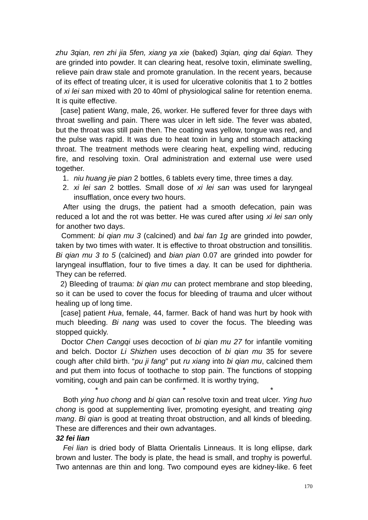*zhu 3qian, ren zhi jia 5fen, xiang ya xie* (baked) *3qian, qing dai 6qian.* They are grinded into powder. It can clearing heat, resolve toxin, eliminate swelling, relieve pain draw stale and promote granulation. In the recent years, because of its effect of treating ulcer, it is used for ulcerative colonitis that 1 to 2 bottles of *xi lei san* mixed with 20 to 40ml of physiological saline for retention enema. It is quite effective.

 [case] patient *Wang*, male, 26, worker. He suffered fever for three days with throat swelling and pain. There was ulcer in left side. The fever was abated, but the throat was still pain then. The coating was yellow, tongue was red, and the pulse was rapid. It was due to heat toxin in lung and stomach attacking throat. The treatment methods were clearing heat, expelling wind, reducing fire, and resolving toxin. Oral administration and external use were used together.

- 1. *niu huang jie pian* 2 bottles, 6 tablets every time, three times a day.
- 2. *xi lei san* 2 bottles. Small dose of *xi lei san* was used for laryngeal insufflation, once every two hours.

After using the drugs, the patient had a smooth defecation, pain was reduced a lot and the rot was better. He was cured after using *xi lei san* only for another two days.

 Comment: *bi qian mu 3* (calcined) and *bai fan 1g* are grinded into powder, taken by two times with water. It is effective to throat obstruction and tonsillitis. *Bi qian mu 3 to 5* (calcined) and *bian pian* 0.07 are grinded into powder for laryngeal insufflation, four to five times a day. It can be used for diphtheria. They can be referred.

 2) Bleeding of trauma: *bi qian mu* can protect membrane and stop bleeding, so it can be used to cover the focus for bleeding of trauma and ulcer without healing up of long time.

 [case] patient *Hua*, female, 44, farmer. Back of hand was hurt by hook with much bleeding. *Bi nang* was used to cover the focus. The bleeding was stopped quickly.

 Doctor *Chen Cangqi* uses decoction of *bi qian mu 27* for infantile vomiting and belch. Doctor *Li Shizhen* uses decoction of *bi qian mu* 35 for severe cough after child birth. "*pu ji fang*" put *ru xiang* into *bi qian mu*, calcined them and put them into focus of toothache to stop pain. The functions of stopping vomiting, cough and pain can be confirmed. It is worthy trying,

Both *ying huo chong* and *bi qian* can resolve toxin and treat ulcer. *Ying huo chong* is good at supplementing liver, promoting eyesight, and treating *qing mang*. *Bi qian* is good at treating throat obstruction, and all kinds of bleeding. These are differences and their own advantages.

\* \* \*

#### *32 fei lian*

*Fei lian* is dried body of Blatta Orientalis Linneaus. It is long ellipse, dark brown and luster. The body is plate, the head is small, and trophy is powerful. Two antennas are thin and long. Two compound eyes are kidney-like. 6 feet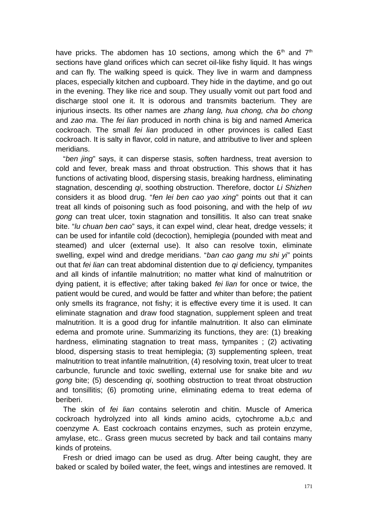have pricks. The abdomen has 10 sections, among which the  $6<sup>th</sup>$  and  $7<sup>th</sup>$ sections have gland orifices which can secret oil-like fishy liquid. It has wings and can fly. The walking speed is quick. They live in warm and dampness places, especially kitchen and cupboard. They hide in the daytime, and go out in the evening. They like rice and soup. They usually vomit out part food and discharge stool one it. It is odorous and transmits bacterium. They are injurious insects. Its other names are *zhang lang, hua chong, cha bo chong* and *zao ma*. The *fei lian* produced in north china is big and named America cockroach. The small *fei lian* produced in other provinces is called East cockroach. It is salty in flavor, cold in nature, and attributive to liver and spleen meridians.

"*ben jing*" says, it can disperse stasis, soften hardness, treat aversion to cold and fever, break mass and throat obstruction. This shows that it has functions of activating blood, dispersing stasis, breaking hardness, eliminating stagnation, descending *qi*, soothing obstruction. Therefore, doctor *Li Shizhen* considers it as blood drug. "*fen lei ben cao yao xing*" points out that it can treat all kinds of poisoning such as food poisoning, and with the help of *wu gong* can treat ulcer, toxin stagnation and tonsillitis. It also can treat snake bite. "*lu chuan ben cao*" says, it can expel wind, clear heat, dredge vessels; it can be used for infantile cold (decoction), hemiplegia (pounded with meat and steamed) and ulcer (external use). It also can resolve toxin, eliminate swelling, expel wind and dredge meridians. "*ban cao gang mu shi yi*" points out that *fei lian* can treat abdominal distention due to *qi* deficiency, tympanites and all kinds of infantile malnutrition; no matter what kind of malnutrition or dying patient, it is effective; after taking baked *fei lian* for once or twice, the patient would be cured, and would be fatter and whiter than before; the patient only smells its fragrance, not fishy; it is effective every time it is used. It can eliminate stagnation and draw food stagnation, supplement spleen and treat malnutrition. It is a good drug for infantile malnutrition. It also can eliminate edema and promote urine. Summarizing its functions, they are: (1) breaking hardness, eliminating stagnation to treat mass, tympanites ; (2) activating blood, dispersing stasis to treat hemiplegia; (3) supplementing spleen, treat malnutrition to treat infantile malnutrition, (4) resolving toxin, treat ulcer to treat carbuncle, furuncle and toxic swelling, external use for snake bite and *wu gong* bite; (5) descending *qi*, soothing obstruction to treat throat obstruction and tonsillitis; (6) promoting urine, eliminating edema to treat edema of beriberi.

The skin of *fei lian* contains selerotin and chitin. Muscle of America cockroach hydrolyzed into all kinds amino acids, cytochrome a,b,c and coenzyme A. East cockroach contains enzymes, such as protein enzyme, amylase, etc.. Grass green mucus secreted by back and tail contains many kinds of proteins.

Fresh or dried imago can be used as drug. After being caught, they are baked or scaled by boiled water, the feet, wings and intestines are removed. It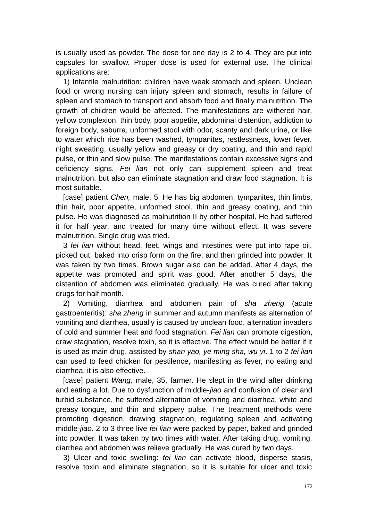is usually used as powder. The dose for one day is 2 to 4. They are put into capsules for swallow. Proper dose is used for external use. The clinical applications are:

1) Infantile malnutrition: children have weak stomach and spleen. Unclean food or wrong nursing can injury spleen and stomach, results in failure of spleen and stomach to transport and absorb food and finally malnutrition. The growth of children would be affected. The manifestations are withered hair, yellow complexion, thin body, poor appetite, abdominal distention, addiction to foreign body, saburra, unformed stool with odor, scanty and dark urine, or like to water which rice has been washed, tympanites, restlessness, lower fever, night sweating, usually yellow and greasy or dry coating, and thin and rapid pulse, or thin and slow pulse. The manifestations contain excessive signs and deficiency signs. *Fei lian* not only can supplement spleen and treat malnutrition, but also can eliminate stagnation and draw food stagnation. It is most suitable.

[case] patient *Chen,* male, 5. He has big abdomen, tympanites, thin limbs, thin hair, poor appetite, unformed stool, thin and greasy coating, and thin pulse. He was diagnosed as malnutrition II by other hospital. He had suffered it for half year, and treated for many time without effect. It was severe malnutrition. Single drug was tried.

3 *fei lian* without head, feet, wings and intestines were put into rape oil, picked out, baked into crisp form on the fire, and then grinded into powder. It was taken by two times. Brown sugar also can be added. After 4 days, the appetite was promoted and spirit was good. After another 5 days, the distention of abdomen was eliminated gradually. He was cured after taking drugs for half month.

2) Vomiting, diarrhea and abdomen pain of *sha zheng* (acute gastroenteritis): *sha zheng* in summer and autumn manifests as alternation of vomiting and diarrhea, usually is caused by unclean food, alternation invaders of cold and summer heat and food stagnation. *Fei lian* can promote digestion, draw stagnation, resolve toxin, so it is effective. The effect would be better if it is used as main drug, assisted by *shan yao, ye ming sha, wu yi*. 1 to 2 *fei lian* can used to feed chicken for pestilence, manifesting as fever, no eating and diarrhea. it is also effective.

[case] patient *Wang,* male, 35, farmer. He slept in the wind after drinking and eating a lot. Due to dysfunction of middle-*jiao* and confusion of clear and turbid substance, he suffered alternation of vomiting and diarrhea, white and greasy tongue, and thin and slippery pulse. The treatment methods were promoting digestion, drawing stagnation, regulating spleen and activating middle-*jiao*. 2 to 3 three live *fei lian* were packed by paper, baked and grinded into powder. It was taken by two times with water. After taking drug, vomiting, diarrhea and abdomen was relieve gradually. He was cured by two days.

3) Ulcer and toxic swelling: *fei lian* can activate blood, disperse stasis, resolve toxin and eliminate stagnation, so it is suitable for ulcer and toxic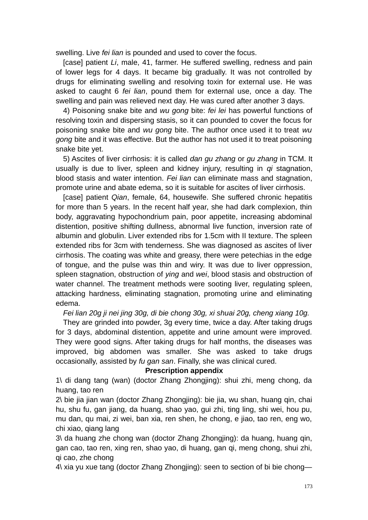swelling. Live *fei lian* is pounded and used to cover the focus.

[case] patient *Li*, male, 41, farmer. He suffered swelling, redness and pain of lower legs for 4 days. It became big gradually. It was not controlled by drugs for eliminating swelling and resolving toxin for external use. He was asked to caught 6 *fei lian*, pound them for external use, once a day. The swelling and pain was relieved next day. He was cured after another 3 days.

4) Poisoning snake bite and *wu gong* bite: *fei lei* has powerful functions of resolving toxin and dispersing stasis, so it can pounded to cover the focus for poisoning snake bite and *wu gong* bite. The author once used it to treat *wu gong* bite and it was effective. But the author has not used it to treat poisoning snake bite yet.

5) Ascites of liver cirrhosis: it is called *dan gu zhang* or *gu zhang* in TCM. It usually is due to liver, spleen and kidney injury, resulting in *qi* stagnation, blood stasis and water intention. *Fei lian* can eliminate mass and stagnation, promote urine and abate edema, so it is suitable for ascites of liver cirrhosis.

[case] patient *Qian*, female, 64, housewife. She suffered chronic hepatitis for more than 5 years. In the recent half year, she had dark complexion, thin body, aggravating hypochondrium pain, poor appetite, increasing abdominal distention, positive shifting dullness, abnormal live function, inversion rate of albumin and globulin. Liver extended ribs for 1.5cm with II texture. The spleen extended ribs for 3cm with tenderness. She was diagnosed as ascites of liver cirrhosis. The coating was white and greasy, there were petechias in the edge of tongue, and the pulse was thin and wiry. It was due to liver oppression, spleen stagnation, obstruction of *ying* and *wei*, blood stasis and obstruction of water channel. The treatment methods were sooting liver, regulating spleen, attacking hardness, eliminating stagnation, promoting urine and eliminating edema.

*Fei lian 20g ji nei jing 30g, di bie chong 30g, xi shuai 20g, cheng xiang 10g.*

They are grinded into powder, 3g every time, twice a day. After taking drugs for 3 days, abdominal distention, appetite and urine amount were improved. They were good signs. After taking drugs for half months, the diseases was improved, big abdomen was smaller. She was asked to take drugs occasionally, assisted by *fu gan san*. Finally, she was clinical cured.

### **Prescription appendix**

1\ di dang tang (wan) (doctor Zhang Zhongjing): shui zhi, meng chong, da huang, tao ren

2\ bie jia jian wan (doctor Zhang Zhongjing): bie jia, wu shan, huang qin, chai hu, shu fu, gan jiang, da huang, shao yao, gui zhi, ting ling, shi wei, hou pu, mu dan, qu mai, zi wei, ban xia, ren shen, he chong, e jiao, tao ren, eng wo, chi xiao, qiang lang

3\ da huang zhe chong wan (doctor Zhang Zhongjing): da huang, huang qin, gan cao, tao ren, xing ren, shao yao, di huang, gan qi, meng chong, shui zhi, qi cao, zhe chong

4\ xia yu xue tang (doctor Zhang Zhongjing): seen to section of bi bie chong—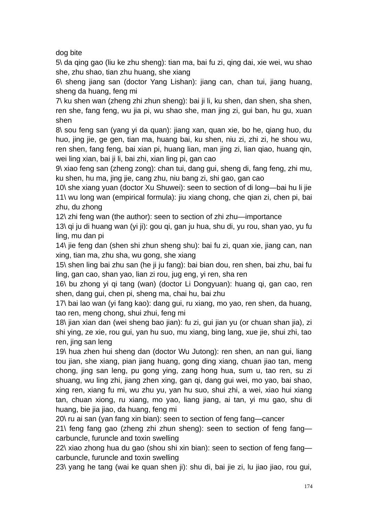dog bite

5\ da qing gao (liu ke zhu sheng): tian ma, bai fu zi, qing dai, xie wei, wu shao she, zhu shao, tian zhu huang, she xiang

6\ sheng jiang san (doctor Yang Lishan): jiang can, chan tui, jiang huang, sheng da huang, feng mi

7\ ku shen wan (zheng zhi zhun sheng): bai ji li, ku shen, dan shen, sha shen, ren she, fang feng, wu jia pi, wu shao she, man jing zi, gui ban, hu gu, xuan shen

8\ sou feng san (yang yi da quan): jiang xan, quan xie, bo he, qiang huo, du huo, jing jie, ge gen, tian ma, huang bai, ku shen, niu zi, zhi zi, he shou wu, ren shen, fang feng, bai xian pi, huang lian, man jing zi, lian qiao, huang qin, wei ling xian, bai ji li, bai zhi, xian ling pi, gan cao

9\ xiao feng san (zheng zong): chan tui, dang gui, sheng di, fang feng, zhi mu, ku shen, hu ma, jing jie, cang zhu, niu bang zi, shi gao, gan cao

10\ she xiang yuan (doctor Xu Shuwei): seen to section of di long—bai hu li jie 11\ wu long wan (empirical formula): jiu xiang chong, che qian zi, chen pi, bai zhu, du zhong

12\ zhi feng wan (the author): seen to section of zhi zhu—importance

13\ qi ju di huang wan (yi ji): gou qi, gan ju hua, shu di, yu rou, shan yao, yu fu ling, mu dan pi

14\ jie feng dan (shen shi zhun sheng shu): bai fu zi, quan xie, jiang can, nan xing, tian ma, zhu sha, wu gong, she xiang

15\ shen ling bai zhu san (he ji ju fang): bai bian dou, ren shen, bai zhu, bai fu ling, gan cao, shan yao, lian zi rou, jug eng, yi ren, sha ren

16\ bu zhong yi qi tang (wan) (doctor Li Dongyuan): huang qi, gan cao, ren shen, dang gui, chen pi, sheng ma, chai hu, bai zhu

17\ bai lao wan (yi fang kao): dang gui, ru xiang, mo yao, ren shen, da huang, tao ren, meng chong, shui zhui, feng mi

18\ jian xian dan (wei sheng bao jian): fu zi, gui jian yu (or chuan shan jia), zi shi ying, ze xie, rou gui, yan hu suo, mu xiang, bing lang, xue jie, shui zhi, tao ren, jing san leng

19\ hua zhen hui sheng dan (doctor Wu Jutong): ren shen, an nan gui, liang tou jian, she xiang, pian jiang huang, gong ding xiang, chuan jiao tan, meng chong, jing san leng, pu gong ying, zang hong hua, sum u, tao ren, su zi shuang, wu ling zhi, jiang zhen xing, gan qi, dang gui wei, mo yao, bai shao, xing ren, xiang fu mi, wu zhu yu, yan hu suo, shui zhi, a wei, xiao hui xiang tan, chuan xiong, ru xiang, mo yao, liang jiang, ai tan, yi mu gao, shu di huang, bie jia jiao, da huang, feng mi

20\ ru ai san (yan fang xin bian): seen to section of feng fang—cancer

21\ feng fang gao (zheng zhi zhun sheng): seen to section of feng fang carbuncle, furuncle and toxin swelling

22\ xiao zhong hua du gao (shou shi xin bian): seen to section of feng fang carbuncle, furuncle and toxin swelling

23\ yang he tang (wai ke quan shen ji): shu di, bai jie zi, lu jiao jiao, rou gui,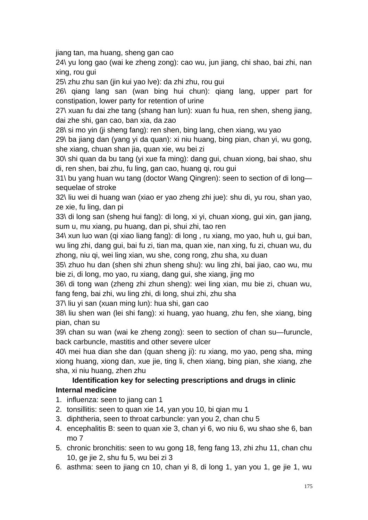jiang tan, ma huang, sheng gan cao

24\ yu long gao (wai ke zheng zong): cao wu, jun jiang, chi shao, bai zhi, nan xing, rou gui

25\ zhu zhu san (jin kui yao lve): da zhi zhu, rou gui

26\ qiang lang san (wan bing hui chun): qiang lang, upper part for constipation, lower party for retention of urine

27\ xuan fu dai zhe tang (shang han lun): xuan fu hua, ren shen, sheng jiang, dai zhe shi, gan cao, ban xia, da zao

28\ si mo yin (ji sheng fang): ren shen, bing lang, chen xiang, wu yao

29\ ba jiang dan (yang yi da quan): xi niu huang, bing pian, chan yi, wu gong, she xiang, chuan shan jia, quan xie, wu bei zi

30\ shi quan da bu tang (yi xue fa ming): dang gui, chuan xiong, bai shao, shu di, ren shen, bai zhu, fu ling, gan cao, huang qi, rou gui

31\ bu yang huan wu tang (doctor Wang Qingren): seen to section of di long sequelae of stroke

32\ liu wei di huang wan (xiao er yao zheng zhi jue): shu di, yu rou, shan yao, ze xie, fu ling, dan pi

33\ di long san (sheng hui fang): di long, xi yi, chuan xiong, gui xin, gan jiang, sum u, mu xiang, pu huang, dan pi, shui zhi, tao ren

34\ xun luo wan (qi xiao liang fang): di long , ru xiang, mo yao, huh u, gui ban, wu ling zhi, dang gui, bai fu zi, tian ma, quan xie, nan xing, fu zi, chuan wu, du zhong, niu qi, wei ling xian, wu she, cong rong, zhu sha, xu duan

35\ zhuo hu dan (shen shi zhun sheng shu): wu ling zhi, bai jiao, cao wu, mu bie zi, di long, mo yao, ru xiang, dang gui, she xiang, jing mo

36\ di tong wan (zheng zhi zhun sheng): wei ling xian, mu bie zi, chuan wu, fang feng, bai zhi, wu ling zhi, di long, shui zhi, zhu sha

37\ liu yi san (xuan ming lun): hua shi, gan cao

38\ liu shen wan (lei shi fang): xi huang, yao huang, zhu fen, she xiang, bing pian, chan su

39\ chan su wan (wai ke zheng zong): seen to section of chan su—furuncle, back carbuncle, mastitis and other severe ulcer

40\ mei hua dian she dan (quan sheng ji): ru xiang, mo yao, peng sha, ming xiong huang, xiong dan, xue jie, ting li, chen xiang, bing pian, she xiang, zhe sha, xi niu huang, zhen zhu

## **Identification key for selecting prescriptions and drugs in clinic Internal medicine**

- 1. influenza: seen to jiang can 1
- 2. tonsillitis: seen to quan xie 14, yan you 10, bi qian mu 1
- 3. diphtheria, seen to throat carbuncle: yan you 2, chan chu 5
- 4. encephalitis B: seen to quan xie 3, chan yi 6, wo niu 6, wu shao she 6, ban mo 7
- 5. chronic bronchitis: seen to wu gong 18, feng fang 13, zhi zhu 11, chan chu 10, ge jie 2, shu fu 5, wu bei zi 3
- 6. asthma: seen to jiang cn 10, chan yi 8, di long 1, yan you 1, ge jie 1, wu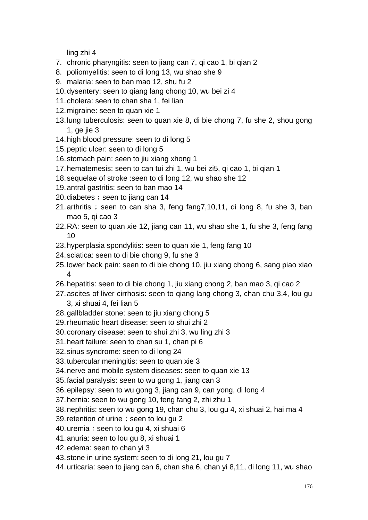ling zhi 4

- 7. chronic pharyngitis: seen to jiang can 7, qi cao 1, bi qian 2
- 8. poliomyelitis: seen to di long 13, wu shao she 9
- 9. malaria: seen to ban mao 12, shu fu 2
- 10.dysentery: seen to qiang lang chong 10, wu bei zi 4
- 11.cholera: seen to chan sha 1, fei lian
- 12.migraine: seen to quan xie 1
- 13.lung tuberculosis: seen to quan xie 8, di bie chong 7, fu she 2, shou gong 1, ge jie 3
- 14.high blood pressure: seen to di long 5
- 15.peptic ulcer: seen to di long 5
- 16.stomach pain: seen to jiu xiang xhong 1
- 17.hematemesis: seen to can tui zhi 1, wu bei zi5, qi cao 1, bi qian 1
- 18.sequelae of stroke :seen to di long 12, wu shao she 12
- 19.antral gastritis: seen to ban mao 14
- 20. diabetes; seen to jiang can 14
- 21. arthritis; seen to can sha 3, feng fang  $7,10,11$ , di long 8, fu she 3, ban mao 5, qi cao 3
- 22.RA: seen to quan xie 12, jiang can 11, wu shao she 1, fu she 3, feng fang 10
- 23.hyperplasia spondylitis: seen to quan xie 1, feng fang 10
- 24.sciatica: seen to di bie chong 9, fu she 3
- 25.lower back pain: seen to di bie chong 10, jiu xiang chong 6, sang piao xiao 4
- 26.hepatitis: seen to di bie chong 1, jiu xiang chong 2, ban mao 3, qi cao 2
- 27.ascites of liver cirrhosis: seen to qiang lang chong 3, chan chu 3,4, lou gu 3, xi shuai 4, fei lian 5
- 28.gallbladder stone: seen to jiu xiang chong 5
- 29.rheumatic heart disease: seen to shui zhi 2
- 30.coronary disease: seen to shui zhi 3, wu ling zhi 3
- 31.heart failure: seen to chan su 1, chan pi 6
- 32.sinus syndrome: seen to di long 24
- 33.tubercular meningitis: seen to quan xie 3
- 34.nerve and mobile system diseases: seen to quan xie 13
- 35.facial paralysis: seen to wu gong 1, jiang can 3
- 36.epilepsy: seen to wu gong 3, jiang can 9, can yong, di long 4
- 37.hernia: seen to wu gong 10, feng fang 2, zhi zhu 1
- 38.nephritis: seen to wu gong 19, chan chu 3, lou gu 4, xi shuai 2, hai ma 4
- 39. retention of urine; seen to lou gu 2
- 40. uremia: seen to lou gu 4, xi shuai 6
- 41.anuria: seen to lou gu 8, xi shuai 1
- 42.edema: seen to chan yi 3
- 43.stone in urine system: seen to di long 21, lou gu 7
- 44.urticaria: seen to jiang can 6, chan sha 6, chan yi 8,11, di long 11, wu shao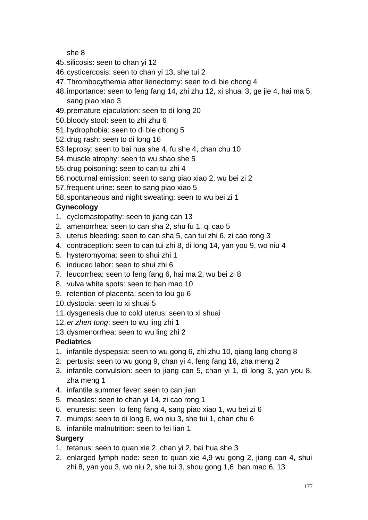she 8

- 45.silicosis: seen to chan yi 12
- 46.cysticercosis: seen to chan yi 13, she tui 2
- 47.Thrombocythemia after lienectomy: seen to di bie chong 4
- 48.importance: seen to feng fang 14, zhi zhu 12, xi shuai 3, ge jie 4, hai ma 5, sang piao xiao 3
- 49.premature ejaculation: seen to di long 20
- 50.bloody stool: seen to zhi zhu 6
- 51.hydrophobia: seen to di bie chong 5
- 52.drug rash: seen to di long 16
- 53.leprosy: seen to bai hua she 4, fu she 4, chan chu 10
- 54.muscle atrophy: seen to wu shao she 5
- 55.drug poisoning: seen to can tui zhi 4
- 56.nocturnal emission: seen to sang piao xiao 2, wu bei zi 2
- 57.frequent urine: seen to sang piao xiao 5
- 58.spontaneous and night sweating: seen to wu bei zi 1

# **Gynecology**

- 1. cyclomastopathy: seen to jiang can 13
- 2. amenorrhea: seen to can sha 2, shu fu 1, qi cao 5
- 3. uterus bleeding: seen to can sha 5, can tui zhi 6, zi cao rong 3
- 4. contraception: seen to can tui zhi 8, di long 14, yan you 9, wo niu 4
- 5. hysteromyoma: seen to shui zhi 1
- 6. induced labor: seen to shui zhi 6
- 7. leucorrhea: seen to feng fang 6, hai ma 2, wu bei zi 8
- 8. vulva white spots: seen to ban mao 10
- 9. retention of placenta: seen to lou gu 6
- 10.dystocia: seen to xi shuai 5
- 11.dysgenesis due to cold uterus: seen to xi shuai
- 12.*er zhen tong*: seen to wu ling zhi 1
- 13.dysmenorrhea: seen to wu ling zhi 2

# **Pediatrics**

- 1. infantile dyspepsia: seen to wu gong 6, zhi zhu 10, qiang lang chong 8
- 2. pertusis: seen to wu gong 9, chan yi 4, feng fang 16, zha meng 2
- 3. infantile convulsion: seen to jiang can 5, chan yi 1, di long 3, yan you 8, zha meng 1
- 4. infantile summer fever: seen to can jian
- 5. measles: seen to chan yi 14, zi cao rong 1
- 6. enuresis: seen to feng fang 4, sang piao xiao 1, wu bei zi 6
- 7. mumps: seen to di long 6, wo niu 3, she tui 1, chan chu 6
- 8. infantile malnutrition: seen to fei lian 1

# **Surgery**

- 1. tetanus: seen to quan xie 2, chan yi 2, bai hua she 3
- 2. enlarged lymph node: seen to quan xie 4,9 wu gong 2, jiang can 4, shui zhi 8, yan you 3, wo niu 2, she tui 3, shou gong 1,6 ban mao 6, 13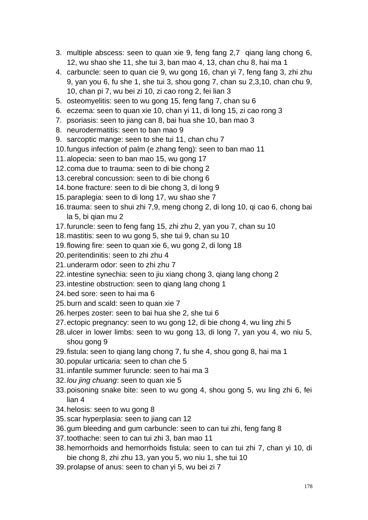- 3. multiple abscess: seen to quan xie 9, feng fang 2,7 qiang lang chong 6, 12, wu shao she 11, she tui 3, ban mao 4, 13, chan chu 8, hai ma 1
- 4. carbuncle: seen to quan cie 9, wu gong 16, chan yi 7, feng fang 3, zhi zhu 9, yan you 6, fu she 1, she tui 3, shou gong 7, chan su 2,3,10, chan chu 9, 10, chan pi 7, wu bei zi 10, zi cao rong 2, fei lian 3
- 5. osteomyelitis: seen to wu gong 15, feng fang 7, chan su 6
- 6. eczema: seen to quan xie 10, chan yi 11, di long 15, zi cao rong 3
- 7. psoriasis: seen to jiang can 8, bai hua she 10, ban mao 3
- 8. neurodermatitis: seen to ban mao 9
- 9. sarcoptic mange: seen to she tui 11, chan chu 7
- 10.fungus infection of palm (e zhang feng): seen to ban mao 11
- 11.alopecia: seen to ban mao 15, wu gong 17
- 12.coma due to trauma: seen to di bie chong 2
- 13.cerebral concussion: seen to di bie chong 6
- 14.bone fracture: seen to di bie chong 3, di long 9
- 15.paraplegia: seen to di long 17, wu shao she 7
- 16.trauma: seen to shui zhi 7,9, meng chong 2, di long 10, qi cao 6, chong bai la 5, bi qian mu 2
- 17.furuncle: seen to feng fang 15, zhi zhu 2, yan you 7, chan su 10
- 18.mastitis: seen to wu gong 5, she tui 9, chan su 10
- 19.flowing fire: seen to quan xie 6, wu gong 2, di long 18
- 20.peritendinitis: seen to zhi zhu 4
- 21.underarm odor: seen to zhi zhu 7
- 22.intestine synechia: seen to jiu xiang chong 3, qiang lang chong 2
- 23.intestine obstruction: seen to qiang lang chong 1
- 24.bed sore: seen to hai ma 6
- 25.burn and scald: seen to quan xie 7
- 26.herpes zoster: seen to bai hua she 2, she tui 6
- 27.ectopic pregnancy: seen to wu gong 12, di bie chong 4, wu ling zhi 5
- 28.ulcer in lower limbs: seen to wu gong 13, di long 7, yan you 4, wo niu 5, shou gong 9
- 29.fistula: seen to qiang lang chong 7, fu she 4, shou gong 8, hai ma 1
- 30.popular urticaria: seen to chan che 5
- 31.infantile summer furuncle: seen to hai ma 3
- 32.*lou jing chuang*: seen to quan xie 5
- 33.poisoning snake bite: seen to wu gong 4, shou gong 5, wu ling zhi 6, fei lian 4
- 34.helosis: seen to wu gong 8
- 35.scar hyperplasia: seen to jiang can 12
- 36.gum bleeding and gum carbuncle: seen to can tui zhi, feng fang 8
- 37.toothache: seen to can tui zhi 3, ban mao 11
- 38.hemorrhoids and hemorrhoids fistula: seen to can tui zhi 7, chan yi 10, di bie chong 8, zhi zhu 13, yan you 5, wo niu 1, she tui 10
- 39.prolapse of anus: seen to chan yi 5, wu bei zi 7